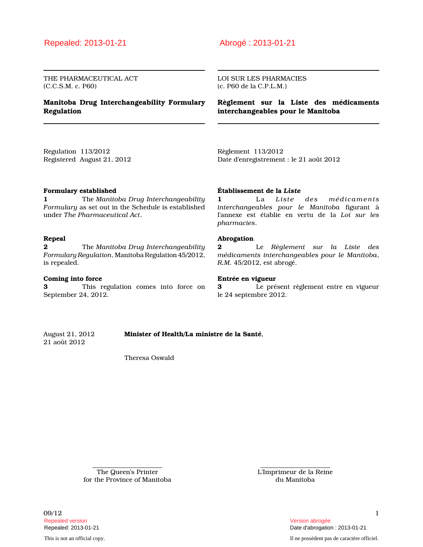THE PHARMACEUTICAL ACT (C.C.S.M. c. P60)

## **Manitoba Drug Interchangeability Formulary Regulation**

### LOI SUR LES PHARMACIES (c. P60 de la C.P.L.M.)

**Règlement sur la Liste des médicaments interchangeables pour le Manitoba**

Regulation 113/2012 Registered August 21, 2012 Règlement 113/2012 Date d'enregistrement : le 21 août 2012

### **Formulary established**

**1** The *Manitoba Drug Interchangeability Formulary* as set out in the Schedule is established under *The Pharmaceutical Act*.

### **Repeal**

**2** The *Manitoba Drug Interchangeability Formulary Regulation*, Manitoba Regulation 45/2012, is repealed.

### **Coming into force**

**3** This regulation comes into force on September 24, 2012.

### **Établissement de la** *Liste*

**1** La *Liste des médicaments interchangeables pour le Manitoba* figurant à l'annexe est établie en vertu de la *Loi sur les pharmacies*.

### **Abrogation**

**2** Le *Règlement sur la Liste des médicaments interchangeables pour le Manitoba*, *R.M.* 45/2012, est abrogé.

### **Entrée en vigueur**

**3** Le présent règlement entre en vigueur le 24 septembre 2012.

August 21, 2012 **Minister of Health/La ministre de la Santé**, 21 août 2012

Theresa Oswald

The Queen's Printer for the Province of Manitoba L'Imprimeur de la Reine du Manitoba

 $09/12$  and  $1$ Repealed version Version abrogée

This is not an official copy. Il ne possèdent pas de caractère officiel.

Repealed: 2013-01-21 Date d'abrogation : 2013-01-21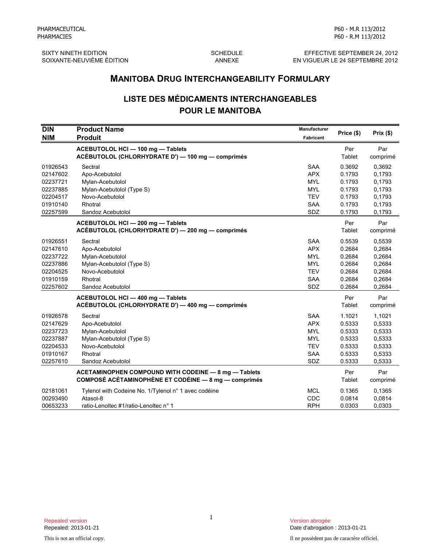SIXTY NINETH EDITION **SCHEDULE** SCHEDULE **EFFECTIVE SEPTEMBER 24, 2012** SOIXANTE-NEUVIÈME ÉDITION ANNEXE EN VIGUEUR LE 24 SEPTEMBRE 2012

# **LISTE DES MÉDICAMENTS INTERCHANGEABLES POUR LE MANITOBA**

|                                                                                  | <b>MANITOBA DRUG INTERCHANGEABILITY FORMULARY</b>                                                                             |                                                                                         |                                                                    |                                                                    |
|----------------------------------------------------------------------------------|-------------------------------------------------------------------------------------------------------------------------------|-----------------------------------------------------------------------------------------|--------------------------------------------------------------------|--------------------------------------------------------------------|
|                                                                                  | <b>LISTE DES MÉDICAMENTS INTERCHANGEABLES</b>                                                                                 |                                                                                         |                                                                    |                                                                    |
|                                                                                  | <b>POUR LE MANITOBA</b>                                                                                                       |                                                                                         |                                                                    |                                                                    |
| <b>DIN</b><br><b>NIM</b>                                                         | <b>Product Name</b><br><b>Produit</b>                                                                                         | <b>Manufacturer</b><br>Fabricant                                                        | Price (\$)                                                         | Prix(\$)                                                           |
|                                                                                  | ACEBUTOLOL HCI - 100 mg - Tablets<br>ACÉBUTOLOL (CHLORHYDRATE D') - 100 mg - comprimés                                        |                                                                                         | Per<br>Tablet                                                      | Par<br>comprimé                                                    |
| 01926543<br>02147602<br>02237721<br>02237885<br>02204517<br>01910140<br>02257599 | Sectral<br>Apo-Acebutolol<br>Mylan-Acebutolol<br>Mylan-Acebutolol (Type S)<br>Novo-Acebutolol<br>Rhotral<br>Sandoz Acebutolol | <b>SAA</b><br><b>APX</b><br><b>MYL</b><br><b>MYL</b><br><b>TEV</b><br><b>SAA</b><br>SDZ | 0.3692<br>0.1793<br>0.1793<br>0.1793<br>0.1793<br>0.1793<br>0.1793 | 0.3692<br>0.1793<br>0.1793<br>0.1793<br>0,1793<br>0,1793<br>0,1793 |
|                                                                                  | ACEBUTOLOL HCI-200 mg-Tablets<br>ACÉBUTOLOL (CHLORHYDRATE D') - 200 mg - comprimés                                            |                                                                                         | Per<br>Tablet                                                      | Par<br>comprimé                                                    |
| 01926551<br>02147610<br>02237722<br>02237886<br>02204525<br>01910159<br>02257602 | Sectral<br>Apo-Acebutolol<br>Mylan-Acebutolol<br>Mylan-Acebutolol (Type S)<br>Novo-Acebutolol<br>Rhotral<br>Sandoz Acebutolol | SAA<br><b>APX</b><br><b>MYL</b><br><b>MYL</b><br><b>TEV</b><br><b>SAA</b><br>SDZ        | 0.5539<br>0.2684<br>0.2684<br>0.2684<br>0.2684<br>0.2684<br>0.2684 | 0,5539<br>0,2684<br>0,2684<br>0,2684<br>0,2684<br>0,2684<br>0,2684 |
|                                                                                  | ACEBUTOLOL HCI - 400 mg - Tablets<br>ACÉBUTOLOL (CHLORHYDRATE D') - 400 mg - comprimés                                        |                                                                                         | Per<br>Tablet                                                      | Par<br>comprimé                                                    |
| 01926578<br>02147629<br>02237723<br>02237887<br>02204533<br>01910167<br>02257610 | Sectral<br>Apo-Acebutolol<br>Mylan-Acebutolol<br>Mylan-Acebutolol (Type S)<br>Novo-Acebutolol<br>Rhotral<br>Sandoz Acebutolol | SAA<br><b>APX</b><br><b>MYL</b><br><b>MYL</b><br><b>TEV</b><br>SAA<br>SDZ               | 1.1021<br>0.5333<br>0.5333<br>0.5333<br>0.5333<br>0.5333<br>0.5333 | 1,1021<br>0,5333<br>0,5333<br>0.5333<br>0,5333<br>0,5333<br>0,5333 |
|                                                                                  | ACETAMINOPHEN COMPOUND WITH CODEINE - 8 mg - Tablets<br><b>COMPOSÉ ACÉTAMINOPHÈNE ET CODÉINE - 8 mg - comprimés</b>           |                                                                                         | Per<br>Tablet                                                      | Par<br>comprimé                                                    |
| 02181061<br>00293490<br>00653233                                                 | Tylenol with Codeine No. 1/Tylenol n° 1 avec codéine<br>Atasol-8<br>ratio-Lenoltec #1/ratio-Lenoltec n° 1                     | <b>MCL</b><br>CDC<br><b>RPH</b>                                                         | 0.1365<br>0.0814<br>0.0303                                         | 0.1365<br>0.0814<br>0.0303                                         |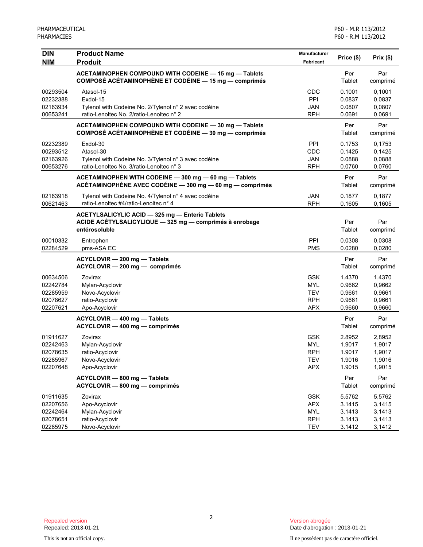| <b>DIN</b>           | <b>Product Name</b>                                                                                                         | Manufacturer | Price (\$)       | Prix(\$)         |
|----------------------|-----------------------------------------------------------------------------------------------------------------------------|--------------|------------------|------------------|
| <b>NIM</b>           | <b>Produit</b>                                                                                                              | Fabricant    |                  |                  |
|                      | ACETAMINOPHEN COMPOUND WITH CODEINE - 15 mg - Tablets<br>COMPOSÉ ACÉTAMINOPHÈNE ET CODÉINE - 15 mg - comprimés              |              | Per<br>Tablet    | Par<br>comprimé  |
| 00293504<br>02232388 | Atasol-15<br>Exdol-15                                                                                                       | CDC<br>PPI   | 0.1001<br>0.0837 | 0,1001<br>0,0837 |
| 02163934             | Tylenol with Codeine No. 2/Tylenol n° 2 avec codéine                                                                        | JAN          | 0.0807           | 0,0807           |
| 00653241             | ratio-Lenoltec No. 2/ratio-Lenoltec n° 2                                                                                    | <b>RPH</b>   | 0.0691           | 0,0691           |
|                      | ACETAMINOPHEN COMPOUND WITH CODEINE - 30 mg - Tablets<br>COMPOSÉ ACÉTAMINOPHÈNE ET CODÉINE - 30 mg - comprimés              |              | Per<br>Tablet    | Par<br>comprimé  |
| 02232389             | Exdol-30                                                                                                                    | <b>PPI</b>   | 0.1753           | 0,1753           |
| 00293512             | Atasol-30                                                                                                                   | CDC          | 0.1425           | 0,1425           |
| 02163926             | Tylenol with Codeine No. 3/Tylenol n° 3 avec codéine                                                                        | <b>JAN</b>   | 0.0888           | 0,0888           |
| 00653276             | ratio-Lenoltec No. 3/ratio-Lenoltec n° 3                                                                                    | <b>RPH</b>   | 0.0760           | 0,0760           |
|                      | ACETAMINOPHEN WITH CODEINE - 300 mg - 60 mg - Tablets<br>ACÉTAMINOPHÈNE AVEC CODÉINE - 300 mg - 60 mg - comprimés           |              | Per<br>Tablet    | Par<br>comprimé  |
| 02163918             | Tylenol with Codeine No. 4/Tylenol n° 4 avec codéine                                                                        | <b>JAN</b>   | 0.1877           | 0,1877           |
| 00621463             | ratio-Lenoltec #4/ratio-Lenoltec n° 4                                                                                       | <b>RPH</b>   | 0.1605           | 0,1605           |
|                      | ACETYLSALICYLIC ACID - 325 mg - Enteric Tablets<br>ACIDE ACÉTYLSALICYLIQUE - 325 mg - comprimés à enrobage<br>entérosoluble |              | Per<br>Tablet    | Par<br>comprimé  |
| 00010332             | Entrophen                                                                                                                   | PPI          | 0.0308           | 0,0308           |
| 02284529             | pms-ASA EC                                                                                                                  | <b>PMS</b>   | 0.0280           | 0,0280           |
|                      | ACYCLOVIR - 200 mg - Tablets<br>ACYCLOVIR - 200 mg - comprimés                                                              |              | Per<br>Tablet    | Par<br>comprimé  |
| 00634506             | Zovirax                                                                                                                     | <b>GSK</b>   | 1.4370           | 1,4370           |
| 02242784             | Mylan-Acyclovir                                                                                                             | <b>MYL</b>   | 0.9662           | 0,9662           |
| 02285959             | Novo-Acyclovir                                                                                                              | <b>TEV</b>   | 0.9661           | 0,9661           |
| 02078627             | ratio-Acyclovir                                                                                                             | <b>RPH</b>   | 0.9661           | 0,9661           |
| 02207621             | Apo-Acyclovir                                                                                                               | <b>APX</b>   | 0.9660           | 0,9660           |
|                      | ACYCLOVIR - 400 mg - Tablets                                                                                                |              | Per              | Par              |
|                      | ACYCLOVIR - 400 mg - comprimés                                                                                              |              | Tablet           | comprimé         |
| 01911627             | Zovirax                                                                                                                     | <b>GSK</b>   | 2.8952           | 2,8952           |
| 02242463             | Mylan-Acyclovir                                                                                                             | <b>MYL</b>   | 1.9017           | 1,9017           |
| 02078635             | ratio-Acyclovir                                                                                                             | <b>RPH</b>   | 1.9017           | 1,9017           |
| 02285967             | Novo-Acyclovir                                                                                                              | TEV          | 1.9016           | 1,9016           |
| 02207648             | Apo-Acyclovir                                                                                                               | <b>APX</b>   | 1.9015           | 1,9015           |
|                      | ACYCLOVIR - 800 mg - Tablets<br>ACYCLOVIR - 800 mg - comprimés                                                              |              | Per<br>Tablet    | Par<br>comprimé  |
| 01911635             | Zovirax                                                                                                                     | <b>GSK</b>   | 5.5762           | 5,5762           |
| 02207656             | Apo-Acyclovir                                                                                                               | APX          | 3.1415           | 3,1415           |
| 02242464             | Mylan-Acyclovir                                                                                                             | <b>MYL</b>   | 3.1413           | 3,1413           |
| 02078651             | ratio-Acyclovir                                                                                                             | <b>RPH</b>   | 3.1413           | 3,1413           |
| 02285975             | Novo-Acyclovir                                                                                                              | <b>TEV</b>   | 3.1412           | 3,1412           |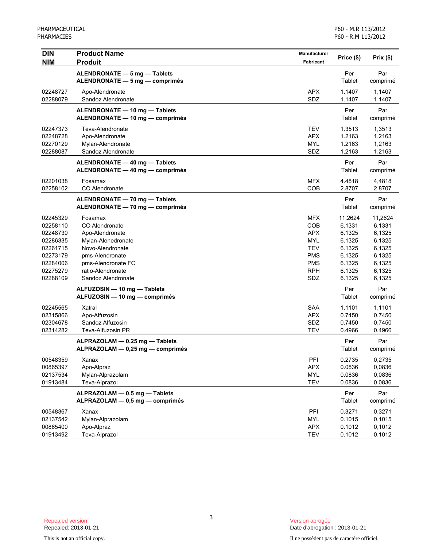| <b>DIN</b> | <b>Product Name</b>              | Manufacturer     | Price (\$) | Prix(\$) |
|------------|----------------------------------|------------------|------------|----------|
| <b>NIM</b> | <b>Produit</b>                   | <b>Fabricant</b> |            |          |
|            | ALENDRONATE - 5 mg - Tablets     |                  | Per        | Par      |
|            | ALENDRONATE - 5 mg - comprimés   |                  | Tablet     | comprimé |
| 02248727   | Apo-Alendronate                  | <b>APX</b>       | 1.1407     | 1,1407   |
| 02288079   | Sandoz Alendronate               | SDZ              | 1.1407     | 1,1407   |
|            | ALENDRONATE - 10 mg - Tablets    |                  | Per        | Par      |
|            | ALENDRONATE - 10 mg - comprimés  |                  | Tablet     | comprimé |
| 02247373   | Teva-Alendronate                 | <b>TEV</b>       | 1.3513     | 1,3513   |
| 02248728   | Apo-Alendronate                  | <b>APX</b>       | 1.2163     | 1,2163   |
| 02270129   | Mylan-Alendronate                | <b>MYL</b>       | 1.2163     | 1,2163   |
| 02288087   | Sandoz Alendronate               | SDZ              | 1.2163     | 1,2163   |
|            | ALENDRONATE - 40 mg - Tablets    |                  | Per        | Par      |
|            | ALENDRONATE - 40 mg - comprimés  |                  | Tablet     | comprimé |
| 02201038   | Fosamax                          | <b>MFX</b>       | 4.4818     | 4,4818   |
| 02258102   | CO Alendronate                   | COB              | 2.8707     | 2,8707   |
|            | ALENDRONATE - 70 mg - Tablets    |                  | Per        | Par      |
|            | ALENDRONATE - 70 mg - comprimés  |                  | Tablet     | comprimé |
| 02245329   | Fosamax                          | <b>MFX</b>       | 11.2624    | 11,2624  |
| 02258110   | CO Alendronate                   | COB              | 6.1331     | 6,1331   |
| 02248730   | Apo-Alendronate                  | <b>APX</b>       | 6.1325     | 6,1325   |
| 02286335   | Mylan-Alenedronate               | <b>MYL</b>       | 6.1325     | 6,1325   |
| 02261715   | Novo-Alendronate                 | <b>TEV</b>       | 6.1325     | 6,1325   |
| 02273179   | pms-Alendronate                  | <b>PMS</b>       | 6.1325     | 6,1325   |
| 02284006   | pms-Alendronate FC               | <b>PMS</b>       | 6.1325     | 6,1325   |
| 02275279   | ratio-Alendronate                | <b>RPH</b>       | 6.1325     | 6,1325   |
| 02288109   | Sandoz Alendronate               | SDZ              | 6.1325     | 6,1325   |
|            | ALFUZOSIN - 10 mg - Tablets      |                  | Per        | Par      |
|            | ALFUZOSIN - 10 mg - comprimés    |                  | Tablet     | comprimé |
| 02245565   | Xatral                           | <b>SAA</b>       | 1.1101     | 1,1101   |
| 02315866   | Apo-Alfuzosin                    | <b>APX</b>       | 0.7450     | 0,7450   |
| 02304678   | Sandoz Alfuzosin                 | SDZ              | 0.7450     | 0,7450   |
| 02314282   | Teva-Alfuzosin PR                | <b>TEV</b>       | 0.4966     | 0,4966   |
|            | ALPRAZOLAM - 0.25 mg - Tablets   |                  | Per        | Par      |
|            | ALPRAZOLAM - 0,25 mg - comprimés |                  | Tablet     | comprimé |
| 00548359   | Xanax                            | PFI              | 0.2735     | 0,2735   |
| 00865397   | Apo-Alpraz                       | <b>APX</b>       | 0.0836     | 0,0836   |
| 02137534   | Mylan-Alprazolam                 | <b>MYL</b>       | 0.0836     | 0,0836   |
| 01913484   | Teva-Alprazol                    | <b>TEV</b>       | 0.0836     | 0,0836   |
|            | ALPRAZOLAM - 0.5 mg - Tablets    |                  | Per        | Par      |
|            | ALPRAZOLAM - 0,5 mg - comprimés  |                  | Tablet     | comprimé |
| 00548367   | Xanax                            | PFI              | 0.3271     | 0,3271   |
| 02137542   | Mylan-Alprazolam                 | <b>MYL</b>       | 0.1015     | 0,1015   |
| 00865400   | Apo-Alpraz                       | <b>APX</b>       | 0.1012     | 0,1012   |
| 01913492   | Teva-Alprazol                    | <b>TEV</b>       | 0.1012     | 0,1012   |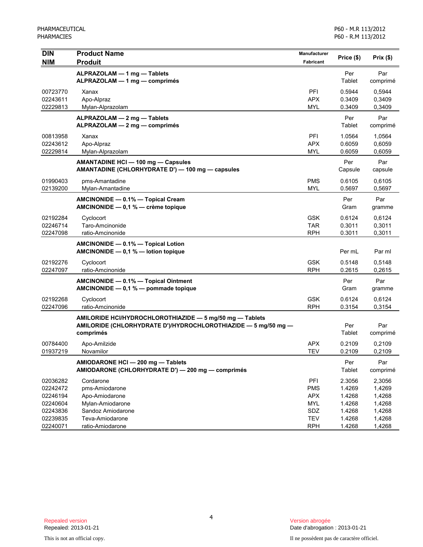| <b>DIN</b><br><b>NIM</b>                                             | <b>Product Name</b><br><b>Produit</b>                                                                                                   | <b>Manufacturer</b><br>Fabricant                            | Price (\$)                                               | Prix(\$)                                                 |
|----------------------------------------------------------------------|-----------------------------------------------------------------------------------------------------------------------------------------|-------------------------------------------------------------|----------------------------------------------------------|----------------------------------------------------------|
|                                                                      | ALPRAZOLAM - 1 mg - Tablets<br>ALPRAZOLAM - 1 mg - comprimés                                                                            |                                                             | Per<br>Tablet                                            | Par<br>comprimé                                          |
| 00723770<br>02243611<br>02229813                                     | Xanax<br>Apo-Alpraz<br>Mylan-Alprazolam                                                                                                 | PFI<br><b>APX</b><br><b>MYL</b>                             | 0.5944<br>0.3409<br>0.3409                               | 0.5944<br>0,3409<br>0,3409                               |
|                                                                      | ALPRAZOLAM - 2 mg - Tablets<br>ALPRAZOLAM - 2 mg - comprimés                                                                            |                                                             | Per<br>Tablet                                            | Par<br>comprimé                                          |
| 00813958<br>02243612<br>02229814                                     | Xanax<br>Apo-Alpraz<br>Mylan-Alprazolam                                                                                                 | PFI<br><b>APX</b><br>MYL                                    | 1.0564<br>0.6059<br>0.6059                               | 1,0564<br>0,6059<br>0,6059                               |
|                                                                      | AMANTADINE HCI - 100 mg - Capsules<br>AMANTADINE (CHLORHYDRATE D') - 100 mg - capsules                                                  |                                                             | Per<br>Capsule                                           | Par<br>capsule                                           |
| 01990403<br>02139200                                                 | pms-Amantadine<br>Mylan-Amantadine                                                                                                      | <b>PMS</b><br><b>MYL</b>                                    | 0.6105<br>0.5697                                         | 0,6105<br>0,5697                                         |
|                                                                      | AMCINONIDE - 0.1% - Topical Cream<br>AMCINONIDE $-$ 0,1 % $-$ crème topique                                                             |                                                             | Per<br>Gram                                              | Par<br>gramme                                            |
| 02192284<br>02246714<br>02247098                                     | Cyclocort<br>Taro-Amcinonide<br>ratio-Amcinonide                                                                                        | <b>GSK</b><br><b>TAR</b><br><b>RPH</b>                      | 0.6124<br>0.3011<br>0.3011                               | 0,6124<br>0,3011<br>0,3011                               |
|                                                                      | AMCINONIDE - 0.1% - Topical Lotion<br>AMCINONIDE $- 0,1 %$ - lotion topique                                                             |                                                             | Per mL                                                   | Par ml                                                   |
| 02192276<br>02247097                                                 | Cyclocort<br>ratio-Amcinonide                                                                                                           | <b>GSK</b><br><b>RPH</b>                                    | 0.5148<br>0.2615                                         | 0,5148<br>0,2615                                         |
|                                                                      | AMCINONIDE - 0.1% - Topical Ointment<br>AMCINONIDE - 0,1 % - pommade topique                                                            |                                                             | Per<br>Gram                                              | Par<br>gramme                                            |
| 02192268<br>02247096                                                 | Cyclocort<br>ratio-Amcinonide                                                                                                           | <b>GSK</b><br><b>RPH</b>                                    | 0.6124<br>0.3154                                         | 0,6124<br>0,3154                                         |
|                                                                      | AMILORIDE HCI/HYDROCHLOROTHIAZIDE - 5 mg/50 mg - Tablets<br>AMILORIDE (CHLORHYDRATE D')/HYDROCHLOROTHIAZIDE - 5 mg/50 mg -<br>comprimés |                                                             | Per<br>Tablet                                            | Par<br>comprimé                                          |
| 00784400<br>01937219                                                 | Apo-Amilzide<br>Novamilor                                                                                                               | <b>APX</b><br><b>TEV</b>                                    | 0.2109<br>0.2109                                         | 0,2109<br>0,2109                                         |
|                                                                      | AMIODARONE HCI - 200 mg - Tablets<br>AMIODARONE (CHLORHYDRATE D') - 200 mg - comprimés                                                  |                                                             | Per<br>Tablet                                            | Par<br>comprimé                                          |
| 02036282<br>02242472<br>02246194<br>02240604<br>02243836<br>02239835 | Cordarone<br>pms-Amiodarone<br>Apo-Amiodarone<br>Mylan-Amiodarone<br>Sandoz Amiodarone<br>Teva-Amiodarone                               | PFI<br><b>PMS</b><br><b>APX</b><br>MYL<br>SDZ<br><b>TEV</b> | 2.3056<br>1.4269<br>1.4268<br>1.4268<br>1.4268<br>1.4268 | 2,3056<br>1,4269<br>1,4268<br>1,4268<br>1,4268<br>1,4268 |
| 02240071                                                             | ratio-Amiodarone                                                                                                                        | <b>RPH</b>                                                  | 1.4268                                                   | 1,4268                                                   |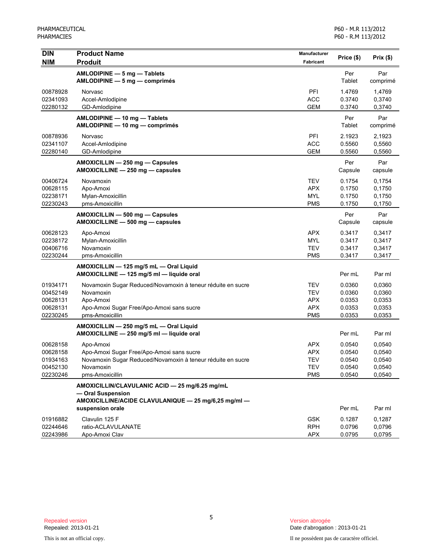| <b>DIN</b>                                               | <b>Product Name</b>                                                                                                                                   | Manufacturer                                                       | Price (\$)                                     | Prix(\$)                                       |
|----------------------------------------------------------|-------------------------------------------------------------------------------------------------------------------------------------------------------|--------------------------------------------------------------------|------------------------------------------------|------------------------------------------------|
| <b>NIM</b>                                               | <b>Produit</b>                                                                                                                                        | <b>Fabricant</b>                                                   |                                                |                                                |
|                                                          | AMLODIPINE - 5 mg - Tablets<br>$AMLODIPINE - 5 mg - comprimés$                                                                                        |                                                                    | Per<br>Tablet                                  | Par<br>comprimé                                |
| 00878928<br>02341093<br>02280132                         | Norvasc<br>Accel-Amlodipine<br>GD-Amlodipine                                                                                                          | PFI<br><b>ACC</b><br><b>GEM</b>                                    | 1.4769<br>0.3740<br>0.3740                     | 1,4769<br>0,3740<br>0,3740                     |
|                                                          | AMLODIPINE - 10 mg - Tablets<br>AMLODIPINE - 10 mg - comprimés                                                                                        |                                                                    | Per<br>Tablet                                  | Par<br>comprimé                                |
| 00878936<br>02341107<br>02280140                         | <b>Norvasc</b><br>Accel-Amlodipine<br>GD-Amlodipine                                                                                                   | PFI<br><b>ACC</b><br><b>GEM</b>                                    | 2.1923<br>0.5560<br>0.5560                     | 2,1923<br>0,5560<br>0,5560                     |
|                                                          | AMOXICILLIN - 250 mg - Capsules<br>AMOXICILLINE - 250 mg - capsules                                                                                   |                                                                    | Per<br>Capsule                                 | Par<br>capsule                                 |
| 00406724<br>00628115<br>02238171<br>02230243             | Novamoxin<br>Apo-Amoxi<br>Mylan-Amoxicillin<br>pms-Amoxicillin                                                                                        | <b>TEV</b><br><b>APX</b><br><b>MYL</b><br><b>PMS</b>               | 0.1754<br>0.1750<br>0.1750<br>0.1750           | 0,1754<br>0,1750<br>0,1750<br>0,1750           |
|                                                          | AMOXICILLIN - 500 mg - Capsules<br>AMOXICILLINE - 500 mg - capsules                                                                                   |                                                                    | Per<br>Capsule                                 | Par<br>capsule                                 |
| 00628123<br>02238172<br>00406716<br>02230244             | Apo-Amoxi<br>Mylan-Amoxicillin<br>Novamoxin<br>pms-Amoxicillin                                                                                        | <b>APX</b><br><b>MYL</b><br><b>TEV</b><br><b>PMS</b>               | 0.3417<br>0.3417<br>0.3417<br>0.3417           | 0,3417<br>0,3417<br>0,3417<br>0,3417           |
|                                                          | AMOXICILLIN - 125 mg/5 mL - Oral Liquid<br>AMOXICILLINE - 125 mg/5 ml - liquide oral                                                                  |                                                                    | Per mL                                         | Par ml                                         |
| 01934171<br>00452149<br>00628131<br>00628131<br>02230245 | Novamoxin Sugar Reduced/Novamoxin à teneur réduite en sucre<br>Novamoxin<br>Apo-Amoxi<br>Apo-Amoxi Sugar Free/Apo-Amoxi sans sucre<br>pms-Amoxicillin | <b>TEV</b><br><b>TEV</b><br><b>APX</b><br><b>APX</b><br><b>PMS</b> | 0.0360<br>0.0360<br>0.0353<br>0.0353<br>0.0353 | 0.0360<br>0,0360<br>0,0353<br>0,0353<br>0,0353 |
|                                                          | AMOXICILLIN - 250 mg/5 mL - Oral Liquid<br>AMOXICILLINE - 250 mg/5 ml - liquide oral                                                                  |                                                                    | Per mL                                         | Par ml                                         |
| 00628158<br>00628158<br>01934163<br>00452130<br>02230246 | Apo-Amoxi<br>Apo-Amoxi Sugar Free/Apo-Amoxi sans sucre<br>Novamoxin Sugar Reduced/Novamoxin à teneur réduite en sucre<br>Novamoxin<br>pms-Amoxicillin | <b>APX</b><br><b>APX</b><br><b>TEV</b><br><b>TEV</b><br><b>PMS</b> | 0.0540<br>0.0540<br>0.0540<br>0.0540<br>0.0540 | 0.0540<br>0,0540<br>0,0540<br>0,0540<br>0,0540 |
|                                                          | AMOXICILLIN/CLAVULANIC ACID - 25 mg/6.25 mg/mL<br>- Oral Suspension<br>AMOXICILLINE/ACIDE CLAVULANIQUE - 25 mg/6,25 mg/ml -<br>suspension orale       |                                                                    | Per mL                                         | Par ml                                         |
| 01916882<br>02244646<br>02243986                         | Clavulin 125 F<br>ratio-ACLAVULANATE<br>Apo-Amoxi Clav                                                                                                | <b>GSK</b><br><b>RPH</b><br><b>APX</b>                             | 0.1287<br>0.0796<br>0.0795                     | 0,1287<br>0,0796<br>0,0795                     |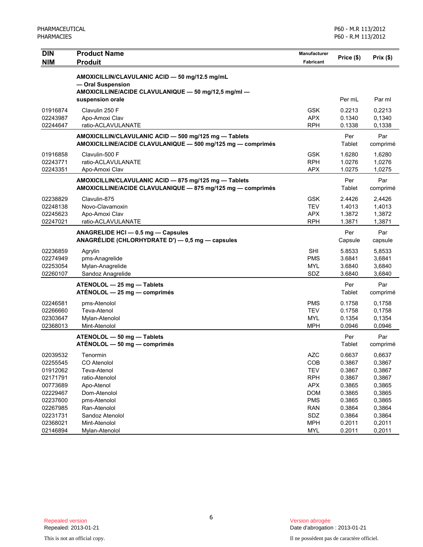| <b>NIM</b><br><b>Produit</b><br><b>Fabricant</b><br>AMOXICILLIN/CLAVULANIC ACID - 50 mg/12.5 mg/mL<br>- Oral Suspension<br>AMOXICILLINE/ACIDE CLAVULANIQUE - 50 mg/12,5 mg/ml -<br>suspension orale<br>Per mL<br><b>GSK</b><br>01916874<br>Clavulin 250 F<br>0.2213<br><b>APX</b><br>02243987<br>Apo-Amoxi Clav<br>0.1340<br>02244647<br>ratio-ACLAVULANATE<br><b>RPH</b><br>0.1338<br>Per<br>AMOXICILLIN/CLAVULANIC ACID - 500 mg/125 mg - Tablets<br>AMOXICILLINE/ACIDE CLAVULANIQUE - 500 mg/125 mg - comprimés<br>Tablet<br>Clavulin-500 F<br><b>GSK</b><br>1.6280<br>01916858<br><b>RPH</b><br>ratio-ACLAVULANATE<br>1.0276<br>02243771<br><b>APX</b><br>1.0275<br>02243351<br>Apo-Amoxi Clav<br>AMOXICILLIN/CLAVULANIC ACID - 875 mg/125 mg - Tablets<br>Per<br>Tablet<br>AMOXICILLINE/ACIDE CLAVULANIQUE - 875 mg/125 mg - comprimés<br>02238829<br>Clavulin-875<br><b>GSK</b><br>2.4426 | Prix(\$)         |
|-------------------------------------------------------------------------------------------------------------------------------------------------------------------------------------------------------------------------------------------------------------------------------------------------------------------------------------------------------------------------------------------------------------------------------------------------------------------------------------------------------------------------------------------------------------------------------------------------------------------------------------------------------------------------------------------------------------------------------------------------------------------------------------------------------------------------------------------------------------------------------------------------|------------------|
|                                                                                                                                                                                                                                                                                                                                                                                                                                                                                                                                                                                                                                                                                                                                                                                                                                                                                                 |                  |
|                                                                                                                                                                                                                                                                                                                                                                                                                                                                                                                                                                                                                                                                                                                                                                                                                                                                                                 |                  |
|                                                                                                                                                                                                                                                                                                                                                                                                                                                                                                                                                                                                                                                                                                                                                                                                                                                                                                 |                  |
|                                                                                                                                                                                                                                                                                                                                                                                                                                                                                                                                                                                                                                                                                                                                                                                                                                                                                                 | Par ml           |
|                                                                                                                                                                                                                                                                                                                                                                                                                                                                                                                                                                                                                                                                                                                                                                                                                                                                                                 |                  |
|                                                                                                                                                                                                                                                                                                                                                                                                                                                                                                                                                                                                                                                                                                                                                                                                                                                                                                 | 0,2213<br>0,1340 |
|                                                                                                                                                                                                                                                                                                                                                                                                                                                                                                                                                                                                                                                                                                                                                                                                                                                                                                 | 0,1338           |
|                                                                                                                                                                                                                                                                                                                                                                                                                                                                                                                                                                                                                                                                                                                                                                                                                                                                                                 | Par              |
|                                                                                                                                                                                                                                                                                                                                                                                                                                                                                                                                                                                                                                                                                                                                                                                                                                                                                                 | comprimé         |
|                                                                                                                                                                                                                                                                                                                                                                                                                                                                                                                                                                                                                                                                                                                                                                                                                                                                                                 | 1,6280           |
|                                                                                                                                                                                                                                                                                                                                                                                                                                                                                                                                                                                                                                                                                                                                                                                                                                                                                                 | 1,0276           |
|                                                                                                                                                                                                                                                                                                                                                                                                                                                                                                                                                                                                                                                                                                                                                                                                                                                                                                 | 1,0275           |
|                                                                                                                                                                                                                                                                                                                                                                                                                                                                                                                                                                                                                                                                                                                                                                                                                                                                                                 | Par              |
|                                                                                                                                                                                                                                                                                                                                                                                                                                                                                                                                                                                                                                                                                                                                                                                                                                                                                                 | comprimé         |
|                                                                                                                                                                                                                                                                                                                                                                                                                                                                                                                                                                                                                                                                                                                                                                                                                                                                                                 | 2,4426           |
| <b>TEV</b><br>02248138<br>Novo-Clavamoxin<br>1.4013                                                                                                                                                                                                                                                                                                                                                                                                                                                                                                                                                                                                                                                                                                                                                                                                                                             | 1,4013           |
| Apo-Amoxi Clav<br><b>APX</b><br>1.3872<br>02245623                                                                                                                                                                                                                                                                                                                                                                                                                                                                                                                                                                                                                                                                                                                                                                                                                                              | 1,3872           |
| ratio-ACLAVULANATE<br><b>RPH</b><br>1.3871<br>02247021                                                                                                                                                                                                                                                                                                                                                                                                                                                                                                                                                                                                                                                                                                                                                                                                                                          | 1,3871           |
| Per<br>ANAGRELIDE HCI - 0.5 mg - Capsules<br>ANAGRÉLIDE (CHLORHYDRATE D') — 0,5 mg — capsules<br>Capsule                                                                                                                                                                                                                                                                                                                                                                                                                                                                                                                                                                                                                                                                                                                                                                                        | Par<br>capsule   |
| <b>SHI</b><br>02236859<br>5.8533<br>Agrylin                                                                                                                                                                                                                                                                                                                                                                                                                                                                                                                                                                                                                                                                                                                                                                                                                                                     | 5,8533           |
| <b>PMS</b><br>3.6841<br>02274949<br>pms-Anagrelide                                                                                                                                                                                                                                                                                                                                                                                                                                                                                                                                                                                                                                                                                                                                                                                                                                              | 3,6841           |
| 02253054<br>Mylan-Anagrelide<br><b>MYL</b><br>3.6840                                                                                                                                                                                                                                                                                                                                                                                                                                                                                                                                                                                                                                                                                                                                                                                                                                            | 3,6840           |
| 02260107<br>Sandoz Anagrelide<br>SDZ<br>3.6840                                                                                                                                                                                                                                                                                                                                                                                                                                                                                                                                                                                                                                                                                                                                                                                                                                                  | 3,6840           |
| Per<br>ATENOLOL - 25 mg - Tablets                                                                                                                                                                                                                                                                                                                                                                                                                                                                                                                                                                                                                                                                                                                                                                                                                                                               | Par              |
| $ATÉNOLOL - 25 mg - comprimés$<br>Tablet                                                                                                                                                                                                                                                                                                                                                                                                                                                                                                                                                                                                                                                                                                                                                                                                                                                        | comprimé         |
| <b>PMS</b><br>0.1758<br>02246581<br>pms-Atenolol                                                                                                                                                                                                                                                                                                                                                                                                                                                                                                                                                                                                                                                                                                                                                                                                                                                | 0,1758           |
| 02266660<br>Teva-Atenol<br><b>TEV</b><br>0.1758                                                                                                                                                                                                                                                                                                                                                                                                                                                                                                                                                                                                                                                                                                                                                                                                                                                 | 0,1758           |
| 02303647<br><b>MYL</b><br>0.1354<br>Mylan-Atenolol<br>02368013<br><b>MPH</b><br>0.0946<br>Mint-Atenolol                                                                                                                                                                                                                                                                                                                                                                                                                                                                                                                                                                                                                                                                                                                                                                                         | 0,1354           |
|                                                                                                                                                                                                                                                                                                                                                                                                                                                                                                                                                                                                                                                                                                                                                                                                                                                                                                 | 0,0946           |
| ATENOLOL - 50 mg - Tablets<br>Per<br>$ATÉNOLOL - 50 mg - comprimés$<br>Tablet                                                                                                                                                                                                                                                                                                                                                                                                                                                                                                                                                                                                                                                                                                                                                                                                                   | Par<br>comprimé  |
| <b>AZC</b><br>0.6637<br>02039532<br>Tenormin                                                                                                                                                                                                                                                                                                                                                                                                                                                                                                                                                                                                                                                                                                                                                                                                                                                    | 0,6637           |
| 02255545<br>CO Atenolol<br>COB<br>0.3867                                                                                                                                                                                                                                                                                                                                                                                                                                                                                                                                                                                                                                                                                                                                                                                                                                                        | 0,3867           |
| 0.3867<br>01912062<br>Teva-Atenol<br><b>TEV</b>                                                                                                                                                                                                                                                                                                                                                                                                                                                                                                                                                                                                                                                                                                                                                                                                                                                 | 0,3867           |
| 02171791<br>ratio-Atenolol<br><b>RPH</b><br>0.3867                                                                                                                                                                                                                                                                                                                                                                                                                                                                                                                                                                                                                                                                                                                                                                                                                                              | 0,3867           |
| 00773689<br>Apo-Atenol<br><b>APX</b><br>0.3865                                                                                                                                                                                                                                                                                                                                                                                                                                                                                                                                                                                                                                                                                                                                                                                                                                                  | 0,3865           |
| 02229467<br>Dom-Atenolol<br><b>DOM</b><br>0.3865                                                                                                                                                                                                                                                                                                                                                                                                                                                                                                                                                                                                                                                                                                                                                                                                                                                | 0,3865           |
| 02237600<br>pms-Atenolol<br><b>PMS</b><br>0.3865                                                                                                                                                                                                                                                                                                                                                                                                                                                                                                                                                                                                                                                                                                                                                                                                                                                | 0,3865           |
| 0.3864<br>02267985<br>Ran-Atenolol<br><b>RAN</b>                                                                                                                                                                                                                                                                                                                                                                                                                                                                                                                                                                                                                                                                                                                                                                                                                                                | 0,3864           |
| 02231731<br>Sandoz Atenolol<br>SDZ<br>0.3864<br>02368021<br>Mint-Atenolol<br><b>MPH</b><br>0.2011                                                                                                                                                                                                                                                                                                                                                                                                                                                                                                                                                                                                                                                                                                                                                                                               | 0,3864<br>0,2011 |
| <b>MYL</b><br>0.2011<br>02146894<br>Mylan-Atenolol                                                                                                                                                                                                                                                                                                                                                                                                                                                                                                                                                                                                                                                                                                                                                                                                                                              | 0,2011           |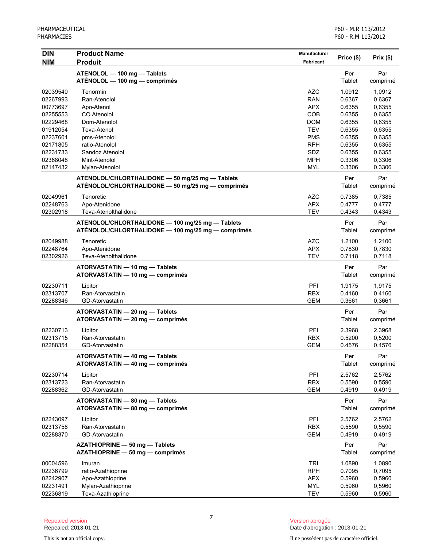| <b>DIN</b><br><b>NIM</b> | <b>Product Name</b><br><b>Produit</b>                              | Manufacturer<br><b>Fabricant</b> | Price (\$)       | Prix(\$)         |
|--------------------------|--------------------------------------------------------------------|----------------------------------|------------------|------------------|
|                          | ATENOLOL - 100 mg - Tablets                                        |                                  | Per              | Par              |
|                          | ATÉNOLOL — 100 mg — comprimés                                      |                                  | Tablet           | comprimé         |
| 02039540                 | Tenormin                                                           | <b>AZC</b>                       | 1.0912           | 1,0912           |
| 02267993                 | Ran-Atenolol                                                       | <b>RAN</b>                       | 0.6367           | 0,6367           |
| 00773697                 | Apo-Atenol                                                         | <b>APX</b>                       | 0.6355           | 0,6355           |
| 02255553                 | CO Atenolol                                                        | COB                              | 0.6355           | 0,6355           |
| 02229468<br>01912054     | Dom-Atenolol<br>Teva-Atenol                                        | <b>DOM</b><br><b>TEV</b>         | 0.6355<br>0.6355 | 0,6355<br>0,6355 |
| 02237601                 | pms-Atenolol                                                       | <b>PMS</b>                       | 0.6355           | 0,6355           |
| 02171805                 | ratio-Atenolol                                                     | <b>RPH</b>                       | 0.6355           | 0,6355           |
| 02231733                 | Sandoz Atenolol                                                    | SDZ                              | 0.6355           | 0,6355           |
| 02368048                 | Mint-Atenolol                                                      | <b>MPH</b>                       | 0.3306           | 0,3306           |
| 02147432                 | Mylan-Atenolol                                                     | <b>MYL</b>                       | 0.3306           | 0,3306           |
|                          | ATENOLOL/CHLORTHALIDONE - 50 mg/25 mg - Tablets                    |                                  | Per              | Par              |
| 02049961                 | ATÉNOLOL/CHLORTHALIDONE - 50 mg/25 mg - comprimés<br>Tenoretic     | <b>AZC</b>                       | Tablet<br>0.7385 | comprimé         |
| 02248763                 | Apo-Atenidone                                                      | <b>APX</b>                       | 0.4777           | 0,7385<br>0,4777 |
| 02302918                 | Teva-Atenolthalidone                                               | <b>TEV</b>                       | 0.4343           | 0,4343           |
|                          | ATENOLOL/CHLORTHALIDONE - 100 mg/25 mg - Tablets                   |                                  | Per              | Par              |
|                          | ATÉNOLOL/CHLORTHALIDONE - 100 mg/25 mg - comprimés                 |                                  | Tablet           | comprimé         |
| 02049988                 | Tenoretic                                                          | <b>AZC</b>                       | 1.2100           | 1,2100           |
| 02248764                 | Apo-Atenidone                                                      | <b>APX</b>                       | 0.7830           | 0,7830           |
| 02302926                 | Teva-Atenolthalidone                                               | <b>TEV</b>                       | 0.7118           | 0,7118           |
|                          | ATORVASTATIN - 10 mg - Tablets<br>ATORVASTATIN - 10 mg - comprimés |                                  | Per<br>Tablet    | Par<br>comprimé  |
| 02230711                 | Lipitor                                                            | PFI                              | 1.9175           | 1,9175           |
| 02313707                 | Ran-Atorvastatin                                                   | <b>RBX</b>                       | 0.4160           | 0,4160           |
| 02288346                 | GD-Atorvastatin                                                    | <b>GEM</b>                       | 0.3661           | 0,3661           |
|                          | ATORVASTATIN - 20 mg - Tablets                                     |                                  | Per              | Par              |
|                          | ATORVASTATIN - 20 mg - comprimés                                   |                                  | Tablet           | comprimé         |
| 02230713                 | Lipitor                                                            | PFI                              | 2.3968           | 2,3968           |
| 02313715                 | Ran-Atorvastatin                                                   | <b>RBX</b>                       | 0.5200           | 0,5200           |
| 02288354                 | GD-Atorvastatin                                                    | <b>GEM</b>                       | 0.4576           | 0,4576           |
|                          | ATORVASTATIN - 40 mg - Tablets<br>ATORVASTATIN - 40 mg - comprimés |                                  | Per<br>Tablet    | Par<br>comprimé  |
| 02230714                 |                                                                    |                                  |                  |                  |
| 02313723                 | Lipitor<br>Ran-Atorvastatin                                        | PFI<br><b>RBX</b>                | 2.5762<br>0.5590 | 2,5762<br>0,5590 |
| 02288362                 | GD-Atorvastatin                                                    | <b>GEM</b>                       | 0.4919           | 0,4919           |
|                          | ATORVASTATIN - 80 mg - Tablets                                     |                                  | Per              | Par              |
|                          | ATORVASTATIN - 80 mg - comprimés                                   |                                  | Tablet           | comprimé         |
| 02243097                 | Lipitor                                                            | PFI                              | 2.5762           | 2,5762           |
| 02313758                 | Ran-Atorvastatin                                                   | <b>RBX</b>                       | 0.5590           | 0,5590           |
| 02288370                 | GD-Atorvastatin                                                    | <b>GEM</b>                       | 0.4919           | 0,4919           |
|                          | AZATHIOPRINE - 50 mg - Tablets<br>AZATHIOPRINE - 50 mg - comprimés |                                  | Per<br>Tablet    | Par<br>comprimé  |
| 00004596                 | Imuran                                                             | <b>TRI</b>                       | 1.0890           | 1,0890           |
| 02236799                 | ratio-Azathioprine                                                 | <b>RPH</b>                       | 0.7095           | 0,7095           |
| 02242907                 | Apo-Azathioprine                                                   | <b>APX</b>                       | 0.5960           | 0,5960           |
| 02231491                 | Mylan-Azathioprine                                                 | <b>MYL</b>                       | 0.5960           | 0,5960           |
| 02236819                 | Teva-Azathioprine                                                  | <b>TEV</b>                       | 0.5960           | 0,5960           |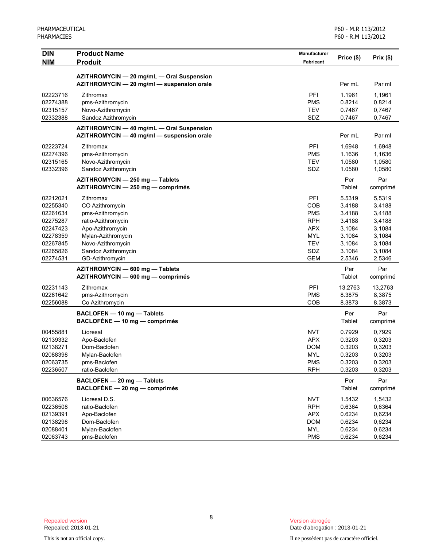| <b>DIN</b> | <b>Product Name</b>                        | Manufacturer     | Price (\$) | Prix(\$) |
|------------|--------------------------------------------|------------------|------------|----------|
| <b>NIM</b> | <b>Produit</b>                             | <b>Fabricant</b> |            |          |
|            | AZITHROMYCIN - 20 mg/mL - Oral Suspension  |                  |            |          |
|            | AZITHROMYCIN - 20 mg/ml - suspension orale |                  | Per mL     | Par ml   |
| 02223716   | Zithromax                                  | PFI              | 1.1961     | 1,1961   |
| 02274388   | pms-Azithromycin                           | <b>PMS</b>       | 0.8214     | 0,8214   |
| 02315157   | Novo-Azithromycin                          | <b>TEV</b>       | 0.7467     | 0,7467   |
| 02332388   | Sandoz Azithromycin                        | SDZ              | 0.7467     | 0,7467   |
|            | AZITHROMYCIN - 40 mg/mL - Oral Suspension  |                  |            |          |
|            | AZITHROMYCIN - 40 mg/ml - suspension orale |                  | Per mL     | Par ml   |
| 02223724   | Zithromax                                  | PFI              | 1.6948     | 1,6948   |
| 02274396   | pms-Azithromycin                           | <b>PMS</b>       | 1.1636     | 1,1636   |
| 02315165   | Novo-Azithromycin                          | <b>TEV</b>       | 1.0580     | 1,0580   |
| 02332396   | Sandoz Azithromycin                        | SDZ              | 1.0580     | 1,0580   |
|            | AZITHROMYCIN - 250 mg - Tablets            |                  | Per        | Par      |
|            | AZITHROMYCIN - 250 mg - comprimés          |                  | Tablet     | comprimé |
| 02212021   | Zithromax                                  | PFI              | 5.5319     | 5,5319   |
| 02255340   | CO Azithromycin                            | COB              | 3.4188     | 3,4188   |
| 02261634   | pms-Azithromycin                           | <b>PMS</b>       | 3.4188     | 3,4188   |
| 02275287   | ratio-Azithromycin                         | <b>RPH</b>       | 3.4188     | 3,4188   |
| 02247423   | Apo-Azithromycin                           | <b>APX</b>       | 3.1084     | 3,1084   |
| 02278359   | Mylan-Azithromycin                         | <b>MYL</b>       | 3.1084     | 3,1084   |
| 02267845   | Novo-Azithromycin                          | <b>TEV</b>       | 3.1084     | 3,1084   |
| 02265826   | Sandoz Azithromycin                        | SDZ              | 3.1084     | 3,1084   |
| 02274531   | GD-Azithromycin                            | <b>GEM</b>       | 2.5346     | 2,5346   |
|            | AZITHROMYCIN - 600 mg - Tablets            |                  | Per        | Par      |
|            | AZITHROMYCIN - 600 mg - comprimés          |                  | Tablet     | comprimé |
| 02231143   | Zithromax                                  | PFI              | 13.2763    | 13,2763  |
| 02261642   | pms-Azithromycin                           | <b>PMS</b>       | 8.3875     | 8,3875   |
| 02256088   | Co Azithromycin                            | COB              | 8.3873     | 8.3873   |
|            | BACLOFEN - 10 mg - Tablets                 |                  | Per        | Par      |
|            | BACLOFÈNE - 10 mg - comprimés              |                  | Tablet     | comprimé |
| 00455881   | Lioresal                                   | <b>NVT</b>       | 0.7929     | 0,7929   |
| 02139332   | Apo-Baclofen                               | <b>APX</b>       | 0.3203     | 0,3203   |
| 02138271   | Dom-Baclofen                               | <b>DOM</b>       | 0.3203     | 0,3203   |
| 02088398   | Mylan-Baclofen                             | <b>MYL</b>       | 0.3203     | 0,3203   |
| 02063735   | pms-Baclofen                               | <b>PMS</b>       | 0.3203     | 0,3203   |
| 02236507   | ratio-Baclofen                             | <b>RPH</b>       | 0.3203     | 0,3203   |
|            | BACLOFEN - 20 mg - Tablets                 |                  | Per        | Par      |
|            | BACLOFÈNE - 20 mg - comprimés              |                  | Tablet     | comprimé |
| 00636576   | Lioresal D.S.                              | <b>NVT</b>       | 1.5432     | 1,5432   |
| 02236508   | ratio-Baclofen                             | <b>RPH</b>       | 0.6364     | 0,6364   |
| 02139391   | Apo-Baclofen                               | <b>APX</b>       | 0.6234     | 0,6234   |
| 02138298   | Dom-Baclofen                               | <b>DOM</b>       | 0.6234     | 0,6234   |
| 02088401   | Mylan-Baclofen                             | <b>MYL</b>       | 0.6234     | 0,6234   |
| 02063743   | pms-Baclofen                               | <b>PMS</b>       | 0.6234     | 0,6234   |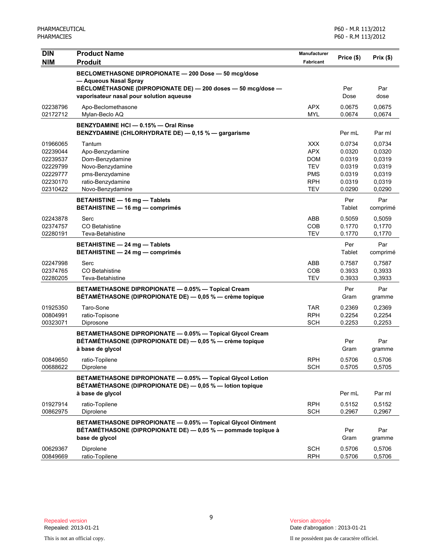| <b>DIN</b><br><b>NIM</b>                                                         | <b>Product Name</b><br><b>Produit</b>                                                                                                                                                     | <b>Manufacturer</b><br><b>Fabricant</b>                                                        | Price (\$)                                                         | Prix(\$)                                                           |
|----------------------------------------------------------------------------------|-------------------------------------------------------------------------------------------------------------------------------------------------------------------------------------------|------------------------------------------------------------------------------------------------|--------------------------------------------------------------------|--------------------------------------------------------------------|
|                                                                                  | BECLOMETHASONE DIPROPIONATE - 200 Dose - 50 mcg/dose<br>- Aqueous Nasal Spray<br>BÉCLOMÉTHASONE (DIPROPIONATE DE) - 200 doses - 50 mcg/dose -<br>vaporisateur nasal pour solution aqueuse |                                                                                                | Per<br>Dose                                                        | Par<br>dose                                                        |
| 02238796<br>02172712                                                             | Apo-Beclomethasone<br>Mylan-Beclo AQ                                                                                                                                                      | <b>APX</b><br><b>MYL</b>                                                                       | 0.0675<br>0.0674                                                   | 0,0675<br>0,0674                                                   |
|                                                                                  | BENZYDAMINE HCI - 0.15% - Oral Rinse<br>BENZYDAMINE (CHLORHYDRATE DE) - 0,15 % - gargarisme                                                                                               |                                                                                                | Per mL                                                             | Par ml                                                             |
| 01966065<br>02239044<br>02239537<br>02229799<br>02229777<br>02230170<br>02310422 | Tantum<br>Apo-Benzydamine<br>Dom-Benzydamine<br>Novo-Benzydamine<br>pms-Benzydamine<br>ratio-Benzydamine<br>Novo-Benzydamine                                                              | <b>XXX</b><br><b>APX</b><br><b>DOM</b><br><b>TEV</b><br><b>PMS</b><br><b>RPH</b><br><b>TEV</b> | 0.0734<br>0.0320<br>0.0319<br>0.0319<br>0.0319<br>0.0319<br>0.0290 | 0,0734<br>0,0320<br>0,0319<br>0,0319<br>0,0319<br>0,0319<br>0,0290 |
|                                                                                  | <b>BETAHISTINE - 16 mg - Tablets</b><br><b>BETAHISTINE - 16 mg - comprimés</b>                                                                                                            |                                                                                                | Per<br>Tablet                                                      | Par<br>comprimé                                                    |
| 02243878<br>02374757<br>02280191                                                 | Serc<br>CO Betahistine<br>Teva-Betahistine                                                                                                                                                | ABB<br>COB<br><b>TEV</b>                                                                       | 0.5059<br>0.1770<br>0.1770                                         | 0,5059<br>0,1770<br>0,1770                                         |
|                                                                                  | <b>BETAHISTINE - 24 mg - Tablets</b><br><b>BETAHISTINE - 24 mg - comprimés</b>                                                                                                            |                                                                                                | Per<br>Tablet                                                      | Par<br>comprimé                                                    |
| 02247998<br>02374765<br>02280205                                                 | Serc<br>CO Betahistine<br>Teva-Betahistine                                                                                                                                                | ABB<br><b>COB</b><br><b>TEV</b>                                                                | 0.7587<br>0.3933<br>0.3933                                         | 0,7587<br>0,3933<br>0.3933                                         |
|                                                                                  | BETAMETHASONE DIPROPIONATE - 0.05% - Topical Cream<br>BÉTAMÉTHASONE (DIPROPIONATE DE) — 0,05 % — crème topique                                                                            |                                                                                                | Per<br>Gram                                                        | Par<br>gramme                                                      |
| 01925350<br>00804991<br>00323071                                                 | Taro-Sone<br>ratio-Topisone<br>Diprosone                                                                                                                                                  | <b>TAR</b><br><b>RPH</b><br><b>SCH</b>                                                         | 0.2369<br>0.2254<br>0.2253                                         | 0,2369<br>0,2254<br>0,2253                                         |
|                                                                                  | BETAMETHASONE DIPROPIONATE - 0.05% - Topical Glycol Cream<br>BÉTAMÉTHASONE (DIPROPIONATE DE) - 0,05 % - crème topique<br>à base de glycol                                                 |                                                                                                | Per<br>Gram                                                        | Par<br>gramme                                                      |
| 00849650<br>00688622                                                             | ratio-Topilene<br>Diprolene                                                                                                                                                               | <b>RPH</b><br><b>SCH</b>                                                                       | 0.5706<br>0.5705                                                   | 0,5706<br>0,5705                                                   |
|                                                                                  | BETAMETHASONE DIPROPIONATE - 0.05% - Topical Glycol Lotion<br>BÉTAMÉTHASONE (DIPROPIONATE DE) - 0,05 % - lotion topique<br>à base de givcol                                               |                                                                                                | Per mL                                                             | Par ml                                                             |
| 01927914<br>00862975                                                             | ratio-Topilene<br>Diprolene                                                                                                                                                               | <b>RPH</b><br><b>SCH</b>                                                                       | 0.5152<br>0.2967                                                   | 0,5152<br>0,2967                                                   |
|                                                                                  | BETAMETHASONE DIPROPIONATE - 0.05% - Topical Glycol Ointment<br>BÉTAMÉTHASONE (DIPROPIONATE DE) — 0,05 % — pommade topique à<br>base de glycol                                            |                                                                                                | Per<br>Gram                                                        | Par<br>gramme                                                      |
| 00629367<br>00849669                                                             | Diprolene<br>ratio-Topilene                                                                                                                                                               | <b>SCH</b><br><b>RPH</b>                                                                       | 0.5706<br>0.5706                                                   | 0,5706<br>0,5706                                                   |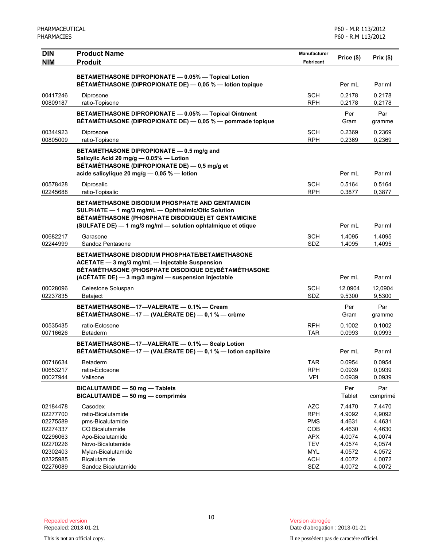| <b>DIN</b>           | <b>Product Name</b>                                                                                                | Manufacturer             | Price (\$)        |                   |
|----------------------|--------------------------------------------------------------------------------------------------------------------|--------------------------|-------------------|-------------------|
| <b>NIM</b>           | <b>Produit</b>                                                                                                     | Fabricant                |                   | Prix(\$)          |
|                      |                                                                                                                    |                          |                   |                   |
|                      | BETAMETHASONE DIPROPIONATE - 0.05% - Topical Lotion<br>BÉTAMÉTHASONE (DIPROPIONATE DE) - 0,05 % - lotion topique   |                          | Per mL            | Par ml            |
|                      |                                                                                                                    |                          |                   |                   |
| 00417246             | Diprosone                                                                                                          | <b>SCH</b>               | 0.2178            | 0,2178            |
| 00809187             | ratio-Topisone                                                                                                     | <b>RPH</b>               | 0.2178            | 0,2178            |
|                      | BETAMETHASONE DIPROPIONATE - 0.05% - Topical Ointment                                                              |                          | Per               | Par               |
|                      | BÉTAMÉTHASONE (DIPROPIONATE DE) - 0,05 % - pommade topique                                                         |                          | Gram              | gramme            |
| 00344923             | Diprosone                                                                                                          | <b>SCH</b>               | 0.2369            | 0,2369            |
| 00805009             | ratio-Topisone                                                                                                     | <b>RPH</b>               | 0.2369            | 0,2369            |
|                      | BETAMETHASONE DIPROPIONATE - 0.5 mg/g and                                                                          |                          |                   |                   |
|                      | Salicylic Acid 20 mg/g - 0.05% - Lotion                                                                            |                          |                   |                   |
|                      | BÉTAMÉTHASONE (DIPROPIONATE DE) - 0,5 mg/g et<br>acide salicylique 20 mg/g - 0,05 % - lotion                       |                          | Per mL            | Par ml            |
|                      |                                                                                                                    |                          |                   |                   |
| 00578428             | Diprosalic                                                                                                         | <b>SCH</b>               | 0.5164            | 0.5164            |
| 02245688             | ratio-Topisalic                                                                                                    | <b>RPH</b>               | 0.3877            | 0,3877            |
|                      | <b>BETAMETHASONE DISODIUM PHOSPHATE AND GENTAMICIN</b>                                                             |                          |                   |                   |
|                      | SULPHATE - 1 mg/3 mg/mL - Ophthalmic/Otic Solution                                                                 |                          |                   |                   |
|                      | BÉTAMÉTHASONE (PHOSPHATE DISODIQUE) ET GENTAMICINE<br>(SULFATE DE) - 1 mg/3 mg/ml - solution ophtalmique et otique |                          | Per mL            | Par ml            |
|                      |                                                                                                                    |                          |                   |                   |
| 00682217             | Garasone                                                                                                           | <b>SCH</b>               | 1.4095            | 1,4095            |
| 02244999             | Sandoz Pentasone                                                                                                   | SDZ                      | 1.4095            | 1,4095            |
|                      | <b>BETAMETHASONE DISODIUM PHOSPHATE/BETAMETHASONE</b>                                                              |                          |                   |                   |
|                      | ACETATE - 3 mg/3 mg/mL - Injectable Suspension<br>BÉTAMÉTHASONE (PHOSPHATE DISODIQUE DE)/BÉTAMÉTHASONE             |                          |                   |                   |
|                      | (ACÉTATE DE) - 3 mg/3 mg/ml - suspension injectable                                                                |                          | Per mL            | Par ml            |
|                      |                                                                                                                    |                          |                   |                   |
| 00028096<br>02237835 | Celestone Soluspan<br><b>Betaject</b>                                                                              | <b>SCH</b><br>SDZ        | 12.0904<br>9.5300 | 12,0904<br>9,5300 |
|                      |                                                                                                                    |                          |                   |                   |
|                      | BETAMETHASONE-17-VALERATE - 0.1% - Cream<br>BÉTAMÉTHASONE-17 - (VALÉRATE DE) - 0,1 % - crème                       |                          | Per               | Par               |
|                      |                                                                                                                    |                          | Gram              | gramme            |
| 00535435             | ratio-Ectosone                                                                                                     | <b>RPH</b>               | 0.1002            | 0.1002            |
| 00716626             | <b>Betaderm</b>                                                                                                    | <b>TAR</b>               | 0.0993            | 0,0993            |
|                      | BETAMETHASONE-17-VALERATE - 0.1% - Scalp Lotion                                                                    |                          |                   |                   |
|                      | BÉTAMÉTHASONE-17 - (VALÉRATE DE) - 0,1 % - lotion capillaire                                                       |                          | Per mL            | Par ml            |
| 00716634             | Betaderm                                                                                                           | <b>TAR</b>               | 0.0954            | 0,0954            |
| 00653217             | ratio-Ectosone                                                                                                     | <b>RPH</b>               | 0.0939            | 0,0939            |
| 00027944             | Valisone                                                                                                           | <b>VPI</b>               | 0.0939            | 0,0939            |
|                      | BICALUTAMIDE - 50 mg - Tablets                                                                                     |                          | Per               | Par               |
|                      | BICALUTAMIDE - 50 mg - comprimés                                                                                   |                          | Tablet            | comprimé          |
| 02184478             | Casodex                                                                                                            | <b>AZC</b>               | 7.4470            | 7,4470            |
| 02277700             | ratio-Bicalutamide                                                                                                 | <b>RPH</b>               | 4.9092            | 4,9092            |
| 02275589             | pms-Bicalutamide                                                                                                   | <b>PMS</b>               | 4.4631            | 4,4631            |
| 02274337             | CO Bicalutamide                                                                                                    | COB                      | 4.4630            | 4,4630            |
| 02296063<br>02270226 | Apo-Bicalutamide<br>Novo-Bicalutamide                                                                              | <b>APX</b><br><b>TEV</b> | 4.0074<br>4.0574  | 4,0074<br>4,0574  |
| 02302403             | Mylan-Bicalutamide                                                                                                 | <b>MYL</b>               | 4.0572            | 4,0572            |
| 02325985             | Bicalutamide                                                                                                       | <b>ACH</b>               | 4.0072            | 4,0072            |
| 02276089             | Sandoz Bicalutamide                                                                                                | SDZ                      | 4.0072            | 4,0072            |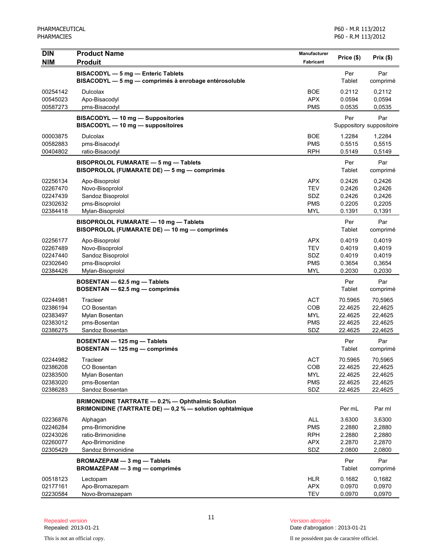| <b>DIN</b> | <b>Product Name</b>                                                                                                  | <b>Manufacturer</b> | Price (\$)    | Prix(\$)                        |
|------------|----------------------------------------------------------------------------------------------------------------------|---------------------|---------------|---------------------------------|
| <b>NIM</b> | <b>Produit</b>                                                                                                       | Fabricant           |               |                                 |
|            | BISACODYL - 5 mg - Enteric Tablets<br>BISACODYL - 5 mg - comprimés à enrobage entérosoluble                          |                     | Per<br>Tablet | Par<br>comprimé                 |
| 00254142   | Dulcolax                                                                                                             | <b>BOE</b>          | 0.2112        | 0,2112                          |
| 00545023   | Apo-Bisacodyl                                                                                                        | <b>APX</b>          | 0.0594        | 0,0594                          |
| 00587273   | pms-Bisacodyl                                                                                                        | <b>PMS</b>          | 0.0535        | 0,0535                          |
|            | <b>BISACODYL - 10 mg - Suppositories</b><br>BISACODYL - 10 mg - suppositoires                                        |                     | Per           | Par<br>Suppository suppositoire |
| 00003875   | <b>Dulcolax</b>                                                                                                      | <b>BOE</b>          | 1.2284        | 1,2284                          |
| 00582883   | pms-Bisacodyl                                                                                                        | <b>PMS</b>          | 0.5515        | 0,5515                          |
| 00404802   | ratio-Bisacodyl                                                                                                      | <b>RPH</b>          | 0.5149        | 0,5149                          |
|            | BISOPROLOL FUMARATE - 5 mg - Tablets<br>BISOPROLOL (FUMARATE DE) - 5 mg - comprimés                                  |                     | Per<br>Tablet | Par<br>comprimé                 |
| 02256134   | Apo-Bisoprolol                                                                                                       | <b>APX</b>          | 0.2426        | 0,2426                          |
| 02267470   | Novo-Bisoprolol                                                                                                      | <b>TEV</b>          | 0.2426        | 0,2426                          |
| 02247439   | Sandoz Bisoprolol                                                                                                    | SDZ                 | 0.2426        | 0,2426                          |
| 02302632   | pms-Bisoprolol                                                                                                       | <b>PMS</b>          | 0.2205        | 0,2205                          |
| 02384418   | Mylan-Bisoprolol                                                                                                     | <b>MYL</b>          | 0.1391        | 0,1391                          |
|            | BISOPROLOL FUMARATE - 10 mg - Tablets<br>BISOPROLOL (FUMARATE DE) - 10 mg - comprimés                                |                     | Per<br>Tablet | Par<br>comprimé                 |
| 02256177   | Apo-Bisoprolol                                                                                                       | <b>APX</b>          | 0.4019        | 0,4019                          |
| 02267489   | Novo-Bisoprolol                                                                                                      | <b>TEV</b>          | 0.4019        | 0,4019                          |
| 02247440   | Sandoz Bisoprolol                                                                                                    | SDZ                 | 0.4019        | 0,4019                          |
| 02302640   | pms-Bisoprolol                                                                                                       | <b>PMS</b>          | 0.3654        | 0,3654                          |
| 02384426   | Mylan-Bisoprolol                                                                                                     | MYL                 | 0.2030        | 0,2030                          |
|            | BOSENTAN - 62.5 mg - Tablets<br>BOSENTAN - 62.5 mg - comprimés                                                       |                     | Per<br>Tablet | Par<br>comprimé                 |
| 02244981   | Tracleer                                                                                                             | <b>ACT</b>          | 70.5965       | 70,5965                         |
| 02386194   | CO Bosentan                                                                                                          | COB                 | 22.4625       | 22,4625                         |
| 02383497   | Mylan Bosentan                                                                                                       | <b>MYL</b>          | 22.4625       | 22,4625                         |
| 02383012   | pms-Bosentan                                                                                                         | <b>PMS</b>          | 22.4625       | 22,4625                         |
| 02386275   | Sandoz Bosentan                                                                                                      | SDZ                 | 22.4625       | 22,4625                         |
|            | BOSENTAN - 125 mg - Tablets<br>BOSENTAN - 125 mg - comprimés                                                         |                     | Per<br>Tablet | Par<br>comprimé                 |
| 02244982   | Tracleer                                                                                                             | <b>ACT</b>          | 70.5965       | 70,5965                         |
| 02386208   | CO Bosentan                                                                                                          | COB                 | 22.4625       | 22,4625                         |
| 02383500   | Mylan Bosentan                                                                                                       | <b>MYL</b>          | 22.4625       | 22,4625                         |
| 02383020   | pms-Bosentan<br>Sandoz Bosentan                                                                                      | <b>PMS</b><br>SDZ   | 22.4625       | 22,4625                         |
| 02386283   |                                                                                                                      |                     | 22.4625       | 22,4625                         |
|            | <b>BRIMONIDINE TARTRATE - 0.2% - Ophthalmic Solution</b><br>BRIMONIDINE (TARTRATE DE) - 0,2 % - solution ophtalmique |                     | Per mL        | Par ml                          |
| 02236876   | Alphagan                                                                                                             | <b>ALL</b>          | 3.6300        | 3,6300                          |
| 02246284   | pms-Brimonidine                                                                                                      | <b>PMS</b>          | 2.2880        | 2,2880                          |
| 02243026   | ratio-Brimonidine                                                                                                    | <b>RPH</b>          | 2.2880        | 2,2880                          |
| 02260077   | Apo-Brimonidine                                                                                                      | <b>APX</b>          | 2.2870        | 2,2870                          |
| 02305429   | Sandoz Brimonidine                                                                                                   | SDZ                 | 2.0800        | 2,0800                          |
|            | BROMAZEPAM - 3 mg - Tablets<br>$BROMAZÉPAM - 3 mg - comprimés$                                                       |                     | Per<br>Tablet | Par<br>comprimé                 |
| 00518123   | Lectopam                                                                                                             | <b>HLR</b>          | 0.1682        | 0,1682                          |
| 02177161   | Apo-Bromazepam                                                                                                       | <b>APX</b>          | 0.0970        | 0,0970                          |
| 02230584   | Novo-Bromazepam                                                                                                      | <b>TEV</b>          | 0.0970        | 0,0970                          |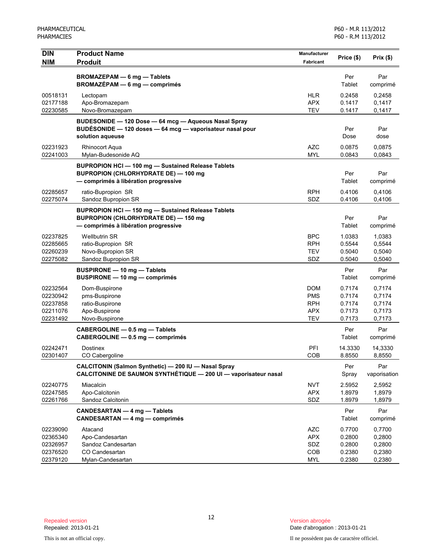| <b>DIN</b>                                               | <b>Product Name</b>                                                                                                                              | <b>Manufacturer</b>                                         | Price (\$)                                     | Prix (\$)                                      |
|----------------------------------------------------------|--------------------------------------------------------------------------------------------------------------------------------------------------|-------------------------------------------------------------|------------------------------------------------|------------------------------------------------|
| NIM                                                      | <b>Produit</b>                                                                                                                                   | Fabricant                                                   |                                                |                                                |
|                                                          | BROMAZEPAM - 6 mg - Tablets<br>BROMAZÉPAM - 6 mg - comprimés                                                                                     |                                                             | Per<br>Tablet                                  | Par<br>comprimé                                |
| 00518131<br>02177188<br>02230585                         | Lectopam<br>Apo-Bromazepam<br>Novo-Bromazepam                                                                                                    | HLR<br><b>APX</b><br><b>TEV</b>                             | 0.2458<br>0.1417<br>0.1417                     | 0,2458<br>0,1417<br>0,1417                     |
|                                                          | BUDESONIDE - 120 Dose - 64 mcg - Aqueous Nasal Spray<br>BUDÉSONIDE - 120 doses - 64 mcg - vaporisateur nasal pour<br>solution aqueuse            |                                                             | Per<br>Dose                                    | Par<br>dose                                    |
| 02231923<br>02241003                                     | <b>Rhinocort Aqua</b><br>Mylan-Budesonide AQ                                                                                                     | <b>AZC</b><br><b>MYL</b>                                    | 0.0875<br>0.0843                               | 0,0875<br>0,0843                               |
|                                                          | <b>BUPROPION HCI - 100 mg - Sustained Release Tablets</b><br><b>BUPROPION (CHLORHYDRATE DE) - 100 mg</b><br>- comprimés à libération progressive |                                                             | Per<br>Tablet                                  | Par<br>comprimé                                |
| 02285657<br>02275074                                     | ratio-Bupropion SR<br>Sandoz Bupropion SR                                                                                                        | <b>RPH</b><br>SDZ                                           | 0.4106<br>0.4106                               | 0,4106<br>0,4106                               |
|                                                          | <b>BUPROPION HCI-150 mg-Sustained Release Tablets</b><br><b>BUPROPION (CHLORHYDRATE DE) - 150 mg</b><br>- comprimés à libération progressive     |                                                             | Per<br>Tablet                                  | Par<br>comprimé                                |
| 02237825<br>02285665<br>02260239<br>02275082             | <b>Wellbutrin SR</b><br>ratio-Bupropion SR<br>Novo-Bupropion SR<br>Sandoz Bupropion SR                                                           | <b>BPC</b><br><b>RPH</b><br><b>TEV</b><br>SDZ               | 1.0383<br>0.5544<br>0.5040<br>0.5040           | 1,0383<br>0,5544<br>0,5040<br>0,5040           |
|                                                          | BUSPIRONE - 10 mg - Tablets<br>BUSPIRONE - 10 mg - comprimés                                                                                     |                                                             | Per<br>Tablet                                  | Par<br>comprimé                                |
| 02232564<br>02230942<br>02237858<br>02211076<br>02231492 | Dom-Buspirone<br>pms-Buspirone<br>ratio-Buspirone<br>Apo-Buspirone<br>Novo-Buspirone                                                             | <b>DOM</b><br><b>PMS</b><br><b>RPH</b><br><b>APX</b><br>TEV | 0.7174<br>0.7174<br>0.7174<br>0.7173<br>0.7173 | 0,7174<br>0,7174<br>0,7174<br>0,7173<br>0,7173 |
|                                                          | CABERGOLINE - 0.5 mg - Tablets<br>CABERGOLINE - 0.5 mg - comprimés                                                                               |                                                             | Per<br>Tablet                                  | Par<br>comprimé                                |
| 02242471<br>02301407                                     | Dostinex<br>CO Cabergoline                                                                                                                       | PFI<br>COB                                                  | 14.3330<br>8.8550                              | 14,3330<br>8,8550                              |
|                                                          | CALCITONIN (Salmon Synthetic) - 200 IU - Nasal Spray<br>CALCITONINE DE SAUMON SYNTHÉTIQUE - 200 UI - vaporisateur nasal                          |                                                             | Per<br>Spray                                   | Par<br>vaporisation                            |
| 02240775<br>02247585<br>02261766                         | Miacalcin<br>Apo-Calcitonin<br>Sandoz Calcitonin                                                                                                 | <b>NVT</b><br><b>APX</b><br>SDZ                             | 2.5952<br>1.8979<br>1.8979                     | 2,5952<br>1,8979<br>1,8979                     |
|                                                          | CANDESARTAN - 4 mg - Tablets<br>CANDESARTAN — 4 mg — comprimés                                                                                   |                                                             | Per<br>Tablet                                  | Par<br>comprimé                                |
| 02239090<br>02365340<br>02326957<br>02376520<br>02379120 | Atacand<br>Apo-Candesartan<br>Sandoz Candesartan<br>CO Candesartan<br>Mylan-Candesartan                                                          | <b>AZC</b><br><b>APX</b><br>SDZ<br>COB<br><b>MYL</b>        | 0.7700<br>0.2800<br>0.2800<br>0.2380<br>0.2380 | 0,7700<br>0,2800<br>0,2800<br>0,2380<br>0,2380 |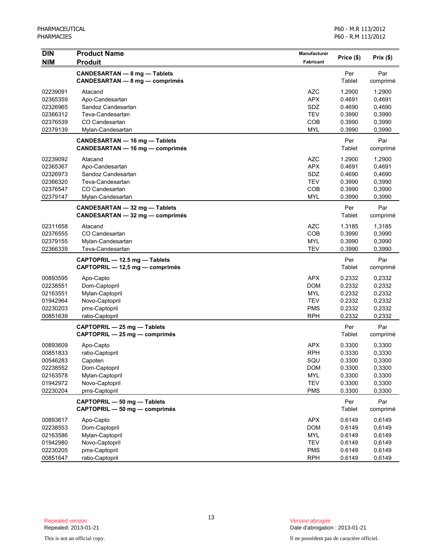| <b>DIN</b>                                                                       | <b>Product Name</b>                                                                                            | Manufacturer                                                                            | Price (\$)                                                         | Prix(\$)                                                           |
|----------------------------------------------------------------------------------|----------------------------------------------------------------------------------------------------------------|-----------------------------------------------------------------------------------------|--------------------------------------------------------------------|--------------------------------------------------------------------|
| <b>NIM</b>                                                                       | <b>Produit</b>                                                                                                 | <b>Fabricant</b>                                                                        |                                                                    |                                                                    |
|                                                                                  | CANDESARTAN - 8 mg - Tablets<br><b>CANDESARTAN - 8 mg - comprimés</b>                                          |                                                                                         | Per<br>Tablet                                                      | Par<br>comprimé                                                    |
| 02239091<br>02365359<br>02326965<br>02366312                                     | Atacand<br>Apo-Candesartan<br>Sandoz Candesartan<br>Teva-Candesartan                                           | <b>AZC</b><br><b>APX</b><br>SDZ<br><b>TEV</b>                                           | 1.2900<br>0.4691<br>0.4690<br>0.3990                               | 1,2900<br>0,4691<br>0,4690<br>0,3990                               |
| 02376539<br>02379139                                                             | CO Candesartan<br>Mylan-Candesartan                                                                            | COB<br><b>MYL</b>                                                                       | 0.3990<br>0.3990                                                   | 0,3990<br>0,3990                                                   |
|                                                                                  | CANDESARTAN - 16 mg - Tablets<br>CANDESARTAN - 16 mg - comprimés                                               |                                                                                         | Per<br>Tablet                                                      | Par<br>comprimé                                                    |
| 02239092<br>02365367<br>02326973<br>02366320<br>02376547<br>02379147             | Atacand<br>Apo-Candesartan<br>Sandoz Candesartan<br>Teva-Candesartan<br>CO Candesartan<br>Mylan-Candesartan    | <b>AZC</b><br><b>APX</b><br>SDZ<br><b>TEV</b><br>COB<br><b>MYL</b>                      | 1.2900<br>0.4691<br>0.4690<br>0.3990<br>0.3990<br>0.3990           | 1,2900<br>0,4691<br>0,4690<br>0,3990<br>0,3990<br>0,3990           |
|                                                                                  | CANDESARTAN - 32 mg - Tablets<br>CANDESARTAN - 32 mg - comprimés                                               |                                                                                         | Per<br>Tablet                                                      | Par<br>comprimé                                                    |
| 02311658<br>02376555<br>02379155<br>02366339                                     | Atacand<br>CO Candesartan<br>Mylan-Candesartan<br>Teva-Candesartan                                             | <b>AZC</b><br>COB<br><b>MYL</b><br><b>TEV</b>                                           | 1.3185<br>0.3990<br>0.3990<br>0.3990                               | 1,3185<br>0,3990<br>0,3990<br>0,3990                               |
|                                                                                  | CAPTOPRIL - 12.5 mg - Tablets<br>CAPTOPRIL - 12,5 mg - comprimés                                               |                                                                                         | Per<br>Tablet                                                      | Par<br>comprimé                                                    |
| 00893595<br>02238551<br>02163551<br>01942964<br>02230203<br>00851639             | Apo-Capto<br>Dom-Captopril<br>Mylan-Captopril<br>Novo-Captopril<br>pms-Captopril<br>ratio-Captopril            | <b>APX</b><br>DOM<br>MYL<br><b>TEV</b><br><b>PMS</b><br><b>RPH</b>                      | 0.2332<br>0.2332<br>0.2332<br>0.2332<br>0.2332<br>0.2332           | 0,2332<br>0,2332<br>0,2332<br>0,2332<br>0,2332<br>0,2332           |
|                                                                                  | CAPTOPRIL - 25 mg - Tablets<br>CAPTOPRIL - 25 mg - comprimés                                                   |                                                                                         | Per<br>Tablet                                                      | Par<br>comprimé                                                    |
| 00893609<br>00851833<br>00546283<br>02238552<br>02163578<br>01942972<br>02230204 | Apo-Capto<br>ratio-Captopril<br>Capoten<br>Dom-Captopril<br>Mylan-Captopril<br>Novo-Captopril<br>pms-Captopril | <b>APX</b><br><b>RPH</b><br>SQU<br><b>DOM</b><br><b>MYL</b><br><b>TEV</b><br><b>PMS</b> | 0.3300<br>0.3330<br>0.3300<br>0.3300<br>0.3300<br>0.3300<br>0.3300 | 0,3300<br>0,3330<br>0,3300<br>0,3300<br>0,3300<br>0,3300<br>0,3300 |
|                                                                                  | CAPTOPRIL - 50 mg - Tablets<br>CAPTOPRIL - 50 mg - comprimés                                                   |                                                                                         | Per<br>Tablet                                                      | Par<br>comprimé                                                    |
| 00893617<br>02238553<br>02163586<br>01942980<br>02230205<br>00851647             | Apo-Capto<br>Dom-Captopril<br>Mylan-Captopril<br>Novo-Captopril<br>pms-Captopril<br>ratio-Captopril            | <b>APX</b><br><b>DOM</b><br><b>MYL</b><br><b>TEV</b><br><b>PMS</b><br><b>RPH</b>        | 0.6149<br>0.6149<br>0.6149<br>0.6149<br>0.6149<br>0.6149           | 0,6149<br>0,6149<br>0,6149<br>0,6149<br>0,6149<br>0,6149           |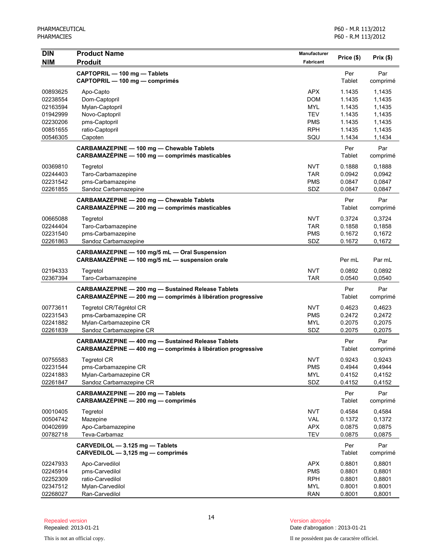| <b>DIN</b><br><b>NIM</b> | <b>Product Name</b><br><b>Produit</b>                                                                                    | Manufacturer<br><b>Fabricant</b> | Price (\$)    | Prix(\$)        |
|--------------------------|--------------------------------------------------------------------------------------------------------------------------|----------------------------------|---------------|-----------------|
|                          | CAPTOPRIL - 100 mg - Tablets<br>CAPTOPRIL - 100 mg - comprimés                                                           |                                  | Per<br>Tablet | Par<br>comprimé |
| 00893625                 | Apo-Capto                                                                                                                | <b>APX</b>                       | 1.1435        | 1,1435          |
| 02238554                 | Dom-Captopril                                                                                                            | <b>DOM</b>                       | 1.1435        | 1,1435          |
| 02163594                 | Mylan-Captopril                                                                                                          | <b>MYL</b>                       | 1.1435        | 1,1435          |
| 01942999                 | Novo-Captopril                                                                                                           | <b>TEV</b>                       | 1.1435        | 1,1435          |
| 02230206                 | pms-Captopril                                                                                                            | <b>PMS</b>                       | 1.1435        | 1,1435          |
| 00851655                 | ratio-Captopril                                                                                                          | <b>RPH</b>                       | 1.1435        | 1,1435          |
| 00546305                 | Capoten                                                                                                                  | SQU                              | 1.1434        | 1,1434          |
|                          | CARBAMAZEPINE - 100 mg - Chewable Tablets<br>CARBAMAZÉPINE - 100 mg - comprimés masticables                              |                                  | Per<br>Tablet | Par<br>comprimé |
| 00369810                 | Tegretol                                                                                                                 | <b>NVT</b>                       | 0.1888        | 0,1888          |
| 02244403                 | Taro-Carbamazepine                                                                                                       | <b>TAR</b>                       | 0.0942        | 0,0942          |
| 02231542                 | pms-Carbamazepine                                                                                                        | <b>PMS</b>                       | 0.0847        | 0,0847          |
| 02261855                 | Sandoz Carbamazepine                                                                                                     | SDZ                              | 0.0847        | 0,0847          |
|                          | CARBAMAZEPINE - 200 mg - Chewable Tablets<br>CARBAMAZÉPINE - 200 mg - comprimés masticables                              |                                  | Per<br>Tablet | Par<br>comprimé |
| 00665088                 | Tegretol                                                                                                                 | <b>NVT</b>                       | 0.3724        | 0,3724          |
| 02244404                 | Taro-Carbamazepine                                                                                                       | <b>TAR</b>                       | 0.1858        | 0,1858          |
| 02231540                 | pms-Carbamazepine                                                                                                        | <b>PMS</b>                       | 0.1672        | 0,1672          |
| 02261863                 | Sandoz Carbamazepine                                                                                                     | SDZ                              | 0.1672        | 0,1672          |
|                          | CARBAMAZEPINE - 100 mg/5 mL - Oral Suspension<br>CARBAMAZÉPINE - 100 mg/5 mL - suspension orale                          |                                  | Per mL        | Par mL          |
| 02194333                 | Tegretol                                                                                                                 | <b>NVT</b>                       | 0.0892        | 0,0892          |
| 02367394                 | Taro-Carbamazepine                                                                                                       | <b>TAR</b>                       | 0.0540        | 0,0540          |
|                          | <b>CARBAMAZEPINE - 200 mg - Sustained Release Tablets</b><br>CARBAMAZÉPINE - 200 mg - comprimés à libération progressive |                                  | Per<br>Tablet | Par<br>comprimé |
| 00773611                 | Tegretol CR/Tégrétol CR                                                                                                  | <b>NVT</b>                       | 0.4623        | 0,4623          |
| 02231543                 | pms-Carbamazepine CR                                                                                                     | <b>PMS</b>                       | 0.2472        | 0,2472          |
| 02241882                 | Mylan-Carbamazepine CR                                                                                                   | <b>MYL</b>                       | 0.2075        | 0,2075          |
| 02261839                 | Sandoz Carbamazepine CR                                                                                                  | SDZ                              | 0.2075        | 0,2075          |
|                          | <b>CARBAMAZEPINE - 400 mg - Sustained Release Tablets</b>                                                                |                                  | Per           | Par             |
|                          | CARBAMAZÉPINE - 400 mg - comprimés à libération progressive                                                              |                                  | Tablet        | comprimé        |
| 00755583                 | <b>Tegretol CR</b>                                                                                                       | <b>NVT</b>                       | 0.9243        | 0,9243          |
| 02231544                 | pms-Carbamazepine CR                                                                                                     | <b>PMS</b>                       | 0.4944        | 0,4944          |
| 02241883                 | Mylan-Carbamazepine CR                                                                                                   | <b>MYL</b>                       | 0.4152        | 0,4152          |
| 02261847                 | Sandoz Carbamazepine CR                                                                                                  | SDZ                              | 0.4152        | 0,4152          |
|                          | CARBAMAZEPINE - 200 mg - Tablets<br>CARBAMAZÉPINE - 200 mg - comprimés                                                   |                                  | Per<br>Tablet | Par<br>comprimé |
| 00010405                 | Tegretol                                                                                                                 | <b>NVT</b>                       | 0.4584        | 0,4584          |
| 00504742                 | Mazepine                                                                                                                 | <b>VAL</b>                       | 0.1372        | 0,1372          |
| 00402699                 | Apo-Carbamazepine                                                                                                        | <b>APX</b>                       | 0.0875        | 0,0875          |
| 00782718                 | Teva-Carbamaz                                                                                                            | <b>TEV</b>                       | 0.0875        | 0,0875          |
|                          | CARVEDILOL - 3.125 mg - Tablets<br>CARVEDILOL - 3,125 mg - comprimés                                                     |                                  | Per<br>Tablet | Par<br>comprimé |
| 02247933                 | Apo-Carvedilol                                                                                                           | <b>APX</b>                       | 0.8801        | 0,8801          |
| 02245914                 | pms-Carvedilol                                                                                                           | <b>PMS</b>                       | 0.8801        | 0,8801          |
| 02252309                 | ratio-Carvedilol                                                                                                         | <b>RPH</b>                       | 0.8801        | 0,8801          |
| 02347512                 | Mylan-Carvedilol                                                                                                         | <b>MYL</b>                       | 0.8001        | 0.8001          |
| 02268027                 | Ran-Carvedilol                                                                                                           | <b>RAN</b>                       | 0.8001        | 0,8001          |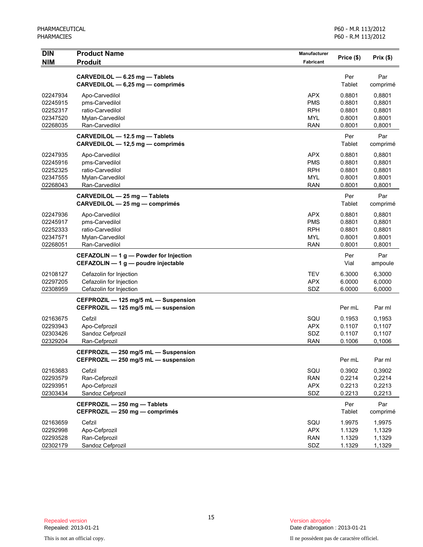| <b>DIN</b>                                               | <b>Product Name</b>                                                                        | <b>Manufacturer</b>                                                | Price (\$)                                     | Prix(\$)                                       |
|----------------------------------------------------------|--------------------------------------------------------------------------------------------|--------------------------------------------------------------------|------------------------------------------------|------------------------------------------------|
| <b>NIM</b>                                               | <b>Produit</b>                                                                             | Fabricant                                                          |                                                |                                                |
|                                                          | CARVEDILOL - 6.25 mg - Tablets<br>CARVEDILOL - 6,25 mg - comprimés                         |                                                                    | Per<br>Tablet                                  | Par<br>comprimé                                |
| 02247934<br>02245915<br>02252317<br>02347520<br>02268035 | Apo-Carvedilol<br>pms-Carvedilol<br>ratio-Carvedilol<br>Mylan-Carvedilol<br>Ran-Carvedilol | <b>APX</b><br><b>PMS</b><br><b>RPH</b><br><b>MYL</b><br><b>RAN</b> | 0.8801<br>0.8801<br>0.8801<br>0.8001<br>0.8001 | 0,8801<br>0,8801<br>0,8801<br>0.8001<br>0,8001 |
|                                                          | CARVEDILOL - 12.5 mg - Tablets<br>CARVEDILOL - 12,5 mg - comprimés                         |                                                                    | Per<br>Tablet                                  | Par<br>comprimé                                |
| 02247935<br>02245916<br>02252325<br>02347555<br>02268043 | Apo-Carvedilol<br>pms-Carvedilol<br>ratio-Carvedilol<br>Mylan-Carvedilol<br>Ran-Carvedilol | <b>APX</b><br><b>PMS</b><br><b>RPH</b><br><b>MYL</b><br><b>RAN</b> | 0.8801<br>0.8801<br>0.8801<br>0.8001<br>0.8001 | 0,8801<br>0,8801<br>0,8801<br>0.8001<br>0,8001 |
|                                                          | CARVEDILOL - 25 mg - Tablets<br>CARVEDILOL - 25 mg - comprimés                             |                                                                    | Per<br>Tablet                                  | Par<br>comprimé                                |
| 02247936<br>02245917<br>02252333<br>02347571<br>02268051 | Apo-Carvedilol<br>pms-Carvedilol<br>ratio-Carvedilol<br>Mylan-Carvedilol<br>Ran-Carvedilol | <b>APX</b><br><b>PMS</b><br><b>RPH</b><br><b>MYL</b><br><b>RAN</b> | 0.8801<br>0.8801<br>0.8801<br>0.8001<br>0.8001 | 0,8801<br>0,8801<br>0,8801<br>0.8001<br>0,8001 |
|                                                          | CEFAZOLIN - 1 g - Powder for Injection<br>CEFAZOLIN - 1 g - poudre injectable              |                                                                    | Per<br>Vial                                    | Par<br>ampoule                                 |
| 02108127<br>02297205<br>02308959                         | Cefazolin for Injection<br>Cefazolin for Injection<br>Cefazolin for Injection              | <b>TEV</b><br><b>APX</b><br>SDZ                                    | 6.3000<br>6.0000<br>6.0000                     | 6,3000<br>6,0000<br>6,0000                     |
|                                                          | CEFPROZIL - 125 mg/5 mL - Suspension<br>CEFPROZIL - 125 mg/5 mL - suspension               |                                                                    | Per mL                                         | Par ml                                         |
| 02163675<br>02293943<br>02303426<br>02329204             | Cefzil<br>Apo-Cefprozil<br>Sandoz Cefprozil<br>Ran-Cefprozil                               | SQU<br><b>APX</b><br>SDZ<br><b>RAN</b>                             | 0.1953<br>0.1107<br>0.1107<br>0.1006           | 0,1953<br>0,1107<br>0,1107<br>0,1006           |
|                                                          | CEFPROZIL - 250 mg/5 mL - Suspension<br>CEFPROZIL $-$ 250 mg/5 mL $-$ suspension           |                                                                    | Per mL                                         | Par ml                                         |
| 02163683<br>02293579<br>02293951<br>02303434             | Cefzil<br>Ran-Cefprozil<br>Apo-Cefprozil<br>Sandoz Cefprozil                               | SQU<br><b>RAN</b><br><b>APX</b><br>SDZ                             | 0.3902<br>0.2214<br>0.2213<br>0.2213           | 0,3902<br>0,2214<br>0,2213<br>0,2213           |
|                                                          | CEFPROZIL - 250 mg - Tablets<br>CEFPROZIL - 250 mg - comprimés                             |                                                                    | Per<br>Tablet                                  | Par<br>comprimé                                |
| 02163659<br>02292998<br>02293528<br>02302179             | Cefzil<br>Apo-Cefprozil<br>Ran-Cefprozil<br>Sandoz Cefprozil                               | SQU<br><b>APX</b><br><b>RAN</b><br>SDZ                             | 1.9975<br>1.1329<br>1.1329<br>1.1329           | 1,9975<br>1,1329<br>1,1329<br>1,1329           |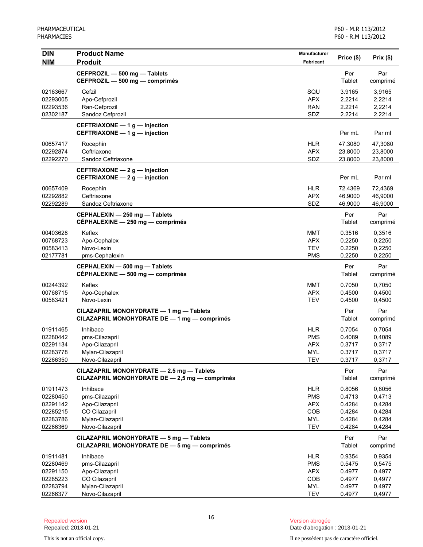| <b>DIN</b> | <b>Product Name</b>                                                                         | <b>Manufacturer</b> | Price (\$)    | Prix(\$)        |
|------------|---------------------------------------------------------------------------------------------|---------------------|---------------|-----------------|
| <b>NIM</b> | <b>Produit</b>                                                                              | <b>Fabricant</b>    |               |                 |
|            | CEFPROZIL - 500 mg - Tablets                                                                |                     | Per           | Par             |
|            | CEFPROZIL - 500 mg - comprimés                                                              |                     | Tablet        | comprimé        |
| 02163667   | Cefzil                                                                                      | SQU                 | 3.9165        | 3,9165          |
| 02293005   | Apo-Cefprozil                                                                               | <b>APX</b>          | 2.2214        | 2,2214          |
| 02293536   | Ran-Cefprozil                                                                               | <b>RAN</b>          | 2.2214        | 2,2214          |
| 02302187   | Sandoz Cefprozil                                                                            | SDZ                 | 2.2214        | 2,2214          |
|            | CEFTRIAXONE - 1 g - Injection<br>CEFTRIAXONE - 1 g - injection                              |                     | Per mL        | Par ml          |
| 00657417   | Rocephin                                                                                    | <b>HLR</b>          | 47.3080       | 47,3080         |
| 02292874   | Ceftriaxone                                                                                 | <b>APX</b>          | 23.8000       | 23,8000         |
| 02292270   | Sandoz Ceftriaxone                                                                          | SDZ                 | 23.8000       | 23,8000         |
|            | CEFTRIAXONE - 2 g - Injection<br>CEFTRIAXONE $-2 g$ - injection                             |                     | Per mL        | Par ml          |
| 00657409   | Rocephin                                                                                    | <b>HLR</b>          | 72.4369       | 72,4369         |
| 02292882   | Ceftriaxone                                                                                 | <b>APX</b>          | 46.9000       | 46,9000         |
| 02292289   | Sandoz Ceftriaxone                                                                          | SDZ                 | 46.9000       | 46,9000         |
|            | CEPHALEXIN - 250 mg - Tablets                                                               |                     | Per           | Par             |
|            | CÉPHALEXINE - 250 mg - comprimés                                                            |                     | Tablet        | comprimé        |
| 00403628   | Keflex                                                                                      | <b>MMT</b>          | 0.3516        | 0,3516          |
| 00768723   | Apo-Cephalex                                                                                | <b>APX</b>          | 0.2250        | 0,2250          |
| 00583413   | Novo-Lexin                                                                                  | <b>TEV</b>          | 0.2250        | 0,2250          |
| 02177781   | pms-Cephalexin                                                                              | <b>PMS</b>          | 0.2250        | 0,2250          |
|            | CEPHALEXIN - 500 mg - Tablets<br>CÉPHALEXINE - 500 mg - comprimés                           |                     | Per<br>Tablet | Par<br>comprimé |
| 00244392   | Keflex                                                                                      | <b>MMT</b>          | 0.7050        | 0,7050          |
| 00768715   | Apo-Cephalex                                                                                | <b>APX</b>          | 0.4500        | 0,4500          |
| 00583421   | Novo-Lexin                                                                                  | <b>TEV</b>          | 0.4500        | 0,4500          |
|            | CILAZAPRIL MONOHYDRATE - 1 mg - Tablets<br>CILAZAPRIL MONOHYDRATE DE - 1 mg - comprimés     |                     | Per<br>Tablet | Par<br>comprimé |
| 01911465   | Inhibace                                                                                    | <b>HLR</b>          | 0.7054        | 0,7054          |
| 02280442   | pms-Cilazapril                                                                              | <b>PMS</b>          | 0.4089        | 0,4089          |
| 02291134   | Apo-Cilazapril                                                                              | <b>APX</b>          | 0.3717        | 0,3717          |
| 02283778   | Mylan-Cilazapril                                                                            | <b>MYL</b>          | 0.3717        | 0,3717          |
| 02266350   | Novo-Cilazapril                                                                             | IFA                 | 0.3717        | 0,3717          |
|            | CILAZAPRIL MONOHYDRATE - 2.5 mg - Tablets<br>CILAZAPRIL MONOHYDRATE DE - 2,5 mg - comprimés |                     | Per<br>Tablet | Par<br>comprimé |
| 01911473   | Inhibace                                                                                    | <b>HLR</b>          | 0.8056        | 0,8056          |
| 02280450   | pms-Cilazapril                                                                              | <b>PMS</b>          | 0.4713        | 0,4713          |
| 02291142   | Apo-Cilazapril                                                                              | <b>APX</b>          | 0.4284        | 0,4284          |
| 02285215   | CO Cilazapril                                                                               | COB                 | 0.4284        | 0,4284          |
| 02283786   | Mylan-Cilazapril                                                                            | <b>MYL</b>          | 0.4284        | 0,4284          |
| 02266369   | Novo-Cilazapril                                                                             | <b>TEV</b>          | 0.4284        | 0,4284          |
|            | CILAZAPRIL MONOHYDRATE - 5 mg - Tablets<br>CILAZAPRIL MONOHYDRATE DE - 5 mg - comprimés     |                     | Per<br>Tablet | Par<br>comprimé |
| 01911481   | Inhibace                                                                                    | <b>HLR</b>          | 0.9354        | 0,9354          |
| 02280469   | pms-Cilazapril                                                                              | <b>PMS</b>          | 0.5475        | 0,5475          |
| 02291150   | Apo-Cilazapril                                                                              | <b>APX</b>          | 0.4977        | 0,4977          |
| 02285223   | CO Cilazapril                                                                               | COB                 | 0.4977        | 0,4977          |
| 02283794   | Mylan-Cilazapril                                                                            | <b>MYL</b>          | 0.4977        | 0,4977          |
| 02266377   | Novo-Cilazapril                                                                             | <b>TEV</b>          | 0.4977        | 0,4977          |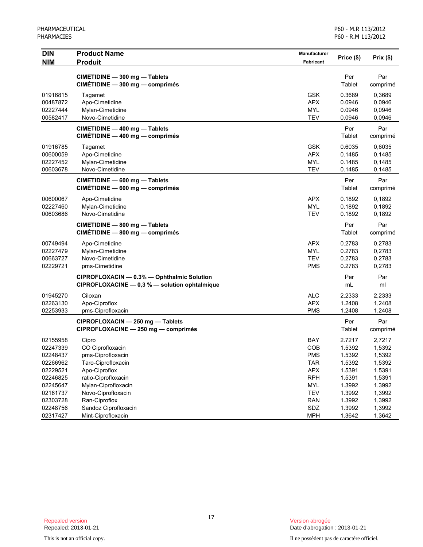| <b>DIN</b><br>NIM | <b>Product Name</b><br><b>Produit</b>                                                       | Manufacturer<br>Fabricant | Price (\$)    | Prix(\$)        |
|-------------------|---------------------------------------------------------------------------------------------|---------------------------|---------------|-----------------|
|                   | CIMETIDINE - 300 mg - Tablets<br>CIMÉTIDINE - 300 mg - comprimés                            |                           | Per<br>Tablet | Par<br>comprimé |
| 01916815          | Tagamet                                                                                     | <b>GSK</b>                | 0.3689        | 0,3689          |
| 00487872          | Apo-Cimetidine                                                                              | <b>APX</b>                | 0.0946        | 0,0946          |
| 02227444          | Mylan-Cimetidine                                                                            | <b>MYL</b>                | 0.0946        | 0,0946          |
| 00582417          | Novo-Cimetidine                                                                             | <b>TEV</b>                | 0.0946        | 0,0946          |
|                   | CIMETIDINE - 400 mg - Tablets<br>$CIMÉTIDINE - 400 mg - comprimés$                          |                           | Per<br>Tablet | Par<br>comprimé |
| 01916785          | Tagamet                                                                                     | <b>GSK</b>                | 0.6035        | 0,6035          |
| 00600059          | Apo-Cimetidine                                                                              | <b>APX</b>                | 0.1485        | 0,1485          |
| 02227452          | Mylan-Cimetidine                                                                            | <b>MYL</b>                | 0.1485        | 0,1485          |
| 00603678          | Novo-Cimetidine                                                                             | <b>TEV</b>                | 0.1485        | 0,1485          |
|                   | CIMETIDINE - 600 mg - Tablets<br>$CIMÉTIDINE - 600 mg - comprimés$                          |                           | Per<br>Tablet | Par<br>comprimé |
| 00600067          | Apo-Cimetidine                                                                              | <b>APX</b>                | 0.1892        | 0,1892          |
| 02227460          | Mylan-Cimetidine                                                                            | <b>MYL</b>                | 0.1892        | 0,1892          |
| 00603686          | Novo-Cimetidine                                                                             | <b>TEV</b>                | 0.1892        | 0,1892          |
|                   | CIMETIDINE - 800 mg - Tablets<br>$CIMÉTIDINE - 800 mg - comprimés$                          |                           | Per<br>Tablet | Par<br>comprimé |
| 00749494          | Apo-Cimetidine                                                                              | <b>APX</b>                | 0.2783        | 0,2783          |
| 02227479          | Mylan-Cimetidine                                                                            | <b>MYL</b>                | 0.2783        | 0,2783          |
| 00663727          | Novo-Cimetidine                                                                             | <b>TEV</b>                | 0.2783        | 0,2783          |
| 02229721          | pms-Cimetidine                                                                              | <b>PMS</b>                | 0.2783        | 0,2783          |
|                   | CIPROFLOXACIN - 0.3% - Ophthalmic Solution<br>CIPROFLOXACINE - 0,3 % - solution ophtalmique |                           | Per<br>mL     | Par<br>ml       |
| 01945270          | Ciloxan                                                                                     | <b>ALC</b>                | 2.2333        | 2,2333          |
| 02263130          | Apo-Ciproflox                                                                               | <b>APX</b>                | 1.2408        | 1,2408          |
| 02253933          | pms-Ciprofloxacin                                                                           | <b>PMS</b>                | 1.2408        | 1,2408          |
|                   | CIPROFLOXACIN - 250 mg - Tablets<br>CIPROFLOXACINE - 250 mg - comprimés                     |                           | Per<br>Tablet | Par<br>comprimé |
| 02155958          | Cipro                                                                                       | BAY                       | 2.7217        | 2,7217          |
| 02247339          | CO Ciprofloxacin                                                                            | COB                       | 1.5392        | 1,5392          |
| 02248437          | pms-Ciprofloxacin                                                                           | <b>PMS</b>                | 1.5392        | 1,5392          |
| 02266962          | Taro-Ciprofloxacin                                                                          | <b>TAR</b>                | 1.5392        | 1,5392          |
| 02229521          | Apo-Ciproflox                                                                               | <b>APX</b>                | 1.5391        | 1,5391          |
| 02246825          | ratio-Ciprofloxacin                                                                         | <b>RPH</b>                | 1.5391        | 1,5391          |
| 02245647          | Mylan-Ciprofloxacin                                                                         | <b>MYL</b>                | 1.3992        | 1,3992          |
| 02161737          | Novo-Ciprofloxacin                                                                          | <b>TEV</b>                | 1.3992        | 1,3992          |
| 02303728          | Ran-Ciproflox                                                                               | <b>RAN</b>                | 1.3992        | 1,3992          |
| 02248756          | Sandoz Ciprofloxacin                                                                        | SDZ                       | 1.3992        | 1,3992          |
| 02317427          | Mint-Ciprofloxacin                                                                          | <b>MPH</b>                | 1.3642        | 1,3642          |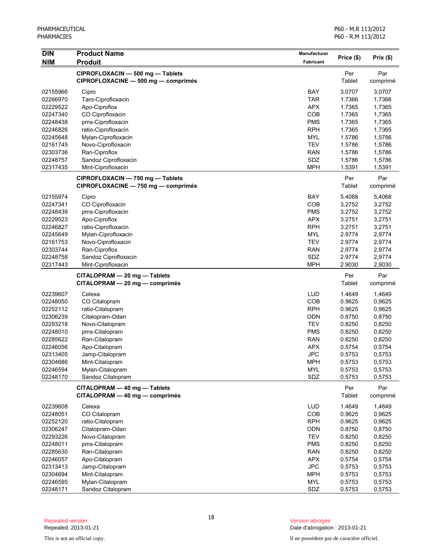| <b>DIN</b><br><b>NIM</b> | <b>Product Name</b><br><b>Produit</b>                          | <b>Manufacturer</b><br>Fabricant | Price (\$)       | Prix(\$)        |
|--------------------------|----------------------------------------------------------------|----------------------------------|------------------|-----------------|
|                          | CIPROFLOXACIN - 500 mg - Tablets                               |                                  | Per              | Par             |
|                          | CIPROFLOXACINE - 500 mg - comprimés                            |                                  | Tablet           | comprimé        |
| 02155966                 | Cipro                                                          | <b>BAY</b>                       | 3.0707           | 3,0707          |
| 02266970                 | Taro-Ciprofloxacin                                             | <b>TAR</b>                       | 1.7366           | 1,7366          |
| 02229522                 | Apo-Ciproflox                                                  | <b>APX</b>                       | 1.7365           | 1,7365          |
| 02247340                 | CO Ciprofloxacin                                               | COB                              | 1.7365           | 1,7365          |
| 02248438                 | pms-Ciprofloxacin                                              | <b>PMS</b>                       | 1.7365           | 1,7365          |
| 02246826                 | ratio-Ciprofloxacin                                            | <b>RPH</b>                       | 1.7365           | 1,7365          |
| 02245648                 | Mylan-Ciprofloxacin                                            | <b>MYL</b>                       | 1.5786           | 1,5786          |
| 02161745                 | Novo-Ciprofloxacin                                             | <b>TEV</b>                       | 1.5786           | 1,5786          |
| 02303736                 | Ran-Ciproflox                                                  | <b>RAN</b>                       | 1.5786           | 1,5786          |
| 02248757                 | Sandoz Ciprofloxacin                                           | SDZ                              | 1.5786           | 1,5786          |
| 02317435                 | Mint-Ciprofloxacin                                             | <b>MPH</b>                       | 1.5391           | 1,5391          |
|                          | CIPROFLOXACIN - 750 mg - Tablets                               |                                  | Per              | Par             |
|                          | CIPROFLOXACINE - 750 mg - comprimés                            |                                  | Tablet           | comprimé        |
| 02155974                 | Cipro                                                          | <b>BAY</b>                       | 5.4068           | 5,4068          |
| 02247341                 | CO Ciprofloxacin                                               | COB                              | 3.2752           | 3,2752          |
| 02248439                 | pms-Ciprofloxacin                                              | <b>PMS</b>                       | 3.2752           | 3,2752          |
| 02229523                 | Apo-Ciproflox                                                  | <b>APX</b>                       | 3.2751           | 3,2751          |
| 02246827                 | ratio-Ciprofloxacin                                            | <b>RPH</b>                       | 3.2751           | 3,2751          |
| 02245649                 | Mylan-Ciprofloxacin                                            | <b>MYL</b>                       | 2.9774           | 2,9774          |
| 02161753                 | Novo-Ciprofloxacin                                             | <b>TEV</b>                       | 2.9774           | 2,9774          |
| 02303744                 | Ran-Ciproflox                                                  | <b>RAN</b>                       | 2.9774           | 2,9774          |
| 02248758                 | Sandoz Ciprofloxacin                                           | SDZ<br><b>MPH</b>                | 2.9774<br>2.9030 | 2,9774          |
| 02317443                 | Mint-Ciprofloxacin                                             |                                  |                  | 2,9030          |
|                          | CITALOPRAM - 20 mg - Tablets<br>CITALOPRAM - 20 mg - comprimés |                                  | Per<br>Tablet    | Par<br>comprimé |
| 02239607                 | Celexa                                                         | <b>LUD</b>                       | 1.4649           | 1,4649          |
| 02248050                 | CO Citalopram                                                  | COB                              | 0.9625           | 0,9625          |
| 02252112                 | ratio-Citalopram                                               | <b>RPH</b>                       | 0.9625           | 0,9625          |
| 02306239                 | Citalopram-Odan                                                | <b>ODN</b>                       | 0.8750           | 0,8750          |
| 02293218                 | Novo-Citalopram                                                | <b>TEV</b>                       | 0.8250           | 0,8250          |
| 02248010                 | pms-Citalopram                                                 | <b>PMS</b>                       | 0.8250           | 0,8250          |
| 02285622                 | Ran-Citalopram                                                 | <b>RAN</b>                       | 0.8250           | 0,8250          |
| 02246056                 | Apo-Citalopram                                                 | <b>APX</b>                       | 0.5754           | 0,5754          |
| 02313405                 | Jamp-Citalopram                                                | <b>JPC</b>                       | 0.5753           | 0,5753          |
| 02304686                 | Mint-Citalopram                                                | <b>MPH</b>                       | 0.5753           | 0,5753          |
| 02246594                 | Mylan-Citalopram<br>Sandoz Citalopram                          | <b>MYL</b>                       | 0.5753           | 0,5753          |
| 02248170                 |                                                                | SDZ                              | 0.5753           | 0,5753          |
|                          | CITALOPRAM - 40 mg - Tablets<br>CITALOPRAM - 40 mg - comprimés |                                  | Per<br>Tablet    | Par<br>comprimé |
| 02239608                 | Celexa                                                         | <b>LUD</b>                       | 1.4649           | 1,4649          |
| 02248051                 | CO Citalopram                                                  | COB                              | 0.9625           | 0,9625          |
| 02252120                 | ratio-Citalopram                                               | <b>RPH</b>                       | 0.9625           | 0,9625          |
| 02306247                 | Citalopram-Odan                                                | ODN                              | 0.8750           | 0,8750          |
| 02293226                 | Novo-Citalopram                                                | <b>TEV</b>                       | 0.8250           | 0,8250          |
| 02248011                 | pms-Citalopram                                                 | <b>PMS</b>                       | 0.8250           | 0,8250          |
| 02285630                 | Ran-Citalopram                                                 | <b>RAN</b>                       | 0.8250           | 0,8250          |
| 02246057                 | Apo-Citalopram                                                 | <b>APX</b>                       | 0.5754           | 0,5754          |
| 02313413                 | Jamp-Citalopram                                                | <b>JPC</b>                       | 0.5753           | 0,5753          |
| 02304694                 | Mint-Citalopram                                                | <b>MPH</b>                       | 0.5753           | 0,5753          |
| 02246595                 | Mylan-Citalopram                                               | <b>MYL</b>                       | 0.5753           | 0,5753          |
| 02248171                 | Sandoz Citalopram                                              | SDZ                              | 0.5753           | 0,5753          |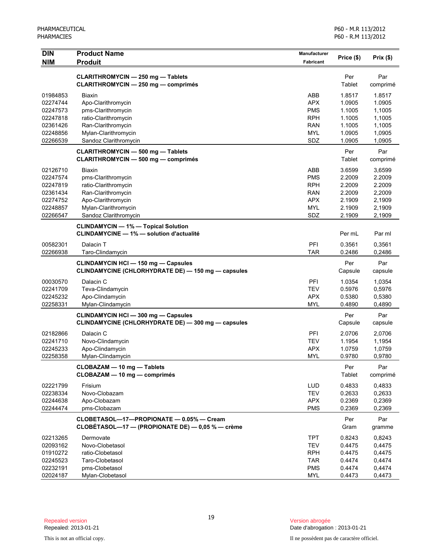| <b>DIN</b>           | <b>Product Name</b>                                | Manufacturer      | Price (\$)       | Prix(\$)         |
|----------------------|----------------------------------------------------|-------------------|------------------|------------------|
| <b>NIM</b>           | Produit                                            | <b>Fabricant</b>  |                  |                  |
|                      |                                                    |                   |                  |                  |
|                      | CLARITHROMYCIN - 250 mg - Tablets                  |                   | Per              | Par              |
|                      | CLARITHROMYCIN - 250 mg - comprimés                |                   | Tablet           | comprimé         |
| 01984853             | Biaxin                                             | ABB               | 1.8517           | 1.8517           |
| 02274744             | Apo-Clarithromycin                                 | <b>APX</b>        | 1.0905           | 1.0905           |
| 02247573             | pms-Clarithromycin                                 | <b>PMS</b>        | 1.1005           | 1,1005           |
| 02247818             | ratio-Clarithromycin                               | <b>RPH</b>        | 1.1005           | 1,1005           |
| 02361426             | Ran-Clarithromycin                                 | <b>RAN</b>        | 1.1005           | 1,1005           |
| 02248856             | Mylan-Clarithromycin                               | <b>MYL</b>        | 1.0905           | 1,0905           |
| 02266539             | Sandoz Clarithromycin                              | SDZ               | 1.0905           | 1,0905           |
|                      | CLARITHROMYCIN - 500 mg - Tablets                  |                   | Per              | Par              |
|                      | CLARITHROMYCIN - 500 mg - comprimés                |                   | Tablet           | comprimé         |
|                      |                                                    | ABB               |                  |                  |
| 02126710<br>02247574 | <b>Biaxin</b>                                      | <b>PMS</b>        | 3.6599<br>2.2009 | 3,6599           |
| 02247819             | pms-Clarithromycin<br>ratio-Clarithromycin         | <b>RPH</b>        | 2.2009           | 2.2009<br>2.2009 |
| 02361434             | Ran-Clarithromycin                                 | <b>RAN</b>        | 2.2009           | 2,2009           |
| 02274752             | Apo-Clarithromycin                                 | <b>APX</b>        | 2.1909           | 2,1909           |
| 02248857             | Mylan-Clarithromycin                               | <b>MYL</b>        | 2.1909           |                  |
| 02266547             | Sandoz Clarithromycin                              | SDZ               | 2.1909           | 2,1909<br>2,1909 |
|                      |                                                    |                   |                  |                  |
|                      | <b>CLINDAMYCIN - 1% - Topical Solution</b>         |                   |                  |                  |
|                      | <b>CLINDAMYCINE - 1% - solution d'actualité</b>    |                   | Per mL           | Par ml           |
| 00582301             | Dalacin T                                          | PFI               | 0.3561           | 0,3561           |
| 02266938             | Taro-Clindamycin                                   | <b>TAR</b>        | 0.2486           | 0,2486           |
|                      | CLINDAMYCIN HCI - 150 mg - Capsules                |                   | Per              | Par              |
|                      | CLINDAMYCINE (CHLORHYDRATE DE) - 150 mg - capsules |                   | Capsule          | capsule          |
|                      |                                                    |                   |                  |                  |
| 00030570             | Dalacin C                                          | <b>PFI</b>        | 1.0354           | 1,0354           |
| 02241709             | Teva-Clindamycin                                   | <b>TEV</b>        | 0.5976           | 0,5976           |
| 02245232             | Apo-Clindamycin                                    | <b>APX</b>        | 0.5380           | 0,5380           |
| 02258331             | Mylan-Clindamycin                                  | <b>MYL</b>        | 0.4890           | 0,4890           |
|                      | <b>CLINDAMYCIN HCI - 300 mg - Capsules</b>         |                   | Per              | Par              |
|                      | CLINDAMYCINE (CHLORHYDRATE DE) - 300 mg - capsules |                   | Capsule          | capsule          |
| 02182866             | Dalacin C                                          | PFI               | 2.0706           | 2,0706           |
| 02241710             | Novo-Clindamycin                                   | <b>TEV</b>        | 1.1954           | 1,1954           |
| 02245233             | Apo-Clindamycin                                    | <b>APX</b>        | 1.0759           | 1,0759           |
| 02258358             | Mylan-Clindamycin                                  | <b>MYL</b>        | 0.9780           | 0,9780           |
|                      | CLOBAZAM - 10 mg - Tablets                         |                   | Per              | Par              |
|                      | CLOBAZAM - 10 mg - comprimés                       |                   | Tablet           | comprimé         |
|                      |                                                    |                   |                  |                  |
| 02221799             | Frisium                                            | LUD               | 0.4833           | 0,4833           |
| 02238334             | Novo-Clobazam                                      | <b>TEV</b>        | 0.2633           | 0,2633           |
| 02244638             | Apo-Clobazam<br>pms-Clobazam                       | APX<br><b>PMS</b> | 0.2369           | 0,2369           |
| 02244474             |                                                    |                   | 0.2369           | 0,2369           |
|                      | CLOBETASOL-17-PROPIONATE - 0.05% - Cream           |                   | Per              | Par              |
|                      | CLOBÉTASOL-17 - (PROPIONATE DE) - 0,05 % - crème   |                   | Gram             | gramme           |
| 02213265             | Dermovate                                          | <b>TPT</b>        | 0.8243           | 0,8243           |
| 02093162             | Novo-Clobetasol                                    | TEV               | 0.4475           | 0,4475           |
| 01910272             | ratio-Clobetasol                                   | <b>RPH</b>        | 0.4475           | 0,4475           |
| 02245523             | Taro-Clobetasol                                    | <b>TAR</b>        | 0.4474           | 0,4474           |
| 02232191             | pms-Clobetasol                                     | <b>PMS</b>        | 0.4474           | 0,4474           |
| 02024187             | Mylan-Clobetasol                                   | <b>MYL</b>        | 0.4473           | 0,4473           |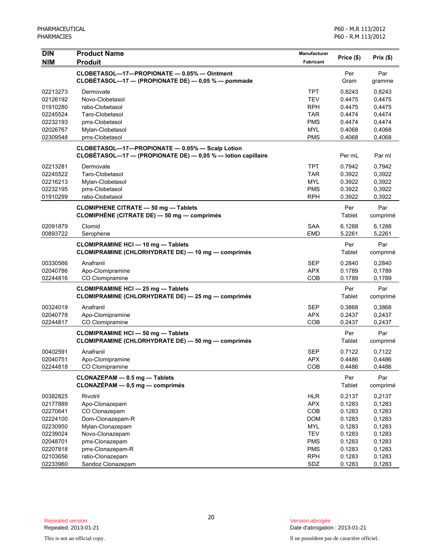| <b>DIN</b> | <b>Product Name</b>                                                                                             | Manufacturer     |               |                 |
|------------|-----------------------------------------------------------------------------------------------------------------|------------------|---------------|-----------------|
| <b>NIM</b> | <b>Produit</b>                                                                                                  | <b>Fabricant</b> | Price (\$)    | Prix(\$)        |
|            | CLOBETASOL-17-PROPIONATE - 0.05% - Ointment<br>CLOBÉTASOL—17 — (PROPIONATE DE) — 0,05 % — pommade               |                  | Per<br>Gram   | Par<br>gramme   |
| 02213273   | Dermovate                                                                                                       | <b>TPT</b>       | 0.8243        | 0,8243          |
| 02126192   | Novo-Clobetasol                                                                                                 | <b>TEV</b>       | 0.4475        | 0,4475          |
| 01910280   | ratio-Clobetasol                                                                                                | <b>RPH</b>       | 0.4475        | 0,4475          |
| 02245524   | Taro-Clobetasol                                                                                                 | <b>TAR</b>       | 0.4474        | 0,4474          |
| 02232193   | pms-Clobetasol                                                                                                  | <b>PMS</b>       | 0.4474        | 0,4474          |
| 02026767   | Mylan-Clobetasol                                                                                                | <b>MYL</b>       | 0.4068        | 0,4068          |
| 02309548   | pms-Clobetasol                                                                                                  | <b>PMS</b>       | 0.4068        | 0,4068          |
|            | CLOBETASOL-17-PROPIONATE - 0.05% - Scalp Lotion<br>CLOBETASOL—17 — (PROPIONATE DE) — 0,05 % — lotion capillaire |                  | Per mL        | Par ml          |
| 02213281   | Dermovate                                                                                                       | <b>TPT</b>       | 0.7942        | 0,7942          |
| 02245522   | Taro-Clobetasol                                                                                                 | <b>TAR</b>       | 0.3922        | 0,3922          |
| 02216213   | Mylan-Clobetasol                                                                                                | MYL              | 0.3922        | 0,3922          |
| 02232195   | pms-Clobetasol                                                                                                  | <b>PMS</b>       | 0.3922        | 0,3922          |
| 01910299   | ratio-Clobetasol                                                                                                | <b>RPH</b>       | 0.3922        | 0,3922          |
|            | <b>CLOMIPHENE CITRATE - 50 mg - Tablets</b><br>CLOMIPHÈNE (CITRATE DE) — 50 mg — comprimés                      |                  | Per<br>Tablet | Par<br>comprimé |
| 02091879   | Clomid                                                                                                          | <b>SAA</b>       | 6.1288        | 6,1288          |
| 00893722   | Serophene                                                                                                       | <b>EMD</b>       | 5.2261        | 5,2261          |
|            | <b>CLOMIPRAMINE HCI - 10 mg - Tablets</b><br>CLOMIPRAMINE (CHLORHYDRATE DE) - 10 mg - comprimés                 |                  | Per<br>Tablet | Par<br>comprimé |
| 00330566   | Anafranil                                                                                                       | <b>SEP</b>       | 0.2840        | 0,2840          |
| 02040786   | Apo-Clomipramine                                                                                                | <b>APX</b>       | 0.1789        | 0,1789          |
| 02244816   | CO Clomipramine                                                                                                 | COB              | 0.1789        | 0,1789          |
|            | <b>CLOMIPRAMINE HCI - 25 mg - Tablets</b>                                                                       |                  | Per           | Par             |
|            | CLOMIPRAMINE (CHLORHYDRATE DE) - 25 mg - comprimés                                                              |                  | Tablet        | comprimé        |
| 00324019   | Anafranil                                                                                                       | <b>SEP</b>       | 0.3868        | 0,3868          |
| 02040778   | Apo-Clomipramine                                                                                                | <b>APX</b>       | 0.2437        | 0,2437          |
| 02244817   | CO Clomipramine                                                                                                 | COB              | 0.2437        | 0,2437          |
|            | <b>CLOMIPRAMINE HCI - 50 mg - Tablets</b><br>CLOMIPRAMINE (CHLORHYDRATE DE) - 50 mg - comprimés                 |                  | Per<br>Tablet | Par<br>comprimé |
| 00402591   | Anafranil                                                                                                       | <b>SEP</b>       | 0.7122        | 0,7122          |
| 02040751   | Apo-Clomipramine                                                                                                | <b>APX</b>       | 0.4486        | 0,4486          |
| 02244818   | CO Clomipramine                                                                                                 | COB              | 0.4486        | 0,4486          |
|            | CLONAZEPAM - 0.5 mg - Tablets<br>$CLONAZÉPAM - 0,5 mg - comprimés$                                              |                  | Per<br>Tablet | Par<br>comprimé |
| 00382825   | Rivotril                                                                                                        | <b>HLR</b>       | 0.2137        | 0,2137          |
| 02177889   | Apo-Clonazepam                                                                                                  | <b>APX</b>       | 0.1283        | 0,1283          |
| 02270641   | CO Clonazepam                                                                                                   | COB              | 0.1283        | 0,1283          |
| 02224100   | Dom-Clonazepam-R                                                                                                | <b>DOM</b>       | 0.1283        | 0,1283          |
| 02230950   | Mylan-Clonazepam                                                                                                | <b>MYL</b>       | 0.1283        | 0,1283          |
| 02239024   | Novo-Clonazepam                                                                                                 | <b>TEV</b>       | 0.1283        | 0,1283          |
| 02048701   | pms-Clonazepam                                                                                                  | <b>PMS</b>       | 0.1283        | 0,1283          |
| 02207818   | pms-Clonazepam-R                                                                                                | <b>PMS</b>       | 0.1283        | 0,1283          |
| 02103656   | ratio-Clonazepam                                                                                                | <b>RPH</b>       | 0.1283        | 0,1283          |
| 02233960   | Sandoz Clonazepam                                                                                               | SDZ              | 0.1283        | 0,1283          |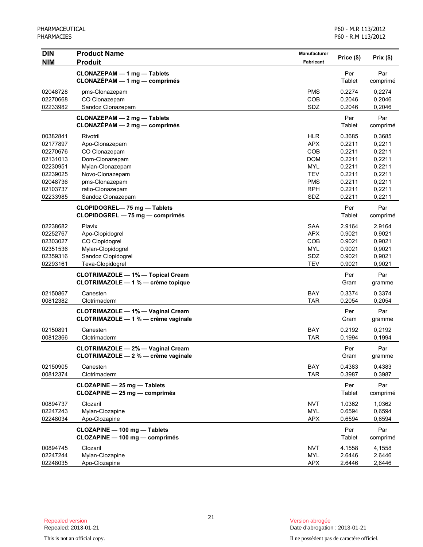| <b>DIN</b>                                                           | <b>Product Name</b>                                                                                        | Manufacturer                                                              | Price (\$)                                               | Prix(\$)                                                 |
|----------------------------------------------------------------------|------------------------------------------------------------------------------------------------------------|---------------------------------------------------------------------------|----------------------------------------------------------|----------------------------------------------------------|
| <b>NIM</b>                                                           | <b>Produit</b>                                                                                             | <b>Fabricant</b>                                                          |                                                          |                                                          |
|                                                                      | CLONAZEPAM - 1 mg - Tablets<br>$CLONAZÉPAM - 1 mg - comprimés$                                             |                                                                           | Per<br>Tablet                                            | Par<br>comprimé                                          |
| 02048728<br>02270668<br>02233982                                     | pms-Clonazepam<br>CO Clonazepam<br>Sandoz Clonazepam                                                       | <b>PMS</b><br><b>COB</b><br>SDZ                                           | 0.2274<br>0.2046<br>0.2046                               | 0,2274<br>0,2046<br>0,2046                               |
|                                                                      | CLONAZEPAM - 2 mg - Tablets<br>CLONAZÉPAM - 2 mg - comprimés                                               |                                                                           | Per<br>Tablet                                            | Par<br>comprimé                                          |
| 00382841<br>02177897<br>02270676<br>02131013<br>02230951<br>02239025 | Rivotril<br>Apo-Clonazepam<br>CO Clonazepam<br>Dom-Clonazepam<br>Mylan-Clonazepam<br>Novo-Clonazepam       | <b>HLR</b><br><b>APX</b><br>COB<br><b>DOM</b><br><b>MYL</b><br><b>TEV</b> | 0.3685<br>0.2211<br>0.2211<br>0.2211<br>0.2211<br>0.2211 | 0,3685<br>0,2211<br>0,2211<br>0,2211<br>0,2211<br>0,2211 |
| 02048736<br>02103737<br>02233985                                     | pms-Clonazepam<br>ratio-Clonazepam<br>Sandoz Clonazepam                                                    | <b>PMS</b><br><b>RPH</b><br>SDZ                                           | 0.2211<br>0.2211<br>0.2211                               | 0,2211<br>0,2211<br>0,2211                               |
|                                                                      | CLOPIDOGREL-75 mg - Tablets<br>CLOPIDOGREL - 75 mg - comprimés                                             |                                                                           | Per<br>Tablet                                            | Par<br>comprimé                                          |
| 02238682<br>02252767<br>02303027<br>02351536<br>02359316<br>02293161 | Plavix<br>Apo-Clopidogrel<br>CO Clopidogrel<br>Mylan-Clopidogrel<br>Sandoz Clopidogrel<br>Teva-Clopidogrel | <b>SAA</b><br><b>APX</b><br>COB<br><b>MYL</b><br>SDZ<br><b>TEV</b>        | 2.9164<br>0.9021<br>0.9021<br>0.9021<br>0.9021<br>0.9021 | 2,9164<br>0,9021<br>0,9021<br>0,9021<br>0,9021<br>0,9021 |
|                                                                      | <b>CLOTRIMAZOLE - 1% - Topical Cream</b><br>CLOTRIMAZOLE - 1 % - crème topique                             |                                                                           | Per<br>Gram                                              | Par<br>gramme                                            |
| 02150867<br>00812382                                                 | Canesten<br>Clotrimaderm                                                                                   | BAY<br><b>TAR</b>                                                         | 0.3374<br>0.2054                                         | 0,3374<br>0,2054                                         |
|                                                                      | <b>CLOTRIMAZOLE - 1% - Vaginal Cream</b><br>CLOTRIMAZOLE - 1 % - crème vaginale                            |                                                                           | Per<br>Gram                                              | Par<br>gramme                                            |
| 02150891<br>00812366                                                 | Canesten<br>Clotrimaderm                                                                                   | <b>BAY</b><br><b>TAR</b>                                                  | 0.2192<br>0.1994                                         | 0,2192<br>0,1994                                         |
|                                                                      | <b>CLOTRIMAZOLE - 2% - Vaginal Cream</b><br>CLOTRIMAZOLE - 2 % - crème vaginale                            |                                                                           | Per<br>Gram                                              | Par<br>gramme                                            |
| 02150905<br>00812374                                                 | Canesten<br>Clotrimaderm                                                                                   | BAY<br><b>TAR</b>                                                         | 0.4383<br>0.3987                                         | 0,4383<br>0,3987                                         |
|                                                                      | CLOZAPINE - 25 mg - Tablets<br>CLOZAPINE - 25 mg - comprimés                                               |                                                                           | Per<br>Tablet                                            | Par<br>comprimé                                          |
| 00894737<br>02247243<br>02248034                                     | Clozaril<br>Mylan-Clozapine<br>Apo-Clozapine                                                               | <b>NVT</b><br><b>MYL</b><br><b>APX</b>                                    | 1.0362<br>0.6594<br>0.6594                               | 1,0362<br>0,6594<br>0,6594                               |
|                                                                      | CLOZAPINE - 100 mg - Tablets<br>CLOZAPINE - 100 mg - comprimés                                             |                                                                           | Per<br>Tablet                                            | Par<br>comprimé                                          |
| 00894745<br>02247244<br>02248035                                     | Clozaril<br>Mylan-Clozapine<br>Apo-Clozapine                                                               | <b>NVT</b><br><b>MYL</b><br><b>APX</b>                                    | 4.1558<br>2.6446<br>2.6446                               | 4,1558<br>2,6446<br>2,6446                               |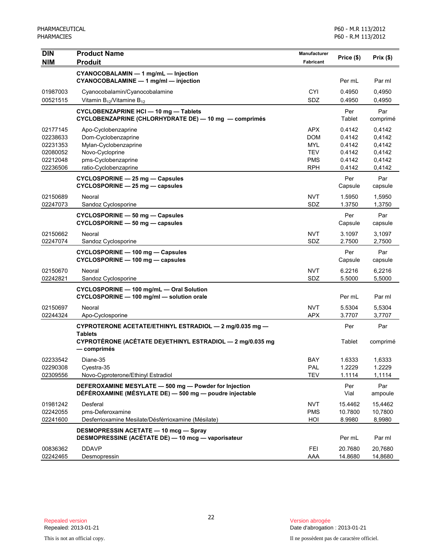| DIN                  | <b>Product Name</b>                                                                                              | <b>Manufacturer</b>      | Price (\$)       | Prix(\$)         |
|----------------------|------------------------------------------------------------------------------------------------------------------|--------------------------|------------------|------------------|
| <b>NIM</b>           | <b>Produit</b>                                                                                                   | Fabricant                |                  |                  |
|                      | CYANOCOBALAMIN - 1 mg/mL - Injection<br>CYANOCOBALAMINE - 1 mg/ml - injection                                    |                          | Per mL           | Par ml           |
| 01987003             | Cyanocobalamin/Cyanocobalamine                                                                                   | <b>CYI</b>               | 0.4950           | 0,4950           |
| 00521515             | Vitamin $B_{12}$ /Vitamine $B_{12}$                                                                              | <b>SDZ</b>               | 0.4950           | 0,4950           |
|                      | CYCLOBENZAPRINE HCI - 10 mg - Tablets<br>CYCLOBENZAPRINE (CHLORHYDRATE DE) - 10 mg - comprimés                   |                          | Per<br>Tablet    | Par<br>comprimé  |
| 02177145             | Apo-Cyclobenzaprine                                                                                              | <b>APX</b>               | 0.4142           | 0,4142           |
| 02238633             | Dom-Cyclobenzaprine                                                                                              | <b>DOM</b>               | 0.4142           | 0,4142           |
| 02231353             | Mylan-Cyclobenzaprine                                                                                            | <b>MYL</b>               | 0.4142           | 0,4142           |
| 02080052<br>02212048 | Novo-Cycloprine<br>pms-Cyclobenzaprine                                                                           | <b>TEV</b><br><b>PMS</b> | 0.4142<br>0.4142 | 0,4142<br>0,4142 |
| 02236506             | ratio-Cyclobenzaprine                                                                                            | <b>RPH</b>               | 0.4142           | 0,4142           |
|                      | CYCLOSPORINE - 25 mg - Capsules                                                                                  |                          | Per              | Par              |
|                      | CYCLOSPORINE - 25 mg - capsules                                                                                  |                          | Capsule          | capsule          |
| 02150689             | Neoral                                                                                                           | <b>NVT</b>               | 1.5950           | 1,5950           |
| 02247073             | Sandoz Cyclosporine                                                                                              | SDZ                      | 1.3750           | 1,3750           |
|                      | CYCLOSPORINE - 50 mg - Capsules<br>CYCLOSPORINE - 50 mg - capsules                                               |                          | Per<br>Capsule   | Par<br>capsule   |
| 02150662             | Neoral                                                                                                           | <b>NVT</b>               | 3.1097           | 3,1097           |
| 02247074             | Sandoz Cyclosporine                                                                                              | SDZ                      | 2.7500           | 2,7500           |
|                      | CYCLOSPORINE - 100 mg - Capsules<br>CYCLOSPORINE - 100 mg - capsules                                             |                          | Per<br>Capsule   | Par<br>capsule   |
| 02150670             | Neoral                                                                                                           | <b>NVT</b>               | 6.2216           | 6,2216           |
| 02242821             | Sandoz Cyclosporine                                                                                              | SDZ                      | 5.5000           | 5,5000           |
|                      | CYCLOSPORINE - 100 mg/mL - Oral Solution<br>CYCLOSPORINE - 100 mg/ml - solution orale                            |                          | Per mL           | Par ml           |
| 02150697             | Neoral                                                                                                           | <b>NVT</b>               | 5.5304           | 5,5304           |
| 02244324             | Apo-Cyclosporine                                                                                                 | <b>APX</b>               | 3.7707           | 3,7707           |
|                      | CYPROTERONE ACETATE/ETHINYL ESTRADIOL - 2 mg/0.035 mg -<br><b>Tablets</b>                                        |                          | Per              | Par              |
|                      | CYPROTÉRONE (ACÉTATE DE)/ETHINYL ESTRADIOL - 2 mg/0.035 mg<br>— comprimés                                        |                          | Tablet           | comprimé         |
| 02233542             | Diane-35                                                                                                         | BAY                      | 1.6333           | 1,6333           |
| 02290308             | Cyestra-35                                                                                                       | PAL                      | 1.2229           | 1.2229           |
| 02309556             | Novo-Cyproterone/Ethinyl Estradiol                                                                               | <b>TEV</b>               | 1.1114           | 1,1114           |
|                      | DEFEROXAMINE MESYLATE - 500 mg - Powder for Injection<br>DÉFÉROXAMINE (MÉSYLATE DE) - 500 mg - poudre injectable |                          | Per<br>Vial      | Par<br>ampoule   |
| 01981242             | Desferal                                                                                                         | <b>NVT</b>               | 15.4462          | 15,4462          |
| 02242055             | pms-Deferoxamine                                                                                                 | <b>PMS</b>               | 10.7800          | 10,7800          |
| 02241600             | Desferrioxamine Mesilate/Désférrioxamine (Mésilate)                                                              | HOI                      | 8.9980           | 8,9980           |
|                      | <b>DESMOPRESSIN ACETATE - 10 mcg - Spray</b><br>DESMOPRESSINE (ACÉTATE DE) - 10 mcg - vaporisateur               |                          | Per mL           | Par ml           |
| 00836362             | <b>DDAVP</b>                                                                                                     | <b>FEI</b>               | 20.7680          | 20,7680          |
| 02242465             | Desmopressin                                                                                                     | AAA                      | 14.8680          | 14,8680          |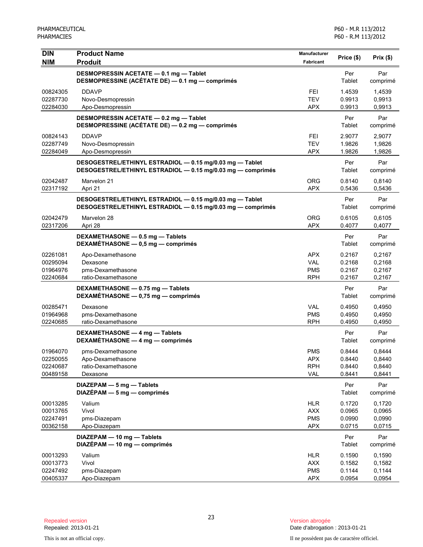| DIN                  | <b>Product Name</b>                                                                                                     | Manufacturer             | Price (\$)       | Prix (\$)        |
|----------------------|-------------------------------------------------------------------------------------------------------------------------|--------------------------|------------------|------------------|
| <b>NIM</b>           | <b>Produit</b>                                                                                                          | Fabricant                |                  |                  |
|                      | DESMOPRESSIN ACETATE - 0.1 mg - Tablet<br>DESMOPRESSINE (ACÉTATE DE) - 0.1 mg - comprimés                               |                          | Per<br>Tablet    | Par<br>comprimé  |
| 00824305             | <b>DDAVP</b>                                                                                                            | <b>FEI</b>               | 1.4539           | 1,4539           |
| 02287730             | Novo-Desmopressin                                                                                                       | <b>TEV</b>               | 0.9913           | 0,9913           |
| 02284030             | Apo-Desmopressin                                                                                                        | <b>APX</b>               | 0.9913           | 0,9913           |
|                      | DESMOPRESSIN ACETATE - 0.2 mg - Tablet<br>DESMOPRESSINE (ACÉTATE DE) - 0.2 mg - comprimés                               |                          | Per<br>Tablet    | Par<br>comprimé  |
| 00824143             | <b>DDAVP</b>                                                                                                            | <b>FEI</b>               | 2.9077           | 2,9077           |
| 02287749             | Novo-Desmopressin                                                                                                       | <b>TEV</b>               | 1.9826           | 1,9826           |
| 02284049             | Apo-Desmopressin                                                                                                        | <b>APX</b>               | 1.9826           | 1,9826           |
|                      | DESOGESTREL/ETHINYL ESTRADIOL - 0.15 mg/0.03 mg - Tablet<br>DESOGESTREL/ETHINYL ESTRADIOL - 0.15 mg/0.03 mg - comprimés |                          | Per<br>Tablet    | Par<br>comprimé  |
| 02042487<br>02317192 | Marvelon 21<br>Apri 21                                                                                                  | <b>ORG</b><br><b>APX</b> | 0.8140<br>0.5436 | 0,8140<br>0,5436 |
|                      |                                                                                                                         |                          |                  |                  |
|                      | DESOGESTREL/ETHINYL ESTRADIOL - 0.15 mg/0.03 mg - Tablet<br>DESOGESTREL/ETHINYL ESTRADIOL - 0.15 mg/0.03 mg - comprimés |                          | Per<br>Tablet    | Par<br>comprimé  |
| 02042479             | Marvelon 28                                                                                                             | <b>ORG</b>               | 0.6105           | 0,6105           |
| 02317206             | Apri 28                                                                                                                 | <b>APX</b>               | 0.4077           | 0,4077           |
|                      | DEXAMETHASONE - 0.5 mg - Tablets<br>DEXAMÉTHASONE - 0,5 mg - comprimés                                                  |                          | Per<br>Tablet    | Par<br>comprimé  |
| 02261081             | Apo-Dexamethasone                                                                                                       | <b>APX</b>               | 0.2167           | 0,2167           |
| 00295094             | Dexasone                                                                                                                | <b>VAL</b>               | 0.2168           | 0,2168           |
| 01964976             | pms-Dexamethasone                                                                                                       | <b>PMS</b>               | 0.2167           | 0,2167           |
| 02240684             | ratio-Dexamethasone                                                                                                     | <b>RPH</b>               | 0.2167           | 0,2167           |
|                      | DEXAMETHASONE - 0.75 mg - Tablets<br>DEXAMÉTHASONE - 0,75 mg - comprimés                                                |                          | Per<br>Tablet    | Par<br>comprimé  |
| 00285471             | Dexasone                                                                                                                | <b>VAL</b>               | 0.4950           | 0,4950           |
| 01964968             | pms-Dexamethasone                                                                                                       | <b>PMS</b>               | 0.4950           | 0,4950           |
| 02240685             | ratio-Dexamethasone                                                                                                     | <b>RPH</b>               | 0.4950           | 0,4950           |
|                      | DEXAMETHASONE - 4 mg - Tablets<br>DEXAMÉTHASONE - 4 mg - comprimés                                                      |                          | Per<br>Tablet    | Par<br>comprimé  |
| 01964070             | pms-Dexamethasone                                                                                                       | <b>PMS</b>               | 0.8444           | 0,8444           |
| 02250055             | Apo-Dexamethasone                                                                                                       | <b>APX</b>               | 0.8440           | 0,8440           |
| 02240687             | ratio-Dexamethasone                                                                                                     | <b>RPH</b>               | 0.8440           | 0,8440           |
| 00489158             | Dexasone                                                                                                                | <b>VAL</b>               | 0.8441           | 0,8441           |
|                      | DIAZEPAM - 5 mg - Tablets<br>$DIAZÉPAM - 5 mg - comprimés$                                                              |                          | Per<br>Tablet    | Par<br>comprimé  |
| 00013285             | Valium                                                                                                                  | <b>HLR</b>               | 0.1720           | 0,1720           |
| 00013765             | Vivol                                                                                                                   | <b>AXX</b>               | 0.0965           | 0,0965           |
| 02247491             | pms-Diazepam                                                                                                            | <b>PMS</b>               | 0.0990           | 0,0990           |
| 00362158             | Apo-Diazepam                                                                                                            | <b>APX</b>               | 0.0715           | 0,0715           |
|                      | DIAZEPAM - 10 mg - Tablets<br>DIAZÉPAM - 10 mg - comprimés                                                              |                          | Per<br>Tablet    | Par<br>comprimé  |
| 00013293             | Valium                                                                                                                  | <b>HLR</b>               | 0.1590           | 0,1590           |
| 00013773             | Vivol                                                                                                                   | <b>AXX</b>               | 0.1582           | 0,1582           |
| 02247492<br>00405337 | pms-Diazepam<br>Apo-Diazepam                                                                                            | <b>PMS</b><br><b>APX</b> | 0.1144<br>0.0954 | 0,1144<br>0,0954 |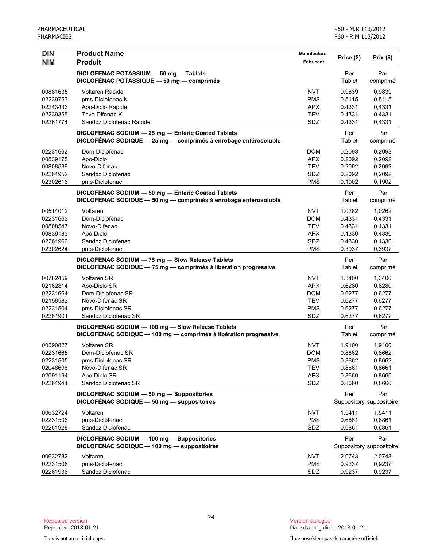| <b>DIN</b> | <b>Product Name</b>                                                                                                   | Manufacturer      |               |                          |
|------------|-----------------------------------------------------------------------------------------------------------------------|-------------------|---------------|--------------------------|
| <b>NIM</b> | <b>Produit</b>                                                                                                        | Fabricant         | Price (\$)    | Prix(\$)                 |
|            | DICLOFENAC POTASSIUM - 50 mg - Tablets                                                                                |                   | Per           | Par                      |
|            | DICLOFÉNAC POTASSIQUE - 50 mg - comprimés                                                                             |                   | Tablet        | comprimé                 |
| 00881635   | <b>Voltaren Rapide</b>                                                                                                | <b>NVT</b>        | 0.9839        | 0,9839                   |
| 02239753   | pms-Diclofenac-K                                                                                                      | <b>PMS</b>        | 0.5115        | 0,5115                   |
| 02243433   | Apo-Diclo Rapide                                                                                                      | <b>APX</b>        | 0.4331        | 0,4331                   |
| 02239355   | Teva-Difenac-K                                                                                                        | <b>TEV</b><br>SDZ | 0.4331        | 0,4331                   |
| 02261774   | Sandoz Diclofenac Rapide                                                                                              |                   | 0.4331        | 0,4331                   |
|            | DICLOFENAC SODIUM - 25 mg - Enteric Coated Tablets<br>DICLOFÉNAC SODIQUE - 25 mg - comprimés à enrobage entérosoluble |                   | Per<br>Tablet | Par<br>comprimé          |
| 02231662   | Dom-Diclofenac                                                                                                        | <b>DOM</b>        | 0.2093        | 0,2093                   |
| 00839175   | Apo-Diclo                                                                                                             | <b>APX</b>        | 0.2092        | 0,2092                   |
| 00808539   | Novo-Difenac                                                                                                          | <b>TEV</b>        | 0.2092        | 0,2092                   |
| 02261952   | Sandoz Diclofenac                                                                                                     | SDZ               | 0.2092        | 0,2092                   |
| 02302616   | pms-Diclofenac                                                                                                        | <b>PMS</b>        | 0.1902        | 0,1902                   |
|            | DICLOFENAC SODIUM - 50 mg - Enteric Coated Tablets                                                                    |                   | Per           | Par                      |
|            | DICLOFÉNAC SODIQUE - 50 mg - comprimés à enrobage entérosoluble                                                       |                   | Tablet        | comprimé                 |
| 00514012   | Voltaren                                                                                                              | <b>NVT</b>        | 1.0262        | 1,0262                   |
| 02231663   | Dom-Diclofenac                                                                                                        | <b>DOM</b>        | 0.4331        | 0,4331                   |
| 00808547   | Novo-Difenac                                                                                                          | <b>TEV</b>        | 0.4331        | 0,4331                   |
| 00839183   | Apo-Diclo                                                                                                             | <b>APX</b>        | 0.4330        | 0,4330                   |
| 02261960   | Sandoz Diclofenac                                                                                                     | <b>SDZ</b>        | 0.4330        | 0,4330                   |
| 02302624   | pms-Diclofenac                                                                                                        | <b>PMS</b>        | 0.3937        | 0,3937                   |
|            | DICLOFENAC SODIUM - 75 mg - Slow Release Tablets                                                                      |                   | Per           | Par                      |
|            | DICLOFÉNAC SODIQUE - 75 mg - comprimés à libération progressive                                                       |                   | Tablet        | comprimé                 |
| 00782459   | <b>Voltaren SR</b>                                                                                                    | <b>NVT</b>        | 1.3400        | 1,3400                   |
| 02162814   | Apo-Diclo SR                                                                                                          | <b>APX</b>        | 0.6280        | 0,6280                   |
| 02231664   | Dom-Diclofenac SR                                                                                                     | <b>DOM</b>        | 0.6277        | 0,6277                   |
| 02158582   | Novo-Difenac SR                                                                                                       | <b>TEV</b>        | 0.6277        | 0,6277                   |
| 02231504   | pms-Diclofenac SR                                                                                                     | <b>PMS</b>        | 0.6277        | 0,6277                   |
| 02261901   | Sandoz Diclofenac SR                                                                                                  | SDZ               | 0.6277        | 0,6277                   |
|            | DICLOFENAC SODIUM - 100 mg - Slow Release Tablets                                                                     |                   | Per           | Par                      |
|            | DICLOFÉNAC SODIQUE - 100 mg - comprimés à libération progressive                                                      |                   | Tablet        | comprimé                 |
| 00590827   | Voltaren SR                                                                                                           | <b>NVT</b>        | 1.9100        | 1,9100                   |
| 02231665   | Dom-Diclofenac SR                                                                                                     | <b>DOM</b>        | 0.8662        | 0,8662                   |
| 02231505   | pms-Diclofenac SR                                                                                                     | PMS               | 0.8662        | 0,8662                   |
| 02048698   | Novo-Difenac SR                                                                                                       | <b>TEV</b>        | 0.8661        | 0,8661                   |
| 02091194   | Apo-Diclo SR                                                                                                          | <b>APX</b>        | 0.8660        | 0,8660                   |
| 02261944   | Sandoz Diclofenac SR                                                                                                  | SDZ               | 0.8660        | 0,8660                   |
|            | DICLOFENAC SODIUM - 50 mg - Suppositories                                                                             |                   | Per           | Par                      |
|            | DICLOFÉNAC SODIQUE - 50 mg - suppositoires                                                                            |                   |               | Suppository suppositoire |
| 00632724   | Voltaren                                                                                                              | <b>NVT</b>        | 1.5411        | 1,5411                   |
| 02231506   | pms-Diclofenac                                                                                                        | <b>PMS</b>        | 0.6861        | 0,6861                   |
| 02261928   | Sandoz Diclofenac                                                                                                     | SDZ               | 0.6861        | 0,6861                   |
|            | DICLOFENAC SODIUM - 100 mg - Suppositories                                                                            |                   | Per           | Par                      |
|            | DICLOFÉNAC SODIQUE - 100 mg - suppositoires                                                                           |                   |               | Suppository suppositoire |
| 00632732   | Voltaren                                                                                                              | <b>NVT</b>        | 2.0743        | 2,0743                   |
| 02231508   | pms-Diclofenac                                                                                                        | <b>PMS</b>        | 0.9237        | 0,9237                   |
| 02261936   | Sandoz Diclofenac                                                                                                     | SDZ               | 0.9237        | 0,9237                   |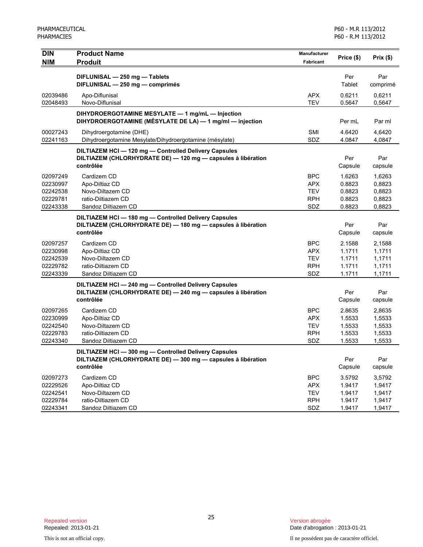| <b>DIN</b>                                               | <b>Product Name</b>                                                                                                                | Manufacturer                                                | Price (\$)                                     | Prix(\$)                                       |
|----------------------------------------------------------|------------------------------------------------------------------------------------------------------------------------------------|-------------------------------------------------------------|------------------------------------------------|------------------------------------------------|
| <b>NIM</b>                                               | <b>Produit</b>                                                                                                                     | <b>Fabricant</b>                                            |                                                |                                                |
|                                                          | DIFLUNISAL - 250 mg - Tablets<br>DIFLUNISAL - 250 mg - comprimés                                                                   |                                                             | Per<br>Tablet                                  | Par<br>comprimé                                |
| 02039486<br>02048493                                     | Apo-Diflunisal<br>Novo-Diflunisal                                                                                                  | <b>APX</b><br><b>TEV</b>                                    | 0.6211<br>0.5647                               | 0,6211<br>0,5647                               |
|                                                          | DIHYDROERGOTAMINE MESYLATE - 1 mg/mL - Injection<br>DIHYDROERGOTAMINE (MÉSYLATE DE LA) — 1 mg/ml — injection                       |                                                             | Per mL                                         | Par ml                                         |
| 00027243<br>02241163                                     | Dihydroergotamine (DHE)<br>Dihydroergotamine Mesylate/Dihydroergotamine (mésylate)                                                 | <b>SMI</b><br>SDZ                                           | 4.6420<br>4.0847                               | 4,6420<br>4,0847                               |
|                                                          | DILTIAZEM HCI - 120 mg - Controlled Delivery Capsules<br>DILTIAZEM (CHLORHYDRATE DE) - 120 mg - capsules à libération<br>contrôlée |                                                             | Per<br>Capsule                                 | Par<br>capsule                                 |
| 02097249<br>02230997<br>02242538<br>02229781<br>02243338 | Cardizem CD<br>Apo-Diltiaz CD<br>Novo-Diltazem CD<br>ratio-Diltiazem CD<br>Sandoz Diltiazem CD                                     | <b>BPC</b><br><b>APX</b><br><b>TEV</b><br><b>RPH</b><br>SDZ | 1.6263<br>0.8823<br>0.8823<br>0.8823<br>0.8823 | 1,6263<br>0,8823<br>0,8823<br>0,8823<br>0,8823 |
|                                                          | DILTIAZEM HCI-180 mg-Controlled Delivery Capsules<br>DILTIAZEM (CHLORHYDRATE DE) - 180 mg - capsules à libération<br>contrôlée     |                                                             | Per<br>Capsule                                 | Par<br>capsule                                 |
| 02097257<br>02230998<br>02242539<br>02229782<br>02243339 | Cardizem CD<br>Apo-Diltiaz CD<br>Novo-Diltazem CD<br>ratio-Diltiazem CD<br>Sandoz Diltiazem CD                                     | <b>BPC</b><br><b>APX</b><br><b>TEV</b><br><b>RPH</b><br>SDZ | 2.1588<br>1.1711<br>1.1711<br>1.1711<br>1.1711 | 2,1588<br>1,1711<br>1,1711<br>1,1711<br>1,1711 |
|                                                          | DILTIAZEM HCI-240 mg-Controlled Delivery Capsules<br>DILTIAZEM (CHLORHYDRATE DE) - 240 mg - capsules à libération<br>contrôlée     |                                                             | Per<br>Capsule                                 | Par<br>capsule                                 |
| 02097265<br>02230999<br>02242540<br>02229783<br>02243340 | Cardizem CD<br>Apo-Diltiaz CD<br>Novo-Diltazem CD<br>ratio-Diltiazem CD<br>Sandoz Diltiazem CD                                     | <b>BPC</b><br><b>APX</b><br><b>TEV</b><br><b>RPH</b><br>SDZ | 2.8635<br>1.5533<br>1.5533<br>1.5533<br>1.5533 | 2,8635<br>1,5533<br>1,5533<br>1,5533<br>1,5533 |
|                                                          | DILTIAZEM HCI-300 mg-Controlled Delivery Capsules<br>DILTIAZEM (CHLORHYDRATE DE) - 300 mg - capsules à libération<br>contrôlée     |                                                             | Per<br>Capsule                                 | Par<br>capsule                                 |
| 02097273<br>02229526<br>02242541<br>02229784<br>02243341 | Cardizem CD<br>Apo-Diltiaz CD<br>Novo-Diltazem CD<br>ratio-Diltiazem CD<br>Sandoz Diltiazem CD                                     | <b>BPC</b><br><b>APX</b><br><b>TEV</b><br><b>RPH</b><br>SDZ | 3.5792<br>1.9417<br>1.9417<br>1.9417<br>1.9417 | 3,5792<br>1,9417<br>1,9417<br>1,9417<br>1,9417 |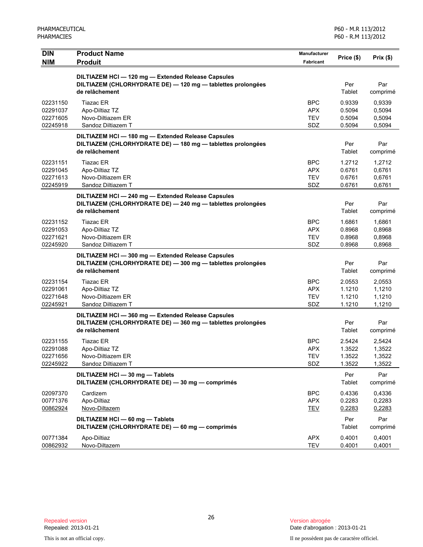| <b>DIN</b>                                   | <b>Product Name</b>                                                                                                             | Manufacturer                                  | Price (\$)                           | Prix(\$)                             |
|----------------------------------------------|---------------------------------------------------------------------------------------------------------------------------------|-----------------------------------------------|--------------------------------------|--------------------------------------|
| <b>NIM</b>                                   | <b>Produit</b>                                                                                                                  | <b>Fabricant</b>                              |                                      |                                      |
|                                              | DILTIAZEM HCI-120 mg-Extended Release Capsules<br>DILTIAZEM (CHLORHYDRATE DE) - 120 mg - tablettes prolongées<br>de relâchement |                                               | Per<br>Tablet                        | Par<br>comprimé                      |
| 02231150<br>02291037<br>02271605<br>02245918 | <b>Tiazac ER</b><br>Apo-Diltiaz TZ<br>Novo-Diltiazem ER<br>Sandoz Diltiazem T                                                   | <b>BPC</b><br><b>APX</b><br><b>TEV</b><br>SDZ | 0.9339<br>0.5094<br>0.5094<br>0.5094 | 0,9339<br>0,5094<br>0,5094<br>0,5094 |
|                                              | DILTIAZEM HCI-180 mg-Extended Release Capsules<br>DILTIAZEM (CHLORHYDRATE DE) - 180 mg - tablettes prolongées<br>de relâchement |                                               | Per<br>Tablet                        | Par<br>comprimé                      |
| 02231151<br>02291045<br>02271613<br>02245919 | <b>Tiazac ER</b><br>Apo-Diltiaz TZ<br>Novo-Diltiazem ER<br>Sandoz Diltiazem T                                                   | <b>BPC</b><br><b>APX</b><br><b>TEV</b><br>SDZ | 1.2712<br>0.6761<br>0.6761<br>0.6761 | 1,2712<br>0,6761<br>0,6761<br>0,6761 |
|                                              | DILTIAZEM HCI-240 mg-Extended Release Capsules<br>DILTIAZEM (CHLORHYDRATE DE) - 240 mg - tablettes prolongées<br>de relâchement |                                               | Per<br>Tablet                        | Par<br>comprimé                      |
| 02231152<br>02291053<br>02271621<br>02245920 | <b>Tiazac ER</b><br>Apo-Diltiaz TZ<br>Novo-Diltiazem ER<br>Sandoz Diltiazem T                                                   | <b>BPC</b><br><b>APX</b><br><b>TEV</b><br>SDZ | 1.6861<br>0.8968<br>0.8968<br>0.8968 | 1,6861<br>0,8968<br>0,8968<br>0,8968 |
|                                              | DILTIAZEM HCI-300 mg-Extended Release Capsules<br>DILTIAZEM (CHLORHYDRATE DE) - 300 mg - tablettes prolongées<br>de relâchement |                                               | Per<br>Tablet                        | Par<br>comprimé                      |
| 02231154<br>02291061<br>02271648<br>02245921 | <b>Tiazac ER</b><br>Apo-Diltiaz TZ<br>Novo-Diltiazem ER<br>Sandoz Diltiazem T                                                   | <b>BPC</b><br><b>APX</b><br><b>TEV</b><br>SDZ | 2.0553<br>1.1210<br>1.1210<br>1.1210 | 2,0553<br>1,1210<br>1,1210<br>1,1210 |
|                                              | DILTIAZEM HCI-360 mg-Extended Release Capsules<br>DILTIAZEM (CHLORHYDRATE DE) - 360 mg - tablettes prolongées<br>de relâchement |                                               | Per<br>Tablet                        | Par<br>comprimé                      |
| 02231155<br>02291088<br>02271656<br>02245922 | Tiazac ER<br>Apo-Diltiaz TZ<br>Novo-Diltiazem ER<br>Sandoz Diltiazem T                                                          | <b>BPC</b><br><b>APX</b><br><b>TEV</b><br>SDZ | 2.5424<br>1.3522<br>1.3522<br>1.3522 | 2,5424<br>1,3522<br>1,3522<br>1,3522 |
|                                              | DILTIAZEM HCI - 30 mg - Tablets<br>DILTIAZEM (CHLORHYDRATE DE) - 30 mg - comprimés                                              |                                               | Per<br>Tablet                        | Par<br>comprimé                      |
| 02097370<br>00771376<br>00862924             | Cardizem<br>Apo-Diltiaz<br>Novo-Diltazem                                                                                        | <b>BPC</b><br><b>APX</b><br><b>TEV</b>        | 0.4336<br>0.2283<br>0.2283           | 0,4336<br>0,2283<br>0,2283           |
|                                              | DILTIAZEM HCI - 60 mg - Tablets<br>DILTIAZEM (CHLORHYDRATE DE) - 60 mg - comprimés                                              |                                               | Per<br>Tablet                        | Par<br>comprimé                      |
| 00771384<br>00862932                         | Apo-Diltiaz<br>Novo-Diltazem                                                                                                    | <b>APX</b><br><b>TEV</b>                      | 0.4001<br>0.4001                     | 0,4001<br>0,4001                     |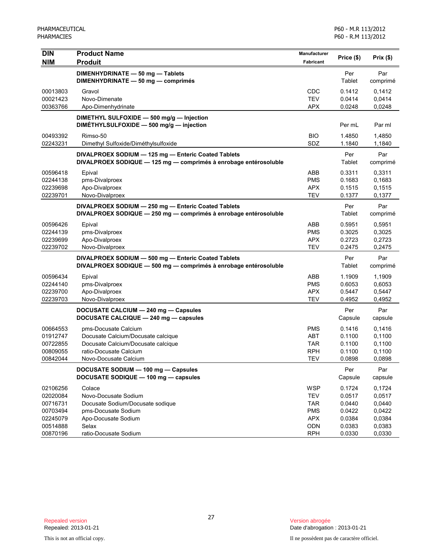| DIN                  | <b>Product Name</b>                                                                                                     | <b>Manufacturer</b> | Price (\$)       | Prix(\$)         |
|----------------------|-------------------------------------------------------------------------------------------------------------------------|---------------------|------------------|------------------|
| <b>NIM</b>           | <b>Produit</b>                                                                                                          | Fabricant           |                  |                  |
|                      | DIMENHYDRINATE - 50 mg - Tablets<br>DIMENHYDRINATE - 50 mg - comprimés                                                  |                     | Per<br>Tablet    | Par<br>comprimé  |
| 00013803             | Gravol                                                                                                                  | <b>CDC</b>          | 0.1412           | 0,1412           |
| 00021423             | Novo-Dimenate                                                                                                           | <b>TEV</b>          | 0.0414           | 0,0414           |
| 00363766             | Apo-Dimenhydrinate                                                                                                      | <b>APX</b>          | 0.0248           | 0,0248           |
|                      | DIMETHYL SULFOXIDE - 500 mg/g - Injection<br>DIMÉTHYLSULFOXIDE - 500 mg/g - injection                                   |                     | Per mL           | Par ml           |
| 00493392             | Rimso-50                                                                                                                | <b>BIO</b>          | 1.4850           | 1.4850           |
| 02243231             | Dimethyl Sulfoxide/Diméthylsulfoxide                                                                                    | SDZ                 | 1.1840           | 1,1840           |
|                      | DIVALPROEX SODIUM - 125 mg - Enteric Coated Tablets<br>DIVALPROEX SODIQUE - 125 mg - comprimés à enrobage entérosoluble |                     | Per<br>Tablet    | Par<br>comprimé  |
| 00596418             | Epival                                                                                                                  | <b>ABB</b>          | 0.3311           | 0,3311           |
| 02244138             | pms-Divalproex                                                                                                          | <b>PMS</b>          | 0.1683           | 0,1683           |
| 02239698             | Apo-Divalproex                                                                                                          | <b>APX</b>          | 0.1515           | 0,1515           |
| 02239701             | Novo-Divalproex                                                                                                         | <b>TEV</b>          | 0.1377           | 0,1377           |
|                      | DIVALPROEX SODIUM - 250 mg - Enteric Coated Tablets<br>DIVALPROEX SODIQUE - 250 mg - comprimés à enrobage entérosoluble |                     | Per<br>Tablet    | Par<br>comprimé  |
| 00596426             | Epival                                                                                                                  | ABB                 | 0.5951           | 0.5951           |
| 02244139             | pms-Divalproex                                                                                                          | <b>PMS</b>          | 0.3025           | 0,3025           |
| 02239699             | Apo-Divalproex                                                                                                          | <b>APX</b>          | 0.2723           | 0,2723           |
| 02239702             | Novo-Divalproex                                                                                                         | <b>TEV</b>          | 0.2475           | 0,2475           |
|                      | DIVALPROEX SODIUM - 500 mg - Enteric Coated Tablets<br>DIVALPROEX SODIQUE - 500 mg - comprimés à enrobage entérosoluble |                     | Per<br>Tablet    | Par<br>comprimé  |
| 00596434             | Epival                                                                                                                  | ABB                 | 1.1909           | 1,1909           |
| 02244140             | pms-Divalproex                                                                                                          | <b>PMS</b>          | 0.6053           | 0,6053           |
| 02239700             | Apo-Divalproex                                                                                                          | <b>APX</b>          | 0.5447           | 0,5447           |
| 02239703             | Novo-Divalproex                                                                                                         | <b>TEV</b>          | 0.4952           | 0,4952           |
|                      | DOCUSATE CALCIUM - 240 mg - Capsules<br>DOCUSATE CALCIQUE - 240 mg - capsules                                           |                     | Per<br>Capsule   | Par<br>capsule   |
| 00664553             | pms-Docusate Calcium                                                                                                    | <b>PMS</b>          | 0.1416           | 0,1416           |
| 01912747             | Docusate Calcium/Docusate calcique                                                                                      | <b>ABT</b>          | 0.1100           | 0,1100           |
| 00722855             | Docusate Calcium/Docusate calcique                                                                                      | <b>TAR</b>          | 0.1100           | 0,1100           |
| 00809055             | ratio-Docusate Calcium                                                                                                  | <b>RPH</b>          | 0.1100           | 0,1100           |
| 00842044             | Novo-Docusate Calcium                                                                                                   | TEV                 | 0.0898           | 0,0898           |
|                      | DOCUSATE SODIUM - 100 mg - Capsules<br>DOCUSATE SODIQUE - 100 mg - capsules                                             |                     | Per<br>Capsule   | Par<br>capsule   |
| 02106256             | Colace                                                                                                                  | WSP                 | 0.1724           | 0,1724           |
| 02020084             | Novo-Docusate Sodium                                                                                                    | <b>TEV</b>          | 0.0517           | 0,0517           |
| 00716731             | Docusate Sodium/Docusate sodique                                                                                        | <b>TAR</b>          | 0.0440           | 0,0440           |
| 00703494             | pms-Docusate Sodium                                                                                                     | <b>PMS</b>          | 0.0422           | 0,0422           |
| 02245079             | Apo-Docusate Sodium<br>Selax                                                                                            | <b>APX</b>          | 0.0384           | 0,0384           |
| 00514888<br>00870196 | ratio-Docusate Sodium                                                                                                   | ODN<br><b>RPH</b>   | 0.0383<br>0.0330 | 0,0383<br>0,0330 |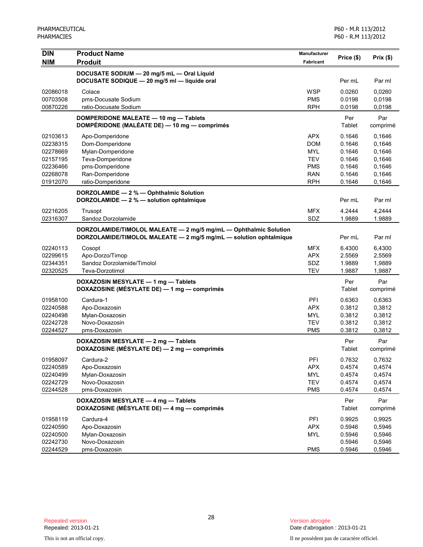| <b>DIN</b> | <b>Product Name</b>                                               | Manufacturer     |            |          |
|------------|-------------------------------------------------------------------|------------------|------------|----------|
| <b>NIM</b> | <b>Produit</b>                                                    | <b>Fabricant</b> | Price (\$) | Prix(\$) |
|            | DOCUSATE SODIUM - 20 mg/5 mL - Oral Liquid                        |                  |            |          |
|            | DOCUSATE SODIQUE - 20 mg/5 ml - liquide oral                      |                  | Per mL     | Par ml   |
| 02086018   | Colace                                                            | <b>WSP</b>       | 0.0260     | 0,0260   |
| 00703508   | pms-Docusate Sodium                                               | <b>PMS</b>       | 0.0198     | 0,0198   |
| 00870226   | ratio-Docusate Sodium                                             | <b>RPH</b>       | 0.0198     | 0,0198   |
|            | DOMPERIDONE MALEATE - 10 mg - Tablets                             |                  | Per        | Par      |
|            | DOMPÉRIDONE (MALÉATE DE) - 10 mg - comprimés                      |                  | Tablet     | comprimé |
| 02103613   | Apo-Domperidone                                                   | <b>APX</b>       | 0.1646     | 0,1646   |
| 02238315   | Dom-Domperidone                                                   | <b>DOM</b>       | 0.1646     | 0,1646   |
| 02278669   | Mylan-Domperidone                                                 | <b>MYL</b>       | 0.1646     | 0,1646   |
| 02157195   | Teva-Domperidone                                                  | <b>TEV</b>       | 0.1646     | 0,1646   |
| 02236466   | pms-Domperidone                                                   | <b>PMS</b>       | 0.1646     | 0,1646   |
| 02268078   | Ran-Domperidone                                                   | <b>RAN</b>       | 0.1646     | 0,1646   |
| 01912070   | ratio-Domperidone                                                 | <b>RPH</b>       | 0.1646     | 0,1646   |
|            | DORZOLAMIDE - 2 % - Ophthalmic Solution                           |                  |            |          |
|            | DORZOLAMIDE - 2 % - solution ophtalmique                          |                  | Per mL     | Par ml   |
| 02216205   | Trusopt                                                           | <b>MFX</b>       | 4.2444     | 4,2444   |
| 02316307   | Sandoz Dorzolamide                                                | SDZ              | 1.9889     | 1.9889   |
|            | DORZOLAMIDE/TIMOLOL MALEATE - 2 mg/5 mg/mL - Ophthalmic Solution  |                  |            |          |
|            | DORZOLAMIDE/TIMOLOL MALEATE - 2 mg/5 mg/mL - solution ophtalmique |                  | Per mL     | Par ml   |
| 02240113   | Cosopt                                                            | <b>MFX</b>       | 6.4300     | 6,4300   |
| 02299615   | Apo-Dorzo/Timop                                                   | <b>APX</b>       | 2.5569     | 2,5569   |
| 02344351   | Sandoz Dorzolamide/Timolol                                        | SDZ              | 1.9889     | 1,9889   |
| 02320525   | Teva-Dorzotimol                                                   | <b>TEV</b>       | 1.9887     | 1,9887   |
|            | DOXAZOSIN MESYLATE - 1 mg - Tablets                               |                  | Per        | Par      |
|            | DOXAZOSINE (MÉSYLATE DE) - 1 mg - comprimés                       |                  | Tablet     | comprimé |
| 01958100   | Cardura-1                                                         | PFI              | 0.6363     | 0,6363   |
| 02240588   | Apo-Doxazosin                                                     | <b>APX</b>       | 0.3812     | 0,3812   |
| 02240498   | Mylan-Doxazosin                                                   | <b>MYL</b>       | 0.3812     | 0,3812   |
| 02242728   | Novo-Doxazosin                                                    | <b>TEV</b>       | 0.3812     | 0,3812   |
| 02244527   | pms-Doxazosin                                                     | <b>PMS</b>       | 0.3812     | 0,3812   |
|            | DOXAZOSIN MESYLATE - 2 mg - Tablets                               |                  | Per        | Par      |
|            | DOXAZOSINE (MÉSYLATE DE) - 2 mg - comprimés                       |                  | Tablet     | comprimé |
| 01958097   | Cardura-2                                                         | PFI              | 0.7632     | 0,7632   |
| 02240589   | Apo-Doxazosin                                                     | <b>APX</b>       | 0.4574     | 0,4574   |
| 02240499   | Mylan-Doxazosin                                                   | <b>MYL</b>       | 0.4574     | 0,4574   |
| 02242729   | Novo-Doxazosin                                                    | <b>TEV</b>       | 0.4574     | 0,4574   |
| 02244528   | pms-Doxazosin                                                     | <b>PMS</b>       | 0.4574     | 0,4574   |
|            | DOXAZOSIN MESYLATE - 4 mg - Tablets                               |                  | Per        | Par      |
|            | DOXAZOSINE (MÉSYLATE DE) - 4 mg - comprimés                       |                  | Tablet     | comprimé |
| 01958119   | Cardura-4                                                         | PFI              | 0.9925     | 0,9925   |
| 02240590   | Apo-Doxazosin                                                     | <b>APX</b>       | 0.5946     | 0,5946   |
| 02240500   | Mylan-Doxazosin                                                   | <b>MYL</b>       | 0.5946     | 0,5946   |
| 02242730   | Novo-Doxazosin                                                    |                  | 0.5946     | 0,5946   |
| 02244529   | pms-Doxazosin                                                     | <b>PMS</b>       | 0.5946     | 0,5946   |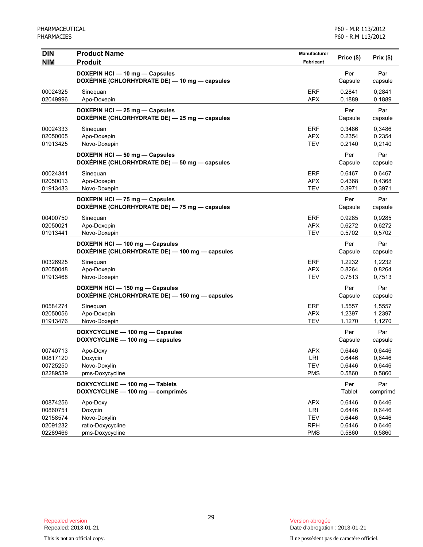| <b>DIN</b> | <b>Product Name</b>                            | Manufacturer |               |           |
|------------|------------------------------------------------|--------------|---------------|-----------|
| <b>NIM</b> | <b>Produit</b>                                 | Fabricant    | Price (\$)    | Prix (\$) |
|            | DOXEPIN HCI - 10 mg - Capsules                 |              | Per           | Par       |
|            | DOXÉPINE (CHLORHYDRATE DE) — 10 mg — capsules  |              | Capsule       | capsule   |
| 00024325   | Sinequan                                       | <b>ERF</b>   | 0.2841        | 0,2841    |
| 02049996   | Apo-Doxepin                                    | <b>APX</b>   | 0.1889        | 0,1889    |
|            | DOXEPIN HCI - 25 mg - Capsules                 |              | Per           | Par       |
|            | DOXÉPINE (CHLORHYDRATE DE) - 25 mg - capsules  |              | Capsule       | capsule   |
| 00024333   | Sineguan                                       | <b>ERF</b>   | 0.3486        | 0,3486    |
| 02050005   | Apo-Doxepin                                    | <b>APX</b>   | 0.2354        | 0,2354    |
| 01913425   | Novo-Doxepin                                   | <b>TEV</b>   | 0.2140        | 0,2140    |
|            | DOXEPIN HCI - 50 mg - Capsules                 |              | Per           | Par       |
|            | DOXÉPINE (CHLORHYDRATE DE) - 50 mg - capsules  |              | Capsule       | capsule   |
| 00024341   | Sinequan                                       | <b>ERF</b>   | 0.6467        | 0,6467    |
| 02050013   | Apo-Doxepin                                    | <b>APX</b>   | 0.4368        | 0,4368    |
| 01913433   | Novo-Doxepin                                   | <b>TEV</b>   | 0.3971        | 0,3971    |
|            | DOXEPIN HCI - 75 mg - Capsules                 |              | Per           | Par       |
|            | DOXÉPINE (CHLORHYDRATE DE) - 75 mg - capsules  |              | Capsule       | capsule   |
| 00400750   | Sinequan                                       | <b>ERF</b>   | 0.9285        | 0,9285    |
| 02050021   | Apo-Doxepin                                    | <b>APX</b>   | 0.6272        | 0,6272    |
| 01913441   | Novo-Doxepin                                   | <b>TEV</b>   | 0.5702        | 0,5702    |
|            | DOXEPIN HCI - 100 mg - Capsules                |              | Per           | Par       |
|            | DOXÉPINE (CHLORHYDRATE DE) — 100 mg — capsules |              | Capsule       | capsule   |
| 00326925   | Sineguan                                       | <b>ERF</b>   | 1.2232        | 1,2232    |
| 02050048   | Apo-Doxepin                                    | <b>APX</b>   | 0.8264        | 0,8264    |
| 01913468   | Novo-Doxepin                                   | <b>TEV</b>   | 0.7513        | 0,7513    |
|            | DOXEPIN HCI - 150 mg - Capsules                |              | Per           | Par       |
|            | DOXÉPINE (CHLORHYDRATE DE) — 150 mg — capsules |              | Capsule       | capsule   |
| 00584274   | Sineguan                                       | <b>ERF</b>   | 1.5557        | 1,5557    |
| 02050056   | Apo-Doxepin                                    | <b>APX</b>   | 1.2397        | 1,2397    |
| 01913476   | Novo-Doxepin                                   | <b>TEV</b>   | 1.1270        | 1,1270    |
|            | DOXYCYCLINE - 100 mg - Capsules                |              | Per           | Par       |
|            | DOXYCYCLINE - 100 mg - capsules                |              | Capsule       | capsule   |
| 00740713   | Apo-Doxy                                       | <b>APX</b>   | 0.6446        | 0,6446    |
| 00817120   | Doxycin                                        | LRI          | 0.6446        | 0,6446    |
| 00725250   | Novo-Doxylin                                   | <b>TEV</b>   | 0.6446        | 0,6446    |
| 02289539   | pms-Doxycycline                                | <b>PMS</b>   | 0.5860        | 0,5860    |
|            | DOXYCYCLINE - 100 mg - Tablets                 |              | Per           | Par       |
|            | DOXYCYCLINE - 100 mg - comprimés               |              | <b>Tablet</b> | comprimé  |
| 00874256   | Apo-Doxy                                       | <b>APX</b>   | 0.6446        | 0,6446    |
| 00860751   | Doxycin                                        | LRI          | 0.6446        | 0,6446    |
| 02158574   | Novo-Doxylin                                   | <b>TEV</b>   | 0.6446        | 0,6446    |
| 02091232   | ratio-Doxycycline                              | <b>RPH</b>   | 0.6446        | 0,6446    |
| 02289466   | pms-Doxycycline                                | <b>PMS</b>   | 0.5860        | 0,5860    |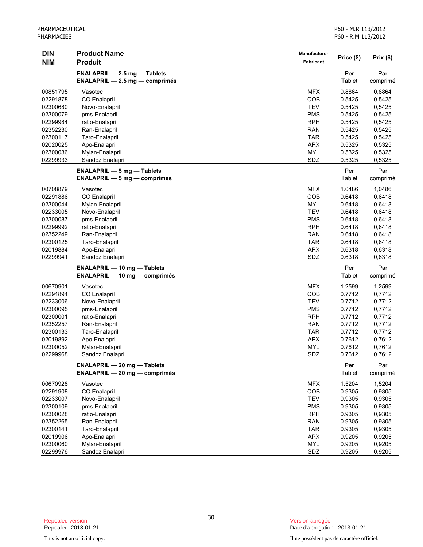P60 - M.R 113/2012 P60 - R.M 113/2012

| <b>DIN</b> | <b>Product Name</b>                  | Manufacturer |            |          |
|------------|--------------------------------------|--------------|------------|----------|
| <b>NIM</b> | <b>Produit</b>                       | Fabricant    | Price (\$) | Prix(\$) |
|            | <b>ENALAPRIL - 2.5 mg - Tablets</b>  |              | Per        | Par      |
|            | $ENALAPRIL - 2.5 mg - comprimés$     |              | Tablet     | comprimé |
| 00851795   | Vasotec                              | <b>MFX</b>   | 0.8864     | 0,8864   |
| 02291878   | <b>CO Enalapril</b>                  | <b>COB</b>   | 0.5425     | 0,5425   |
| 02300680   | Novo-Enalapril                       | <b>TEV</b>   | 0.5425     | 0,5425   |
| 02300079   | pms-Enalapril                        | <b>PMS</b>   | 0.5425     | 0.5425   |
| 02299984   | ratio-Enalapril                      | <b>RPH</b>   | 0.5425     | 0,5425   |
| 02352230   | Ran-Enalapril                        | <b>RAN</b>   | 0.5425     | 0,5425   |
| 02300117   | Taro-Enalapril                       | <b>TAR</b>   | 0.5425     | 0,5425   |
| 02020025   | Apo-Enalapril                        | <b>APX</b>   | 0.5325     | 0,5325   |
| 02300036   | Mylan-Enalapril                      | <b>MYL</b>   | 0.5325     | 0,5325   |
| 02299933   | Sandoz Enalapril                     | SDZ          | 0.5325     | 0,5325   |
|            | <b>ENALAPRIL - 5 mg - Tablets</b>    |              | Per        | Par      |
|            | $ENALAPRIL - 5 mg - comprimés$       |              | Tablet     | comprimé |
| 00708879   | Vasotec                              | MFX          | 1.0486     | 1,0486   |
| 02291886   | <b>CO Enalapril</b>                  | <b>COB</b>   | 0.6418     | 0,6418   |
| 02300044   | Mylan-Enalapril                      | <b>MYL</b>   | 0.6418     | 0,6418   |
| 02233005   | Novo-Enalapril                       | <b>TEV</b>   | 0.6418     | 0,6418   |
| 02300087   | pms-Enalapril                        | <b>PMS</b>   | 0.6418     | 0,6418   |
| 02299992   | ratio-Enalapril                      | <b>RPH</b>   | 0.6418     | 0,6418   |
| 02352249   | Ran-Enalapril                        | <b>RAN</b>   | 0.6418     | 0,6418   |
| 02300125   | Taro-Enalapril                       | <b>TAR</b>   | 0.6418     | 0,6418   |
| 02019884   | Apo-Enalapril                        | <b>APX</b>   | 0.6318     | 0,6318   |
| 02299941   | Sandoz Enalapril                     | SDZ          | 0.6318     | 0,6318   |
|            | <b>ENALAPRIL - 10 mg - Tablets</b>   |              | Per        | Par      |
|            | <b>ENALAPRIL — 10 mg — comprimés</b> |              | Tablet     | comprimé |
| 00670901   | Vasotec                              | <b>MFX</b>   | 1.2599     | 1,2599   |
| 02291894   | <b>CO Enalapril</b>                  | <b>COB</b>   | 0.7712     | 0,7712   |
| 02233006   | Novo-Enalapril                       | <b>TEV</b>   | 0.7712     | 0,7712   |
| 02300095   | pms-Enalapril                        | <b>PMS</b>   | 0.7712     | 0,7712   |
| 02300001   | ratio-Enalapril                      | <b>RPH</b>   | 0.7712     | 0,7712   |
| 02352257   | Ran-Enalapril                        | <b>RAN</b>   | 0.7712     | 0,7712   |
| 02300133   | Taro-Enalapril                       | <b>TAR</b>   | 0.7712     | 0,7712   |
| 02019892   | Apo-Enalapril                        | <b>APX</b>   | 0.7612     | 0,7612   |
| 02300052   | Mylan-Enalapril                      | <b>MYL</b>   | 0.7612     | 0,7612   |
| 02299968   | Sandoz Enalapril                     | SDZ          | 0.7612     | 0,7612   |
|            | <b>ENALAPRIL - 20 mg - Tablets</b>   |              | Per        | Par      |
|            | <b>ENALAPRIL - 20 mg - comprimés</b> |              | Tablet     | comprimé |
| 00670928   | Vasotec                              | <b>MFX</b>   | 1.5204     | 1,5204   |
| 02291908   | CO Enalapril                         | COB          | 0.9305     | 0,9305   |
| 02233007   | Novo-Enalapril                       | <b>TEV</b>   | 0.9305     | 0,9305   |
| 02300109   | pms-Enalapril                        | <b>PMS</b>   | 0.9305     | 0,9305   |
| 02300028   | ratio-Enalapril                      | <b>RPH</b>   | 0.9305     | 0,9305   |
| 02352265   | Ran-Enalapril                        | <b>RAN</b>   | 0.9305     | 0,9305   |
| 02300141   | Taro-Enalapril                       | <b>TAR</b>   | 0.9305     | 0,9305   |
| 02019906   | Apo-Enalapril                        | <b>APX</b>   | 0.9205     | 0,9205   |
| 02300060   | Mylan-Enalapril                      | <b>MYL</b>   | 0.9205     | 0,9205   |
| 02299976   | Sandoz Enalapril                     | SDZ          | 0.9205     | 0,9205   |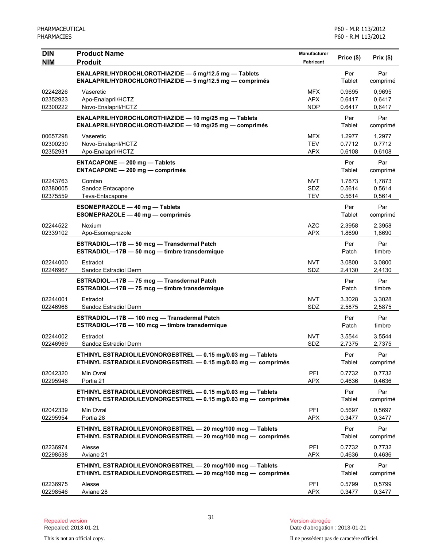| <b>DIN</b><br><b>NIM</b>         | <b>Product Name</b><br><b>Produit</b>                                                                                          | Manufacturer<br><b>Fabricant</b>       | Price (\$)                 | Prix(\$)                   |
|----------------------------------|--------------------------------------------------------------------------------------------------------------------------------|----------------------------------------|----------------------------|----------------------------|
|                                  | ENALAPRIL/HYDROCHLOROTHIAZIDE - 5 mg/12.5 mg - Tablets<br>ENALAPRIL/HYDROCHLOROTHIAZIDE - 5 mg/12.5 mg - comprimés             |                                        | Per<br>Tablet              | Par<br>comprimé            |
| 02242826<br>02352923<br>02300222 | Vaseretic<br>Apo-Enalapril/HCTZ<br>Novo-Enalapril/HCTZ                                                                         | <b>MFX</b><br><b>APX</b><br><b>NOP</b> | 0.9695<br>0.6417<br>0.6417 | 0,9695<br>0,6417<br>0,6417 |
|                                  | ENALAPRIL/HYDROCHLOROTHIAZIDE - 10 mg/25 mg - Tablets<br>ENALAPRIL/HYDROCHLOROTHIAZIDE - 10 mg/25 mg - comprimés               |                                        | Per<br>Tablet              | Par<br>comprimé            |
| 00657298<br>02300230<br>02352931 | Vaseretic<br>Novo-Enalapril/HCTZ<br>Apo-Enalapril/HCTZ                                                                         | MFX<br><b>TEV</b><br><b>APX</b>        | 1.2977<br>0.7712<br>0.6108 | 1,2977<br>0.7712<br>0,6108 |
|                                  | <b>ENTACAPONE - 200 mg - Tablets</b><br><b>ENTACAPONE - 200 mg - comprimés</b>                                                 |                                        | Per<br>Tablet              | Par<br>comprimé            |
| 02243763<br>02380005<br>02375559 | Comtan<br>Sandoz Entacapone<br>Teva-Entacapone                                                                                 | <b>NVT</b><br>SDZ<br><b>TEV</b>        | 1.7873<br>0.5614<br>0.5614 | 1,7873<br>0,5614<br>0,5614 |
|                                  | ESOMEPRAZOLE - 40 mg - Tablets<br>ESOMEPRAZOLE - 40 mg - comprimés                                                             |                                        | Per<br>Tablet              | Par<br>comprimé            |
| 02244522<br>02339102             | Nexium<br>Apo-Esomeprazole                                                                                                     | <b>AZC</b><br><b>APX</b>               | 2.3958<br>1.8690           | 2,3958<br>1,8690           |
|                                  | ESTRADIOL-17B - 50 mcg - Transdermal Patch<br>ESTRADIOL-17B - 50 mcg - timbre transdermique                                    |                                        | Per<br>Patch               | Par<br>timbre              |
| 02244000<br>02246967             | Estradot<br>Sandoz Estradiol Derm                                                                                              | <b>NVT</b><br>SDZ                      | 3.0800<br>2.4130           | 3,0800<br>2,4130           |
|                                  | ESTRADIOL-17B - 75 mcg - Transdermal Patch<br>ESTRADIOL-17B - 75 mcg - timbre transdermique                                    |                                        | Per<br>Patch               | Par<br>timbre              |
| 02244001<br>02246968             | Estradot<br>Sandoz Estradiol Derm                                                                                              | <b>NVT</b><br>SDZ                      | 3.3028<br>2.5875           | 3,3028<br>2,5875           |
|                                  | ESTRADIOL-17B - 100 mcg - Transdermal Patch<br>ESTRADIOL-17B - 100 mcg - timbre transdermique                                  |                                        | Per<br>Patch               | Par<br>timbre              |
| 02244002<br>02246969             | Estradot<br>Sandoz Estradiol Derm                                                                                              | <b>NVT</b><br>SDZ                      | 3.5544<br>2.7375           | 3,5544<br>2,7375           |
|                                  | ETHINYL ESTRADIOL/LEVONORGESTREL - 0.15 mg/0.03 mg - Tablets<br>ETHINYL ESTRADIOL/LEVONORGESTREL - 0.15 mg/0.03 mg - comprimés |                                        | Per<br>Tablet              | Par<br>comprimé            |
| 02042320<br>02295946             | Min Ovral<br>Portia 21                                                                                                         | PFI<br><b>APX</b>                      | 0.7732<br>0.4636           | 0,7732<br>0,4636           |
|                                  | ETHINYL ESTRADIOL/LEVONORGESTREL - 0.15 mg/0.03 mg - Tablets<br>ETHINYL ESTRADIOL/LEVONORGESTREL - 0.15 mg/0.03 mg - comprimés |                                        | Per<br>Tablet              | Par<br>comprimé            |
| 02042339<br>02295954             | Min Ovral<br>Portia 28                                                                                                         | PFI<br><b>APX</b>                      | 0.5697<br>0.3477           | 0,5697<br>0,3477           |
|                                  | ETHINYL ESTRADIOL/LEVONORGESTREL - 20 mcg/100 mcg - Tablets<br>ETHINYL ESTRADIOL/LEVONORGESTREL - 20 mcg/100 mcg - comprimés   |                                        | Per<br>Tablet              | Par<br>comprimé            |
| 02236974<br>02298538             | Alesse<br>Aviane 21                                                                                                            | PFI<br><b>APX</b>                      | 0.7732<br>0.4636           | 0.7732<br>0,4636           |
|                                  | ETHINYL ESTRADIOL/LEVONORGESTREL - 20 mcg/100 mcg - Tablets<br>ETHINYL ESTRADIOL/LEVONORGESTREL - 20 mcg/100 mcg - comprimés   |                                        | Per<br>Tablet              | Par<br>comprimé            |
| 02236975<br>02298546             | Alesse<br>Aviane 28                                                                                                            | PFI<br><b>APX</b>                      | 0.5799<br>0.3477           | 0,5799<br>0,3477           |

This is not an official copy. Il ne possèdent pas de caractère officiel.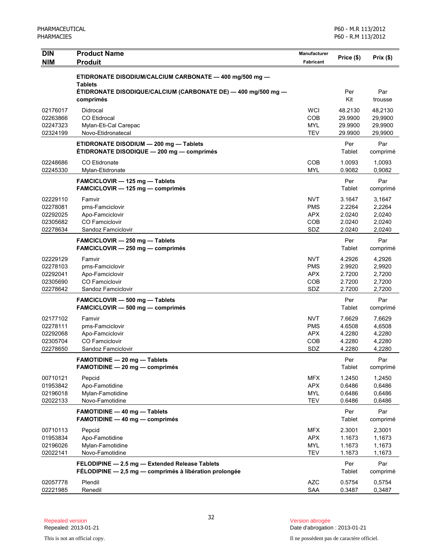| <b>DIN</b><br><b>NIM</b>                                 | <b>Product Name</b><br><b>Produit</b>                                                                    | <b>Manufacturer</b><br>Fabricant                            | Price (\$)                                     | Prix(\$)                                       |
|----------------------------------------------------------|----------------------------------------------------------------------------------------------------------|-------------------------------------------------------------|------------------------------------------------|------------------------------------------------|
|                                                          | ETIDRONATE DISODIUM/CALCIUM CARBONATE - 400 mg/500 mg -<br><b>Tablets</b>                                |                                                             |                                                |                                                |
|                                                          | ÉTIDRONATE DISODIQUE/CALCIUM (CARBONATE DE) — 400 mg/500 mg —<br>comprimés                               |                                                             | Per<br>Kit                                     | Par<br>trousse                                 |
| 02176017<br>02263866<br>02247323<br>02324199             | Didrocal<br><b>CO</b> Etidrocal<br>Mylan-Eti-Cal Carepac<br>Novo-Etidronatecal                           | <b>WCI</b><br><b>COB</b><br><b>MYL</b><br><b>TEV</b>        | 48.2130<br>29.9900<br>29.9900<br>29.9900       | 48,2130<br>29,9900<br>29,9900<br>29,9900       |
|                                                          | ETIDRONATE DISODIUM - 200 mg - Tablets<br>ETIDRONATE DISODIQUE - 200 mg - comprimés                      |                                                             | Per<br>Tablet                                  | Par<br>comprimé                                |
| 02248686<br>02245330                                     | CO Etidronate<br>Mylan-Etidronate                                                                        | <b>COB</b><br><b>MYL</b>                                    | 1.0093<br>0.9082                               | 1,0093<br>0,9082                               |
|                                                          | FAMCICLOVIR - 125 mg - Tablets<br>FAMCICLOVIR - 125 mg - comprimés                                       |                                                             | Per<br>Tablet                                  | Par<br>comprimé                                |
| 02229110<br>02278081<br>02292025<br>02305682<br>02278634 | Famvir<br>pms-Famciclovir<br>Apo-Famciclovir<br><b>CO</b> Famciclovir<br>Sandoz Famciclovir              | <b>NVT</b><br><b>PMS</b><br><b>APX</b><br><b>COB</b><br>SDZ | 3.1647<br>2.2264<br>2.0240<br>2.0240<br>2.0240 | 3,1647<br>2,2264<br>2,0240<br>2,0240<br>2,0240 |
|                                                          | <b>FAMCICLOVIR - 250 mg - Tablets</b><br>FAMCICLOVIR - 250 mg - comprimés                                |                                                             | Per<br>Tablet                                  | Par<br>comprimé                                |
| 02229129<br>02278103<br>02292041<br>02305690<br>02278642 | Famvir<br>pms-Famciclovir<br>Apo-Famciclovir<br><b>CO</b> Famciclovir<br>Sandoz Famciclovir              | <b>NVT</b><br><b>PMS</b><br><b>APX</b><br><b>COB</b><br>SDZ | 4.2926<br>2.9920<br>2.7200<br>2.7200<br>2.7200 | 4,2926<br>2,9920<br>2,7200<br>2,7200<br>2,7200 |
|                                                          | FAMCICLOVIR - 500 mg - Tablets<br>FAMCICLOVIR - 500 mg - comprimés                                       |                                                             | Per<br>Tablet                                  | Par<br>comprimé                                |
| 02177102<br>02278111<br>02292068<br>02305704<br>02278650 | Famvir<br>pms-Famciclovir<br>Apo-Famciclovir<br>CO Famciclovir<br>Sandoz Famciclovir                     | <b>NVT</b><br><b>PMS</b><br><b>APX</b><br>COB<br>SDZ        | 7.6629<br>4.6508<br>4.2280<br>4.2280<br>4.2280 | 7,6629<br>4,6508<br>4,2280<br>4,2280<br>4,2280 |
|                                                          | <b>FAMOTIDINE - 20 mg - Tablets</b><br><b>FAMOTIDINE - 20 mg - comprimés</b>                             |                                                             | Per<br>Tablet                                  | Par<br>comprimé                                |
| 00710121<br>01953842<br>02196018<br>02022133             | Pepcid<br>Apo-Famotidine<br>Mylan-Famotidine<br>Novo-Famotidine                                          | MFX<br><b>APX</b><br><b>MYL</b><br><b>TEV</b>               | 1.2450<br>0.6486<br>0.6486<br>0.6486           | 1,2450<br>0,6486<br>0,6486<br>0.6486           |
|                                                          | <b>FAMOTIDINE - 40 mg - Tablets</b><br><b>FAMOTIDINE - 40 mg - comprimés</b>                             |                                                             | Per<br>Tablet                                  | Par<br>comprimé                                |
| 00710113<br>01953834<br>02196026<br>02022141             | Pepcid<br>Apo-Famotidine<br>Mylan-Famotidine<br>Novo-Famotidine                                          | MFX<br><b>APX</b><br><b>MYL</b><br><b>TEV</b>               | 2.3001<br>1.1673<br>1.1673<br>1.1673           | 2,3001<br>1,1673<br>1,1673<br>1,1673           |
|                                                          | FELODIPINE - 2.5 mg - Extended Release Tablets<br>FÉLODIPINE - 2,5 mg - comprimés à libération prolongée |                                                             | Per<br>Tablet                                  | Par<br>comprimé                                |
| 02057778<br>02221985                                     | Plendil<br>Renedil                                                                                       | <b>AZC</b><br><b>SAA</b>                                    | 0.5754<br>0.3487                               | 0,5754<br>0,3487                               |

This is not an official copy. Il ne possèdent pas de caractère officiel.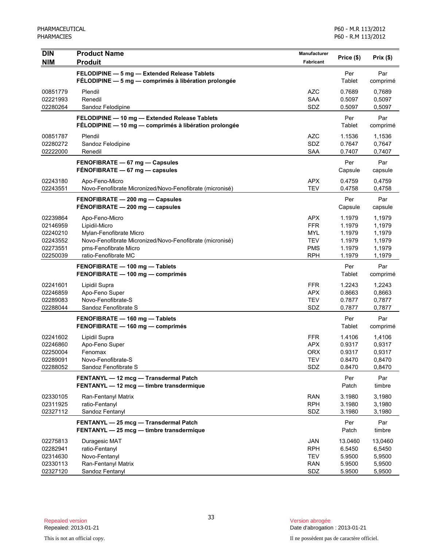| <b>DIN</b>                                                           | <b>Product Name</b>                                                                                                                                                     | Manufacturer                                                                     | Price (\$)                                               | Prix(\$)                                                 |
|----------------------------------------------------------------------|-------------------------------------------------------------------------------------------------------------------------------------------------------------------------|----------------------------------------------------------------------------------|----------------------------------------------------------|----------------------------------------------------------|
| <b>NIM</b>                                                           | <b>Produit</b>                                                                                                                                                          | Fabricant                                                                        |                                                          |                                                          |
|                                                                      | FELODIPINE - 5 mg - Extended Release Tablets<br>FÉLODIPINE - 5 mg - comprimés à libération prolongée                                                                    |                                                                                  | Per<br>Tablet                                            | Par<br>comprimé                                          |
| 00851779<br>02221993<br>02280264                                     | Plendil<br>Renedil<br>Sandoz Felodipine                                                                                                                                 | <b>AZC</b><br><b>SAA</b><br>SDZ                                                  | 0.7689<br>0.5097<br>0.5097                               | 0,7689<br>0,5097<br>0,5097                               |
|                                                                      | FELODIPINE - 10 mg - Extended Release Tablets<br>FÉLODIPINE - 10 mg - comprimés à libération prolongée                                                                  |                                                                                  | Per<br>Tablet                                            | Par<br>comprimé                                          |
| 00851787<br>02280272<br>02222000                                     | Plendil<br>Sandoz Felodipine<br>Renedil                                                                                                                                 | <b>AZC</b><br>SDZ<br><b>SAA</b>                                                  | 1.1536<br>0.7647<br>0.7407                               | 1,1536<br>0,7647<br>0,7407                               |
|                                                                      | FENOFIBRATE - 67 mg - Capsules<br>FÉNOFIBRATE $-67$ mg $-$ capsules                                                                                                     |                                                                                  | Per<br>Capsule                                           | Par<br>capsule                                           |
| 02243180<br>02243551                                                 | Apo-Feno-Micro<br>Novo-Fenofibrate Micronized/Novo-Fenofibrate (micronisé)                                                                                              | <b>APX</b><br><b>TEV</b>                                                         | 0.4759<br>0.4758                                         | 0,4759<br>0,4758                                         |
|                                                                      | FENOFIBRATE - 200 mg - Capsules<br>FÉNOFIBRATE - 200 mg - capsules                                                                                                      |                                                                                  | Per<br>Capsule                                           | Par<br>capsule                                           |
| 02239864<br>02146959<br>02240210<br>02243552<br>02273551<br>02250039 | Apo-Feno-Micro<br>Lipidil-Micro<br>Mylan-Fenofibrate Micro<br>Novo-Fenofibrate Micronized/Novo-Fenofibrate (micronisé)<br>pms-Fenofibrate Micro<br>ratio-Fenofibrate MC | <b>APX</b><br><b>FFR</b><br><b>MYL</b><br><b>TEV</b><br><b>PMS</b><br><b>RPH</b> | 1.1979<br>1.1979<br>1.1979<br>1.1979<br>1.1979<br>1.1979 | 1,1979<br>1,1979<br>1,1979<br>1,1979<br>1,1979<br>1,1979 |
|                                                                      | FENOFIBRATE - 100 mg - Tablets<br>FENOFIBRATE - 100 mg - comprimés                                                                                                      |                                                                                  | Per<br>Tablet                                            | Par<br>comprimé                                          |
| 02241601<br>02246859<br>02289083<br>02288044                         | Lipidil Supra<br>Apo-Feno Super<br>Novo-Fenofibrate-S<br>Sandoz Fenofibrate S                                                                                           | <b>FFR</b><br><b>APX</b><br><b>TEV</b><br>SDZ                                    | 1.2243<br>0.8663<br>0.7877<br>0.7877                     | 1,2243<br>0,8663<br>0,7877<br>0,7877                     |
|                                                                      | FENOFIBRATE - 160 mg - Tablets<br>FENOFIBRATE - 160 mg - comprimés                                                                                                      |                                                                                  | Per<br>Tablet                                            | Par<br>comprimé                                          |
| 02241602<br>02246860<br>02250004<br>02289091<br>02288052             | Lipidil Supra<br>Apo-Feno Super<br>Fenomax<br>Novo-Fenofibrate-S<br>Sandoz Fenofibrate S                                                                                | <b>FFR</b><br><b>APX</b><br><b>ORX</b><br>TEV<br>SDZ                             | 1.4106<br>0.9317<br>0.9317<br>0.8470<br>0.8470           | 1,4106<br>0,9317<br>0,9317<br>0,8470<br>0,8470           |
|                                                                      | FENTANYL - 12 mcg - Transdermal Patch<br>FENTANYL - 12 mcg - timbre transdermique                                                                                       |                                                                                  | Per<br>Patch                                             | Par<br>timbre                                            |
| 02330105<br>02311925<br>02327112                                     | Ran-Fentanyl Matrix<br>ratio-Fentanyl<br>Sandoz Fentanyl                                                                                                                | <b>RAN</b><br><b>RPH</b><br>SDZ                                                  | 3.1980<br>3.1980<br>3.1980                               | 3,1980<br>3,1980<br>3,1980                               |
|                                                                      | FENTANYL - 25 mcg - Transdermal Patch<br>FENTANYL - 25 mcg - timbre transdermique                                                                                       |                                                                                  | Per<br>Patch                                             | Par<br>timbre                                            |
| 02275813<br>02282941<br>02314630<br>02330113<br>02327120             | Duragesic MAT<br>ratio-Fentanyl<br>Novo-Fentanyl<br>Ran-Fentanyl Matrix<br>Sandoz Fentanyl                                                                              | JAN<br><b>RPH</b><br>TEV<br><b>RAN</b><br>SDZ                                    | 13.0460<br>6.5450<br>5.9500<br>5.9500<br>5.9500          | 13,0460<br>6,5450<br>5,9500<br>5,9500<br>5,9500          |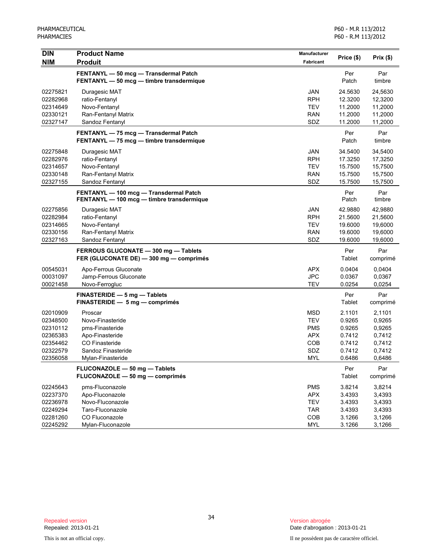| <b>DIN</b> | <b>Product Name</b>                       | Manufacturer |            |          |
|------------|-------------------------------------------|--------------|------------|----------|
| <b>NIM</b> | <b>Produit</b>                            | Fabricant    | Price (\$) | Prix(\$) |
|            | FENTANYL - 50 mcg - Transdermal Patch     |              | Per        | Par      |
|            | FENTANYL - 50 mcg - timbre transdermique  |              | Patch      | timbre   |
| 02275821   | Duragesic MAT                             | <b>JAN</b>   | 24.5630    | 24,5630  |
| 02282968   | ratio-Fentanyl                            | <b>RPH</b>   | 12.3200    | 12,3200  |
| 02314649   | Novo-Fentanyl                             | <b>TEV</b>   | 11.2000    | 11,2000  |
| 02330121   | Ran-Fentanyl Matrix                       | <b>RAN</b>   | 11.2000    | 11,2000  |
| 02327147   | Sandoz Fentanyl                           | SDZ          | 11.2000    | 11,2000  |
|            | FENTANYL - 75 mcg - Transdermal Patch     |              | Per        | Par      |
|            | FENTANYL - 75 mcg - timbre transdermique  |              | Patch      | timbre   |
| 02275848   | Duragesic MAT                             | JAN          | 34.5400    | 34,5400  |
| 02282976   | ratio-Fentanyl                            | <b>RPH</b>   | 17.3250    | 17,3250  |
| 02314657   | Novo-Fentanyl                             | <b>TEV</b>   | 15.7500    | 15,7500  |
| 02330148   | Ran-Fentanyl Matrix                       | <b>RAN</b>   | 15.7500    | 15,7500  |
| 02327155   | Sandoz Fentanyl                           | SDZ          | 15.7500    | 15,7500  |
|            | FENTANYL - 100 mcg - Transdermal Patch    |              | Per        | Par      |
|            | FENTANYL - 100 mcg - timbre transdermique |              | Patch      | timbre   |
| 02275856   | Duragesic MAT                             | JAN          | 42.9880    | 42,9880  |
| 02282984   | ratio-Fentanyl                            | <b>RPH</b>   | 21.5600    | 21,5600  |
| 02314665   | Novo-Fentanyl                             | <b>TEV</b>   | 19.6000    | 19,6000  |
| 02330156   | Ran-Fentanyl Matrix                       | <b>RAN</b>   | 19.6000    | 19,6000  |
| 02327163   | Sandoz Fentanyl                           | SDZ          | 19.6000    | 19,6000  |
|            | FERROUS GLUCONATE - 300 mg - Tablets      |              | Per        | Par      |
|            | FER (GLUCONATE DE) - 300 mg - comprimés   |              | Tablet     | comprimé |
| 00545031   | Apo-Ferrous Gluconate                     | <b>APX</b>   | 0.0404     | 0,0404   |
| 00031097   | Jamp-Ferrous Gluconate                    | <b>JPC</b>   | 0.0367     | 0,0367   |
| 00021458   | Novo-Ferrogluc                            | <b>TEV</b>   | 0.0254     | 0,0254   |
|            | FINASTERIDE - 5 mg - Tablets              |              | Per        | Par      |
|            | FINASTERIDE - 5 mg - comprimés            |              | Tablet     | comprimé |
| 02010909   | Proscar                                   | <b>MSD</b>   | 2.1101     | 2,1101   |
| 02348500   | Novo-Finasteride                          | <b>TEV</b>   | 0.9265     | 0,9265   |
| 02310112   | pms-Finasteride                           | <b>PMS</b>   | 0.9265     | 0,9265   |
| 02365383   | Apo-Finasteride                           | <b>APX</b>   | 0.7412     | 0,7412   |
| 02354462   | CO Finasteride                            | <b>COB</b>   | 0.7412     | 0,7412   |
| 02322579   | Sandoz Finasteride                        | SDZ          | 0.7412     | 0,7412   |
| 02356058   | Mylan-Finasteride                         | <b>MYL</b>   | 0.6486     | 0,6486   |
|            | FLUCONAZOLE - 50 mg - Tablets             |              | Per        | Par      |
|            | FLUCONAZOLE - 50 mg - comprimés           |              | Tablet     | comprimé |
| 02245643   | pms-Fluconazole                           | <b>PMS</b>   | 3.8214     | 3,8214   |
| 02237370   | Apo-Fluconazole                           | <b>APX</b>   | 3.4393     | 3,4393   |
| 02236978   | Novo-Fluconazole                          | <b>TEV</b>   | 3.4393     | 3,4393   |
| 02249294   | Taro-Fluconazole                          | <b>TAR</b>   | 3.4393     | 3,4393   |
| 02281260   | CO Fluconazole                            | COB          | 3.1266     | 3,1266   |
| 02245292   | Mylan-Fluconazole                         | <b>MYL</b>   | 3.1266     | 3,1266   |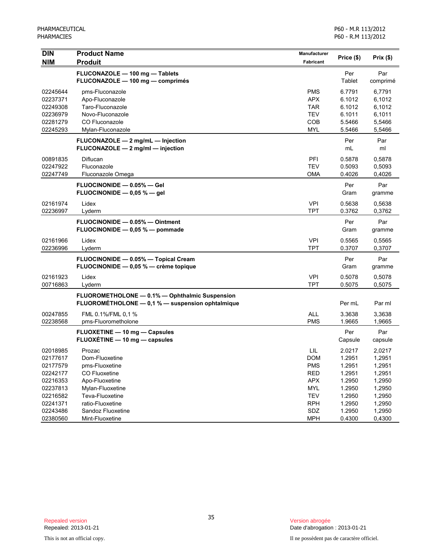| FLUCONAZOLE - 100 mg - Tablets<br>Per<br>Par<br>FLUCONAZOLE - 100 mg - comprimés<br>Tablet<br>comprimé<br><b>PMS</b><br>02245644<br>pms-Fluconazole<br>6.7791<br>6,7791<br>Apo-Fluconazole<br><b>APX</b><br>02237371<br>6.1012<br>6,1012<br>Taro-Fluconazole<br><b>TAR</b><br>6.1012<br>6,1012<br>02249308<br>02236979<br>Novo-Fluconazole<br><b>TEV</b><br>6.1011<br>6,1011<br>02281279<br>CO Fluconazole<br>COB<br>5.5466<br>5,5466<br><b>MYL</b><br>02245293<br>Mylan-Fluconazole<br>5.5466<br>5,5466<br>FLUCONAZOLE - 2 mg/mL - Injection<br>Per<br>Par<br>FLUCONAZOLE - 2 mg/ml - injection<br>mL<br>ml<br>Diflucan<br>PFI<br>0.5878<br>00891835<br>0,5878<br>02247922<br><b>TEV</b><br>0.5093<br>0,5093<br>Fluconazole<br>02247749<br><b>OMA</b><br>0.4026<br>0,4026<br>Fluconazole Omega<br>FLUOCINONIDE - 0.05% - Gel<br>Per<br>Par<br>FLUOCINONIDE $-$ 0.05 % $-$ gel<br>Gram<br>gramme<br><b>VPI</b><br>0.5638<br>02161974<br>Lidex<br>0,5638<br><b>TPT</b><br>02236997<br>0.3762<br>0,3762<br>Lyderm<br>FLUOCINONIDE - 0.05% - Ointment<br>Per<br>Par<br>FLUOCINONIDE - 0,05 % - pommade<br>Gram<br>gramme<br>02161966<br><b>VPI</b><br>0.5565<br>Lidex<br>0,5565<br>02236996<br><b>TPT</b><br>0.3707<br>0,3707<br>Lyderm<br>FLUOCINONIDE - 0.05% - Topical Cream<br>Per<br>Par<br>FLUOCINONIDE - 0,05 % - crème topique<br>Gram<br>gramme<br>Lidex<br><b>VPI</b><br>0.5078<br>02161923<br>0,5078<br><b>TPT</b><br>0.5075<br>00716863<br>0,5075<br>Lyderm<br>FLUOROMETHOLONE - 0.1% - Ophthalmic Suspension<br>FLUOROMÉTHOLONE - 0,1 % - suspension ophtalmique<br>Per mL<br>Par ml<br><b>ALL</b><br>00247855<br>FML 0.1%/FML 0,1 %<br>3.3638<br>3,3638<br>02238568<br>pms-Fluorometholone<br><b>PMS</b><br>1.9665<br>1,9665<br>Par<br>FLUOXETINE - 10 mg - Capsules<br>Per<br>FLUOXÉTINE - 10 mg - capsules<br>Capsule<br>capsule<br>LIL<br>2.0217<br>02018985<br>2,0217<br>Prozac<br>02177617<br>Dom-Fluoxetine<br><b>DOM</b><br>1.2951<br>1,2951<br>02177579<br><b>PMS</b><br>1.2951<br>pms-Fluoxetine<br>1,2951<br>02242177<br>CO Fluoxetine<br><b>RED</b><br>1.2951<br>1,2951<br>02216353<br>Apo-Fluoxetine<br><b>APX</b><br>1.2950<br>1,2950<br>02237813<br>Mylan-Fluoxetine<br><b>MYL</b><br>1.2950<br>1,2950<br>02216582<br>Teva-Fluoxetine<br><b>TEV</b><br>1.2950<br>1,2950<br>02241371<br>ratio-Fluoxetine<br><b>RPH</b><br>1.2950<br>1,2950<br>SDZ<br>1.2950<br>02243486<br>Sandoz Fluoxetine<br>1,2950 | <b>DIN</b> | <b>Product Name</b> | Manufacturer | Price (\$) | Prix(\$) |
|--------------------------------------------------------------------------------------------------------------------------------------------------------------------------------------------------------------------------------------------------------------------------------------------------------------------------------------------------------------------------------------------------------------------------------------------------------------------------------------------------------------------------------------------------------------------------------------------------------------------------------------------------------------------------------------------------------------------------------------------------------------------------------------------------------------------------------------------------------------------------------------------------------------------------------------------------------------------------------------------------------------------------------------------------------------------------------------------------------------------------------------------------------------------------------------------------------------------------------------------------------------------------------------------------------------------------------------------------------------------------------------------------------------------------------------------------------------------------------------------------------------------------------------------------------------------------------------------------------------------------------------------------------------------------------------------------------------------------------------------------------------------------------------------------------------------------------------------------------------------------------------------------------------------------------------------------------------------------------------------------------------------------------------------------------------------------------------------------------------------------------------------------------------------------------------------------------------------------------------------------------------------------------------------------------------------------------------------------------------------------------------------------------------------------------|------------|---------------------|--------------|------------|----------|
|                                                                                                                                                                                                                                                                                                                                                                                                                                                                                                                                                                                                                                                                                                                                                                                                                                                                                                                                                                                                                                                                                                                                                                                                                                                                                                                                                                                                                                                                                                                                                                                                                                                                                                                                                                                                                                                                                                                                                                                                                                                                                                                                                                                                                                                                                                                                                                                                                                | <b>NIM</b> | <b>Produit</b>      | Fabricant    |            |          |
|                                                                                                                                                                                                                                                                                                                                                                                                                                                                                                                                                                                                                                                                                                                                                                                                                                                                                                                                                                                                                                                                                                                                                                                                                                                                                                                                                                                                                                                                                                                                                                                                                                                                                                                                                                                                                                                                                                                                                                                                                                                                                                                                                                                                                                                                                                                                                                                                                                |            |                     |              |            |          |
|                                                                                                                                                                                                                                                                                                                                                                                                                                                                                                                                                                                                                                                                                                                                                                                                                                                                                                                                                                                                                                                                                                                                                                                                                                                                                                                                                                                                                                                                                                                                                                                                                                                                                                                                                                                                                                                                                                                                                                                                                                                                                                                                                                                                                                                                                                                                                                                                                                |            |                     |              |            |          |
|                                                                                                                                                                                                                                                                                                                                                                                                                                                                                                                                                                                                                                                                                                                                                                                                                                                                                                                                                                                                                                                                                                                                                                                                                                                                                                                                                                                                                                                                                                                                                                                                                                                                                                                                                                                                                                                                                                                                                                                                                                                                                                                                                                                                                                                                                                                                                                                                                                |            |                     |              |            |          |
|                                                                                                                                                                                                                                                                                                                                                                                                                                                                                                                                                                                                                                                                                                                                                                                                                                                                                                                                                                                                                                                                                                                                                                                                                                                                                                                                                                                                                                                                                                                                                                                                                                                                                                                                                                                                                                                                                                                                                                                                                                                                                                                                                                                                                                                                                                                                                                                                                                |            |                     |              |            |          |
|                                                                                                                                                                                                                                                                                                                                                                                                                                                                                                                                                                                                                                                                                                                                                                                                                                                                                                                                                                                                                                                                                                                                                                                                                                                                                                                                                                                                                                                                                                                                                                                                                                                                                                                                                                                                                                                                                                                                                                                                                                                                                                                                                                                                                                                                                                                                                                                                                                |            |                     |              |            |          |
|                                                                                                                                                                                                                                                                                                                                                                                                                                                                                                                                                                                                                                                                                                                                                                                                                                                                                                                                                                                                                                                                                                                                                                                                                                                                                                                                                                                                                                                                                                                                                                                                                                                                                                                                                                                                                                                                                                                                                                                                                                                                                                                                                                                                                                                                                                                                                                                                                                |            |                     |              |            |          |
|                                                                                                                                                                                                                                                                                                                                                                                                                                                                                                                                                                                                                                                                                                                                                                                                                                                                                                                                                                                                                                                                                                                                                                                                                                                                                                                                                                                                                                                                                                                                                                                                                                                                                                                                                                                                                                                                                                                                                                                                                                                                                                                                                                                                                                                                                                                                                                                                                                |            |                     |              |            |          |
|                                                                                                                                                                                                                                                                                                                                                                                                                                                                                                                                                                                                                                                                                                                                                                                                                                                                                                                                                                                                                                                                                                                                                                                                                                                                                                                                                                                                                                                                                                                                                                                                                                                                                                                                                                                                                                                                                                                                                                                                                                                                                                                                                                                                                                                                                                                                                                                                                                |            |                     |              |            |          |
|                                                                                                                                                                                                                                                                                                                                                                                                                                                                                                                                                                                                                                                                                                                                                                                                                                                                                                                                                                                                                                                                                                                                                                                                                                                                                                                                                                                                                                                                                                                                                                                                                                                                                                                                                                                                                                                                                                                                                                                                                                                                                                                                                                                                                                                                                                                                                                                                                                |            |                     |              |            |          |
|                                                                                                                                                                                                                                                                                                                                                                                                                                                                                                                                                                                                                                                                                                                                                                                                                                                                                                                                                                                                                                                                                                                                                                                                                                                                                                                                                                                                                                                                                                                                                                                                                                                                                                                                                                                                                                                                                                                                                                                                                                                                                                                                                                                                                                                                                                                                                                                                                                |            |                     |              |            |          |
|                                                                                                                                                                                                                                                                                                                                                                                                                                                                                                                                                                                                                                                                                                                                                                                                                                                                                                                                                                                                                                                                                                                                                                                                                                                                                                                                                                                                                                                                                                                                                                                                                                                                                                                                                                                                                                                                                                                                                                                                                                                                                                                                                                                                                                                                                                                                                                                                                                |            |                     |              |            |          |
|                                                                                                                                                                                                                                                                                                                                                                                                                                                                                                                                                                                                                                                                                                                                                                                                                                                                                                                                                                                                                                                                                                                                                                                                                                                                                                                                                                                                                                                                                                                                                                                                                                                                                                                                                                                                                                                                                                                                                                                                                                                                                                                                                                                                                                                                                                                                                                                                                                |            |                     |              |            |          |
|                                                                                                                                                                                                                                                                                                                                                                                                                                                                                                                                                                                                                                                                                                                                                                                                                                                                                                                                                                                                                                                                                                                                                                                                                                                                                                                                                                                                                                                                                                                                                                                                                                                                                                                                                                                                                                                                                                                                                                                                                                                                                                                                                                                                                                                                                                                                                                                                                                |            |                     |              |            |          |
|                                                                                                                                                                                                                                                                                                                                                                                                                                                                                                                                                                                                                                                                                                                                                                                                                                                                                                                                                                                                                                                                                                                                                                                                                                                                                                                                                                                                                                                                                                                                                                                                                                                                                                                                                                                                                                                                                                                                                                                                                                                                                                                                                                                                                                                                                                                                                                                                                                |            |                     |              |            |          |
|                                                                                                                                                                                                                                                                                                                                                                                                                                                                                                                                                                                                                                                                                                                                                                                                                                                                                                                                                                                                                                                                                                                                                                                                                                                                                                                                                                                                                                                                                                                                                                                                                                                                                                                                                                                                                                                                                                                                                                                                                                                                                                                                                                                                                                                                                                                                                                                                                                |            |                     |              |            |          |
|                                                                                                                                                                                                                                                                                                                                                                                                                                                                                                                                                                                                                                                                                                                                                                                                                                                                                                                                                                                                                                                                                                                                                                                                                                                                                                                                                                                                                                                                                                                                                                                                                                                                                                                                                                                                                                                                                                                                                                                                                                                                                                                                                                                                                                                                                                                                                                                                                                |            |                     |              |            |          |
|                                                                                                                                                                                                                                                                                                                                                                                                                                                                                                                                                                                                                                                                                                                                                                                                                                                                                                                                                                                                                                                                                                                                                                                                                                                                                                                                                                                                                                                                                                                                                                                                                                                                                                                                                                                                                                                                                                                                                                                                                                                                                                                                                                                                                                                                                                                                                                                                                                |            |                     |              |            |          |
|                                                                                                                                                                                                                                                                                                                                                                                                                                                                                                                                                                                                                                                                                                                                                                                                                                                                                                                                                                                                                                                                                                                                                                                                                                                                                                                                                                                                                                                                                                                                                                                                                                                                                                                                                                                                                                                                                                                                                                                                                                                                                                                                                                                                                                                                                                                                                                                                                                |            |                     |              |            |          |
|                                                                                                                                                                                                                                                                                                                                                                                                                                                                                                                                                                                                                                                                                                                                                                                                                                                                                                                                                                                                                                                                                                                                                                                                                                                                                                                                                                                                                                                                                                                                                                                                                                                                                                                                                                                                                                                                                                                                                                                                                                                                                                                                                                                                                                                                                                                                                                                                                                |            |                     |              |            |          |
|                                                                                                                                                                                                                                                                                                                                                                                                                                                                                                                                                                                                                                                                                                                                                                                                                                                                                                                                                                                                                                                                                                                                                                                                                                                                                                                                                                                                                                                                                                                                                                                                                                                                                                                                                                                                                                                                                                                                                                                                                                                                                                                                                                                                                                                                                                                                                                                                                                |            |                     |              |            |          |
|                                                                                                                                                                                                                                                                                                                                                                                                                                                                                                                                                                                                                                                                                                                                                                                                                                                                                                                                                                                                                                                                                                                                                                                                                                                                                                                                                                                                                                                                                                                                                                                                                                                                                                                                                                                                                                                                                                                                                                                                                                                                                                                                                                                                                                                                                                                                                                                                                                |            |                     |              |            |          |
|                                                                                                                                                                                                                                                                                                                                                                                                                                                                                                                                                                                                                                                                                                                                                                                                                                                                                                                                                                                                                                                                                                                                                                                                                                                                                                                                                                                                                                                                                                                                                                                                                                                                                                                                                                                                                                                                                                                                                                                                                                                                                                                                                                                                                                                                                                                                                                                                                                |            |                     |              |            |          |
|                                                                                                                                                                                                                                                                                                                                                                                                                                                                                                                                                                                                                                                                                                                                                                                                                                                                                                                                                                                                                                                                                                                                                                                                                                                                                                                                                                                                                                                                                                                                                                                                                                                                                                                                                                                                                                                                                                                                                                                                                                                                                                                                                                                                                                                                                                                                                                                                                                |            |                     |              |            |          |
|                                                                                                                                                                                                                                                                                                                                                                                                                                                                                                                                                                                                                                                                                                                                                                                                                                                                                                                                                                                                                                                                                                                                                                                                                                                                                                                                                                                                                                                                                                                                                                                                                                                                                                                                                                                                                                                                                                                                                                                                                                                                                                                                                                                                                                                                                                                                                                                                                                |            |                     |              |            |          |
|                                                                                                                                                                                                                                                                                                                                                                                                                                                                                                                                                                                                                                                                                                                                                                                                                                                                                                                                                                                                                                                                                                                                                                                                                                                                                                                                                                                                                                                                                                                                                                                                                                                                                                                                                                                                                                                                                                                                                                                                                                                                                                                                                                                                                                                                                                                                                                                                                                |            |                     |              |            |          |
|                                                                                                                                                                                                                                                                                                                                                                                                                                                                                                                                                                                                                                                                                                                                                                                                                                                                                                                                                                                                                                                                                                                                                                                                                                                                                                                                                                                                                                                                                                                                                                                                                                                                                                                                                                                                                                                                                                                                                                                                                                                                                                                                                                                                                                                                                                                                                                                                                                |            |                     |              |            |          |
|                                                                                                                                                                                                                                                                                                                                                                                                                                                                                                                                                                                                                                                                                                                                                                                                                                                                                                                                                                                                                                                                                                                                                                                                                                                                                                                                                                                                                                                                                                                                                                                                                                                                                                                                                                                                                                                                                                                                                                                                                                                                                                                                                                                                                                                                                                                                                                                                                                |            |                     |              |            |          |
|                                                                                                                                                                                                                                                                                                                                                                                                                                                                                                                                                                                                                                                                                                                                                                                                                                                                                                                                                                                                                                                                                                                                                                                                                                                                                                                                                                                                                                                                                                                                                                                                                                                                                                                                                                                                                                                                                                                                                                                                                                                                                                                                                                                                                                                                                                                                                                                                                                |            |                     |              |            |          |
|                                                                                                                                                                                                                                                                                                                                                                                                                                                                                                                                                                                                                                                                                                                                                                                                                                                                                                                                                                                                                                                                                                                                                                                                                                                                                                                                                                                                                                                                                                                                                                                                                                                                                                                                                                                                                                                                                                                                                                                                                                                                                                                                                                                                                                                                                                                                                                                                                                |            |                     |              |            |          |
|                                                                                                                                                                                                                                                                                                                                                                                                                                                                                                                                                                                                                                                                                                                                                                                                                                                                                                                                                                                                                                                                                                                                                                                                                                                                                                                                                                                                                                                                                                                                                                                                                                                                                                                                                                                                                                                                                                                                                                                                                                                                                                                                                                                                                                                                                                                                                                                                                                |            |                     |              |            |          |
|                                                                                                                                                                                                                                                                                                                                                                                                                                                                                                                                                                                                                                                                                                                                                                                                                                                                                                                                                                                                                                                                                                                                                                                                                                                                                                                                                                                                                                                                                                                                                                                                                                                                                                                                                                                                                                                                                                                                                                                                                                                                                                                                                                                                                                                                                                                                                                                                                                |            |                     |              |            |          |
|                                                                                                                                                                                                                                                                                                                                                                                                                                                                                                                                                                                                                                                                                                                                                                                                                                                                                                                                                                                                                                                                                                                                                                                                                                                                                                                                                                                                                                                                                                                                                                                                                                                                                                                                                                                                                                                                                                                                                                                                                                                                                                                                                                                                                                                                                                                                                                                                                                |            |                     |              |            |          |
|                                                                                                                                                                                                                                                                                                                                                                                                                                                                                                                                                                                                                                                                                                                                                                                                                                                                                                                                                                                                                                                                                                                                                                                                                                                                                                                                                                                                                                                                                                                                                                                                                                                                                                                                                                                                                                                                                                                                                                                                                                                                                                                                                                                                                                                                                                                                                                                                                                |            |                     |              |            |          |
|                                                                                                                                                                                                                                                                                                                                                                                                                                                                                                                                                                                                                                                                                                                                                                                                                                                                                                                                                                                                                                                                                                                                                                                                                                                                                                                                                                                                                                                                                                                                                                                                                                                                                                                                                                                                                                                                                                                                                                                                                                                                                                                                                                                                                                                                                                                                                                                                                                |            |                     |              |            |          |
|                                                                                                                                                                                                                                                                                                                                                                                                                                                                                                                                                                                                                                                                                                                                                                                                                                                                                                                                                                                                                                                                                                                                                                                                                                                                                                                                                                                                                                                                                                                                                                                                                                                                                                                                                                                                                                                                                                                                                                                                                                                                                                                                                                                                                                                                                                                                                                                                                                |            |                     |              |            |          |
|                                                                                                                                                                                                                                                                                                                                                                                                                                                                                                                                                                                                                                                                                                                                                                                                                                                                                                                                                                                                                                                                                                                                                                                                                                                                                                                                                                                                                                                                                                                                                                                                                                                                                                                                                                                                                                                                                                                                                                                                                                                                                                                                                                                                                                                                                                                                                                                                                                |            |                     |              |            |          |
| 02380560<br>Mint-Fluoxetine<br><b>MPH</b><br>0.4300<br>0,4300                                                                                                                                                                                                                                                                                                                                                                                                                                                                                                                                                                                                                                                                                                                                                                                                                                                                                                                                                                                                                                                                                                                                                                                                                                                                                                                                                                                                                                                                                                                                                                                                                                                                                                                                                                                                                                                                                                                                                                                                                                                                                                                                                                                                                                                                                                                                                                  |            |                     |              |            |          |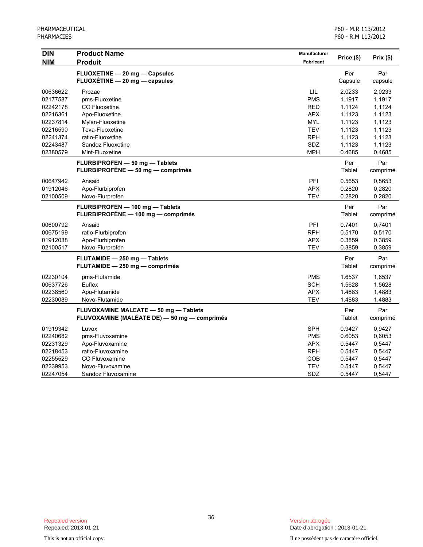| <b>DIN</b> | <b>Product Name</b>                          | Manufacturer | Price (\$) | Prix(\$) |
|------------|----------------------------------------------|--------------|------------|----------|
| <b>NIM</b> | <b>Produit</b>                               | Fabricant    |            |          |
|            | FLUOXETINE - 20 mg - Capsules                |              | Per        | Par      |
|            | FLUOXÉTINE - 20 mg - capsules                |              | Capsule    | capsule  |
| 00636622   | Prozac                                       | LIL          | 2.0233     | 2,0233   |
| 02177587   | pms-Fluoxetine                               | <b>PMS</b>   | 1.1917     | 1,1917   |
| 02242178   | <b>CO Fluoxetine</b>                         | <b>RED</b>   | 1.1124     | 1,1124   |
| 02216361   | Apo-Fluoxetine                               | <b>APX</b>   | 1.1123     | 1,1123   |
| 02237814   | Mylan-Fluoxetine                             | <b>MYL</b>   | 1.1123     | 1,1123   |
| 02216590   | Teva-Fluoxetine                              | <b>TEV</b>   | 1.1123     | 1,1123   |
| 02241374   | ratio-Fluoxetine                             | <b>RPH</b>   | 1.1123     | 1,1123   |
| 02243487   | Sandoz Fluoxetine                            | SDZ          | 1.1123     | 1,1123   |
| 02380579   | Mint-Fluoxetine                              | <b>MPH</b>   | 0.4685     | 0,4685   |
|            | FLURBIPROFEN - 50 mg - Tablets               |              | Per        | Par      |
|            | FLURBIPROFÈNE - 50 mg - comprimés            |              | Tablet     | comprimé |
| 00647942   | Ansaid                                       | PFI          | 0.5653     | 0,5653   |
| 01912046   | Apo-Flurbiprofen                             | <b>APX</b>   | 0.2820     | 0,2820   |
| 02100509   | Novo-Flurprofen                              | <b>TEV</b>   | 0.2820     | 0,2820   |
|            | FLURBIPROFEN - 100 mg - Tablets              |              | Per        | Par      |
|            | FLURBIPROFÈNE - 100 mg - comprimés           |              | Tablet     | comprimé |
| 00600792   | Ansaid                                       | PFI          | 0.7401     | 0,7401   |
| 00675199   | ratio-Flurbiprofen                           | <b>RPH</b>   | 0.5170     | 0,5170   |
| 01912038   | Apo-Flurbiprofen                             | <b>APX</b>   | 0.3859     | 0,3859   |
| 02100517   | Novo-Flurprofen                              | <b>TEV</b>   | 0.3859     | 0,3859   |
|            | FLUTAMIDE - 250 mg - Tablets                 |              | Per        | Par      |
|            | FLUTAMIDE - 250 mg - comprimés               |              | Tablet     | comprimé |
| 02230104   | pms-Flutamide                                | <b>PMS</b>   | 1.6537     | 1,6537   |
| 00637726   | Euflex                                       | <b>SCH</b>   | 1.5628     | 1,5628   |
| 02238560   | Apo-Flutamide                                | <b>APX</b>   | 1.4883     | 1,4883   |
| 02230089   | Novo-Flutamide                               | TEV          | 1.4883     | 1,4883   |
|            | FLUVOXAMINE MALEATE - 50 mg - Tablets        |              | Per        | Par      |
|            | FLUVOXAMINE (MALÉATE DE) - 50 mg - comprimés |              | Tablet     | comprimé |
| 01919342   | Luvox                                        | <b>SPH</b>   | 0.9427     | 0.9427   |
| 02240682   | pms-Fluvoxamine                              | <b>PMS</b>   | 0.6053     | 0.6053   |
| 02231329   | Apo-Fluvoxamine                              | <b>APX</b>   | 0.5447     | 0,5447   |
| 02218453   | ratio-Fluvoxamine                            | <b>RPH</b>   | 0.5447     | 0,5447   |
| 02255529   | CO Fluvoxamine                               | COB          | 0.5447     | 0,5447   |
| 02239953   | Novo-Fluvoxamine                             | <b>TEV</b>   | 0.5447     | 0,5447   |
| 02247054   | Sandoz Fluvoxamine                           | SDZ          | 0.5447     | 0,5447   |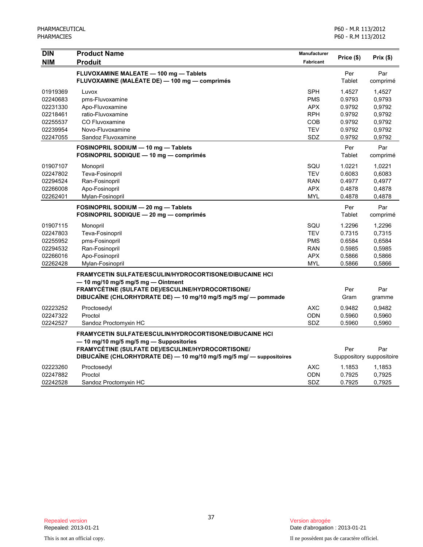| <b>DIN</b> | <b>Product Name</b>                                                  | Manufacturer | Price (\$) | Prix (\$)                |
|------------|----------------------------------------------------------------------|--------------|------------|--------------------------|
| <b>NIM</b> | <b>Produit</b>                                                       | Fabricant    |            |                          |
|            | FLUVOXAMINE MALEATE - 100 mg - Tablets                               |              | Per        | Par                      |
|            | FLUVOXAMINE (MALÉATE DE) - 100 mg - comprimés                        |              | Tablet     | comprimé                 |
| 01919369   | Luvox                                                                | <b>SPH</b>   | 1.4527     | 1,4527                   |
| 02240683   | pms-Fluvoxamine                                                      | <b>PMS</b>   | 0.9793     | 0.9793                   |
| 02231330   | Apo-Fluvoxamine                                                      | <b>APX</b>   | 0.9792     | 0.9792                   |
| 02218461   | ratio-Fluvoxamine                                                    | <b>RPH</b>   | 0.9792     | 0,9792                   |
| 02255537   | CO Fluvoxamine                                                       | COB          | 0.9792     | 0.9792                   |
| 02239954   | Novo-Fluvoxamine                                                     | <b>TEV</b>   | 0.9792     | 0.9792                   |
| 02247055   | Sandoz Fluvoxamine                                                   | SDZ          | 0.9792     | 0,9792                   |
|            | FOSINOPRIL SODIUM - 10 mg - Tablets                                  |              | Per        | Par                      |
|            | FOSINOPRIL SODIQUE - 10 mg - comprimés                               |              | Tablet     | comprimé                 |
| 01907107   | Monopril                                                             | SQU          | 1.0221     | 1,0221                   |
| 02247802   | Teva-Fosinopril                                                      | <b>TEV</b>   | 0.6083     | 0,6083                   |
| 02294524   | Ran-Fosinopril                                                       | <b>RAN</b>   | 0.4977     | 0,4977                   |
| 02266008   | Apo-Fosinopril                                                       | <b>APX</b>   | 0.4878     | 0,4878                   |
| 02262401   | Mylan-Fosinopril                                                     | <b>MYL</b>   | 0.4878     | 0,4878                   |
|            | FOSINOPRIL SODIUM - 20 mg - Tablets                                  |              | Per        | Par                      |
|            | FOSINOPRIL SODIQUE - 20 mg - comprimés                               |              | Tablet     | comprimé                 |
| 01907115   | Monopril                                                             | SQU          | 1.2296     | 1,2296                   |
| 02247803   | Teva-Fosinopril                                                      | <b>TEV</b>   | 0.7315     | 0,7315                   |
| 02255952   | pms-Fosinopril                                                       | <b>PMS</b>   | 0.6584     | 0,6584                   |
| 02294532   | Ran-Fosinopril                                                       | <b>RAN</b>   | 0.5985     | 0.5985                   |
| 02266016   | Apo-Fosinopril                                                       | <b>APX</b>   | 0.5866     | 0,5866                   |
| 02262428   | Mylan-Fosinopril                                                     | <b>MYL</b>   | 0.5866     | 0,5866                   |
|            | <b>FRAMYCETIN SULFATE/ESCULIN/HYDROCORTISONE/DIBUCAINE HCI</b>       |              |            |                          |
|            | $-$ 10 mg/10 mg/5 mg/5 mg $-$ Ointment                               |              |            |                          |
|            | FRAMYCÉTINE (SULFATE DE)/ESCULINE/HYDROCORTISONE/                    |              | Per        | Par                      |
|            | DIBUCAÏNE (CHLORHYDRATE DE) - 10 mg/10 mg/5 mg/5 mg/ - pommade       |              | Gram       | gramme                   |
| 02223252   | Proctosedyl                                                          | <b>AXC</b>   | 0.9482     | 0,9482                   |
| 02247322   | Proctol                                                              | ODN          | 0.5960     | 0,5960                   |
| 02242527   | Sandoz Proctomyxin HC                                                | SDZ          | 0.5960     | 0,5960                   |
|            | <b>FRAMYCETIN SULFATE/ESCULIN/HYDROCORTISONE/DIBUCAINE HCI</b>       |              |            |                          |
|            | - 10 mg/10 mg/5 mg/5 mg - Suppositories                              |              |            |                          |
|            | FRAMYCÉTINE (SULFATE DE)/ESCULINE/HYDROCORTISONE/                    |              | Per        | Par                      |
|            | DIBUCAÏNE (CHLORHYDRATE DE) — 10 mg/10 mg/5 mg/5 mg/ — suppositoires |              |            | Suppository suppositoire |
| 02223260   | Proctosedyl                                                          | <b>AXC</b>   | 1.1853     | 1,1853                   |
| 02247882   | Proctol                                                              | <b>ODN</b>   | 0.7925     | 0,7925                   |
| 02242528   | Sandoz Proctomyxin HC                                                | SDZ          | 0.7925     | 0,7925                   |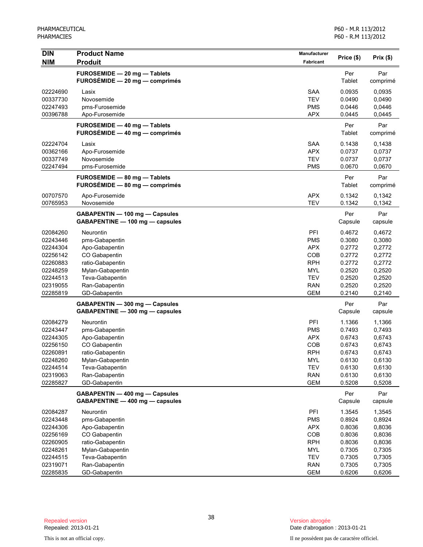| <b>DIN</b>           | <b>Product Name</b>              | Manufacturer             |                  |                  |
|----------------------|----------------------------------|--------------------------|------------------|------------------|
| <b>NIM</b>           | <b>Produit</b>                   | <b>Fabricant</b>         | Price (\$)       | Prix(\$)         |
|                      | FUROSEMIDE - 20 mg - Tablets     |                          | Per              | Par              |
|                      | $FUROSÉMIDE - 20 mg - comprimés$ |                          | Tablet           | comprimé         |
| 02224690             | Lasix                            | <b>SAA</b>               | 0.0935           | 0,0935           |
| 00337730             | Novosemide                       | <b>TEV</b>               | 0.0490           | 0,0490           |
| 02247493             | pms-Furosemide                   | <b>PMS</b>               | 0.0446           | 0,0446           |
| 00396788             | Apo-Furosemide                   | <b>APX</b>               | 0.0445           | 0,0445           |
|                      | FUROSEMIDE - 40 mg - Tablets     |                          | Per              | Par              |
|                      | FUROSÉMIDE - 40 mg - comprimés   |                          | Tablet           | comprimé         |
| 02224704             | Lasix                            | <b>SAA</b>               | 0.1438           | 0,1438           |
| 00362166             | Apo-Furosemide                   | <b>APX</b>               | 0.0737           | 0,0737           |
| 00337749             | Novosemide                       | <b>TEV</b>               | 0.0737           | 0,0737           |
| 02247494             | pms-Furosemide                   | <b>PMS</b>               | 0.0670           | 0,0670           |
|                      | FUROSEMIDE - 80 mg - Tablets     |                          | Per              | Par              |
|                      | FUROSÉMIDE - 80 mg - comprimés   |                          | Tablet           | comprimé         |
| 00707570             | Apo-Furosemide                   | <b>APX</b>               | 0.1342           | 0,1342           |
| 00765953             | Novosemide                       | <b>TEV</b>               | 0.1342           | 0.1342           |
|                      | GABAPENTIN - 100 mg - Capsules   |                          | Per              | Par              |
|                      | GABAPENTINE - 100 mg - capsules  |                          | Capsule          | capsule          |
| 02084260             | Neurontin                        | PFI                      | 0.4672           | 0,4672           |
| 02243446             | pms-Gabapentin                   | <b>PMS</b>               | 0.3080           | 0,3080           |
| 02244304             | Apo-Gabapentin                   | <b>APX</b>               | 0.2772           | 0,2772           |
| 02256142             | CO Gabapentin                    | COB                      | 0.2772           | 0,2772           |
| 02260883             | ratio-Gabapentin                 | <b>RPH</b>               | 0.2772           | 0,2772           |
| 02248259             | Mylan-Gabapentin                 | <b>MYL</b>               | 0.2520           | 0,2520           |
| 02244513             | Teva-Gabapentin                  | <b>TEV</b>               | 0.2520           | 0,2520           |
| 02319055             | Ran-Gabapentin                   | <b>RAN</b>               | 0.2520           | 0,2520           |
| 02285819             | GD-Gabapentin                    | <b>GEM</b>               | 0.2140           | 0,2140           |
|                      | GABAPENTIN - 300 mg - Capsules   |                          | Per              | Par              |
|                      | GABAPENTINE - 300 mg - capsules  |                          | Capsule          | capsule          |
| 02084279             | Neurontin                        | PFI                      | 1.1366           | 1,1366           |
| 02243447             | pms-Gabapentin                   | <b>PMS</b>               | 0.7493           | 0,7493           |
| 02244305             | Apo-Gabapentin                   | <b>APX</b>               | 0.6743           | 0,6743           |
| 02256150             | CO Gabapentin                    | <b>COB</b>               | 0.6743           | 0,6743           |
| 02260891             | ratio-Gabapentin                 | <b>RPH</b>               | 0.6743           | 0,6743           |
| 02248260             | Mylan-Gabapentin                 | MYL                      | 0.6130           | 0,6130           |
| 02244514             | Teva-Gabapentin                  | <b>TEV</b>               | 0.6130           | 0,6130           |
| 02319063<br>02285827 | Ran-Gabapentin<br>GD-Gabapentin  | <b>RAN</b><br><b>GEM</b> | 0.6130<br>0.5208 | 0,6130<br>0,5208 |
|                      | GABAPENTIN - 400 mg - Capsules   |                          | Per              | Par              |
|                      | GABAPENTINE - 400 mg - capsules  |                          | Capsule          | capsule          |
| 02084287             | Neurontin                        | PFI                      | 1.3545           | 1,3545           |
| 02243448             | pms-Gabapentin                   | <b>PMS</b>               | 0.8924           | 0,8924           |
| 02244306             | Apo-Gabapentin                   | <b>APX</b>               | 0.8036           | 0,8036           |
| 02256169             | CO Gabapentin                    | COB                      | 0.8036           | 0,8036           |
| 02260905             | ratio-Gabapentin                 | <b>RPH</b>               | 0.8036           | 0,8036           |
| 02248261             | Mylan-Gabapentin                 | <b>MYL</b>               | 0.7305           | 0,7305           |
| 02244515             | Teva-Gabapentin                  | <b>TEV</b>               | 0.7305           | 0,7305           |
| 02319071             | Ran-Gabapentin                   | <b>RAN</b>               | 0.7305           | 0,7305           |
| 02285835             | GD-Gabapentin                    | <b>GEM</b>               | 0.6206           | 0,6206           |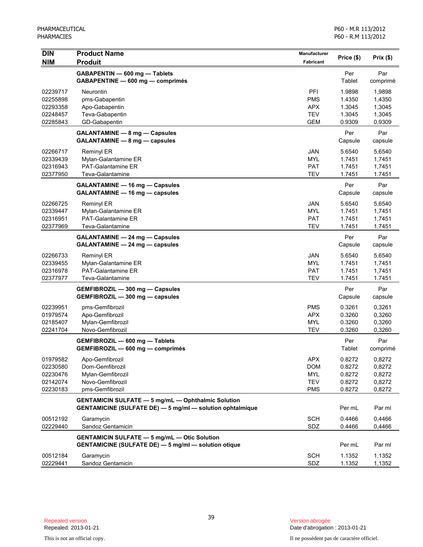| <b>DIN</b>                                               | <b>Product Name</b>                                                                                                           | <b>Manufacturer</b>                                         |                                                |                                                |
|----------------------------------------------------------|-------------------------------------------------------------------------------------------------------------------------------|-------------------------------------------------------------|------------------------------------------------|------------------------------------------------|
| <b>NIM</b>                                               | <b>Produit</b>                                                                                                                | Fabricant                                                   | Price (\$)                                     | Prix(\$)                                       |
|                                                          | GABAPENTIN - 600 mg - Tablets<br>GABAPENTINE - 600 mg - comprimés                                                             |                                                             | Per<br>Tablet                                  | Par<br>comprimé                                |
| 02239717<br>02255898<br>02293358<br>02248457<br>02285843 | Neurontin<br>pms-Gabapentin<br>Apo-Gabapentin<br>Teva-Gabapentin<br>GD-Gabapentin                                             | PFI<br><b>PMS</b><br>APX<br><b>TEV</b><br><b>GEM</b>        | 1.9898<br>1.4350<br>1.3045<br>1.3045<br>0.9309 | 1,9898<br>1,4350<br>1,3045<br>1,3045<br>0,9309 |
|                                                          | GALANTAMINE - 8 mg - Capsules<br>GALANTAMINE - 8 mg - capsules                                                                |                                                             | Per<br>Capsule                                 | Par<br>capsule                                 |
| 02266717<br>02339439<br>02316943<br>02377950             | Reminyl ER<br>Mylan-Galantamine ER<br>PAT-Galantamine ER<br>Teva-Galantamine                                                  | JAN<br><b>MYL</b><br><b>PAT</b><br><b>TEV</b>               | 5.6540<br>1.7451<br>1.7451<br>1.7451           | 5,6540<br>1,7451<br>1,7451<br>1.7451           |
|                                                          | <b>GALANTAMINE - 16 mg - Capsules</b><br>GALANTAMINE - 16 mg - capsules                                                       |                                                             | Per<br>Capsule                                 | Par<br>capsule                                 |
| 02266725<br>02339447<br>02316951<br>02377969             | <b>Reminyl ER</b><br>Mylan-Galantamine ER<br><b>PAT-Galantamine ER</b><br>Teva-Galantamine                                    | <b>JAN</b><br><b>MYL</b><br><b>PAT</b><br><b>TEV</b>        | 5.6540<br>1.7451<br>1.7451<br>1.7451           | 5,6540<br>1,7451<br>1,7451<br>1.7451           |
|                                                          | GALANTAMINE - 24 mg - Capsules<br>GALANTAMINE - 24 mg - capsules                                                              |                                                             | Per<br>Capsule                                 | Par<br>capsule                                 |
| 02266733<br>02339455<br>02316978<br>02377977             | <b>Reminyl ER</b><br>Mylan-Galantamine ER<br><b>PAT-Galantamine ER</b><br>Teva-Galantamine                                    | <b>JAN</b><br><b>MYL</b><br><b>PAT</b><br><b>TEV</b>        | 5.6540<br>1.7451<br>1.7451<br>1.7451           | 5,6540<br>1,7451<br>1,7451<br>1.7451           |
|                                                          | GEMFIBROZIL - 300 mg - Capsules<br>GEMFIBROZIL - 300 mg - capsules                                                            |                                                             | Per<br>Capsule                                 | Par<br>capsule                                 |
| 02239951<br>01979574<br>02185407<br>02241704             | pms-Gemfibrozil<br>Apo-Gemfibrozil<br>Mylan-Gemfibrozil<br>Novo-Gemfibrozil                                                   | <b>PMS</b><br><b>APX</b><br><b>MYL</b><br><b>TEV</b>        | 0.3261<br>0.3260<br>0.3260<br>0.3260           | 0,3261<br>0,3260<br>0,3260<br>0,3260           |
|                                                          | GEMFIBROZIL - 600 mg - Tablets<br>GEMFIBROZIL - 600 mg - comprimés                                                            |                                                             | Per<br>Tablet                                  | Par<br>comprimé                                |
| 01979582<br>02230580<br>02230476<br>02142074<br>02230183 | Apo-Gemfibrozil<br>Dom-Gemfibrozil<br>Mylan-Gemfibrozil<br>Novo-Gemfibrozil<br>pms-Gemfibrozil                                | <b>APX</b><br><b>DOM</b><br>MYL<br><b>TEV</b><br><b>PMS</b> | 0.8272<br>0.8272<br>0.8272<br>0.8272<br>0.8272 | 0,8272<br>0,8272<br>0,8272<br>0,8272<br>0,8272 |
|                                                          | <b>GENTAMICIN SULFATE - 5 mg/mL - Ophthalmic Solution</b><br><b>GENTAMICINE (SULFATE DE) - 5 mg/ml - solution ophtalmique</b> |                                                             | Per mL                                         | Par ml                                         |
| 00512192<br>02229440                                     | Garamycin<br>Sandoz Gentamicin                                                                                                | <b>SCH</b><br>SDZ                                           | 0.4466<br>0.4466                               | 0,4466<br>0,4466                               |
|                                                          | <b>GENTAMICIN SULFATE - 5 mg/mL - Otic Solution</b><br><b>GENTAMICINE (SULFATE DE) - 5 mg/ml - solution otique</b>            |                                                             | Per mL                                         | Par ml                                         |
| 00512184<br>02229441                                     | Garamycin<br>Sandoz Gentamicin                                                                                                | <b>SCH</b><br>SDZ                                           | 1.1352<br>1.1352                               | 1,1352<br>1,1352                               |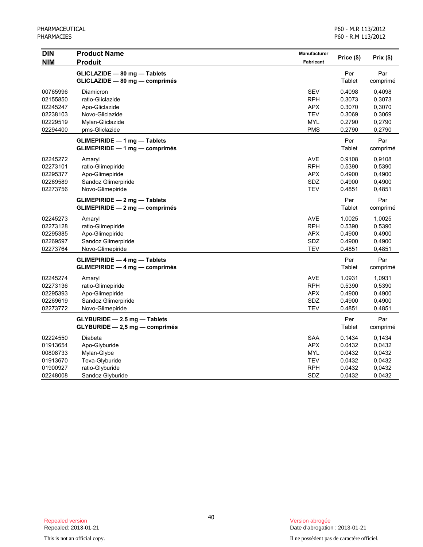| <b>DIN</b><br><b>NIM</b>                                             | <b>Product Name</b><br><b>Produit</b>                                                                    | Manufacturer<br>Fabricant                                                        | Price (\$)                                               | Prix(\$)                                                 |
|----------------------------------------------------------------------|----------------------------------------------------------------------------------------------------------|----------------------------------------------------------------------------------|----------------------------------------------------------|----------------------------------------------------------|
|                                                                      | GLICLAZIDE - 80 mg - Tablets<br>GLICLAZIDE - 80 mg - comprimés                                           |                                                                                  | Per<br>Tablet                                            | Par<br>comprimé                                          |
| 00765996<br>02155850<br>02245247<br>02238103<br>02229519<br>02294400 | Diamicron<br>ratio-Gliclazide<br>Apo-Gliclazide<br>Novo-Gliclazide<br>Mylan-Gliclazide<br>pms-Gliclazide | <b>SEV</b><br><b>RPH</b><br><b>APX</b><br><b>TEV</b><br><b>MYL</b><br><b>PMS</b> | 0.4098<br>0.3073<br>0.3070<br>0.3069<br>0.2790<br>0.2790 | 0,4098<br>0,3073<br>0,3070<br>0,3069<br>0,2790<br>0,2790 |
|                                                                      | <b>GLIMEPIRIDE - 1 mg - Tablets</b><br><b>GLIMEPIRIDE - 1 mg - comprimés</b>                             |                                                                                  | Per<br>Tablet                                            | Par<br>comprimé                                          |
| 02245272<br>02273101<br>02295377<br>02269589<br>02273756             | Amaryl<br>ratio-Glimepiride<br>Apo-Glimepiride<br>Sandoz Glimerpiride<br>Novo-Glimepiride                | <b>AVE</b><br>RPH<br><b>APX</b><br>SDZ<br><b>TEV</b>                             | 0.9108<br>0.5390<br>0.4900<br>0.4900<br>0.4851           | 0,9108<br>0,5390<br>0,4900<br>0,4900<br>0,4851           |
|                                                                      | <b>GLIMEPIRIDE - 2 mg - Tablets</b><br>GLIMEPIRIDE - 2 mg - comprimés                                    |                                                                                  | Per<br>Tablet                                            | Par<br>comprimé                                          |
| 02245273<br>02273128<br>02295385<br>02269597<br>02273764             | Amaryl<br>ratio-Glimepiride<br>Apo-Glimepiride<br>Sandoz Glimerpiride<br>Novo-Glimepiride                | <b>AVE</b><br><b>RPH</b><br><b>APX</b><br>SDZ<br><b>TEV</b>                      | 1.0025<br>0.5390<br>0.4900<br>0.4900<br>0.4851           | 1,0025<br>0,5390<br>0,4900<br>0,4900<br>0,4851           |
|                                                                      | $GLIMEPIRIDE - 4 mg - Tables$<br>GLIMEPIRIDE - 4 mg - comprimés                                          |                                                                                  | Per<br>Tablet                                            | Par<br>comprimé                                          |
| 02245274<br>02273136<br>02295393<br>02269619<br>02273772             | Amaryl<br>ratio-Glimepiride<br>Apo-Glimepiride<br>Sandoz Glimerpiride<br>Novo-Glimepiride                | <b>AVE</b><br><b>RPH</b><br><b>APX</b><br>SDZ<br><b>TEV</b>                      | 1.0931<br>0.5390<br>0.4900<br>0.4900<br>0.4851           | 1,0931<br>0,5390<br>0,4900<br>0,4900<br>0,4851           |
|                                                                      | $GLYBURIDE - 2.5 mg - Tables$<br>$GLYBURIDE - 2.5 mg - comprimés$                                        |                                                                                  | Per<br>Tablet                                            | Par<br>comprimé                                          |
| 02224550<br>01913654<br>00808733<br>01913670<br>01900927<br>02248008 | Diabeta<br>Apo-Glyburide<br>Mylan-Glybe<br>Teva-Glyburide<br>ratio-Glyburide<br>Sandoz Glyburide         | <b>SAA</b><br><b>APX</b><br>MYL<br><b>TEV</b><br><b>RPH</b><br>SDZ               | 0.1434<br>0.0432<br>0.0432<br>0.0432<br>0.0432<br>0.0432 | 0,1434<br>0,0432<br>0,0432<br>0.0432<br>0.0432<br>0.0432 |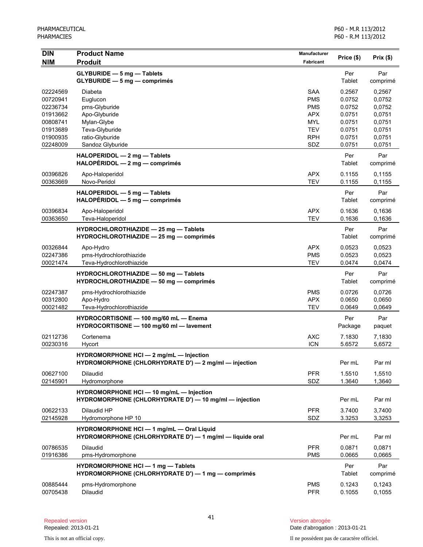| <b>DIN</b><br><b>NIM</b> | <b>Product Name</b><br><b>Produit</b>                                                                 | Manufacturer<br><b>Fabricant</b> | Price (\$)       | Prix(\$)         |
|--------------------------|-------------------------------------------------------------------------------------------------------|----------------------------------|------------------|------------------|
|                          | <b>GLYBURIDE - 5 mg - Tablets</b><br>GLYBURIDE - 5 mg - comprimés                                     |                                  | Per<br>Tablet    | Par<br>comprimé  |
| 02224569<br>00720941     | Diabeta<br>Euglucon                                                                                   | <b>SAA</b><br><b>PMS</b>         | 0.2567<br>0.0752 | 0,2567<br>0,0752 |
| 02236734                 | pms-Glyburide                                                                                         | <b>PMS</b>                       | 0.0752           | 0,0752           |
| 01913662                 | Apo-Glyburide                                                                                         | <b>APX</b>                       | 0.0751           | 0,0751           |
| 00808741<br>01913689     | Mylan-Glybe<br>Teva-Glyburide                                                                         | <b>MYL</b><br><b>TEV</b>         | 0.0751<br>0.0751 | 0,0751<br>0,0751 |
| 01900935                 | ratio-Glyburide                                                                                       | <b>RPH</b>                       | 0.0751           | 0,0751           |
| 02248009                 | Sandoz Glyburide                                                                                      | SDZ                              | 0.0751           | 0,0751           |
|                          | HALOPERIDOL - 2 mg - Tablets<br>$HALOPÉRIDOL - 2 mg - comprimés$                                      |                                  | Per<br>Tablet    | Par<br>comprimé  |
| 00396826<br>00363669     | Apo-Haloperidol<br>Novo-Peridol                                                                       | <b>APX</b><br><b>TEV</b>         | 0.1155<br>0.1155 | 0,1155<br>0,1155 |
|                          | HALOPERIDOL - 5 mg - Tablets<br>$HALOPÉRIDOL - 5 mg - comprimés$                                      |                                  | Per<br>Tablet    | Par<br>comprimé  |
| 00396834<br>00363650     | Apo-Haloperidol<br>Teva-Haloperidol                                                                   | <b>APX</b><br><b>TEV</b>         | 0.1636<br>0.1636 | 0,1636<br>0,1636 |
|                          | HYDROCHLOROTHIAZIDE - 25 mg - Tablets<br>HYDROCHLOROTHIAZIDE - 25 mg - comprimés                      |                                  | Per<br>Tablet    | Par<br>comprimé  |
| 00326844                 | Apo-Hydro                                                                                             | <b>APX</b>                       | 0.0523           | 0,0523           |
| 02247386                 | pms-Hydrochlorothiazide                                                                               | <b>PMS</b>                       | 0.0523           | 0.0523           |
| 00021474                 | Teva-Hydrochlorothiazide                                                                              | <b>TEV</b>                       | 0.0474           | 0,0474           |
|                          | HYDROCHLOROTHIAZIDE - 50 mg - Tablets<br>HYDROCHLOROTHIAZIDE - 50 mg - comprimés                      |                                  | Per<br>Tablet    | Par<br>comprimé  |
| 02247387                 | pms-Hydrochlorothiazide                                                                               | <b>PMS</b>                       | 0.0726           | 0,0726           |
| 00312800                 | Apo-Hydro                                                                                             | <b>APX</b>                       | 0.0650           | 0,0650           |
| 00021482                 | Teva-Hydrochlorothiazide                                                                              | <b>TEV</b>                       | 0.0649           | 0,0649           |
|                          | HYDROCORTISONE - 100 mg/60 mL - Enema<br>HYDROCORTISONE - 100 mg/60 ml - lavement                     |                                  | Per<br>Package   | Par<br>paquet    |
| 02112736<br>00230316     | Cortenema<br>Hycort                                                                                   | <b>AXC</b><br><b>ICN</b>         | 7.1830<br>5.6572 | 7,1830<br>5,6572 |
|                          | HYDROMORPHONE HCI - 2 mg/mL - Injection<br>HYDROMORPHONE (CHLORHYDRATE D') $-$ 2 mg/ml $-$ injection  |                                  | Per mL           | Par ml           |
| 00627100<br>02145901     | Dilaudid<br>Hydromorphone                                                                             | <b>PFR</b><br>SDZ                | 1.5510<br>1.3640 | 1,5510<br>1,3640 |
|                          | HYDROMORPHONE HCI-10 mg/mL-Injection<br>HYDROMORPHONE (CHLORHYDRATE D') - 10 mg/ml - injection        |                                  | Per mL           | Par ml           |
| 00622133<br>02145928     | Dilaudid HP<br>Hydromorphone HP 10                                                                    | <b>PFR</b><br>SDZ                | 3.7400<br>3.3253 | 3,7400<br>3,3253 |
|                          | HYDROMORPHONE HCI - 1 mg/mL - Oral Liquid<br>HYDROMORPHONE (CHLORHYDRATE D') - 1 mg/ml - liquide oral |                                  | Per mL           | Par ml           |
| 00786535<br>01916386     | Dilaudid<br>pms-Hydromorphone                                                                         | <b>PFR</b><br><b>PMS</b>         | 0.0871<br>0.0665 | 0,0871<br>0,0665 |
|                          | <b>HYDROMORPHONE HCI - 1 mg - Tablets</b><br>HYDROMORPHONE (CHLORHYDRATE D') - 1 mg - comprimés       |                                  | Per<br>Tablet    | Par<br>comprimé  |
| 00885444<br>00705438     | pms-Hydromorphone<br>Dilaudid                                                                         | <b>PMS</b><br><b>PFR</b>         | 0.1243<br>0.1055 | 0,1243<br>0,1055 |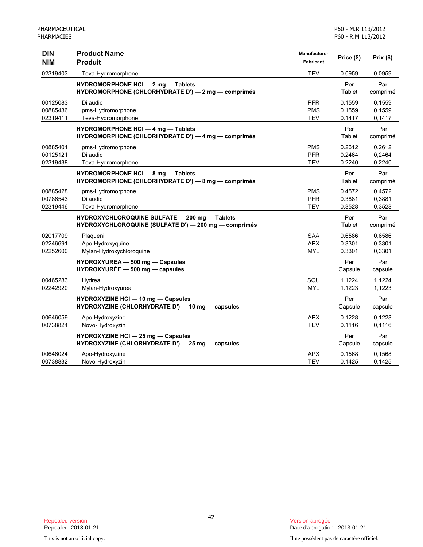| <b>DIN</b><br><b>NIM</b>         | <b>Product Name</b><br><b>Produit</b>                                                                 | Manufacturer<br>Fabricant              | Price (\$)                 | Prix(\$)                   |
|----------------------------------|-------------------------------------------------------------------------------------------------------|----------------------------------------|----------------------------|----------------------------|
| 02319403                         | Teva-Hydromorphone                                                                                    | <b>TEV</b>                             | 0.0959                     | 0,0959                     |
|                                  | <b>HYDROMORPHONE HCI - 2 mg - Tablets</b><br>HYDROMORPHONE (CHLORHYDRATE D') - 2 mg - comprimés       |                                        | Per<br>Tablet              | Par<br>comprimé            |
| 00125083<br>00885436<br>02319411 | <b>Dilaudid</b><br>pms-Hydromorphone<br>Teva-Hydromorphone                                            | <b>PFR</b><br><b>PMS</b><br><b>TEV</b> | 0.1559<br>0.1559<br>0.1417 | 0.1559<br>0,1559<br>0,1417 |
|                                  | HYDROMORPHONE HCI - 4 mg - Tablets<br>HYDROMORPHONE (CHLORHYDRATE D') - 4 mg - comprimés              |                                        | Per<br>Tablet              | Par<br>comprimé            |
| 00885401<br>00125121<br>02319438 | pms-Hydromorphone<br>Dilaudid<br>Teva-Hydromorphone                                                   | <b>PMS</b><br><b>PFR</b><br><b>TEV</b> | 0.2612<br>0.2464<br>0.2240 | 0,2612<br>0,2464<br>0,2240 |
|                                  | HYDROMORPHONE HCI - 8 mg - Tablets<br>HYDROMORPHONE (CHLORHYDRATE D') - 8 mg - comprimés              |                                        | Per<br>Tablet              | Par<br>comprimé            |
| 00885428<br>00786543<br>02319446 | pms-Hydromorphone<br><b>Dilaudid</b><br>Teva-Hydromorphone                                            | <b>PMS</b><br><b>PFR</b><br>TEV        | 0.4572<br>0.3881<br>0.3528 | 0,4572<br>0,3881<br>0,3528 |
|                                  | HYDROXYCHLOROQUINE SULFATE - 200 mg - Tablets<br>HYDROXYCHLOROQUINE (SULFATE D') - 200 mg - comprimés |                                        | Per<br>Tablet              | Par<br>comprimé            |
| 02017709<br>02246691<br>02252600 | Plaquenil<br>Apo-Hydroxyquine<br>Mylan-Hydroxychloroquine                                             | <b>SAA</b><br><b>APX</b><br><b>MYL</b> | 0.6586<br>0.3301<br>0.3301 | 0,6586<br>0,3301<br>0,3301 |
|                                  | HYDROXYUREA - 500 mg - Capsules<br>HYDROXYURÉE - 500 mg - capsules                                    |                                        | Per<br>Capsule             | Par<br>capsule             |
| 00465283<br>02242920             | Hydrea<br>Mylan-Hydroxyurea                                                                           | SQU<br><b>MYL</b>                      | 1.1224<br>1.1223           | 1,1224<br>1,1223           |
|                                  | <b>HYDROXYZINE HCI - 10 mg - Capsules</b><br>HYDROXYZINE (CHLORHYDRATE D') - 10 mg - capsules         |                                        | Per<br>Capsule             | Par<br>capsule             |
| 00646059<br>00738824             | Apo-Hydroxyzine<br>Novo-Hydroxyzin                                                                    | <b>APX</b><br><b>TEV</b>               | 0.1228<br>0.1116           | 0,1228<br>0,1116           |
|                                  | HYDROXYZINE HCI - 25 mg - Capsules<br>HYDROXYZINE (CHLORHYDRATE D') - 25 mg - capsules                |                                        | Per<br>Capsule             | Par<br>capsule             |
| 00646024<br>00738832             | Apo-Hydroxyzine<br>Novo-Hydroxyzin                                                                    | <b>APX</b><br><b>TEV</b>               | 0.1568<br>0.1425           | 0,1568<br>0.1425           |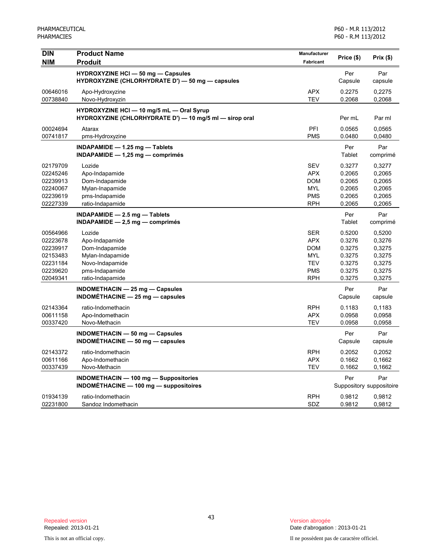| DIN        | <b>Product Name</b>                                                                           | Manufacturer | Price (\$)     | Prix(\$)                 |
|------------|-----------------------------------------------------------------------------------------------|--------------|----------------|--------------------------|
| <b>NIM</b> | <b>Produit</b>                                                                                | Fabricant    |                |                          |
|            | <b>HYDROXYZINE HCI - 50 mg - Capsules</b><br>HYDROXYZINE (CHLORHYDRATE D') - 50 mg - capsules |              | Per<br>Capsule | Par<br>capsule           |
| 00646016   |                                                                                               | <b>APX</b>   | 0.2275         | 0,2275                   |
| 00738840   | Apo-Hydroxyzine<br>Novo-Hydroxyzin                                                            | <b>TEV</b>   | 0.2068         | 0,2068                   |
|            | HYDROXYZINE HCI - 10 mg/5 mL - Oral Syrup                                                     |              |                |                          |
|            | HYDROXYZINE (CHLORHYDRATE D') - 10 mg/5 ml - sirop oral                                       |              | Per mL         | Par ml                   |
| 00024694   | Atarax                                                                                        | PFI          | 0.0565         | 0.0565                   |
| 00741817   | pms-Hydroxyzine                                                                               | <b>PMS</b>   | 0.0480         | 0,0480                   |
|            | INDAPAMIDE $-$ 1.25 mg $-$ Tablets                                                            |              | Per            | Par                      |
|            | $INDAPAMIDE - 1,25 mg - comprimés$                                                            |              | Tablet         | comprimé                 |
| 02179709   | Lozide                                                                                        | <b>SEV</b>   | 0.3277         | 0,3277                   |
| 02245246   | Apo-Indapamide                                                                                | <b>APX</b>   | 0.2065         | 0,2065                   |
| 02239913   | Dom-Indapamide                                                                                | <b>DOM</b>   | 0.2065         | 0,2065                   |
| 02240067   | Mylan-Inapamide                                                                               | <b>MYL</b>   | 0.2065         | 0,2065                   |
| 02239619   | pms-Indapamide                                                                                | <b>PMS</b>   | 0.2065         | 0,2065                   |
| 02227339   | ratio-Indapamide                                                                              | <b>RPH</b>   | 0.2065         | 0,2065                   |
|            | INDAPAMIDE $-2.5$ mg $-$ Tablets                                                              |              | Per            | Par                      |
|            | $INDAPAMIDE - 2,5 mg - comprimés$                                                             |              | Tablet         | comprimé                 |
| 00564966   | Lozide                                                                                        | <b>SER</b>   | 0.5200         | 0,5200                   |
| 02223678   | Apo-Indapamide                                                                                | <b>APX</b>   | 0.3276         | 0,3276                   |
| 02239917   | Dom-Indapamide                                                                                | <b>DOM</b>   | 0.3275         | 0,3275                   |
| 02153483   | Mylan-Indapamide                                                                              | <b>MYL</b>   | 0.3275         | 0,3275                   |
| 02231184   | Novo-Indapamide                                                                               | <b>TEV</b>   | 0.3275         | 0,3275                   |
| 02239620   | pms-Indapamide                                                                                | <b>PMS</b>   | 0.3275         | 0,3275                   |
| 02049341   | ratio-Indapamide                                                                              | <b>RPH</b>   | 0.3275         | 0,3275                   |
|            | $INDOMETHACIN - 25 mg - Capsules$                                                             |              | Per            | Par                      |
|            | INDOMÉTHACINE $-$ 25 mg $-$ capsules                                                          |              | Capsule        | capsule                  |
| 02143364   | ratio-Indomethacin                                                                            | <b>RPH</b>   | 0.1183         | 0,1183                   |
| 00611158   | Apo-Indomethacin                                                                              | <b>APX</b>   | 0.0958         | 0,0958                   |
| 00337420   | Novo-Methacin                                                                                 | <b>TEV</b>   | 0.0958         | 0,0958                   |
|            | INDOMETHACIN - 50 mg - Capsules                                                               |              | Per            | Par                      |
|            | INDOMÉTHACINE $-$ 50 mg $-$ capsules                                                          |              | Capsule        | capsule                  |
| 02143372   | ratio-Indomethacin                                                                            | <b>RPH</b>   | 0.2052         | 0,2052                   |
| 00611166   | Apo-Indomethacin                                                                              | <b>APX</b>   | 0.1662         | 0,1662                   |
| 00337439   | Novo-Methacin                                                                                 | <b>TEV</b>   | 0.1662         | 0,1662                   |
|            | <b>INDOMETHACIN - 100 mg - Suppositories</b>                                                  |              | Per            | Par                      |
|            | <b>INDOMÉTHACINE - 100 mg - suppositoires</b>                                                 |              |                | Suppository suppositoire |
| 01934139   | ratio-Indomethacin                                                                            | <b>RPH</b>   | 0.9812         | 0.9812                   |
| 02231800   | Sandoz Indomethacin                                                                           | SDZ          | 0.9812         | 0,9812                   |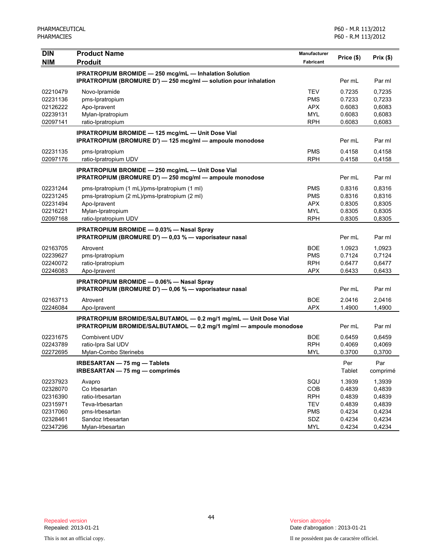P60 - M.R 113/2012 P60 - R.M 113/2012

| <b>DIN</b> | <b>Product Name</b>                                                                                           | Manufacturer |            |          |
|------------|---------------------------------------------------------------------------------------------------------------|--------------|------------|----------|
| <b>NIM</b> | <b>Produit</b>                                                                                                | Fabricant    | Price (\$) | Prix(\$) |
|            | <b>IPRATROPIUM BROMIDE - 250 mcg/mL - Inhalation Solution</b>                                                 |              |            |          |
|            | IPRATROPIUM (BROMURE D') - 250 mcg/ml - solution pour inhalation                                              |              | Per mL     | Par ml   |
| 02210479   | Novo-Ipramide                                                                                                 | <b>TEV</b>   | 0.7235     | 0,7235   |
| 02231136   | pms-Ipratropium                                                                                               | <b>PMS</b>   | 0.7233     | 0,7233   |
| 02126222   | Apo-Ipravent                                                                                                  | <b>APX</b>   | 0.6083     | 0,6083   |
| 02239131   | Mylan-Ipratropium                                                                                             | <b>MYL</b>   | 0.6083     | 0,6083   |
| 02097141   | ratio-Ipratropium                                                                                             | <b>RPH</b>   | 0.6083     | 0,6083   |
|            |                                                                                                               |              |            |          |
|            | IPRATROPIUM BROMIDE - 125 mcg/mL - Unit Dose Vial<br>IPRATROPIUM (BROMURE D') - 125 mcg/ml - ampoule monodose |              | Per mL     | Par ml   |
| 02231135   | pms-Ipratropium                                                                                               | <b>PMS</b>   | 0.4158     | 0,4158   |
| 02097176   | ratio-Ipratropium UDV                                                                                         | <b>RPH</b>   | 0.4158     | 0,4158   |
|            | IPRATROPIUM BROMIDE - 250 mcg/mL - Unit Dose Vial                                                             |              |            |          |
|            | IPRATROPIUM (BROMURE D') - 250 mcg/ml - ampoule monodose                                                      |              | Per mL     | Par ml   |
| 02231244   | pms-Ipratropium (1 mL)/pms-Ipratropium (1 ml)                                                                 | <b>PMS</b>   | 0.8316     | 0,8316   |
| 02231245   | pms-Ipratropium (2 mL)/pms-Ipratropium (2 ml)                                                                 | <b>PMS</b>   | 0.8316     | 0,8316   |
| 02231494   | Apo-Ipravent                                                                                                  | <b>APX</b>   | 0.8305     | 0,8305   |
| 02216221   | Mylan-Ipratropium                                                                                             | <b>MYL</b>   | 0.8305     | 0,8305   |
| 02097168   | ratio-Ipratropium UDV                                                                                         | <b>RPH</b>   | 0.8305     | 0,8305   |
|            | <b>IPRATROPIUM BROMIDE - 0.03% - Nasal Spray</b>                                                              |              |            |          |
|            | IPRATROPIUM (BROMURE D') - 0,03 % - vaporisateur nasal                                                        |              | Per mL     | Par ml   |
| 02163705   | Atrovent                                                                                                      | <b>BOE</b>   | 1.0923     | 1,0923   |
| 02239627   | pms-Ipratropium                                                                                               | <b>PMS</b>   | 0.7124     | 0,7124   |
| 02240072   | ratio-Ipratropium                                                                                             | <b>RPH</b>   | 0.6477     | 0,6477   |
| 02246083   | Apo-Ipravent                                                                                                  | <b>APX</b>   | 0.6433     | 0,6433   |
|            | <b>IPRATROPIUM BROMIDE - 0.06% - Nasal Spray</b>                                                              |              |            |          |
|            | IPRATROPIUM (BROMURE D') - 0,06 % - vaporisateur nasal                                                        |              | Per mL     | Par ml   |
| 02163713   | Atrovent                                                                                                      | <b>BOE</b>   | 2.0416     | 2,0416   |
| 02246084   | Apo-Ipravent                                                                                                  | <b>APX</b>   | 1.4900     | 1,4900   |
|            | IPRATROPIUM BROMIDE/SALBUTAMOL - 0.2 mg/1 mg/mL - Unit Dose Vial                                              |              |            |          |
|            | IPRATROPIUM BROMIDE/SALBUTAMOL - 0,2 mg/1 mg/ml - ampoule monodose                                            |              | Per mL     | Par ml   |
| 02231675   | <b>Combivent UDV</b>                                                                                          | <b>BOE</b>   | 0.6459     | 0,6459   |
| 02243789   | ratio-Ipra Sal UDV                                                                                            | <b>RPH</b>   | 0.4069     | 0,4069   |
| 02272695   | Mylan-Combo Sterinebs                                                                                         | <b>MYL</b>   | 0.3700     | 0,3700   |
|            | IRBESARTAN - 75 mg - Tablets                                                                                  |              | Per        | Par      |
|            | IRBESARTAN - 75 mg - comprimés                                                                                |              | Tablet     | comprimé |
| 02237923   | Avapro                                                                                                        | SQU          | 1.3939     | 1,3939   |
| 02328070   | Co Irbesartan                                                                                                 | COB          | 0.4839     | 0,4839   |
| 02316390   | ratio-Irbesartan                                                                                              | <b>RPH</b>   | 0.4839     | 0,4839   |
| 02315971   | Teva-Irbesartan                                                                                               | <b>TEV</b>   | 0.4839     | 0,4839   |
| 02317060   | pms-Irbesartan                                                                                                | <b>PMS</b>   | 0.4234     | 0,4234   |
| 02328461   | Sandoz Irbesartan                                                                                             | SDZ          | 0.4234     | 0,4234   |
| 02347296   | Mylan-Irbesartan                                                                                              | <b>MYL</b>   | 0.4234     | 0,4234   |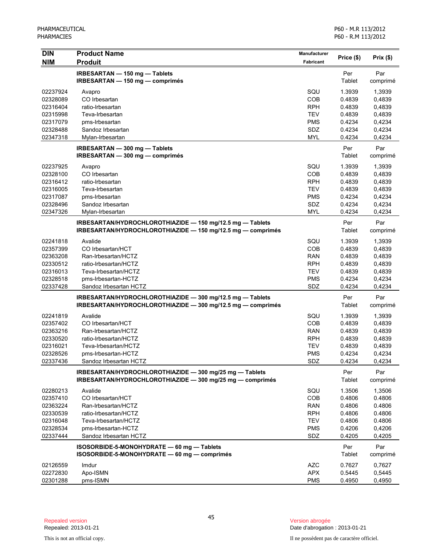| <b>DIN</b> | <b>Product Name</b>                                         | <b>Manufacturer</b> |               | Prix(\$) |
|------------|-------------------------------------------------------------|---------------------|---------------|----------|
| <b>NIM</b> | <b>Produit</b>                                              | <b>Fabricant</b>    | Price (\$)    |          |
|            | IRBESARTAN - 150 mg - Tablets                               |                     | Per           | Par      |
|            | IRBESARTAN - 150 mg - comprimés                             |                     | Tablet        | comprimé |
| 02237924   | Avapro                                                      | SQU                 | 1.3939        | 1,3939   |
| 02328089   | CO Irbesartan                                               | COB                 | 0.4839        | 0,4839   |
| 02316404   | ratio-Irbesartan                                            | <b>RPH</b>          | 0.4839        | 0,4839   |
| 02315998   | Teva-Irbesartan                                             | <b>TEV</b>          | 0.4839        | 0,4839   |
| 02317079   | pms-Irbesartan                                              | <b>PMS</b>          | 0.4234        | 0,4234   |
| 02328488   | Sandoz Irbesartan                                           | <b>SDZ</b>          | 0.4234        | 0,4234   |
| 02347318   | Mylan-Irbesartan                                            | <b>MYL</b>          | 0.4234        | 0,4234   |
|            | IRBESARTAN - 300 mg - Tablets                               |                     | Per           | Par      |
|            | IRBESARTAN - 300 mg - comprimés                             |                     | Tablet        | comprimé |
| 02237925   | Avapro                                                      | SQU                 | 1.3939        | 1,3939   |
| 02328100   | CO Irbesartan                                               | COB                 | 0.4839        | 0,4839   |
| 02316412   | ratio-Irbesartan                                            | <b>RPH</b>          | 0.4839        | 0,4839   |
| 02316005   | Teva-Irbesartan                                             | <b>TEV</b>          | 0.4839        | 0,4839   |
| 02317087   | pms-Irbesartan                                              | <b>PMS</b>          | 0.4234        | 0,4234   |
| 02328496   | Sandoz Irbesartan                                           | SDZ                 | 0.4234        | 0,4234   |
| 02347326   | Mylan-Irbesartan                                            | <b>MYL</b>          | 0.4234        | 0,4234   |
|            | IRBESARTAN/HYDROCHLOROTHIAZIDE - 150 mg/12.5 mg - Tablets   |                     | Per           | Par      |
|            | IRBESARTAN/HYDROCHLOROTHIAZIDE - 150 mg/12.5 mg - comprimés |                     | Tablet        | comprimé |
| 02241818   | Avalide                                                     | SQU                 | 1.3939        | 1,3939   |
| 02357399   | CO Irbesartan/HCT                                           | COB                 | 0.4839        | 0,4839   |
| 02363208   | Ran-Irbesartan/HCTZ                                         | <b>RAN</b>          | 0.4839        | 0,4839   |
| 02330512   | ratio-Irbesartan/HCTZ                                       | <b>RPH</b>          | 0.4839        | 0,4839   |
| 02316013   | Teva-Irbesartan/HCTZ                                        | <b>TEV</b>          | 0.4839        | 0,4839   |
| 02328518   | pms-Irbesartan-HCTZ                                         | <b>PMS</b>          | 0.4234        | 0,4234   |
| 02337428   | Sandoz Irbesartan HCTZ                                      | SDZ                 | 0.4234        | 0,4234   |
|            | IRBESARTAN/HYDROCHLOROTHIAZIDE - 300 mg/12.5 mg - Tablets   |                     | Per           | Par      |
|            | IRBESARTAN/HYDROCHLOROTHIAZIDE - 300 mg/12.5 mg - comprimés |                     | Tablet        | comprimé |
| 02241819   | Avalide                                                     | SQU                 | 1.3939        | 1,3939   |
| 02357402   | CO Irbesartan/HCT                                           | COB                 | 0.4839        | 0,4839   |
| 02363216   | Ran-Irbesartan/HCTZ                                         | <b>RAN</b>          | 0.4839        | 0,4839   |
| 02330520   | ratio-Irbesartan/HCTZ                                       | <b>RPH</b>          | 0.4839        | 0,4839   |
| 02316021   | Teva-Irbesartan/HCTZ                                        | <b>TEV</b>          | 0.4839        | 0,4839   |
| 02328526   | pms-Irbesartan-HCTZ                                         | <b>PMS</b>          | 0.4234        | 0,4234   |
| 02337436   | Sandoz Irbesartan HCTZ                                      | SDZ                 | 0.4234        | 0,4234   |
|            | IRBESARTAN/HYDROCHLOROTHIAZIDE - 300 mg/25 mg - Tablets     |                     | Per           | Par      |
|            | IRBESARTAN/HYDROCHLOROTHIAZIDE - 300 mg/25 mg - comprimés   |                     | <b>Tablet</b> | comprimé |
| 02280213   | Avalide                                                     | SQU                 | 1.3506        | 1,3506   |
| 02357410   | CO Irbesartan/HCT                                           | COB                 | 0.4806        | 0.4806   |
| 02363224   | Ran-Irbesartan/HCTZ                                         | <b>RAN</b>          | 0.4806        | 0.4806   |
| 02330539   | ratio-Irbesartan/HCTZ                                       | <b>RPH</b>          | 0.4806        | 0.4806   |
| 02316048   | Teva-Irbesartan/HCTZ                                        | <b>TEV</b>          | 0.4806        | 0.4806   |
| 02328534   | pms-Irbesartan-HCTZ                                         | <b>PMS</b>          | 0.4206        | 0,4206   |
| 02337444   | Sandoz Irbesartan HCTZ                                      | SDZ                 | 0.4205        | 0,4205   |
|            | ISOSORBIDE-5-MONOHYDRATE - 60 mg - Tablets                  |                     | Per           | Par      |
|            | ISOSORBIDE-5-MONOHYDRATE - 60 mg - comprimés                |                     | Tablet        | comprimé |
| 02126559   | Imdur                                                       | <b>AZC</b>          | 0.7627        | 0,7627   |
| 02272830   | Apo-ISMN                                                    | <b>APX</b>          | 0.5445        | 0,5445   |
| 02301288   | pms-ISMN                                                    | <b>PMS</b>          | 0.4950        | 0,4950   |

This is not an official copy. Il ne possèdent pas de caractère officiel.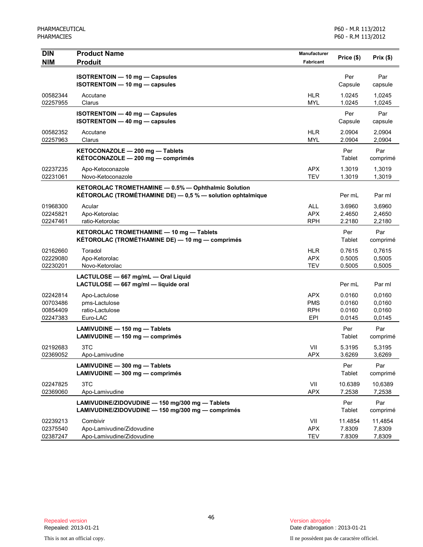| <b>DIN</b><br><b>NIM</b>                     | <b>Product Name</b><br><b>Produit</b>                                                                             | Manufacturer<br>Fabricant                            | Price (\$)                           | Prix(\$)                             |
|----------------------------------------------|-------------------------------------------------------------------------------------------------------------------|------------------------------------------------------|--------------------------------------|--------------------------------------|
|                                              | ISOTRENTOIN - 10 mg - Capsules<br>ISOTRENTOIN - 10 mg - capsules                                                  |                                                      | Per<br>Capsule                       | Par<br>capsule                       |
| 00582344<br>02257955                         | Accutane<br>Clarus                                                                                                | <b>HLR</b><br><b>MYL</b>                             | 1.0245<br>1.0245                     | 1,0245<br>1,0245                     |
|                                              | <b>ISOTRENTOIN - 40 mg - Capsules</b><br><b>ISOTRENTOIN - 40 mg - capsules</b>                                    |                                                      | Per<br>Capsule                       | Par<br>capsule                       |
| 00582352<br>02257963                         | Accutane<br>Clarus                                                                                                | <b>HLR</b><br><b>MYL</b>                             | 2.0904<br>2.0904                     | 2,0904<br>2,0904                     |
|                                              | KETOCONAZOLE - 200 mg - Tablets<br>KÉTOCONAZOLE - 200 mg - comprimés                                              |                                                      | Per<br>Tablet                        | Par<br>comprimé                      |
| 02237235<br>02231061                         | Apo-Ketoconazole<br>Novo-Ketoconazole                                                                             | <b>APX</b><br><b>TEV</b>                             | 1.3019<br>1.3019                     | 1,3019<br>1,3019                     |
|                                              | KETOROLAC TROMETHAMINE - 0.5% - Ophthalmic Solution<br>KÉTOROLAC (TROMÉTHAMINE DE) - 0,5 % - solution ophtalmique |                                                      | Per mL                               | Par ml                               |
| 01968300<br>02245821<br>02247461             | Acular<br>Apo-Ketorolac<br>ratio-Ketorolac                                                                        | <b>ALL</b><br><b>APX</b><br><b>RPH</b>               | 3.6960<br>2.4650<br>2.2180           | 3,6960<br>2,4650<br>2,2180           |
|                                              | KETOROLAC TROMETHAMINE - 10 mg - Tablets<br>KÉTOROLAC (TROMÉTHAMINE DE) — 10 mg — comprimés                       |                                                      | Per<br>Tablet                        | Par<br>comprimé                      |
| 02162660<br>02229080<br>02230201             | Toradol<br>Apo-Ketorolac<br>Novo-Ketorolac                                                                        | <b>HLR</b><br><b>APX</b><br><b>TEV</b>               | 0.7615<br>0.5005<br>0.5005           | 0,7615<br>0,5005<br>0,5005           |
|                                              | LACTULOSE - 667 mg/mL - Oral Liquid<br>LACTULOSE - 667 mg/ml - liquide oral                                       |                                                      | Per mL                               | Par ml                               |
| 02242814<br>00703486<br>00854409<br>02247383 | Apo-Lactulose<br>pms-Lactulose<br>ratio-Lactulose<br>Euro-LAC                                                     | <b>APX</b><br><b>PMS</b><br><b>RPH</b><br><b>EPI</b> | 0.0160<br>0.0160<br>0.0160<br>0.0145 | 0,0160<br>0,0160<br>0,0160<br>0,0145 |
|                                              | LAMIVUDINE - 150 mg - Tablets<br>LAMIVUDINE - 150 mg - comprimés                                                  |                                                      | Per<br>Tablet                        | Par<br>comprimé                      |
| 02192683<br>02369052                         | 3TC<br>Apo-Lamivudine                                                                                             | VII<br><b>APX</b>                                    | 5.3195<br>3.6269                     | 5,3195<br>3,6269                     |
|                                              | LAMIVUDINE - 300 mg - Tablets<br>LAMIVUDINE - 300 mg - comprimés                                                  |                                                      | Per<br>Tablet                        | Par<br>comprimé                      |
| 02247825<br>02369060                         | 3TC<br>Apo-Lamivudine                                                                                             | VII<br><b>APX</b>                                    | 10.6389<br>7.2538                    | 10,6389<br>7,2538                    |
|                                              | LAMIVUDINE/ZIDOVUDINE - 150 mg/300 mg - Tablets<br>LAMIVUDINE/ZIDOVUDINE - 150 mg/300 mg - comprimés              |                                                      | Per<br>Tablet                        | Par<br>comprimé                      |
| 02239213<br>02375540<br>02387247             | Combivir<br>Apo-Lamivudine/Zidovudine<br>Apo-Lamivudine/Zidovudine                                                | VII<br><b>APX</b><br><b>TEV</b>                      | 11.4854<br>7.8309<br>7.8309          | 11,4854<br>7,8309<br>7,8309          |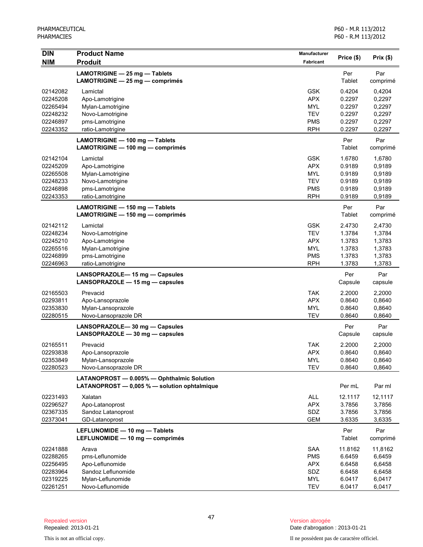| <b>DIN</b><br><b>NIM</b> | <b>Product Name</b><br><b>Produit</b>                                                      | <b>Manufacturer</b><br><b>Fabricant</b> | Price (\$)       | Prix(\$)         |
|--------------------------|--------------------------------------------------------------------------------------------|-----------------------------------------|------------------|------------------|
|                          | LAMOTRIGINE - 25 mg - Tablets                                                              |                                         | Per              | Par              |
|                          | LAMOTRIGINE - 25 mg - comprimés                                                            |                                         | Tablet           | comprimé         |
| 02142082                 | Lamictal                                                                                   | <b>GSK</b>                              | 0.4204           | 0,4204           |
| 02245208                 | Apo-Lamotrigine                                                                            | <b>APX</b>                              | 0.2297           | 0,2297           |
| 02265494                 | Mylan-Lamotrigine                                                                          | <b>MYL</b>                              | 0.2297           | 0,2297           |
| 02248232                 | Novo-Lamotrigine                                                                           | <b>TEV</b>                              | 0.2297           | 0,2297           |
| 02246897                 | pms-Lamotrigine                                                                            | <b>PMS</b>                              | 0.2297           | 0,2297           |
| 02243352                 | ratio-Lamotrigine                                                                          | <b>RPH</b>                              | 0.2297           | 0,2297           |
|                          | LAMOTRIGINE - 100 mg - Tablets                                                             |                                         | Per              | Par              |
|                          | LAMOTRIGINE - 100 mg - comprimés                                                           |                                         | Tablet           | comprimé         |
| 02142104                 | Lamictal                                                                                   | <b>GSK</b>                              | 1.6780           | 1,6780           |
| 02245209                 | Apo-Lamotrigine                                                                            | <b>APX</b>                              | 0.9189           | 0,9189           |
| 02265508                 | Mylan-Lamotrigine                                                                          | <b>MYL</b>                              | 0.9189           | 0,9189           |
| 02248233                 | Novo-Lamotrigine                                                                           | <b>TEV</b>                              | 0.9189           | 0,9189           |
| 02246898                 | pms-Lamotrigine                                                                            | <b>PMS</b>                              | 0.9189           | 0,9189           |
| 02243353                 | ratio-Lamotrigine                                                                          | <b>RPH</b>                              | 0.9189           | 0,9189           |
|                          | LAMOTRIGINE - 150 mg - Tablets<br>LAMOTRIGINE - 150 mg - comprimés                         |                                         | Per<br>Tablet    | Par<br>comprimé  |
|                          |                                                                                            |                                         |                  |                  |
| 02142112<br>02248234     | Lamictal                                                                                   | <b>GSK</b><br><b>TEV</b>                | 2.4730<br>1.3784 | 2,4730           |
| 02245210                 | Novo-Lamotrigine<br>Apo-Lamotrigine                                                        | <b>APX</b>                              | 1.3783           | 1,3784<br>1,3783 |
| 02265516                 | Mylan-Lamotrigine                                                                          | <b>MYL</b>                              | 1.3783           | 1,3783           |
| 02246899                 | pms-Lamotrigine                                                                            | <b>PMS</b>                              | 1.3783           | 1,3783           |
| 02246963                 | ratio-Lamotrigine                                                                          | <b>RPH</b>                              | 1.3783           | 1,3783           |
|                          | LANSOPRAZOLE-15 mg - Capsules                                                              |                                         | Per              | Par              |
|                          | LANSOPRAZOLE - 15 mg - capsules                                                            |                                         | Capsule          | capsule          |
| 02165503                 | Prevacid                                                                                   | <b>TAK</b>                              | 2.2000           | 2,2000           |
| 02293811                 | Apo-Lansoprazole                                                                           | <b>APX</b>                              | 0.8640           | 0,8640           |
| 02353830                 | Mylan-Lansoprazole                                                                         | <b>MYL</b>                              | 0.8640           | 0,8640           |
| 02280515                 | Novo-Lansoprazole DR                                                                       | <b>TEV</b>                              | 0.8640           | 0,8640           |
|                          | LANSOPRAZOLE-30 mg - Capsules                                                              |                                         | Per              | Par              |
|                          | LANSOPRAZOLE $-30$ mg $-$ capsules                                                         |                                         | Capsule          | capsule          |
| 02165511                 | Prevacid                                                                                   | <b>TAK</b>                              | 2.2000           | 2,2000           |
| 02293838                 | Apo-Lansoprazole                                                                           | <b>APX</b>                              | 0.8640           | 0,8640           |
| 02353849                 | Mylan-Lansoprazole                                                                         | <b>MYL</b>                              | 0.8640           | 0,8640           |
| 02280523                 | Novo-Lansoprazole DR                                                                       | <b>TEV</b>                              | 0.8640           | 0,8640           |
|                          | LATANOPROST - 0.005% - Ophthalmic Solution<br>LATANOPROST - 0,005 % - solution ophtalmique |                                         | Per mL           | Par ml           |
| 02231493                 | Xalatan                                                                                    | ALL                                     | 12.1117          | 12,1117          |
| 02296527                 | Apo-Latanoprost                                                                            | <b>APX</b>                              | 3.7856           | 3,7856           |
| 02367335                 | Sandoz Latanoprost                                                                         | SDZ                                     | 3.7856           | 3,7856           |
| 02373041                 | GD-Latanoprost                                                                             | <b>GEM</b>                              | 3.6335           | 3,6335           |
|                          | LEFLUNOMIDE - 10 mg - Tablets                                                              |                                         | Per              | Par              |
|                          | LEFLUNOMIDE - 10 mg - comprimés                                                            |                                         | <b>Tablet</b>    | comprimé         |
| 02241888                 | Arava                                                                                      | SAA                                     | 11.8162          | 11,8162          |
| 02288265                 | pms-Leflunomide                                                                            | <b>PMS</b>                              | 6.6459           | 6,6459           |
| 02256495                 | Apo-Leflunomide                                                                            | <b>APX</b>                              | 6.6458           | 6,6458           |
| 02283964                 | Sandoz Leflunomide                                                                         | SDZ                                     | 6.6458           | 6,6458           |
| 02319225                 | Mylan-Leflunomide                                                                          | <b>MYL</b>                              | 6.0417           | 6,0417           |
| 02261251                 | Novo-Leflunomide                                                                           | <b>TEV</b>                              | 6.0417           | 6,0417           |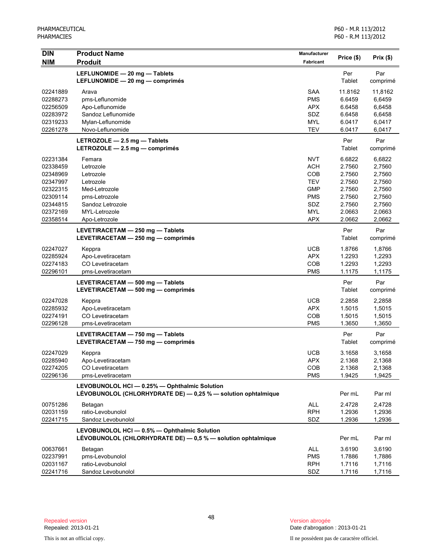| <b>DIN</b>           | <b>Product Name</b>                                                                                            | <b>Manufacturer</b>      |                  |                  |
|----------------------|----------------------------------------------------------------------------------------------------------------|--------------------------|------------------|------------------|
| <b>NIM</b>           | <b>Produit</b>                                                                                                 | <b>Fabricant</b>         | Price (\$)       | Prix (\$)        |
|                      | LEFLUNOMIDE - 20 mg - Tablets<br>LEFLUNOMIDE - 20 mg - comprimés                                               |                          | Per<br>Tablet    | Par<br>comprimé  |
| 02241889             | Arava                                                                                                          | <b>SAA</b>               | 11.8162          | 11,8162          |
| 02288273             | pms-Leflunomide                                                                                                | <b>PMS</b>               | 6.6459           | 6,6459           |
| 02256509             | Apo-Leflunomide                                                                                                | <b>APX</b>               | 6.6458           | 6,6458           |
| 02283972             | Sandoz Leflunomide                                                                                             | SDZ                      | 6.6458           | 6,6458           |
| 02319233             | Mylan-Leflunomide<br>Novo-Leflunomide                                                                          | <b>MYL</b><br><b>TEV</b> | 6.0417           | 6,0417           |
| 02261278             |                                                                                                                |                          | 6.0417           | 6,0417           |
|                      | LETROZOLE - 2.5 mg - Tablets<br>LETROZOLE $-2.5$ mg $-$ comprimés                                              |                          | Per<br>Tablet    | Par<br>comprimé  |
| 02231384             | Femara                                                                                                         | <b>NVT</b>               | 6.6822           | 6,6822           |
| 02338459             | Letrozole                                                                                                      | <b>ACH</b>               | 2.7560           | 2,7560           |
| 02348969             | Letrozole                                                                                                      | COB                      | 2.7560           | 2,7560           |
| 02347997             | Letrozole                                                                                                      | <b>TEV</b>               | 2.7560           | 2,7560           |
| 02322315             | Med-Letrozole                                                                                                  | <b>GMP</b>               | 2.7560           | 2,7560           |
| 02309114             | pms-Letrozole                                                                                                  | <b>PMS</b>               | 2.7560           | 2,7560           |
| 02344815             | Sandoz Letrozole                                                                                               | SDZ                      | 2.7560           | 2,7560           |
| 02372169             | MYL-Letrozole                                                                                                  | <b>MYL</b>               | 2.0663           | 2,0663           |
| 02358514             | Apo-Letrozole                                                                                                  | <b>APX</b>               | 2.0662           | 2,0662           |
|                      | LEVETIRACETAM - 250 mg - Tablets<br>LEVETIRACETAM - 250 mg - comprimés                                         |                          | Per<br>Tablet    | Par<br>comprimé  |
| 02247027             | Keppra                                                                                                         | <b>UCB</b>               | 1.8766           | 1,8766           |
| 02285924             | Apo-Levetiracetam                                                                                              | <b>APX</b>               | 1.2293           | 1,2293           |
| 02274183             | CO Levetiracetam                                                                                               | COB                      | 1.2293           | 1,2293           |
| 02296101             | pms-Levetiracetam                                                                                              | <b>PMS</b>               | 1.1175           | 1,1175           |
|                      | LEVETIRACETAM - 500 mg - Tablets<br>LEVETIRACETAM - 500 mg - comprimés                                         |                          | Per<br>Tablet    | Par<br>comprimé  |
| 02247028             | Keppra                                                                                                         | <b>UCB</b>               | 2.2858           | 2,2858           |
| 02285932             | Apo-Levetiracetam                                                                                              | <b>APX</b>               | 1.5015           | 1,5015           |
| 02274191             | CO Levetiracetam                                                                                               | COB                      | 1.5015           | 1,5015           |
| 02296128             | pms-Levetiracetam                                                                                              | <b>PMS</b>               | 1.3650           | 1,3650           |
|                      | LEVETIRACETAM - 750 mg - Tablets<br>LEVETIRACETAM - 750 mg - comprimés                                         |                          | Per<br>Tablet    | Par<br>comprimé  |
| 02247029             | Keppra                                                                                                         | <b>UCB</b>               | 3.1658           | 3,1658           |
| 02285940             | Apo-Levetiracetam                                                                                              | <b>APX</b>               | 2.1368           | 2,1368           |
| 02274205             | CO Levetiracetam                                                                                               | COB                      | 2.1368           | 2,1368           |
| 02296136             | pms-Levetiracetam                                                                                              | <b>PMS</b>               | 1.9425           | 1,9425           |
|                      | LEVOBUNOLOL HCI - 0.25% - Ophthalmic Solution<br>LÉVOBUNOLOL (CHLORHYDRATE DE) - 0,25 % - solution ophtalmique |                          | Per mL           | Par ml           |
|                      |                                                                                                                |                          |                  |                  |
| 00751286             | Betagan                                                                                                        | ALL                      | 2.4728           | 2,4728           |
| 02031159<br>02241715 | ratio-Levobunolol<br>Sandoz Levobunolol                                                                        | <b>RPH</b><br>SDZ        | 1.2936<br>1.2936 | 1,2936<br>1,2936 |
|                      |                                                                                                                |                          |                  |                  |
|                      | LEVOBUNOLOL HCI - 0.5% - Ophthalmic Solution<br>LÉVOBUNOLOL (CHLORHYDRATE DE) - 0,5 % - solution ophtalmique   |                          | Per mL           | Par ml           |
| 00637661             | Betagan                                                                                                        | <b>ALL</b>               | 3.6190           | 3,6190           |
| 02237991             | pms-Levobunolol                                                                                                | <b>PMS</b>               | 1.7886           | 1,7886           |
| 02031167             | ratio-Levobunolol                                                                                              | <b>RPH</b>               | 1.7116           | 1,7116           |
| 02241716             | Sandoz Levobunolol                                                                                             | SDZ                      | 1.7116           | 1,7116           |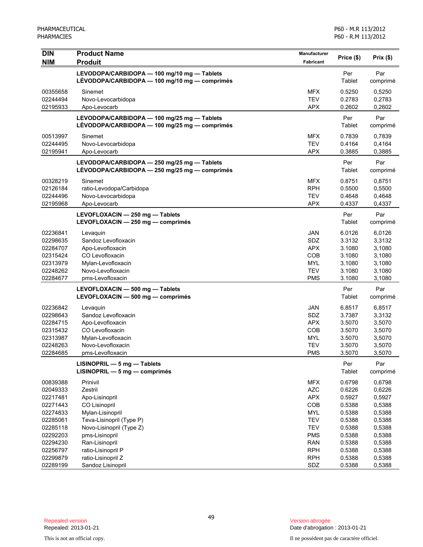| <b>DIN</b>           | <b>Product Name</b>                                                                          | Manufacturer             | Price (\$)       | Prix(\$)         |
|----------------------|----------------------------------------------------------------------------------------------|--------------------------|------------------|------------------|
| <b>NIM</b>           | <b>Produit</b>                                                                               | Fabricant                |                  |                  |
|                      | LEVODOPA/CARBIDOPA - 100 mg/10 mg - Tablets<br>LÉVODOPA/CARBIDOPA — 100 mg/10 mg — comprimés |                          | Per<br>Tablet    | Par<br>comprimé  |
| 00355658             | Sinemet                                                                                      | <b>MFX</b>               | 0.5250           | 0,5250           |
| 02244494             | Novo-Levocarbidopa                                                                           | <b>TEV</b>               | 0.2783           | 0,2783           |
| 02195933             | Apo-Levocarb                                                                                 | <b>APX</b>               | 0.2602           | 0,2602           |
|                      | LEVODOPA/CARBIDOPA - 100 mg/25 mg - Tablets<br>LÉVODOPA/CARBIDOPA — 100 mg/25 mg — comprimés |                          | Per<br>Tablet    | Par<br>comprimé  |
| 00513997             | Sinemet                                                                                      | <b>MFX</b>               | 0.7839           | 0,7839           |
| 02244495             | Novo-Levocarbidopa                                                                           | <b>TEV</b>               | 0.4164           | 0,4164           |
| 02195941             | Apo-Levocarb                                                                                 | <b>APX</b>               | 0.3885           | 0,3885           |
|                      | LEVODOPA/CARBIDOPA - 250 mg/25 mg - Tablets<br>LÉVODOPA/CARBIDOPA - 250 mg/25 mg - comprimés |                          | Per<br>Tablet    | Par<br>comprimé  |
| 00328219             | Sinemet                                                                                      | <b>MFX</b>               | 0.8751           | 0,8751           |
| 02126184             | ratio-Levodopa/Carbidopa                                                                     | <b>RPH</b>               | 0.5500           | 0,5500           |
| 02244496             | Novo-Levocarbidopa                                                                           | <b>TEV</b>               | 0.4648           | 0,4648           |
| 02195968             | Apo-Levocarb                                                                                 | <b>APX</b>               | 0.4337           | 0,4337           |
|                      | LEVOFLOXACIN - 250 mg - Tablets                                                              |                          | Per              | Par              |
|                      | LEVOFLOXACIN - 250 mg - comprimés                                                            |                          | Tablet           | comprimé         |
| 02236841             | Levaquin                                                                                     | <b>JAN</b>               | 6.0126           | 6,0126           |
| 02298635             | Sandoz Levofloxacin                                                                          | <b>SDZ</b>               | 3.3132           | 3,3132           |
| 02284707             | Apo-Levofloxacin                                                                             | <b>APX</b>               | 3.1080           | 3,1080           |
| 02315424             | CO Levofloxacin                                                                              | COB                      | 3.1080           | 3,1080           |
| 02313979             | Mylan-Levofloxacin                                                                           | <b>MYL</b>               | 3.1080           | 3,1080           |
| 02248262             | Novo-Levofloxacin                                                                            | <b>TEV</b>               | 3.1080           | 3,1080           |
| 02284677             | pms-Levofloxacin                                                                             | <b>PMS</b>               | 3.1080           | 3,1080           |
|                      | LEVOFLOXACIN - 500 mg - Tablets<br>LEVOFLOXACIN - 500 mg - comprimés                         |                          | Per<br>Tablet    | Par<br>comprimé  |
| 02236842             | Levaquin                                                                                     | <b>JAN</b>               | 6.8517           | 6,8517           |
| 02298643             | Sandoz Levofloxacin                                                                          | <b>SDZ</b>               | 3.7387           | 3,3132           |
| 02284715             | Apo-Levofloxacin                                                                             | <b>APX</b>               | 3.5070           | 3,5070           |
| 02315432             | CO Levofloxacin                                                                              | COB                      | 3.5070           | 3,5070           |
| 02313987             | Mylan-Levofloxacin                                                                           | <b>MYL</b>               | 3.5070           | 3,5070           |
| 02248263             | Novo-Levofloxacin                                                                            | <b>TEV</b>               | 3.5070           | 3,5070           |
| 02284685             | pms-Levofloxacin                                                                             | <b>PMS</b>               | 3.5070           | 3,5070           |
|                      | LISINOPRIL - 5 mg - Tablets<br>LISINOPRIL - 5 mg - comprimés                                 |                          | Per<br>Tablet    | Par<br>comprimé  |
| 00839388             | Prinivil                                                                                     | <b>MFX</b>               | 0.6798           | 0,6798           |
| 02049333             | Zestril                                                                                      | <b>AZC</b>               | 0.6226           | 0,6226           |
| 02217481             | Apo-Lisinopril                                                                               | <b>APX</b>               | 0.5927           | 0,5927           |
| 02271443             | CO Lisinopril                                                                                | COB                      | 0.5388           | 0,5388           |
| 02274833             | Mylan-Lisinopril                                                                             | <b>MYL</b>               | 0.5388           | 0,5388           |
| 02285061             | Teva-Lisinopril (Type P)                                                                     | <b>TEV</b>               | 0.5388           | 0,5388           |
| 02285118             | Novo-Lisinopril (Type Z)                                                                     | <b>TEV</b>               | 0.5388           | 0,5388           |
| 02292203             | pms-Lisinopril                                                                               | <b>PMS</b>               | 0.5388           | 0,5388           |
| 02294230             | Ran-Lisinopril                                                                               | <b>RAN</b>               | 0.5388           | 0,5388           |
| 02256797<br>02299879 | ratio-Lisinopril P<br>ratio-Lisinopril Z                                                     | <b>RPH</b><br><b>RPH</b> | 0.5388<br>0.5388 | 0,5388<br>0,5388 |
| 02289199             | Sandoz Lisinopril                                                                            | SDZ                      | 0.5388           | 0,5388           |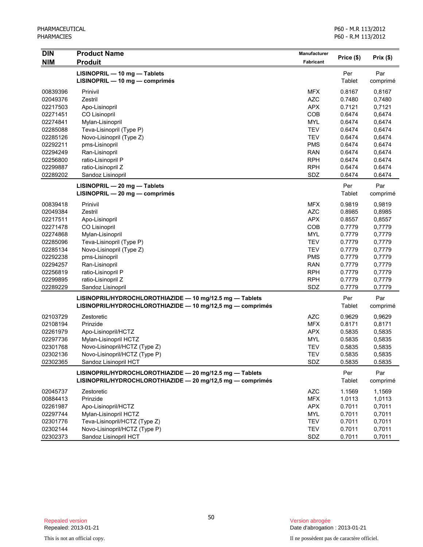P60 - M.R 113/2012 P60 - R.M 113/2012

| <b>DIN</b> | <b>Product Name</b>                                        | Manufacturer | Price (\$)    | Prix(\$) |
|------------|------------------------------------------------------------|--------------|---------------|----------|
| <b>NIM</b> | <b>Produit</b>                                             | Fabricant    |               |          |
|            | $LISINOPRIL - 10 mg - Tables$                              |              | Per           | Par      |
|            | $LISINOPRIL - 10 mg - comprimés$                           |              | Tablet        | comprimé |
| 00839396   | Prinivil                                                   | <b>MFX</b>   | 0.8167        | 0,8167   |
| 02049376   | Zestril                                                    | <b>AZC</b>   | 0.7480        | 0,7480   |
| 02217503   | Apo-Lisinopril                                             | <b>APX</b>   | 0.7121        | 0,7121   |
| 02271451   | CO Lisinopril                                              | COB          | 0.6474        | 0,6474   |
| 02274841   | Mylan-Lisinopril                                           | <b>MYL</b>   | 0.6474        | 0,6474   |
| 02285088   | Teva-Lisinopril (Type P)                                   | <b>TEV</b>   | 0.6474        | 0,6474   |
| 02285126   | Novo-Lisinopril (Type Z)                                   | <b>TEV</b>   | 0.6474        | 0,6474   |
| 02292211   | pms-Lisinopril                                             | <b>PMS</b>   | 0.6474        | 0.6474   |
| 02294249   | Ran-Lisinopril                                             | <b>RAN</b>   | 0.6474        | 0,6474   |
| 02256800   | ratio-Lisinopril P                                         | <b>RPH</b>   | 0.6474        | 0.6474   |
| 02299887   | ratio-Lisinopril Z                                         | <b>RPH</b>   | 0.6474        | 0.6474   |
| 02289202   | Sandoz Lisinopril                                          | SDZ          | 0.6474        | 0.6474   |
|            | LISINOPRIL - 20 mg - Tablets                               |              | Per           | Par      |
|            | $LISINOPRIL - 20 mg - comprimés$                           |              | <b>Tablet</b> | comprimé |
| 00839418   | Prinivil                                                   | <b>MFX</b>   | 0.9819        | 0,9819   |
| 02049384   | Zestril                                                    | <b>AZC</b>   | 0.8985        | 0,8985   |
| 02217511   | Apo-Lisinopril                                             | <b>APX</b>   | 0.8557        | 0,8557   |
| 02271478   | CO Lisinopril                                              | COB          | 0.7779        | 0,7779   |
| 02274868   | Mylan-Lisinopril                                           | <b>MYL</b>   | 0.7779        | 0,7779   |
| 02285096   | Teva-Lisinopril (Type P)                                   | <b>TEV</b>   | 0.7779        | 0,7779   |
| 02285134   | Novo-Lisinopril (Type Z)                                   | <b>TEV</b>   | 0.7779        | 0,7779   |
| 02292238   | pms-Lisinopril                                             | <b>PMS</b>   | 0.7779        | 0,7779   |
| 02294257   | Ran-Lisinopril                                             | <b>RAN</b>   | 0.7779        | 0,7779   |
| 02256819   | ratio-Lisinopril P                                         | <b>RPH</b>   | 0.7779        | 0,7779   |
| 02299895   | ratio-Lisinopril Z                                         | <b>RPH</b>   | 0.7779        | 0,7779   |
| 02289229   | Sandoz Lisinopril                                          | SDZ          | 0.7779        | 0,7779   |
|            | LISINOPRIL/HYDROCHLOROTHIAZIDE - 10 mg/12.5 mg - Tablets   |              | Per           | Par      |
|            | LISINOPRIL/HYDROCHLOROTHIAZIDE - 10 mg/12,5 mg - comprimés |              | Tablet        | comprimé |
| 02103729   | Zestoretic                                                 | <b>AZC</b>   | 0.9629        | 0,9629   |
| 02108194   | Prinzide                                                   | <b>MFX</b>   | 0.8171        | 0,8171   |
| 02261979   | Apo-Lisinopril/HCTZ                                        | <b>APX</b>   | 0.5835        | 0,5835   |
| 02297736   | Mylan-Lisinopril HCTZ                                      | <b>MYL</b>   | 0.5835        | 0,5835   |
| 02301768   | Novo-Lisinopril/HCTZ (Type Z)                              | <b>TEV</b>   | 0.5835        | 0,5835   |
| 02302136   | Novo-Lisinopril/HCTZ (Type P)                              | <b>TEV</b>   | 0.5835        | 0,5835   |
| 02302365   | Sandoz Lisinopril HCT                                      | SDZ          | 0.5835        | 0.5835   |
|            | LISINOPRIL/HYDROCHLOROTHIAZIDE - 20 mg/12.5 mg - Tablets   |              | Per           | Par      |
|            | LISINOPRIL/HYDROCHLOROTHIAZIDE - 20 mg/12,5 mg - comprimés |              | Tablet        | comprimé |
| 02045737   | Zestoretic                                                 | <b>AZC</b>   | 1.1569        | 1,1569   |
| 00884413   | Prinzide                                                   | <b>MFX</b>   | 1.0113        | 1,0113   |
| 02261987   | Apo-Lisinopril/HCTZ                                        | <b>APX</b>   | 0.7011        | 0,7011   |
| 02297744   | Mylan-Lisinopril HCTZ                                      | MYL          | 0.7011        | 0,7011   |
| 02301776   | Teva-Lisinopril/HCTZ (Type Z)                              | <b>TEV</b>   | 0.7011        | 0,7011   |
| 02302144   | Novo-Lisinopril/HCTZ (Type P)                              | <b>TEV</b>   | 0.7011        | 0,7011   |
| 02302373   | Sandoz Lisinopril HCT                                      | SDZ          | 0.7011        | 0,7011   |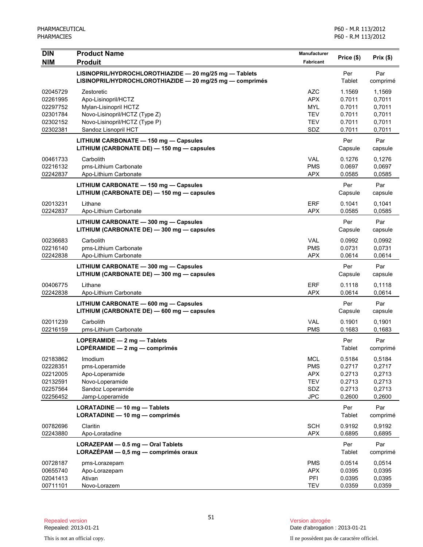| <b>DIN</b><br><b>NIM</b>                                             | <b>Product Name</b><br><b>Produit</b>                                                                                                                | <b>Manufacturer</b><br>Fabricant                                          | Price (\$)                                               | Prix(\$)                                                 |
|----------------------------------------------------------------------|------------------------------------------------------------------------------------------------------------------------------------------------------|---------------------------------------------------------------------------|----------------------------------------------------------|----------------------------------------------------------|
|                                                                      | LISINOPRIL/HYDROCHLOROTHIAZIDE - 20 mg/25 mg - Tablets<br>LISINOPRIL/HYDROCHLOROTHIAZIDE - 20 mg/25 mg - comprimés                                   |                                                                           | Per<br>Tablet                                            | Par<br>comprimé                                          |
| 02045729<br>02261995<br>02297752<br>02301784<br>02302152<br>02302381 | Zestoretic<br>Apo-Lisinopril/HCTZ<br>Mylan-Lisinopril HCTZ<br>Novo-Lisinopril/HCTZ (Type Z)<br>Novo-Lisinopril/HCTZ (Type P)<br>Sandoz Lisnopril HCT | <b>AZC</b><br><b>APX</b><br><b>MYL</b><br><b>TEV</b><br><b>TEV</b><br>SDZ | 1.1569<br>0.7011<br>0.7011<br>0.7011<br>0.7011<br>0.7011 | 1,1569<br>0,7011<br>0,7011<br>0,7011<br>0,7011<br>0,7011 |
|                                                                      | LITHIUM CARBONATE - 150 mg - Capsules<br>LITHIUM (CARBONATE DE) - 150 mg - capsules                                                                  |                                                                           | Per<br>Capsule                                           | Par<br>capsule                                           |
| 00461733<br>02216132<br>02242837                                     | Carbolith<br>pms-Lithium Carbonate<br>Apo-Lithium Carbonate                                                                                          | <b>VAL</b><br><b>PMS</b><br><b>APX</b>                                    | 0.1276<br>0.0697<br>0.0585                               | 0,1276<br>0,0697<br>0,0585                               |
|                                                                      | LITHIUM CARBONATE - 150 mg - Capsules<br>LITHIUM (CARBONATE DE) - 150 mg - capsules                                                                  |                                                                           | Per<br>Capsule                                           | Par<br>capsule                                           |
| 02013231<br>02242837                                                 | Lithane<br>Apo-Lithium Carbonate                                                                                                                     | <b>ERF</b><br><b>APX</b>                                                  | 0.1041<br>0.0585                                         | 0,1041<br>0,0585                                         |
|                                                                      | LITHIUM CARBONATE - 300 mg - Capsules<br>LITHIUM (CARBONATE DE) - 300 mg - capsules                                                                  |                                                                           | Per<br>Capsule                                           | Par<br>capsule                                           |
| 00236683<br>02216140<br>02242838                                     | Carbolith<br>pms-Lithium Carbonate<br>Apo-Lithium Carbonate                                                                                          | <b>VAL</b><br><b>PMS</b><br><b>APX</b>                                    | 0.0992<br>0.0731<br>0.0614                               | 0.0992<br>0,0731<br>0,0614                               |
|                                                                      | LITHIUM CARBONATE - 300 mg - Capsules<br>LITHIUM (CARBONATE DE) - 300 mg - capsules                                                                  |                                                                           | Per<br>Capsule                                           | Par<br>capsule                                           |
| 00406775<br>02242838                                                 | Lithane<br>Apo-Lithium Carbonate                                                                                                                     | <b>ERF</b><br><b>APX</b>                                                  | 0.1118<br>0.0614                                         | 0,1118<br>0,0614                                         |
|                                                                      | LITHIUM CARBONATE - 600 mg - Capsules<br>LITHIUM (CARBONATE DE) - 600 mg - capsules                                                                  |                                                                           | Per<br>Capsule                                           | Par<br>capsule                                           |
| 02011239<br>02216159                                                 | Carbolith<br>pms-Lithium Carbonate                                                                                                                   | <b>VAL</b><br><b>PMS</b>                                                  | 0.1901<br>0.1683                                         | 0,1901<br>0,1683                                         |
|                                                                      | LOPERAMIDE $-2$ mg $-$ Tablets<br>LOPÉRAMIDE $-2$ mg $-$ comprimés                                                                                   |                                                                           | Per<br>Tablet                                            | Par<br>comprimé                                          |
| 02183862<br>02228351<br>02212005<br>02132591<br>02257564<br>02256452 | Imodium<br>pms-Loperamide<br>Apo-Loperamide<br>Novo-Loperamide<br>Sandoz Loperamide<br>Jamp-Loperamide                                               | <b>MCL</b><br><b>PMS</b><br><b>APX</b><br><b>TEV</b><br>SDZ<br><b>JPC</b> | 0.5184<br>0.2717<br>0.2713<br>0.2713<br>0.2713<br>0.2600 | 0,5184<br>0,2717<br>0,2713<br>0,2713<br>0,2713<br>0,2600 |
|                                                                      | LORATADINE - 10 mg - Tablets<br>LORATADINE - 10 mg - comprimés                                                                                       |                                                                           | Per<br>Tablet                                            | Par<br>comprimé                                          |
| 00782696<br>02243880                                                 | Claritin<br>Apo-Loratadine                                                                                                                           | <b>SCH</b><br><b>APX</b>                                                  | 0.9192<br>0.6895                                         | 0,9192<br>0,6895                                         |
|                                                                      | LORAZEPAM - 0.5 mg - Oral Tablets<br>LORAZÉPAM - 0,5 mg - comprimés oraux                                                                            |                                                                           | Per<br>Tablet                                            | Par<br>comprimé                                          |
| 00728187<br>00655740<br>02041413<br>00711101                         | pms-Lorazepam<br>Apo-Lorazepam<br>Ativan<br>Novo-Lorazem                                                                                             | <b>PMS</b><br><b>APX</b><br>PFI<br><b>TEV</b>                             | 0.0514<br>0.0395<br>0.0395<br>0.0359                     | 0,0514<br>0,0395<br>0,0395<br>0,0359                     |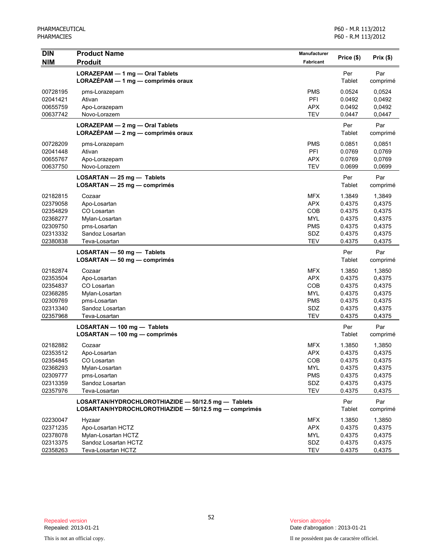| <b>DIN</b> | <b>Product Name</b>                                   | <b>Manufacturer</b> | Price (\$) | Prix(\$) |
|------------|-------------------------------------------------------|---------------------|------------|----------|
| <b>NIM</b> | <b>Produit</b>                                        | Fabricant           |            |          |
|            | LORAZEPAM - 1 mg - Oral Tablets                       |                     | Per        | Par      |
|            | LORAZÉPAM - 1 mg - comprimés oraux                    |                     | Tablet     | comprimé |
| 00728195   | pms-Lorazepam                                         | <b>PMS</b>          | 0.0524     | 0,0524   |
| 02041421   | Ativan                                                | PFI                 | 0.0492     | 0,0492   |
| 00655759   | Apo-Lorazepam                                         | <b>APX</b>          | 0.0492     | 0,0492   |
| 00637742   | Novo-Lorazem                                          | <b>TEV</b>          | 0.0447     | 0,0447   |
|            | LORAZEPAM - 2 mg - Oral Tablets                       |                     | Per        | Par      |
|            | LORAZÉPAM - 2 mg - comprimés oraux                    |                     | Tablet     | comprimé |
| 00728209   | pms-Lorazepam                                         | <b>PMS</b>          | 0.0851     | 0,0851   |
| 02041448   | Ativan                                                | PFI                 | 0.0769     | 0,0769   |
| 00655767   | Apo-Lorazepam                                         | <b>APX</b>          | 0.0769     | 0,0769   |
| 00637750   | Novo-Lorazem                                          | <b>TEV</b>          | 0.0699     | 0,0699   |
|            | LOSARTAN - 25 mg - Tablets                            |                     | Per        | Par      |
|            | $LOSARTAN - 25 mg - comprimés$                        |                     | Tablet     | comprimé |
| 02182815   | Cozaar                                                | <b>MFX</b>          | 1.3849     | 1,3849   |
| 02379058   | Apo-Losartan                                          | <b>APX</b>          | 0.4375     | 0,4375   |
| 02354829   | CO Losartan                                           | COB                 | 0.4375     | 0,4375   |
| 02368277   | Mylan-Losartan                                        | <b>MYL</b>          | 0.4375     | 0,4375   |
| 02309750   | pms-Losartan                                          | <b>PMS</b>          | 0.4375     | 0,4375   |
| 02313332   | Sandoz Losartan                                       | SDZ                 | 0.4375     | 0,4375   |
| 02380838   | Teva-Losartan                                         | <b>TEV</b>          | 0.4375     | 0,4375   |
|            | LOSARTAN - 50 mg - Tablets                            |                     | Per        | Par      |
|            | $LOSARTAN - 50 mg - comprimés$                        |                     | Tablet     | comprimé |
| 02182874   | Cozaar                                                | <b>MFX</b>          | 1.3850     | 1,3850   |
| 02353504   | Apo-Losartan                                          | <b>APX</b>          | 0.4375     | 0,4375   |
| 02354837   | CO Losartan                                           | COB                 | 0.4375     | 0,4375   |
| 02368285   | Mylan-Losartan                                        | <b>MYL</b>          | 0.4375     | 0,4375   |
| 02309769   | pms-Losartan                                          | <b>PMS</b>          | 0.4375     | 0,4375   |
| 02313340   | Sandoz Losartan                                       | SDZ                 | 0.4375     | 0,4375   |
| 02357968   | Teva-Losartan                                         | <b>TEV</b>          | 0.4375     | 0,4375   |
|            | LOSARTAN - 100 mg - Tablets                           |                     | Per        | Par      |
|            | LOSARTAN - 100 mg - comprimés                         |                     | Tablet     | comprimé |
| 02182882   | Cozaar                                                | <b>MFX</b>          | 1.3850     | 1,3850   |
| 02353512   | Apo-Losartan                                          | <b>APX</b>          | 0.4375     | 0,4375   |
| 02354845   | CO Losartan                                           | COB                 | 0.4375     | 0,4375   |
| 02368293   | Mylan-Losartan                                        | <b>MYL</b>          | 0.4375     | 0,4375   |
| 02309777   | pms-Losartan                                          | <b>PMS</b>          | 0.4375     | 0,4375   |
| 02313359   | Sandoz Losartan                                       | SDZ                 | 0.4375     | 0,4375   |
| 02357976   | Teva-Losartan                                         | <b>TEV</b>          | 0.4375     | 0,4375   |
|            | LOSARTAN/HYDROCHLOROTHIAZIDE - 50/12.5 mg - Tablets   |                     | Per        | Par      |
|            | LOSARTAN/HYDROCHLOROTHIAZIDE - 50/12.5 mg - comprimés |                     | Tablet     | comprimé |
| 02230047   | Hyzaar                                                | <b>MFX</b>          | 1.3850     | 1,3850   |
| 02371235   | Apo-Losartan HCTZ                                     | <b>APX</b>          | 0.4375     | 0,4375   |
| 02378078   | Mylan-Losartan HCTZ                                   | <b>MYL</b>          | 0.4375     | 0,4375   |
| 02313375   | Sandoz Losartan HCTZ                                  | SDZ                 | 0.4375     | 0,4375   |
| 02358263   | Teva-Losartan HCTZ                                    | <b>TEV</b>          | 0.4375     | 0,4375   |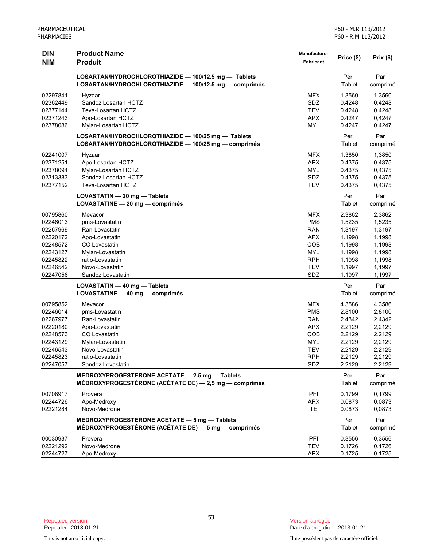| <b>DIN</b>           | <b>Product Name</b>                                                                                            | <b>Manufacturer</b>      | Price (\$)           | Prix (\$)        |
|----------------------|----------------------------------------------------------------------------------------------------------------|--------------------------|----------------------|------------------|
| <b>NIM</b>           | <b>Produit</b>                                                                                                 | <b>Fabricant</b>         |                      |                  |
|                      | LOSARTAN/HYDROCHLOROTHIAZIDE - 100/12.5 mg - Tablets<br>LOSARTAN/HYDROCHLOROTHIAZIDE - 100/12.5 mg - comprimés |                          | Per<br>Tablet        | Par              |
|                      |                                                                                                                |                          |                      | comprimé         |
| 02297841             | Hyzaar                                                                                                         | <b>MFX</b>               | 1.3560               | 1,3560           |
| 02362449             | Sandoz Losartan HCTZ                                                                                           | SDZ                      | 0.4248               | 0,4248           |
| 02377144             | Teva-Losartan HCTZ                                                                                             | <b>TEV</b>               | 0.4248               | 0,4248           |
| 02371243<br>02378086 | Apo-Losartan HCTZ<br>Mylan-Losartan HCTZ                                                                       | <b>APX</b><br><b>MYL</b> | 0.4247<br>0.4247     | 0,4247<br>0,4247 |
|                      |                                                                                                                |                          |                      |                  |
|                      | LOSARTAN/HYDROCHLOROTHIAZIDE - 100/25 mg - Tablets<br>LOSARTAN/HYDROCHLOROTHIAZIDE - 100/25 mg - comprimés     |                          | Per<br>Tablet        | Par<br>comprimé  |
| 02241007             | Hyzaar                                                                                                         | <b>MFX</b>               | 1.3850               | 1,3850           |
| 02371251             | Apo-Losartan HCTZ                                                                                              | <b>APX</b>               | 0.4375               | 0,4375           |
| 02378094             | Mylan-Losartan HCTZ                                                                                            | <b>MYL</b>               | 0.4375               | 0,4375           |
| 02313383             | Sandoz Losartan HCTZ                                                                                           | SDZ                      | 0.4375               | 0,4375           |
| 02377152             | Teva-Losartan HCTZ                                                                                             | <b>TEV</b>               | 0.4375               | 0,4375           |
|                      | LOVASTATIN - 20 mg - Tablets                                                                                   |                          | Per                  | Par              |
|                      | LOVASTATINE - 20 mg - comprimés                                                                                |                          | Tablet               | comprimé         |
| 00795860             | Mevacor                                                                                                        | <b>MFX</b>               | 2.3862               | 2,3862           |
| 02246013             | pms-Lovastatin                                                                                                 | <b>PMS</b>               | 1.5235               | 1,5235           |
| 02267969             | Ran-Lovastatin                                                                                                 | RAN                      | 1.3197               | 1,3197           |
| 02220172             | Apo-Lovastatin                                                                                                 | <b>APX</b>               | 1.1998               | 1,1998           |
| 02248572             | CO Lovastatin                                                                                                  | COB                      | 1.1998               | 1,1998           |
| 02243127             | Mylan-Lovastatin                                                                                               | <b>MYL</b>               | 1.1998               | 1,1998           |
| 02245822             | ratio-Lovastatin                                                                                               | <b>RPH</b>               | 1.1998               | 1,1998           |
| 02246542             | Novo-Lovastatin                                                                                                | <b>TEV</b>               | 1.1997               | 1,1997           |
| 02247056             | Sandoz Lovastatin                                                                                              | SDZ                      | 1.1997               | 1,1997           |
|                      | LOVASTATIN - 40 mg - Tablets<br>LOVASTATINE - 40 mg - comprimés                                                |                          | Per<br>Tablet        | Par<br>comprimé  |
| 00795852             | Mevacor                                                                                                        | <b>MFX</b>               | 4.3586               | 4,3586           |
| 02246014             | pms-Lovastatin                                                                                                 | <b>PMS</b>               | 2.8100               | 2,8100           |
| 02267977             | Ran-Lovastatin                                                                                                 | <b>RAN</b>               | 2.4342               | 2,4342           |
| 02220180             | Apo-Lovastatin                                                                                                 | <b>APX</b>               | 2.2129               | 2,2129           |
| 02248573             | CO Lovastatin                                                                                                  | COB                      | 2.2129               | 2,2129           |
| 02243129             | Mylan-Lovastatin                                                                                               | <b>MYL</b>               | 2.2129               | 2,2129           |
| 02246543             | Novo-Lovastatin                                                                                                | <b>TEV</b>               | 2.2129               | 2,2129           |
| 02245823             | ratio-Lovastatin                                                                                               | <b>RPH</b>               | 2.2129               | 2,2129           |
| 02247057             | Sandoz Lovastatin                                                                                              | SDZ                      | 2.2129               | 2,2129           |
|                      | MEDROXYPROGESTERONE ACETATE - 2.5 mg - Tablets<br>MÉDROXYPROGESTÉRONE (ACÉTATE DE) - 2,5 mg - comprimés        |                          | Per<br>Tablet        | Par<br>comprimé  |
| 00708917             | Provera                                                                                                        | PFI                      | 0.1799               | 0,1799           |
| 02244726             | Apo-Medroxy                                                                                                    | <b>APX</b>               | 0.0873               | 0,0873           |
| 02221284             | Novo-Medrone                                                                                                   | TE                       | 0.0873               | 0,0873           |
|                      | MEDROXYPROGESTERONE ACETATE - 5 mg - Tablets<br>MÉDROXYPROGESTÉRONE (ACÉTATE DE) — 5 mg — comprimés            |                          | Per<br><b>Tablet</b> | Par<br>comprimé  |
| 00030937             | Provera                                                                                                        | PFI                      | 0.3556               | 0,3556           |
| 02221292             | Novo-Medrone                                                                                                   | <b>TEV</b>               | 0.1726               | 0,1726           |
| 02244727             | Apo-Medroxy                                                                                                    | <b>APX</b>               | 0.1725               | 0,1725           |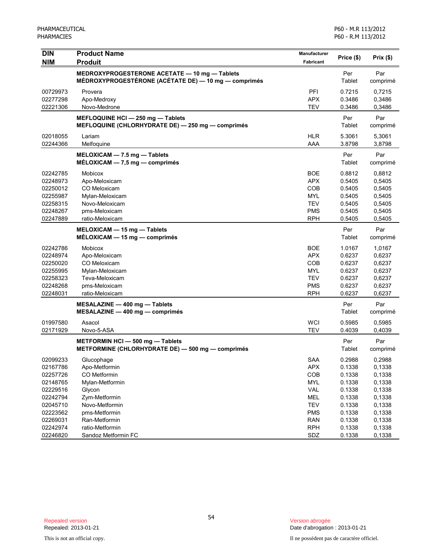| <b>DIN</b> | <b>Product Name</b>                                                                                   | Manufacturer |                      |                 |
|------------|-------------------------------------------------------------------------------------------------------|--------------|----------------------|-----------------|
| <b>NIM</b> | <b>Produit</b>                                                                                        | Fabricant    | Price (\$)           | Prix(\$)        |
|            | MEDROXYPROGESTERONE ACETATE - 10 mg - Tablets<br>MÉDROXYPROGESTÉRONE (ACÉTATE DE) — 10 mg — comprimés |              | Per<br><b>Tablet</b> | Par<br>comprimé |
| 00729973   | Provera                                                                                               | PFI          | 0.7215               | 0,7215          |
| 02277298   | Apo-Medroxy                                                                                           | <b>APX</b>   | 0.3486               | 0,3486          |
| 02221306   | Novo-Medrone                                                                                          | <b>TEV</b>   | 0.3486               | 0,3486          |
|            | MEFLOQUINE HCI - 250 mg - Tablets<br>MEFLOQUINE (CHLORHYDRATE DE) - 250 mg - comprimés                |              | Per<br>Tablet        | Par<br>comprimé |
| 02018055   | Lariam                                                                                                | <b>HLR</b>   | 5.3061               | 5,3061          |
| 02244366   | Melfoquine                                                                                            | AAA          | 3.8798               | 3,8798          |
|            | MELOXICAM - 7.5 mg - Tablets<br>$MÉLOXICAM - 7,5 mg - comprimés$                                      |              | Per<br>Tablet        | Par<br>comprimé |
| 02242785   | Mobicox                                                                                               | <b>BOE</b>   | 0.8812               | 0,8812          |
| 02248973   | Apo-Meloxicam                                                                                         | <b>APX</b>   | 0.5405               | 0,5405          |
| 02250012   | CO Meloxicam                                                                                          | COB          | 0.5405               | 0,5405          |
| 02255987   | Mylan-Meloxicam                                                                                       | <b>MYL</b>   | 0.5405               | 0,5405          |
| 02258315   | Novo-Meloxicam                                                                                        | <b>TEV</b>   | 0.5405               | 0,5405          |
| 02248267   | pms-Meloxicam                                                                                         | <b>PMS</b>   | 0.5405               | 0,5405          |
| 02247889   | ratio-Meloxicam                                                                                       | <b>RPH</b>   | 0.5405               | 0,5405          |
|            | MELOXICAM - 15 mg - Tablets<br>$MÉLOXICAM - 15$ mg — comprimés                                        |              | Per<br>Tablet        | Par<br>comprimé |
| 02242786   | Mobicox                                                                                               | <b>BOE</b>   | 1.0167               | 1,0167          |
| 02248974   | Apo-Meloxicam                                                                                         | <b>APX</b>   | 0.6237               | 0,6237          |
| 02250020   | CO Meloxicam                                                                                          | <b>COB</b>   | 0.6237               | 0,6237          |
| 02255995   | Mylan-Meloxicam                                                                                       | <b>MYL</b>   | 0.6237               | 0,6237          |
| 02258323   | Teva-Meloxicam                                                                                        | <b>TEV</b>   | 0.6237               | 0,6237          |
| 02248268   | pms-Meloxicam                                                                                         | <b>PMS</b>   | 0.6237               | 0,6237          |
| 02248031   | ratio-Meloxicam                                                                                       | <b>RPH</b>   | 0.6237               | 0,6237          |
|            | MESALAZINE - 400 mg - Tablets<br>$MESALAZINE - 400 mg - comprimés$                                    |              | Per<br>Tablet        | Par<br>comprimé |
| 01997580   | Asacol                                                                                                | <b>WCI</b>   | 0.5985               | 0,5985          |
| 02171929   | Novo-5-ASA                                                                                            | <b>TEV</b>   | 0.4039               | 0,4039          |
|            | METFORMIN HCI-500 mg-Tablets<br>METFORMINE (CHLORHYDRATE DE) - 500 mg - comprimés                     |              | Per<br>Tablet        | Par<br>comprimé |
| 02099233   | Glucophage                                                                                            | <b>SAA</b>   | 0.2988               | 0,2988          |
| 02167786   | Apo-Metformin                                                                                         | <b>APX</b>   | 0.1338               | 0,1338          |
| 02257726   | CO Metformin                                                                                          | COB          | 0.1338               | 0,1338          |
| 02148765   | Mylan-Metformin                                                                                       | <b>MYL</b>   | 0.1338               | 0,1338          |
| 02229516   | Glycon                                                                                                | <b>VAL</b>   | 0.1338               | 0,1338          |
| 02242794   | Zym-Metformin                                                                                         | MEL          | 0.1338               | 0,1338          |
| 02045710   | Novo-Metformin                                                                                        | <b>TEV</b>   | 0.1338               | 0,1338          |
| 02223562   | pms-Metformin                                                                                         | <b>PMS</b>   | 0.1338               | 0,1338          |
| 02269031   | Ran-Metformin                                                                                         | <b>RAN</b>   | 0.1338               | 0,1338          |
| 02242974   | ratio-Metformin                                                                                       | <b>RPH</b>   | 0.1338               | 0,1338          |
| 02246820   | Sandoz Metformin FC                                                                                   | SDZ          | 0.1338               | 0,1338          |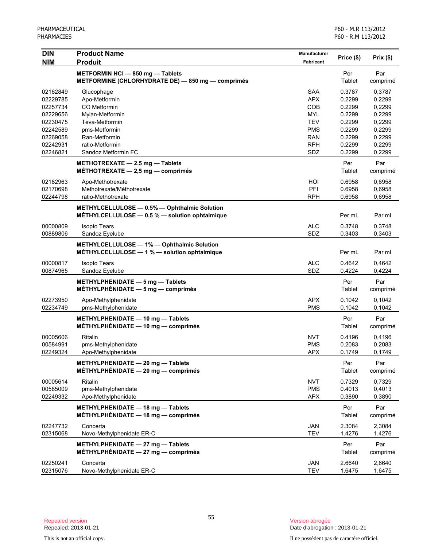| <b>DIN</b>           | <b>Product Name</b>                                                                            | Manufacturer      | Price (\$)       | Prix(\$)         |
|----------------------|------------------------------------------------------------------------------------------------|-------------------|------------------|------------------|
| <b>NIM</b>           | <b>Produit</b>                                                                                 | <b>Fabricant</b>  |                  |                  |
|                      | METFORMIN HCI-850 mg-Tablets<br>METFORMINE (CHLORHYDRATE DE) - 850 mg - comprimés              |                   | Per<br>Tablet    | Par<br>comprimé  |
| 02162849<br>02229785 | Glucophage<br>Apo-Metformin                                                                    | SAA<br><b>APX</b> | 0.3787<br>0.2299 | 0,3787<br>0,2299 |
| 02257734             | CO Metformin                                                                                   | COB               | 0.2299           | 0,2299           |
| 02229656             | Mylan-Metformin                                                                                | <b>MYL</b>        | 0.2299           | 0,2299           |
| 02230475             | Teva-Metformin                                                                                 | <b>TEV</b>        | 0.2299           | 0,2299           |
| 02242589             | pms-Metformin                                                                                  | <b>PMS</b>        | 0.2299           | 0,2299           |
| 02269058             | Ran-Metformin                                                                                  | <b>RAN</b>        | 0.2299           | 0,2299           |
| 02242931             | ratio-Metformin                                                                                | <b>RPH</b>        | 0.2299           | 0,2299           |
| 02246821             | Sandoz Metformin FC                                                                            | SDZ               | 0.2299           | 0,2299           |
|                      | METHOTREXATE $-2.5$ mg $-$ Tablets<br>MÉTHOTREXATE $-2.5$ mg $-$ comprimés                     |                   | Per<br>Tablet    | Par<br>comprimé  |
| 02182963             | Apo-Methotrexate                                                                               | HOI               | 0.6958           | 0,6958           |
| 02170698             | Methotrexate/Méthotrexate                                                                      | PFI               | 0.6958           | 0,6958           |
| 02244798             | ratio-Methotrexate                                                                             | <b>RPH</b>        | 0.6958           | 0,6958           |
|                      | METHYLCELLULOSE - 0.5% - Ophthalmic Solution<br>MÉTHYLCELLULOSE - 0,5 % - solution ophtalmique |                   | Per mL           | Par ml           |
| 00000809             | <b>Isopto Tears</b>                                                                            | <b>ALC</b>        | 0.3748           | 0,3748           |
| 00889806             | Sandoz Eyelube                                                                                 | SDZ               | 0.3403           | 0,3403           |
|                      | METHYLCELLULOSE - 1% - Ophthalmic Solution<br>MÉTHYLCELLULOSE - 1 % - solution ophtalmique     |                   | Per mL           | Par ml           |
| 00000817             | <b>Isopto Tears</b>                                                                            | <b>ALC</b>        | 0.4642           | 0,4642           |
| 00874965             | Sandoz Eyelube                                                                                 | SDZ               | 0.4224           | 0,4224           |
|                      | METHYLPHENIDATE - 5 mg - Tablets<br>MÉTHYLPHÉNIDATE $-5$ mg $-$ comprimés                      |                   | Per<br>Tablet    | Par<br>comprimé  |
| 02273950             | Apo-Methylphenidate                                                                            | <b>APX</b>        | 0.1042           | 0,1042           |
| 02234749             | pms-Methylphenidate                                                                            | <b>PMS</b>        | 0.1042           | 0,1042           |
|                      | METHYLPHENIDATE - 10 mg - Tablets<br>MÉTHYLPHÉNIDATE - 10 mg - comprimés                       |                   | Per<br>Tablet    | Par<br>comprimé  |
| 00005606             | Ritalin                                                                                        | <b>NVT</b>        | 0.4196           | 0,4196           |
| 00584991             | pms-Methylphenidate                                                                            | <b>PMS</b>        | 0.2083           | 0,2083           |
| 02249324             | Apo-Methylphenidate                                                                            | <b>APX</b>        | 0.1749           | 0,1749           |
|                      | METHYLPHENIDATE - 20 mg - Tablets<br>MÉTHYLPHÉNIDATE $-20$ mg $-$ comprimés                    |                   | Per<br>Tablet    | Par<br>comprimé  |
| 00005614             | Ritalin                                                                                        | <b>NVT</b>        | 0.7329           | 0,7329           |
| 00585009             | pms-Methylphenidate                                                                            | <b>PMS</b>        | 0.4013           | 0,4013           |
| 02249332             | Apo-Methylphenidate                                                                            | <b>APX</b>        | 0.3890           | 0,3890           |
|                      | METHYLPHENIDATE - 18 mg - Tablets<br>MÉTHYLPHÉNIDATE $-$ 18 mg $-$ comprimés                   |                   | Per<br>Tablet    | Par<br>comprimé  |
| 02247732             | Concerta                                                                                       | <b>JAN</b>        | 2.3084           | 2,3084           |
| 02315068             | Novo-Methylphenidate ER-C                                                                      | <b>TEV</b>        | 1.4276           | 1,4276           |
|                      | METHYLPHENIDATE - 27 mg - Tablets<br>$MÉTHYLPHÉNIDATE - 27 mg - comprimés$                     |                   | Per<br>Tablet    | Par<br>comprimé  |
| 02250241             | Concerta                                                                                       | JAN               | 2.6640           | 2,6640           |
| 02315076             | Novo-Methylphenidate ER-C                                                                      | <b>TEV</b>        | 1.6475           | 1,6475           |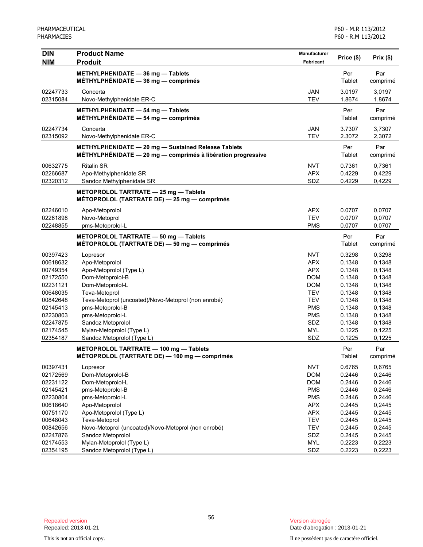| DIN                  | <b>Product Name</b>                                             | <b>Manufacturer</b>      | Price (\$)       | Prix(\$)         |
|----------------------|-----------------------------------------------------------------|--------------------------|------------------|------------------|
| <b>NIM</b>           | <b>Produit</b>                                                  | Fabricant                |                  |                  |
|                      | METHYLPHENIDATE - 36 mg - Tablets                               |                          | Per              | Par              |
|                      | $MÉTHYLPHÉNIDATE - 36 mg - comprimés$                           |                          | Tablet           | comprimé         |
| 02247733             | Concerta                                                        | <b>JAN</b>               | 3.0197           | 3,0197           |
| 02315084             | Novo-Methylphenidate ER-C                                       | <b>TEV</b>               | 1.8674           | 1,8674           |
|                      | METHYLPHENIDATE $-$ 54 mg $-$ Tablets                           |                          | Per              | Par              |
|                      | $MÉTHYLPHÉNIDATE - 54 mg - comprimés$                           |                          | Tablet           | comprimé         |
| 02247734             | Concerta                                                        | <b>JAN</b>               | 3.7307           | 3,7307           |
| 02315092             | Novo-Methylphenidate ER-C                                       | <b>TEV</b>               | 2.3072           | 2,3072           |
|                      |                                                                 |                          |                  |                  |
|                      | METHYLPHENIDATE - 20 mg - Sustained Release Tablets             |                          | Per              | Par              |
|                      | $M$ ÉTHYLPHÉNIDATE - 20 mg - comprimés à libération progressive |                          | Tablet           | comprimé         |
| 00632775             | <b>Ritalin SR</b>                                               | <b>NVT</b>               | 0.7361           | 0,7361           |
| 02266687             | Apo-Methylphenidate SR                                          | <b>APX</b>               | 0.4229           | 0,4229           |
| 02320312             | Sandoz Methylphenidate SR                                       | SDZ                      | 0.4229           | 0,4229           |
|                      | METOPROLOL TARTRATE - 25 mg - Tablets                           |                          |                  |                  |
|                      | MÉTOPROLOL (TARTRATE DE) — 25 mg — comprimés                    |                          |                  |                  |
| 02246010             | Apo-Metoprolol                                                  | <b>APX</b>               | 0.0707           | 0,0707           |
| 02261898             | Novo-Metoprol                                                   | <b>TEV</b>               | 0.0707           | 0,0707           |
| 02248855             | pms-Metoprolol-L                                                | <b>PMS</b>               | 0.0707           | 0,0707           |
|                      | METOPROLOL TARTRATE - 50 mg - Tablets                           |                          | Per              | Par              |
|                      | MÉTOPROLOL (TARTRATE DE) - 50 mg - comprimés                    |                          | Tablet           | comprimé         |
|                      |                                                                 |                          |                  |                  |
| 00397423             | Lopresor                                                        | <b>NVT</b><br><b>APX</b> | 0.3298<br>0.1348 | 0,3298           |
| 00618632             | Apo-Metoprolol                                                  | <b>APX</b>               | 0.1348           | 0,1348           |
| 00749354<br>02172550 | Apo-Metoprolol (Type L)<br>Dom-Metoprolol-B                     | <b>DOM</b>               | 0.1348           | 0,1348<br>0,1348 |
| 02231121             | Dom-Metoprolol-L                                                | <b>DOM</b>               | 0.1348           | 0,1348           |
| 00648035             | Teva-Metoprol                                                   | <b>TEV</b>               | 0.1348           | 0,1348           |
| 00842648             | Teva-Metoprol (uncoated)/Novo-Metoprol (non enrobé)             | <b>TEV</b>               | 0.1348           | 0,1348           |
| 02145413             | pms-Metoprolol-B                                                | <b>PMS</b>               | 0.1348           | 0,1348           |
| 02230803             | pms-Metoprolol-L                                                | <b>PMS</b>               | 0.1348           | 0,1348           |
| 02247875             | Sandoz Metoprolol                                               | SDZ                      | 0.1348           | 0,1348           |
| 02174545             | Mylan-Metoprolol (Type L)                                       | <b>MYL</b>               | 0.1225           | 0,1225           |
| 02354187             | Sandoz Metoprolol (Type L)                                      | SDZ                      | 0.1225           | 0,1225           |
|                      | METOPROLOL TARTRATE - 100 mg - Tablets                          |                          | Per              | Par              |
|                      | MÉTOPROLOL (TARTRATE DE) — 100 mg — comprimés                   |                          | Tablet           | comprimé         |
| 00397431             |                                                                 | <b>NVT</b>               | 0.6765           | 0,6765           |
| 02172569             | Lopresor<br>Dom-Metoprolol-B                                    | <b>DOM</b>               | 0.2446           | 0,2446           |
| 02231122             | Dom-Metoprolol-L                                                | <b>DOM</b>               | 0.2446           | 0,2446           |
| 02145421             | pms-Metoprolol-B                                                | <b>PMS</b>               | 0.2446           | 0,2446           |
| 02230804             | pms-Metoprolol-L                                                | <b>PMS</b>               | 0.2446           | 0,2446           |
| 00618640             | Apo-Metoprolol                                                  | <b>APX</b>               | 0.2445           | 0,2445           |
| 00751170             | Apo-Metoprolol (Type L)                                         | <b>APX</b>               | 0.2445           | 0,2445           |
| 00648043             | Teva-Metoprol                                                   | <b>TEV</b>               | 0.2445           | 0,2445           |
| 00842656             | Novo-Metoprol (uncoated)/Novo-Metoprol (non enrobé)             | <b>TEV</b>               | 0.2445           | 0,2445           |
| 02247876             | Sandoz Metoprolol                                               | SDZ                      | 0.2445           | 0,2445           |
| 02174553             | Mylan-Metoprolol (Type L)                                       | <b>MYL</b>               | 0.2223           | 0,2223           |
| 02354195             | Sandoz Metoprolol (Type L)                                      | SDZ                      | 0.2223           | 0,2223           |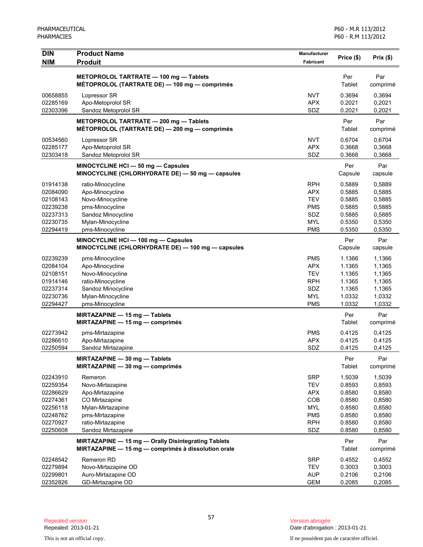| <b>DIN</b><br><b>NIM</b>                                                                     | <b>Product Name</b><br><b>Produit</b>                                                                                                               | <b>Manufacturer</b><br><b>Fabricant</b>                                                        | Price (\$)                                                                   | Prix(\$)                                                                     |
|----------------------------------------------------------------------------------------------|-----------------------------------------------------------------------------------------------------------------------------------------------------|------------------------------------------------------------------------------------------------|------------------------------------------------------------------------------|------------------------------------------------------------------------------|
|                                                                                              | METOPROLOL TARTRATE - 100 mg - Tablets<br>MÉTOPROLOL (TARTRATE DE) — 100 mg — comprimés                                                             |                                                                                                | Per<br>Tablet                                                                | Par<br>comprimé                                                              |
| 00658855<br>02285169<br>02303396                                                             | Lopressor SR<br>Apo-Metoprolol SR<br>Sandoz Metoprolol SR                                                                                           | <b>NVT</b><br><b>APX</b><br>SDZ                                                                | 0.3694<br>0.2021<br>0.2021                                                   | 0,3694<br>0,2021<br>0,2021                                                   |
|                                                                                              | METOPROLOL TARTRATE - 200 mg - Tablets<br>MÉTOPROLOL (TARTRATE DE) — 200 mg — comprimés                                                             |                                                                                                | Per<br>Tablet                                                                | Par<br>comprimé                                                              |
| 00534560<br>02285177<br>02303418                                                             | Lopressor SR<br>Apo-Metoprolol SR<br>Sandoz Metoprolol SR                                                                                           | <b>NVT</b><br><b>APX</b><br>SDZ                                                                | 0.6704<br>0.3668<br>0.3668                                                   | 0,6704<br>0,3668<br>0,3668                                                   |
|                                                                                              | MINOCYCLINE HCI - 50 mg - Capsules<br>MINOCYCLINE (CHLORHYDRATE DE) - 50 mg - capsules                                                              |                                                                                                | Per<br>Capsule                                                               | Par<br>capsule                                                               |
| 01914138<br>02084090<br>02108143<br>02239238<br>02237313<br>02230735<br>02294419             | ratio-Minocycline<br>Apo-Minocycline<br>Novo-Minocycline<br>pms-Minocycline<br>Sandoz Minocycline<br>Mylan-Minocycline<br>pms-Minocycline           | <b>RPH</b><br><b>APX</b><br><b>TEV</b><br><b>PMS</b><br>SDZ<br><b>MYL</b><br><b>PMS</b>        | 0.5889<br>0.5885<br>0.5885<br>0.5885<br>0.5885<br>0.5350<br>0.5350           | 0,5889<br>0,5885<br>0,5885<br>0,5885<br>0,5885<br>0,5350<br>0,5350           |
|                                                                                              | MINOCYCLINE HCI - 100 mg - Capsules<br>MINOCYCLINE (CHLORHYDRATE DE) - 100 mg - capsules                                                            |                                                                                                | Per<br>Capsule                                                               | Par<br>capsule                                                               |
| 02239239<br>02084104<br>02108151<br>01914146<br>02237314<br>02230736<br>02294427             | pms-Minocycline<br>Apo-Minocycline<br>Novo-Minocycline<br>ratio-Minocycline<br>Sandoz Minocycline<br>Mylan-Minocycline<br>pms-Minocycline           | <b>PMS</b><br><b>APX</b><br><b>TEV</b><br><b>RPH</b><br>SDZ<br><b>MYL</b><br><b>PMS</b>        | 1.1366<br>1.1365<br>1.1365<br>1.1365<br>1.1365<br>1.0332<br>1.0332           | 1,1366<br>1,1365<br>1,1365<br>1,1365<br>1,1365<br>1,0332<br>1,0332           |
|                                                                                              | MIRTAZAPINE - 15 mg - Tablets<br>MIRTAZAPINE - 15 mg - comprimés                                                                                    |                                                                                                | Per<br>Tablet                                                                | Par<br>comprimé                                                              |
| 02273942<br>02286610<br>02250594                                                             | pms-Mirtazapine<br>Apo-Mirtazapine<br>Sandoz Mirtazapine                                                                                            | <b>PMS</b><br><b>APX</b><br>SDZ                                                                | 0.4125<br>0.4125<br>0.4125                                                   | 0,4125<br>0.4125<br>0,4125                                                   |
|                                                                                              | MIRTAZAPINE - 30 mg - Tablets<br>MIRTAZAPINE - 30 mg - comprimés                                                                                    |                                                                                                | Per<br>Tablet                                                                | Par<br>comprimé                                                              |
| 02243910<br>02259354<br>02286629<br>02274361<br>02256118<br>02248762<br>02270927<br>02250608 | Remeron<br>Novo-Mirtazapine<br>Apo-Mirtazapine<br>CO Mirtazapine<br>Mylan-Mirtazapine<br>pms-Mirtazapine<br>ratio-Mirtazapine<br>Sandoz Mirtazapine | <b>SRP</b><br><b>TEV</b><br><b>APX</b><br>COB<br><b>MYL</b><br><b>PMS</b><br><b>RPH</b><br>SDZ | 1.5039<br>0.8593<br>0.8580<br>0.8580<br>0.8580<br>0.8580<br>0.8580<br>0.8580 | 1,5039<br>0,8593<br>0,8580<br>0,8580<br>0,8580<br>0,8580<br>0,8580<br>0,8580 |
|                                                                                              | MIRTAZAPINE - 15 mg - Orally Disintegrating Tablets<br>MIRTAZAPINE - 15 mg - comprimés à dissolution orale                                          |                                                                                                | Per<br>Tablet                                                                | Par<br>comprimé                                                              |
| 02248542<br>02279894<br>02299801<br>02352826                                                 | Remeron RD<br>Novo-Mirtazapine OD<br>Auro-Mirtazapine OD<br>GD-Mirtazapine OD                                                                       | <b>SRP</b><br><b>TEV</b><br><b>AUP</b><br><b>GEM</b>                                           | 0.4552<br>0.3003<br>0.2106<br>0.2085                                         | 0,4552<br>0,3003<br>0,2106<br>0,2085                                         |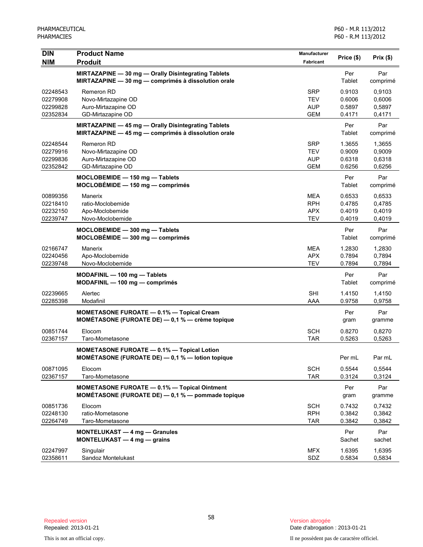| <b>DIN</b>                                   | <b>Product Name</b>                                                                                            | Manufacturer                                         |                                      | Prix(\$)                             |
|----------------------------------------------|----------------------------------------------------------------------------------------------------------------|------------------------------------------------------|--------------------------------------|--------------------------------------|
| <b>NIM</b>                                   | <b>Produit</b>                                                                                                 | Fabricant                                            | Price (\$)                           |                                      |
|                                              | MIRTAZAPINE - 30 mg - Orally Disintegrating Tablets<br>MIRTAZAPINE - 30 mg - comprimés à dissolution orale     |                                                      | Per<br>Tablet                        | Par<br>comprimé                      |
| 02248543<br>02279908<br>02299828<br>02352834 | Remeron RD<br>Novo-Mirtazapine OD<br>Auro-Mirtazapine OD<br>GD-Mirtazapine OD                                  | SRP<br>TEV<br><b>AUP</b><br><b>GEM</b>               | 0.9103<br>0.6006<br>0.5897<br>0.4171 | 0,9103<br>0,6006<br>0,5897<br>0,4171 |
|                                              | MIRTAZAPINE - 45 mg - Orally Disintegrating Tablets<br>MIRTAZAPINE - 45 mg - comprimés à dissolution orale     |                                                      | Per<br>Tablet                        | Par<br>comprimé                      |
| 02248544<br>02279916<br>02299836<br>02352842 | Remeron RD<br>Novo-Mirtazapine OD<br>Auro-Mirtazapine OD<br>GD-Mirtazapine OD                                  | <b>SRP</b><br><b>TEV</b><br><b>AUP</b><br><b>GEM</b> | 1.3655<br>0.9009<br>0.6318<br>0.6256 | 1,3655<br>0,9009<br>0,6318<br>0,6256 |
|                                              | MOCLOBEMIDE - 150 mg - Tablets<br>$MOCLOBÉMIDE - 150 mg - comprimés$                                           |                                                      | Per<br>Tablet                        | Par<br>comprimé                      |
| 00899356<br>02218410<br>02232150<br>02239747 | Manerix<br>ratio-Moclobemide<br>Apo-Moclobemide<br>Novo-Moclobemide                                            | MEA<br><b>RPH</b><br><b>APX</b><br><b>TEV</b>        | 0.6533<br>0.4785<br>0.4019<br>0.4019 | 0,6533<br>0,4785<br>0,4019<br>0,4019 |
|                                              | MOCLOBEMIDE - 300 mg - Tablets<br>$MOCLOBÉMIDE - 300 mg - comprimés$                                           |                                                      | Per<br>Tablet                        | Par<br>comprimé                      |
| 02166747<br>02240456<br>02239748             | Manerix<br>Apo-Moclobemide<br>Novo-Moclobemide                                                                 | <b>MEA</b><br><b>APX</b><br><b>TEV</b>               | 1.2830<br>0.7894<br>0.7894           | 1,2830<br>0,7894<br>0,7894           |
|                                              | MODAFINIL - 100 mg - Tablets<br>$MODAFINIL - 100 mg - comprimés$                                               |                                                      | Per<br>Tablet                        | Par<br>comprimé                      |
| 02239665<br>02285398                         | Alertec<br>Modafinil                                                                                           | <b>SHI</b><br>AAA                                    | 1.4150<br>0.9758                     | 1,4150<br>0,9758                     |
|                                              | <b>MOMETASONE FUROATE - 0.1% - Topical Cream</b><br><b>MOMÉTASONE (FUROATE DE)</b> $-$ 0,1 % $-$ crème topique |                                                      | Per<br>gram                          | Par<br>gramme                        |
| 00851744<br>02367157                         | Elocom<br>Taro-Mometasone                                                                                      | <b>SCH</b><br><b>TAR</b>                             | 0.8270<br>0.5263                     | 0,8270<br>0,5263                     |
|                                              | <b>MOMETASONE FUROATE - 0.1% - Topical Lotion</b><br>MOMÉTASONE (FUROATE DE) - 0,1 % - lotion topique          |                                                      | Per mL                               | Par mL                               |
| 00871095<br>02367157                         | Elocom<br>Taro-Mometasone                                                                                      | <b>SCH</b><br><b>TAR</b>                             | 0.5544<br>0.3124                     | 0,5544<br>0,3124                     |
|                                              | <b>MOMETASONE FUROATE - 0.1% - Topical Ointment</b><br>MOMÉTASONE (FUROATE DE) - 0,1 % - pommade topique       |                                                      | Per<br>gram                          | Par<br>gramme                        |
| 00851736<br>02248130<br>02264749             | Elocom<br>ratio-Mometasone<br>Taro-Mometasone                                                                  | <b>SCH</b><br><b>RPH</b><br><b>TAR</b>               | 0.7432<br>0.3842<br>0.3842           | 0,7432<br>0,3842<br>0,3842           |
|                                              | <b>MONTELUKAST - 4 mg - Granules</b><br>MONTELUKAST - 4 mg - grains                                            |                                                      | Per<br>Sachet                        | Par<br>sachet                        |
| 02247997<br>02358611                         | Singulair<br>Sandoz Montelukast                                                                                | <b>MFX</b><br>SDZ                                    | 1.6395<br>0.5834                     | 1,6395<br>0,5834                     |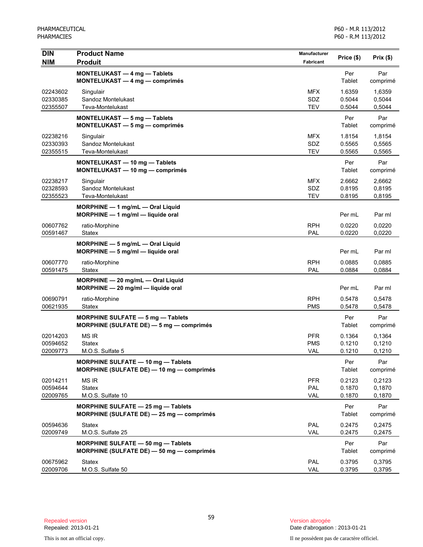| <b>DIN</b><br><b>NIM</b>         | <b>Product Name</b><br><b>Produit</b>                                               | <b>Manufacturer</b><br><b>Fabricant</b> | Price (\$)                 | Prix(\$)                   |
|----------------------------------|-------------------------------------------------------------------------------------|-----------------------------------------|----------------------------|----------------------------|
|                                  | MONTELUKAST - 4 mg - Tablets<br>MONTELUKAST - 4 mg - comprimés                      |                                         | Per<br>Tablet              | Par<br>comprimé            |
| 02243602<br>02330385<br>02355507 | Singulair<br>Sandoz Montelukast<br>Teva-Montelukast                                 | <b>MFX</b><br>SDZ<br><b>TEV</b>         | 1.6359<br>0.5044<br>0.5044 | 1,6359<br>0,5044<br>0,5044 |
|                                  | MONTELUKAST - 5 mg - Tablets<br>MONTELUKAST - 5 mg - comprimés                      |                                         | Per<br>Tablet              | Par<br>comprimé            |
| 02238216<br>02330393<br>02355515 | Singulair<br>Sandoz Montelukast<br>Teva-Montelukast                                 | <b>MFX</b><br>SDZ<br><b>TEV</b>         | 1.8154<br>0.5565<br>0.5565 | 1,8154<br>0,5565<br>0,5565 |
|                                  | MONTELUKAST - 10 mg - Tablets<br>MONTELUKAST - 10 mg - comprimés                    |                                         | Per<br>Tablet              | Par<br>comprimé            |
| 02238217<br>02328593<br>02355523 | Singulair<br>Sandoz Montelukast<br>Teva-Montelukast                                 | <b>MFX</b><br>SDZ<br><b>TEV</b>         | 2.6662<br>0.8195<br>0.8195 | 2,6662<br>0,8195<br>0,8195 |
|                                  | $MORPHINE - 1$ mg/mL $-$ Oral Liquid<br>MORPHINE - 1 mg/ml - liquide oral           |                                         | Per mL                     | Par ml                     |
| 00607762<br>00591467             | ratio-Morphine<br>Statex                                                            | <b>RPH</b><br>PAL                       | 0.0220<br>0.0220           | 0,0220<br>0,0220           |
|                                  | MORPHINE - 5 mg/mL - Oral Liquid<br>MORPHINE - 5 mg/ml - liquide oral               |                                         | Per mL                     | Par ml                     |
| 00607770<br>00591475             | ratio-Morphine<br>Statex                                                            | <b>RPH</b><br>PAL                       | 0.0885<br>0.0884           | 0,0885<br>0,0884           |
|                                  | MORPHINE - 20 mg/mL - Oral Liquid<br>MORPHINE - 20 mg/ml - liquide oral             |                                         | Per mL                     | Par ml                     |
| 00690791<br>00621935             | ratio-Morphine<br>Statex                                                            | <b>RPH</b><br><b>PMS</b>                | 0.5478<br>0.5478           | 0,5478<br>0,5478           |
|                                  | MORPHINE SULFATE - 5 mg - Tablets<br>MORPHINE (SULFATE DE) - 5 mg - comprimés       |                                         | Per<br>Tablet              | Par<br>comprimé            |
| 02014203<br>00594652<br>02009773 | <b>MS IR</b><br><b>Statex</b><br>M.O.S. Sulfate 5                                   | <b>PFR</b><br><b>PMS</b><br>VAL         | 0.1364<br>0.1210<br>0.1210 | 0,1364<br>0,1210<br>0,1210 |
|                                  | MORPHINE SULFATE - 10 mg - Tablets<br>MORPHINE (SULFATE DE) - 10 mg - comprimés     |                                         | Per<br>Tablet              | Par<br>comprimé            |
| 02014211<br>00594644<br>02009765 | <b>MS IR</b><br><b>Statex</b><br>M.O.S. Sulfate 10                                  | <b>PFR</b><br>PAL<br>VAL                | 0.2123<br>0.1870<br>0.1870 | 0,2123<br>0,1870<br>0,1870 |
|                                  | MORPHINE SULFATE - 25 mg - Tablets<br>MORPHINE (SULFATE DE) $-$ 25 mg $-$ comprimes |                                         | Per<br>Tablet              | Par<br>comprimé            |
| 00594636<br>02009749             | <b>Statex</b><br>M.O.S. Sulfate 25                                                  | PAL<br>VAL                              | 0.2475<br>0.2475           | 0,2475<br>0,2475           |
|                                  | MORPHINE SULFATE - 50 mg - Tablets<br>MORPHINE (SULFATE DE) - 50 mg - comprimés     |                                         | Per<br>Tablet              | Par<br>comprimé            |
| 00675962<br>02009706             | <b>Statex</b><br>M.O.S. Sulfate 50                                                  | PAL<br>VAL                              | 0.3795<br>0.3795           | 0,3795<br>0,3795           |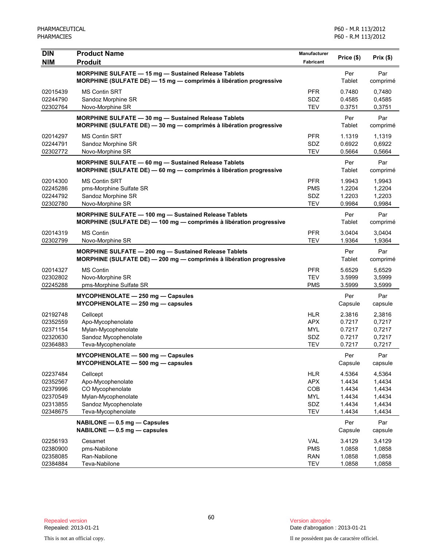| <b>DIN</b> | <b>Product Name</b>                                                                                                                     | Manufacturer      |                |                 |
|------------|-----------------------------------------------------------------------------------------------------------------------------------------|-------------------|----------------|-----------------|
| <b>NIM</b> | <b>Produit</b>                                                                                                                          | Fabricant         | Price (\$)     | Prix(\$)        |
|            | MORPHINE SULFATE - 15 mg - Sustained Release Tablets<br>MORPHINE (SULFATE DE) - 15 mg - comprimés à libération progressive              |                   | Per<br>Tablet  | Par<br>comprimé |
| 02015439   | <b>MS Contin SRT</b>                                                                                                                    | <b>PFR</b>        | 0.7480         | 0,7480          |
| 02244790   | Sandoz Morphine SR                                                                                                                      | SDZ<br><b>TEV</b> | 0.4585         | 0,4585          |
| 02302764   | Novo-Morphine SR                                                                                                                        |                   | 0.3751         | 0,3751          |
|            | <b>MORPHINE SULFATE - 30 mg - Sustained Release Tablets</b><br>MORPHINE (SULFATE DE) - 30 mg - comprimés à libération progressive       |                   | Per<br>Tablet  | Par<br>comprimé |
| 02014297   | <b>MS Contin SRT</b>                                                                                                                    | <b>PFR</b>        | 1.1319         | 1,1319          |
| 02244791   | Sandoz Morphine SR                                                                                                                      | SDZ               | 0.6922         | 0,6922          |
| 02302772   | Novo-Morphine SR                                                                                                                        | <b>TEV</b>        | 0.5664         | 0,5664          |
|            | MORPHINE SULFATE - 60 mg - Sustained Release Tablets<br>MORPHINE (SULFATE DE) - 60 mg - comprimés à libération progressive              |                   | Per<br>Tablet  | Par<br>comprimé |
| 02014300   | <b>MS Contin SRT</b>                                                                                                                    | <b>PFR</b>        | 1.9943         | 1,9943          |
| 02245286   | pms-Morphine Sulfate SR                                                                                                                 | <b>PMS</b>        | 1.2204         | 1,2204          |
| 02244792   | Sandoz Morphine SR                                                                                                                      | SDZ               | 1.2203         | 1,2203          |
| 02302780   | Novo-Morphine SR                                                                                                                        | <b>TEV</b>        | 0.9984         | 0,9984          |
|            | MORPHINE SULFATE - 100 mg - Sustained Release Tablets                                                                                   |                   | Per            | Par             |
|            | MORPHINE (SULFATE DE) $-$ 100 mg $-$ comprimés à libération progressive                                                                 |                   | Tablet         | comprimé        |
| 02014319   | <b>MS Contin</b>                                                                                                                        | <b>PFR</b>        | 3.0404         | 3,0404          |
| 02302799   | Novo-Morphine SR                                                                                                                        | <b>TEV</b>        | 1.9364         | 1,9364          |
|            | <b>MORPHINE SULFATE - 200 mg - Sustained Release Tablets</b><br>MORPHINE (SULFATE DE) $-$ 200 mg $-$ comprimés à libération progressive |                   | Per<br>Tablet  | Par<br>comprimé |
| 02014327   | <b>MS Contin</b>                                                                                                                        | <b>PFR</b>        | 5.6529         | 5,6529          |
| 02302802   | Novo-Morphine SR                                                                                                                        | <b>TEV</b>        | 3.5999         | 3,5999          |
| 02245288   | pms-Morphine Sulfate SR                                                                                                                 | <b>PMS</b>        | 3.5999         | 3,5999          |
|            | $MYCOPHENOLATE - 250 mg - Capsules$<br>MYCOPHENOLATE - 250 mg - capsules                                                                |                   | Per<br>Capsule | Par<br>capsule  |
| 02192748   | Cellcept                                                                                                                                | <b>HLR</b>        | 2.3816         | 2,3816          |
| 02352559   | Apo-Mycophenolate                                                                                                                       | <b>APX</b>        | 0.7217         | 0,7217          |
| 02371154   | Mylan-Mycophenolate                                                                                                                     | <b>MYL</b>        | 0.7217         | 0,7217          |
| 02320630   | Sandoz Mycophenolate                                                                                                                    | SDZ               | 0.7217         | 0,7217          |
| 02364883   | Teva-Mycophenolate                                                                                                                      | <b>TEV</b>        | 0.7217         | 0,7217          |
|            | MYCOPHENOLATE - 500 mg - Capsules<br>MYCOPHENOLATE - 500 mg - capsules                                                                  |                   | Per<br>Capsule | Par<br>capsule  |
| 02237484   | Cellcept                                                                                                                                | <b>HLR</b>        | 4.5364         | 4,5364          |
| 02352567   | Apo-Mycophenolate                                                                                                                       | <b>APX</b>        | 1.4434         | 1,4434          |
| 02379996   | CO Mycophenolate                                                                                                                        | COB               | 1.4434         | 1,4434          |
| 02370549   | Mylan-Mycophenolate                                                                                                                     | <b>MYL</b>        | 1.4434         | 1,4434          |
| 02313855   | Sandoz Mycophenolate                                                                                                                    | SDZ               | 1.4434         | 1,4434          |
| 02348675   | Teva-Mycophenolate                                                                                                                      | <b>TEV</b>        | 1.4434         | 1,4434          |
|            | NABILONE - 0.5 mg - Capsules<br>$NABILITY - 0.5$ mg $-$ capsules                                                                        |                   | Per<br>Capsule | Par<br>capsule  |
| 02256193   | Cesamet                                                                                                                                 | <b>VAL</b>        | 3.4129         | 3,4129          |
| 02380900   | pms-Nabilone                                                                                                                            | <b>PMS</b>        | 1.0858         | 1,0858          |
| 02358085   | Ran-Nabilone                                                                                                                            | <b>RAN</b>        | 1.0858         | 1,0858          |
| 02384884   | Teva-Nabilone                                                                                                                           | <b>TEV</b>        | 1.0858         | 1,0858          |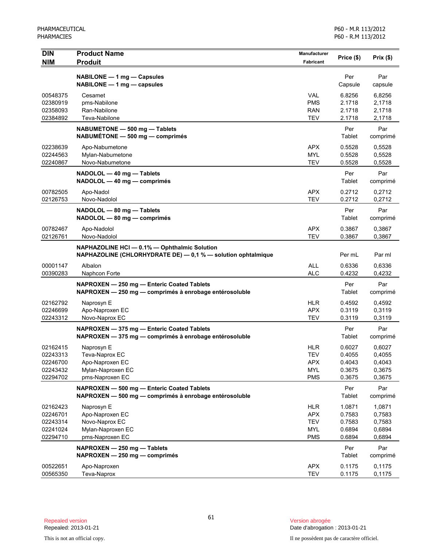| <b>DIN</b><br><b>NIM</b> | <b>Product Name</b><br><b>Produit</b>                                                                        | <b>Manufacturer</b><br><b>Fabricant</b> | Price (\$)     | Prix (\$)       |
|--------------------------|--------------------------------------------------------------------------------------------------------------|-----------------------------------------|----------------|-----------------|
|                          |                                                                                                              |                                         |                |                 |
|                          | NABILONE - 1 mg - Capsules<br>NABILONE - 1 mg - capsules                                                     |                                         | Per<br>Capsule | Par<br>capsule  |
| 00548375                 | Cesamet                                                                                                      | <b>VAL</b>                              | 6.8256         | 6,8256          |
| 02380919                 | pms-Nabilone                                                                                                 | <b>PMS</b>                              | 2.1718         | 2,1718          |
| 02358093                 | Ran-Nabilone                                                                                                 | <b>RAN</b>                              | 2.1718         | 2,1718          |
| 02384892                 | Teva-Nabilone                                                                                                | <b>TEV</b>                              | 2.1718         | 2,1718          |
|                          | NABUMETONE - 500 mg - Tablets<br>NABUMÉTONE - 500 mg - comprimés                                             |                                         | Per<br>Tablet  | Par<br>comprimé |
| 02238639                 | Apo-Nabumetone                                                                                               | <b>APX</b>                              | 0.5528         | 0,5528          |
| 02244563                 | Mylan-Nabumetone                                                                                             | <b>MYL</b>                              | 0.5528         | 0,5528          |
| 02240867                 | Novo-Nabumetone                                                                                              | <b>TEV</b>                              | 0.5528         | 0,5528          |
|                          | NADOLOL - 40 mg - Tablets<br>NADOLOL - 40 mg - comprimés                                                     |                                         | Per<br>Tablet  | Par<br>comprimé |
| 00782505                 | Apo-Nadol                                                                                                    | <b>APX</b>                              | 0.2712         | 0,2712          |
| 02126753                 | Novo-Nadolol                                                                                                 | <b>TEV</b>                              | 0.2712         | 0,2712          |
|                          | NADOLOL - 80 mg - Tablets                                                                                    |                                         | Per            | Par             |
|                          | NADOLOL - 80 mg - comprimés                                                                                  |                                         | Tablet         | comprimé        |
| 00782467                 | Apo-Nadolol                                                                                                  | <b>APX</b>                              | 0.3867         | 0,3867          |
| 02126761                 | Novo-Nadolol                                                                                                 | <b>TEV</b>                              | 0.3867         | 0,3867          |
|                          | NAPHAZOLINE HCI - 0.1% - Ophthalmic Solution<br>NAPHAZOLINE (CHLORHYDRATE DE) - 0,1 % - solution ophtalmique |                                         | Per mL         | Par ml          |
| 00001147                 | Albalon                                                                                                      | <b>ALL</b>                              | 0.6336         | 0,6336          |
| 00390283                 | Naphcon Forte                                                                                                | <b>ALC</b>                              | 0.4232         | 0,4232          |
|                          | NAPROXEN - 250 mg - Enteric Coated Tablets<br>NAPROXEN - 250 mg - comprimés à enrobage entérosoluble         |                                         | Per<br>Tablet  | Par<br>comprimé |
| 02162792                 | Naprosyn E                                                                                                   | <b>HLR</b>                              | 0.4592         | 0,4592          |
| 02246699                 | Apo-Naproxen EC                                                                                              | <b>APX</b>                              | 0.3119         | 0,3119          |
| 02243312                 | Novo-Naprox EC                                                                                               | <b>TEV</b>                              | 0.3119         | 0,3119          |
|                          | NAPROXEN - 375 mg - Enteric Coated Tablets                                                                   |                                         | Per            | Par             |
|                          | NAPROXEN - 375 mg - comprimés à enrobage entérosoluble                                                       |                                         | Tablet         | comprimé        |
| 02162415                 | Naprosyn E                                                                                                   | <b>HLR</b>                              | 0.6027         | 0,6027          |
| 02243313                 | Teva-Naprox EC                                                                                               | <b>TEV</b>                              | 0.4055         | 0,4055          |
| 02246700                 | Apo-Naproxen EC                                                                                              | <b>APX</b>                              | 0.4043         | 0,4043          |
| 02243432                 | Mylan-Naproxen EC                                                                                            | <b>MYL</b>                              | 0.3675         | 0,3675          |
| 02294702                 | pms-Naproxen EC                                                                                              | <b>PMS</b>                              | 0.3675         | 0,3675          |
|                          | NAPROXEN - 500 mg - Enteric Coated Tablets<br>NAPROXEN - 500 mg - comprimés à enrobage entérosoluble         |                                         | Per<br>Tablet  | Par<br>comprimé |
| 02162423                 | Naprosyn E                                                                                                   | <b>HLR</b>                              | 1.0871         | 1,0871          |
| 02246701                 | Apo-Naproxen EC                                                                                              | <b>APX</b>                              | 0.7583         | 0,7583          |
| 02243314                 | Novo-Naprox EC                                                                                               | <b>TEV</b>                              | 0.7583         | 0,7583          |
| 02241024                 | Mylan-Naproxen EC                                                                                            | <b>MYL</b>                              | 0.6894         | 0,6894          |
| 02294710                 | pms-Naproxen EC                                                                                              | <b>PMS</b>                              | 0.6894         | 0,6894          |
|                          | NAPROXEN - 250 mg - Tablets<br>NAPROXEN - 250 mg - comprimés                                                 |                                         | Per<br>Tablet  | Par<br>comprimé |
| 00522651                 | Apo-Naproxen                                                                                                 | <b>APX</b>                              | 0.1175         | 0,1175          |
| 00565350                 | Teva-Naprox                                                                                                  | <b>TEV</b>                              | 0.1175         | 0,1175          |

This is not an official copy. Il ne possèdent pas de caractère officiel.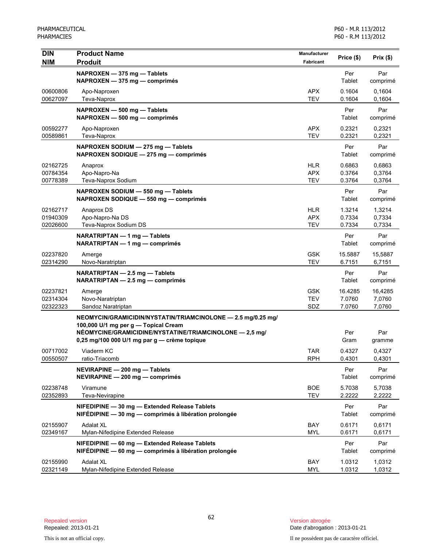| <b>DIN</b><br><b>NIM</b>         | <b>Product Name</b><br><b>Produit</b>                                                                                                                                                                           | Manufacturer<br>Fabricant              | Price (\$)                  | Prix(\$)                    |
|----------------------------------|-----------------------------------------------------------------------------------------------------------------------------------------------------------------------------------------------------------------|----------------------------------------|-----------------------------|-----------------------------|
|                                  | NAPROXEN - 375 mg - Tablets<br>NAPROXEN - 375 mg - comprimés                                                                                                                                                    |                                        | Per<br>Tablet               | Par<br>comprimé             |
| 00600806<br>00627097             | Apo-Naproxen<br>Teva-Naprox                                                                                                                                                                                     | <b>APX</b><br><b>TEV</b>               | 0.1604<br>0.1604            | 0,1604<br>0,1604            |
|                                  | NAPROXEN - 500 mg - Tablets<br>NAPROXEN - 500 mg - comprimés                                                                                                                                                    |                                        | Per<br>Tablet               | Par<br>comprimé             |
| 00592277<br>00589861             | Apo-Naproxen<br>Teva-Naprox                                                                                                                                                                                     | <b>APX</b><br><b>TEV</b>               | 0.2321<br>0.2321            | 0,2321<br>0,2321            |
|                                  | NAPROXEN SODIUM - 275 mg - Tablets<br>NAPROXEN SODIQUE - 275 mg - comprimés                                                                                                                                     |                                        | Per<br>Tablet               | Par<br>comprimé             |
| 02162725<br>00784354<br>00778389 | Anaprox<br>Apo-Napro-Na<br>Teva-Naprox Sodium                                                                                                                                                                   | <b>HLR</b><br><b>APX</b><br><b>TEV</b> | 0.6863<br>0.3764<br>0.3764  | 0,6863<br>0,3764<br>0,3764  |
|                                  | NAPROXEN SODIUM - 550 mg - Tablets<br>NAPROXEN SODIQUE - 550 mg - comprimés                                                                                                                                     |                                        | Per<br>Tablet               | Par<br>comprimé             |
| 02162717<br>01940309<br>02026600 | Anaprox DS<br>Apo-Napro-Na DS<br>Teva-Naprox Sodium DS                                                                                                                                                          | <b>HLR</b><br><b>APX</b><br><b>TEV</b> | 1.3214<br>0.7334<br>0.7334  | 1,3214<br>0,7334<br>0,7334  |
|                                  | NARATRIPTAN - 1 mg - Tablets<br>NARATRIPTAN — 1 mg — comprimés                                                                                                                                                  |                                        | Per<br>Tablet               | Par<br>comprimé             |
| 02237820<br>02314290             | Amerge<br>Novo-Naratriptan                                                                                                                                                                                      | <b>GSK</b><br><b>TEV</b>               | 15.5887<br>6.7151           | 15,5887<br>6,7151           |
|                                  | NARATRIPTAN - 2.5 mg - Tablets<br>NARATRIPTAN - 2.5 mg - comprimés                                                                                                                                              |                                        | Per<br>Tablet               | Par<br>comprimé             |
| 02237821<br>02314304<br>02322323 | Amerge<br>Novo-Naratriptan<br>Sandoz Naratriptan                                                                                                                                                                | <b>GSK</b><br><b>TEV</b><br>SDZ        | 16.4285<br>7.0760<br>7.0760 | 16,4285<br>7,0760<br>7,0760 |
|                                  | NEOMYCIN/GRAMICIDIN/NYSTATIN/TRIAMCINOLONE - 2.5 mg/0.25 mg/<br>100,000 U/1 mg per g - Topical Cream<br>NÉOMYCINE/GRAMICIDINE/NYSTATINE/TRIAMCINOLONE - 2,5 mg/<br>0,25 mg/100 000 U/1 mg par g - crème topique |                                        | Per<br>Gram                 | Par<br>gramme               |
| 00717002<br>00550507             | Viaderm KC<br>ratio-Triacomb                                                                                                                                                                                    | <b>TAR</b><br><b>RPH</b>               | 0.4327<br>0.4301            | 0,4327<br>0,4301            |
|                                  | NEVIRAPINE - 200 mg - Tablets<br>NEVIRAPINE - 200 mg - comprimés                                                                                                                                                |                                        | Per<br>Tablet               | Par<br>comprimé             |
| 02238748<br>02352893             | Viramune<br>Teva-Nevirapine                                                                                                                                                                                     | <b>BOE</b><br><b>TEV</b>               | 5.7038<br>2.2222            | 5,7038<br>2,2222            |
|                                  | NIFEDIPINE - 30 mg - Extended Release Tablets<br>NIFÉDIPINE - 30 mg - comprimés à libération prolongée                                                                                                          |                                        | Per<br>Tablet               | Par<br>comprimé             |
| 02155907<br>02349167             | Adalat XL<br>Mylan-Nifedipine Extended Release                                                                                                                                                                  | BAY<br><b>MYL</b>                      | 0.6171<br>0.6171            | 0,6171<br>0,6171            |
|                                  | NIFEDIPINE - 60 mg - Extended Release Tablets<br>NIFÉDIPINE - 60 mg - comprimés à libération prolongée                                                                                                          |                                        | Per<br>Tablet               | Par<br>comprimé             |
| 02155990<br>02321149             | <b>Adalat XL</b><br>Mylan-Nifedipine Extended Release                                                                                                                                                           | BAY<br><b>MYL</b>                      | 1.0312<br>1.0312            | 1,0312<br>1,0312            |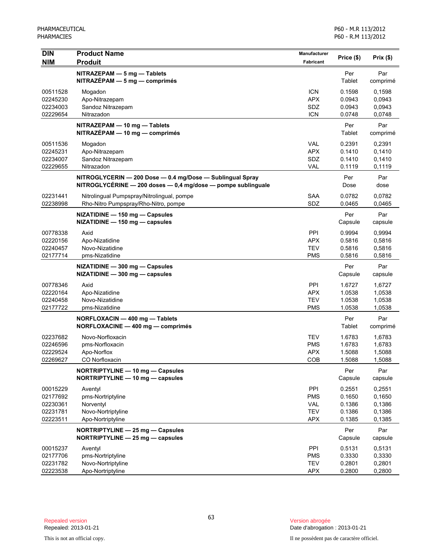| <b>DIN</b>           | <b>Product Name</b>                                                                                                       | Manufacturer             | Price (\$)       | Prix(\$)         |
|----------------------|---------------------------------------------------------------------------------------------------------------------------|--------------------------|------------------|------------------|
| <b>NIM</b>           | <b>Produit</b>                                                                                                            | Fabricant                |                  |                  |
|                      | NITRAZEPAM - 5 mg - Tablets                                                                                               |                          | Per              | Par              |
|                      | $NITRAZÉPAM - 5 mg - comprimés$                                                                                           |                          | Tablet           | comprimé         |
| 00511528             | Mogadon                                                                                                                   | <b>ICN</b>               | 0.1598           | 0,1598           |
| 02245230             | Apo-Nitrazepam                                                                                                            | <b>APX</b>               | 0.0943           | 0.0943           |
| 02234003<br>02229654 | Sandoz Nitrazepam<br>Nitrazadon                                                                                           | SDZ<br><b>ICN</b>        | 0.0943<br>0.0748 | 0,0943<br>0,0748 |
|                      |                                                                                                                           |                          |                  |                  |
|                      | NITRAZEPAM - 10 mg - Tablets<br>NITRAZÉPAM - 10 mg - comprimés                                                            |                          | Per<br>Tablet    | Par<br>comprimé  |
| 00511536             | Mogadon                                                                                                                   | <b>VAL</b>               | 0.2391           | 0,2391           |
| 02245231             | Apo-Nitrazepam                                                                                                            | <b>APX</b>               | 0.1410           | 0,1410           |
| 02234007             | Sandoz Nitrazepam                                                                                                         | SDZ                      | 0.1410           | 0,1410           |
| 02229655             | Nitrazadon                                                                                                                | <b>VAL</b>               | 0.1119           | 0,1119           |
|                      | NITROGLYCERIN - 200 Dose - 0.4 mg/Dose - Sublingual Spray<br>NITROGLYCÉRINE - 200 doses - 0,4 mg/dose - pompe sublinguale |                          | Per<br>Dose      | Par<br>dose      |
| 02231441             | Nitrolingual Pumpspray/Nitrolingual, pompe                                                                                | SAA                      | 0.0782           | 0,0782           |
| 02238998             | Rho-Nitro Pumpspray/Rho-Nitro, pompe                                                                                      | SDZ                      | 0.0465           | 0,0465           |
|                      | NIZATIDINE - 150 mg - Capsules                                                                                            |                          | Per              | Par              |
|                      | NIZATIDINE - 150 mg - capsules                                                                                            |                          | Capsule          | capsule          |
| 00778338             | Axid                                                                                                                      | PPI                      | 0.9994           | 0,9994           |
| 02220156             | Apo-Nizatidine                                                                                                            | <b>APX</b>               | 0.5816           | 0,5816           |
| 02240457             | Novo-Nizatidine                                                                                                           | <b>TEV</b>               | 0.5816           | 0,5816           |
| 02177714             | pms-Nizatidine                                                                                                            | <b>PMS</b>               | 0.5816           | 0,5816           |
|                      | NIZATIDINE - 300 mg - Capsules<br>NIZATIDINE - 300 mg - capsules                                                          |                          | Per<br>Capsule   | Par<br>capsule   |
| 00778346             | Axid                                                                                                                      | <b>PPI</b>               | 1.6727           | 1,6727           |
| 02220164             | Apo-Nizatidine                                                                                                            | <b>APX</b>               | 1.0538           | 1,0538           |
| 02240458             | Novo-Nizatidine                                                                                                           | <b>TEV</b>               | 1.0538           | 1,0538           |
| 02177722             | pms-Nizatidine                                                                                                            | <b>PMS</b>               | 1.0538           | 1,0538           |
|                      | NORFLOXACIN - 400 mg - Tablets<br>NORFLOXACINE - 400 mg - comprimés                                                       |                          | Per<br>Tablet    | Par<br>comprimé  |
| 02237682             | Novo-Norfloxacin                                                                                                          | <b>TEV</b>               | 1.6783           | 1,6783           |
| 02246596             | pms-Norfloxacin                                                                                                           | <b>PMS</b>               | 1.6783           | 1,6783           |
| 02229524             | Apo-Norflox                                                                                                               | <b>APX</b>               | 1.5088           | 1,5088           |
| 02269627             | CO Norfloxacin                                                                                                            | COB                      | 1.5088           | 1,5088           |
|                      | NORTRIPTYLINE - 10 mg - Capsules                                                                                          |                          | Per              | Par              |
|                      | NORTRIPTYLINE - 10 mg - capsules                                                                                          |                          | Capsule          | capsule          |
| 00015229             | Aventyl                                                                                                                   | PPI                      | 0.2551           | 0,2551           |
| 02177692             | pms-Nortriptyline                                                                                                         | <b>PMS</b>               | 0.1650           | 0,1650           |
| 02230361             | Norventyl                                                                                                                 | <b>VAL</b>               | 0.1386           | 0,1386           |
| 02231781             | Novo-Nortriptyline                                                                                                        | <b>TEV</b>               | 0.1386           | 0,1386           |
| 02223511             | Apo-Nortriptyline                                                                                                         | <b>APX</b>               | 0.1385           | 0,1385           |
|                      | NORTRIPTYLINE - 25 mg - Capsules<br>NORTRIPTYLINE - 25 mg - capsules                                                      |                          | Per<br>Capsule   | Par<br>capsule   |
|                      |                                                                                                                           |                          |                  |                  |
| 00015237             | Aventyl                                                                                                                   | PPI                      | 0.5131           | 0,5131           |
| 02177706<br>02231782 | pms-Nortriptyline<br>Novo-Nortriptyline                                                                                   | <b>PMS</b><br><b>TEV</b> | 0.3330<br>0.2801 | 0,3330<br>0,2801 |
| 02223538             | Apo-Nortriptyline                                                                                                         | <b>APX</b>               | 0.2800           | 0,2800           |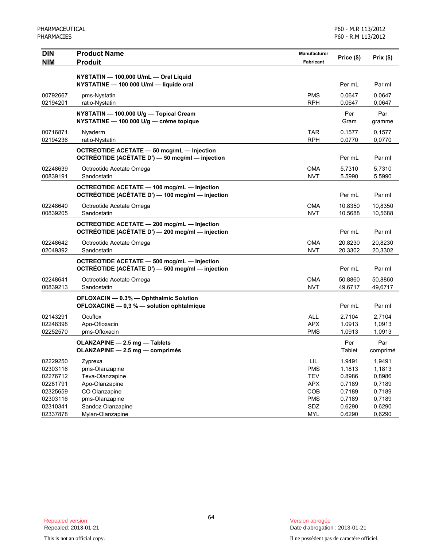| <b>DIN</b> | <b>Product Name</b>                                | <b>Manufacturer</b> | Price (\$) | Prix(\$) |
|------------|----------------------------------------------------|---------------------|------------|----------|
| <b>NIM</b> | <b>Produit</b>                                     | Fabricant           |            |          |
|            | NYSTATIN - 100,000 U/mL - Oral Liquid              |                     |            |          |
|            | NYSTATINE - 100 000 U/ml - liquide oral            |                     | Per mL     | Par ml   |
| 00792667   | pms-Nystatin                                       | <b>PMS</b>          | 0.0647     | 0.0647   |
| 02194201   | ratio-Nystatin                                     | <b>RPH</b>          | 0.0647     | 0,0647   |
|            | NYSTATIN - 100,000 U/g - Topical Cream             |                     | Per        | Par      |
|            | NYSTATINE - 100 000 U/g - crème topique            |                     | Gram       | gramme   |
| 00716871   | Nyaderm                                            | <b>TAR</b>          | 0.1577     | 0,1577   |
| 02194236   | ratio-Nystatin                                     | <b>RPH</b>          | 0.0770     | 0,0770   |
|            | <b>OCTREOTIDE ACETATE - 50 mcg/mL - Injection</b>  |                     |            |          |
|            | OCTRÉOTIDE (ACÉTATE D') - 50 mcg/ml - injection    |                     | Per mL     | Par ml   |
| 02248639   | Octreotide Acetate Omega                           | <b>OMA</b>          | 5.7310     | 5,7310   |
| 00839191   | Sandostatin                                        | <b>NVT</b>          | 5.5990     | 5,5990   |
|            | <b>OCTREOTIDE ACETATE - 100 mcg/mL - Injection</b> |                     |            |          |
|            | OCTRÉOTIDE (ACÉTATE D') - 100 mcg/ml - injection   |                     | Per mL     | Par ml   |
| 02248640   | Octreotide Acetate Omega                           | <b>OMA</b>          | 10.8350    | 10,8350  |
| 00839205   | Sandostatin                                        | <b>NVT</b>          | 10.5688    | 10,5688  |
|            | OCTREOTIDE ACETATE - 200 mcg/mL - Injection        |                     |            |          |
|            | OCTRÉOTIDE (ACÉTATE D') - 200 mcg/ml - injection   |                     | Per mL     | Par ml   |
| 02248642   | Octreotide Acetate Omega                           | <b>OMA</b>          | 20.8230    | 20,8230  |
| 02049392   | Sandostatin                                        | <b>NVT</b>          | 20.3302    | 20,3302  |
|            | OCTREOTIDE ACETATE - 500 mcg/mL - Injection        |                     |            |          |
|            | OCTRÉOTIDE (ACÉTATE D') - 500 mcg/ml - injection   |                     | Per mL     | Par ml   |
| 02248641   | Octreotide Acetate Omega                           | OMA                 | 50.8860    | 50,8860  |
| 00839213   | Sandostatin                                        | <b>NVT</b>          | 49.6717    | 49,6717  |
|            | OFLOXACIN - 0.3% - Ophthalmic Solution             |                     |            |          |
|            | OFLOXACINE - 0,3 % - solution ophtalmique          |                     | Per mL     | Par ml   |
| 02143291   | Ocuflox                                            | <b>ALL</b>          | 2.7104     | 2.7104   |
| 02248398   | Apo-Ofloxacin                                      | <b>APX</b>          | 1.0913     | 1,0913   |
| 02252570   | pms-Ofloxacin                                      | <b>PMS</b>          | 1.0913     | 1,0913   |
|            | OLANZAPINE - 2.5 mg - Tablets                      |                     | Per        | Par      |
|            | OLANZAPINE - 2.5 mg - comprimés                    |                     | Tablet     | comprimé |
| 02229250   | Zyprexa                                            | LIL                 | 1.9491     | 1,9491   |
| 02303116   | pms-Olanzapine                                     | <b>PMS</b>          | 1.1813     | 1,1813   |
| 02276712   | Teva-Olanzapine                                    | <b>TEV</b>          | 0.8986     | 0,8986   |
| 02281791   | Apo-Olanzapine                                     | <b>APX</b>          | 0.7189     | 0,7189   |
| 02325659   | CO Olanzapine                                      | COB                 | 0.7189     | 0,7189   |
| 02303116   | pms-Olanzapine                                     | <b>PMS</b>          | 0.7189     | 0,7189   |
| 02310341   | Sandoz Olanzapine                                  | SDZ                 | 0.6290     | 0,6290   |
| 02337878   | Mylan-Olanzapine                                   | <b>MYL</b>          | 0.6290     | 0,6290   |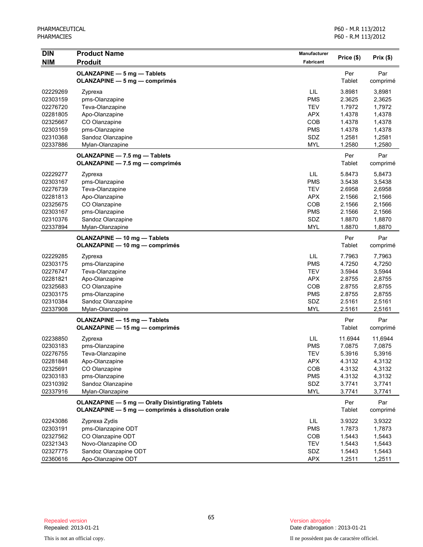| <b>DIN</b> | <b>Product Name</b>                               | Manufacturer     |            |          |
|------------|---------------------------------------------------|------------------|------------|----------|
| <b>NIM</b> | <b>Produit</b>                                    | <b>Fabricant</b> | Price (\$) | Prix(\$) |
|            | OLANZAPINE - 5 mg - Tablets                       |                  | Per        | Par      |
|            | <b>OLANZAPINE - 5 mg - comprimés</b>              |                  | Tablet     | comprimé |
| 02229269   | Zyprexa                                           | LIL              | 3.8981     | 3,8981   |
| 02303159   | pms-Olanzapine                                    | <b>PMS</b>       | 2.3625     | 2,3625   |
| 02276720   | Teva-Olanzapine                                   | <b>TEV</b>       | 1.7972     | 1,7972   |
| 02281805   | Apo-Olanzapine                                    | <b>APX</b>       | 1.4378     | 1,4378   |
| 02325667   | CO Olanzapine                                     | COB              | 1.4378     | 1,4378   |
| 02303159   | pms-Olanzapine                                    | <b>PMS</b>       | 1.4378     | 1,4378   |
| 02310368   | Sandoz Olanzapine                                 | SDZ              | 1.2581     | 1,2581   |
| 02337886   | Mylan-Olanzapine                                  | <b>MYL</b>       | 1.2580     | 1,2580   |
|            | OLANZAPINE - 7.5 mg - Tablets                     |                  | Per        | Par      |
|            | OLANZAPINE - 7.5 mg - comprimés                   |                  | Tablet     | comprimé |
| 02229277   | Zyprexa                                           | LIL              | 5.8473     | 5,8473   |
| 02303167   | pms-Olanzapine                                    | <b>PMS</b>       | 3.5438     | 3,5438   |
| 02276739   | Teva-Olanzapine                                   | <b>TEV</b>       | 2.6958     | 2,6958   |
| 02281813   | Apo-Olanzapine                                    | <b>APX</b>       | 2.1566     | 2,1566   |
| 02325675   | CO Olanzapine                                     | COB              | 2.1566     | 2,1566   |
| 02303167   | pms-Olanzapine                                    | <b>PMS</b>       | 2.1566     | 2,1566   |
| 02310376   | Sandoz Olanzapine                                 | SDZ              | 1.8870     | 1,8870   |
| 02337894   | Mylan-Olanzapine                                  | <b>MYL</b>       | 1.8870     | 1,8870   |
|            | OLANZAPINE - 10 mg - Tablets                      |                  | Per        | Par      |
|            | OLANZAPINE - 10 mg - comprimés                    |                  | Tablet     | comprimé |
| 02229285   | Zyprexa                                           | LIL              | 7.7963     | 7,7963   |
| 02303175   | pms-Olanzapine                                    | <b>PMS</b>       | 4.7250     | 4,7250   |
| 02276747   | Teva-Olanzapine                                   | <b>TEV</b>       | 3.5944     | 3,5944   |
| 02281821   | Apo-Olanzapine                                    | <b>APX</b>       | 2.8755     | 2,8755   |
| 02325683   | CO Olanzapine                                     | COB              | 2.8755     | 2,8755   |
| 02303175   | pms-Olanzapine                                    | <b>PMS</b>       | 2.8755     | 2,8755   |
| 02310384   | Sandoz Olanzapine                                 | SDZ              | 2.5161     | 2,5161   |
| 02337908   | Mylan-Olanzapine                                  | <b>MYL</b>       | 2.5161     | 2,5161   |
|            | OLANZAPINE - 15 mg - Tablets                      |                  | Per        | Par      |
|            | OLANZAPINE - 15 mg - comprimés                    |                  | Tablet     | comprimé |
| 02238850   | Zyprexa                                           | LIL              | 11.6944    | 11,6944  |
| 02303183   | pms-Olanzapine                                    | <b>PMS</b>       | 7.0875     | 7,0875   |
| 02276755   | Teva-Olanzapine                                   | <b>TEV</b>       | 5.3916     | 5,3916   |
| 02281848   | Apo-Olanzapine                                    | <b>APX</b>       | 4.3132     | 4,3132   |
| 02325691   | CO Olanzapine                                     | COB              | 4.3132     | 4,3132   |
| 02303183   | pms-Olanzapine                                    | <b>PMS</b>       | 4.3132     | 4,3132   |
| 02310392   | Sandoz Olanzapine                                 | SDZ              | 3.7741     | 3,7741   |
| 02337916   | Mylan-Olanzapine                                  | <b>MYL</b>       | 3.7741     | 3,7741   |
|            | OLANZAPINE - 5 mg - Orally Disintigrating Tablets |                  | Per        | Par      |
|            | OLANZAPINE - 5 mg - comprimés à dissolution orale |                  | Tablet     | comprimé |
| 02243086   | Zyprexa Zydis                                     | LIL              | 3.9322     | 3,9322   |
| 02303191   | pms-Olanzapine ODT                                | <b>PMS</b>       | 1.7873     | 1,7873   |
| 02327562   | CO Olanzapine ODT                                 | COB              | 1.5443     | 1,5443   |
| 02321343   | Novo-Olanzapine OD                                | <b>TEV</b>       | 1.5443     | 1,5443   |
| 02327775   | Sandoz Olanzapine ODT                             | SDZ              | 1.5443     | 1,5443   |
| 02360616   | Apo-Olanzapine ODT                                | <b>APX</b>       | 1.2511     | 1,2511   |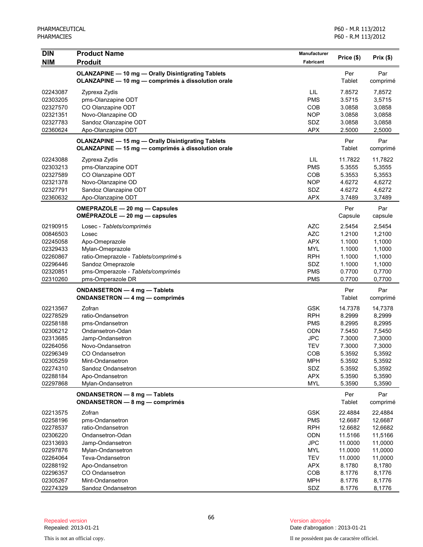| <b>DIN</b> | <b>Product Name</b>                                       | <b>Manufacturer</b> |            |          |
|------------|-----------------------------------------------------------|---------------------|------------|----------|
| <b>NIM</b> | <b>Produit</b>                                            | <b>Fabricant</b>    | Price (\$) | Prix(\$) |
|            | <b>OLANZAPINE - 10 mg - Orally Disintigrating Tablets</b> |                     | Per        | Par      |
|            | OLANZAPINE - 10 mg - comprimés à dissolution orale        |                     | Tablet     | comprimé |
| 02243087   | Zyprexa Zydis                                             | LIL                 | 7.8572     | 7,8572   |
| 02303205   | pms-Olanzapine ODT                                        | <b>PMS</b>          | 3.5715     | 3,5715   |
| 02327570   | CO Olanzapine ODT                                         | <b>COB</b>          | 3.0858     | 3,0858   |
| 02321351   | Novo-Olanzapine OD                                        | <b>NOP</b>          | 3.0858     | 3,0858   |
| 02327783   | Sandoz Olanzapine ODT                                     | SDZ                 | 3.0858     | 3,0858   |
| 02360624   | Apo-Olanzapine ODT                                        | <b>APX</b>          | 2.5000     | 2,5000   |
|            | <b>OLANZAPINE - 15 mg - Orally Disintigrating Tablets</b> |                     | Per        | Par      |
|            | OLANZAPINE - 15 mg - comprimés à dissolution orale        |                     | Tablet     | comprimé |
| 02243088   | Zyprexa Zydis                                             | LIL.                | 11.7822    | 11,7822  |
| 02303213   | pms-Olanzapine ODT                                        | <b>PMS</b>          | 5.3555     | 5,3555   |
| 02327589   | CO Olanzapine ODT                                         | <b>COB</b>          | 5.3553     | 5,3553   |
| 02321378   | Novo-Olanzapine OD                                        | <b>NOP</b>          | 4.6272     | 4,6272   |
| 02327791   | Sandoz Olanzapine ODT                                     | SDZ                 | 4.6272     | 4,6272   |
| 02360632   | Apo-Olanzapine ODT                                        | <b>APX</b>          | 3.7489     | 3,7489   |
|            | OMEPRAZOLE - 20 mg - Capsules                             |                     | Per        | Par      |
|            | $OMÉPRAZOLE - 20 mg - capsules$                           |                     | Capsule    | capsule  |
| 02190915   | Losec - Tablets/comprimés                                 | <b>AZC</b>          | 2.5454     | 2,5454   |
| 00846503   | Losec                                                     | <b>AZC</b>          | 1.2100     | 1,2100   |
| 02245058   | Apo-Omeprazole                                            | <b>APX</b>          | 1.1000     | 1,1000   |
| 02329433   | Mylan-Omeprazole                                          | <b>MYL</b>          | 1.1000     | 1,1000   |
| 02260867   | ratio-Omeprazole - Tablets/comprimés                      | <b>RPH</b>          | 1.1000     | 1,1000   |
| 02296446   | Sandoz Omeprazole                                         | SDZ                 | 1.1000     | 1,1000   |
| 02320851   | pms-Omperazole - Tablets/comprimés                        | <b>PMS</b>          | 0.7700     | 0,7700   |
| 02310260   | pms-Omperazole DR                                         | <b>PMS</b>          | 0.7700     | 0,7700   |
|            | ONDANSETRON - 4 mg - Tablets                              |                     | Per        | Par      |
|            | <b>ONDANSETRON — 4 mg — comprimés</b>                     |                     | Tablet     | comprimé |
| 02213567   | Zofran                                                    | <b>GSK</b>          | 14.7378    | 14,7378  |
| 02278529   | ratio-Ondansetron                                         | <b>RPH</b>          | 8.2999     | 8,2999   |
| 02258188   | pms-Ondansetron                                           | <b>PMS</b>          | 8.2995     | 8,2995   |
| 02306212   | Ondansetron-Odan                                          | <b>ODN</b>          | 7.5450     | 7,5450   |
| 02313685   | Jamp-Ondansetron                                          | <b>JPC</b>          | 7.3000     | 7,3000   |
| 02264056   | Novo-Ondansetron                                          | <b>TEV</b>          | 7.3000     | 7,3000   |
| 02296349   | <b>CO Ondansetron</b>                                     | COB                 | 5.3592     | 5,3592   |
| 02305259   | Mint-Ondansetron                                          | MPH                 | 5.3592     | 5,3592   |
| 02274310   | Sandoz Ondansetron                                        | SDZ                 | 5.3592     | 5,3592   |
| 02288184   | Apo-Ondansetron                                           | <b>APX</b>          | 5.3590     | 5,3590   |
| 02297868   | Mylan-Ondansetron                                         | <b>MYL</b>          | 5.3590     | 5,3590   |
|            | ONDANSETRON - 8 mg - Tablets                              |                     | Per        | Par      |
|            | ONDANSETRON - 8 mg - comprimés                            |                     | Tablet     | comprimé |
| 02213575   | Zofran                                                    | <b>GSK</b>          | 22.4884    | 22,4884  |
| 02258196   | pms-Ondansetron                                           | <b>PMS</b>          | 12.6687    | 12,6687  |
| 02278537   | ratio-Ondansetron                                         | <b>RPH</b>          | 12.6682    | 12,6682  |
| 02306220   | Ondansetron-Odan                                          | ODN                 | 11.5166    | 11,5166  |
| 02313693   | Jamp-Ondansetron                                          | <b>JPC</b>          | 11.0000    | 11,0000  |
| 02297876   | Mylan-Ondansetron                                         | <b>MYL</b>          | 11.0000    | 11,0000  |
| 02264064   | Teva-Ondansetron                                          | <b>TEV</b>          | 11.0000    | 11,0000  |
| 02288192   | Apo-Ondansetron                                           | <b>APX</b>          | 8.1780     | 8,1780   |
| 02296357   | CO Ondansetron                                            | COB                 | 8.1776     | 8,1776   |
| 02305267   | Mint-Ondansetron                                          | <b>MPH</b>          | 8.1776     | 8,1776   |
| 02274329   | Sandoz Ondansetron                                        | SDZ                 | 8.1776     | 8,1776   |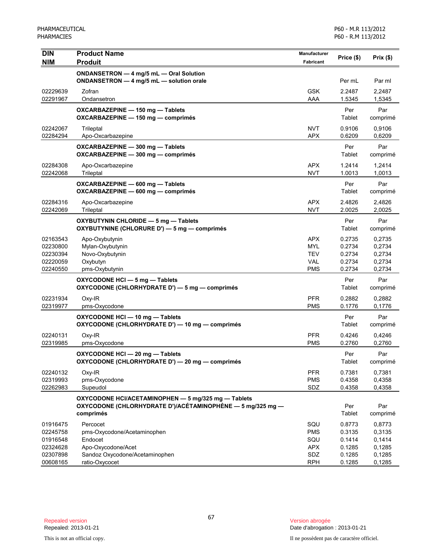| <b>DIN</b>                                               | <b>Product Name</b>                                                                                                            | <b>Manufacturer</b><br>Price (\$)                                  | Prix(\$)                                       |                                                |
|----------------------------------------------------------|--------------------------------------------------------------------------------------------------------------------------------|--------------------------------------------------------------------|------------------------------------------------|------------------------------------------------|
| <b>NIM</b>                                               | <b>Produit</b>                                                                                                                 | <b>Fabricant</b>                                                   |                                                |                                                |
|                                                          | ONDANSETRON - 4 mg/5 mL - Oral Solution<br>ONDANSETRON - 4 mg/5 mL - solution orale                                            |                                                                    | Per mL                                         | Par ml                                         |
| 02229639<br>02291967                                     | Zofran<br>Ondansetron                                                                                                          | <b>GSK</b><br>AAA                                                  | 2.2487<br>1.5345                               | 2,2487<br>1,5345                               |
|                                                          | OXCARBAZEPINE - 150 mg - Tablets<br>OXCARBAZEPINE - 150 mg - comprimés                                                         |                                                                    | Per<br>Tablet                                  | Par<br>comprimé                                |
| 02242067<br>02284294                                     | Trileptal<br>Apo-Oxcarbazepine                                                                                                 | <b>NVT</b><br><b>APX</b>                                           | 0.9106<br>0.6209                               | 0,9106<br>0,6209                               |
|                                                          | OXCARBAZEPINE - 300 mg - Tablets<br>OXCARBAZEPINE - 300 mg - comprimés                                                         |                                                                    | Per<br>Tablet                                  | Par<br>comprimé                                |
| 02284308<br>02242068                                     | Apo-Oxcarbazepine<br>Trileptal                                                                                                 | <b>APX</b><br><b>NVT</b>                                           | 1.2414<br>1.0013                               | 1,2414<br>1,0013                               |
|                                                          | OXCARBAZEPINE - 600 mg - Tablets<br>OXCARBAZEPINE - 600 mg - comprimés                                                         |                                                                    | Per<br>Tablet                                  | Par<br>comprimé                                |
| 02284316<br>02242069                                     | Apo-Oxcarbazepine<br>Trileptal                                                                                                 | <b>APX</b><br><b>NVT</b>                                           | 2.4826<br>2.0025                               | 2,4826<br>2,0025                               |
|                                                          | OXYBUTYNIN CHLORIDE - 5 mg - Tablets<br>OXYBUTYNINE (CHLORURE D') — 5 mg — comprimés                                           |                                                                    | Per<br>Tablet                                  | Par<br>comprimé                                |
| 02163543<br>02230800<br>02230394<br>02220059<br>02240550 | Apo-Oxybutynin<br>Mylan-Oxybutynin<br>Novo-Oxybutynin<br>Oxybutyn<br>pms-Oxybutynin                                            | <b>APX</b><br><b>MYL</b><br><b>TEV</b><br><b>VAL</b><br><b>PMS</b> | 0.2735<br>0.2734<br>0.2734<br>0.2734<br>0.2734 | 0,2735<br>0,2734<br>0,2734<br>0,2734<br>0,2734 |
|                                                          | OXYCODONE HCI - 5 mg - Tablets<br>OXYCODONE (CHLORHYDRATE D') - 5 mg - comprimés                                               |                                                                    | Per<br>Tablet                                  | Par<br>comprimé                                |
| 02231934<br>02319977                                     | Oxy-IR<br>pms-Oxycodone                                                                                                        | <b>PFR</b><br><b>PMS</b>                                           | 0.2882<br>0.1776                               | 0,2882<br>0,1776                               |
|                                                          | OXYCODONE HCI - 10 mg - Tablets<br>OXYCODONE (CHLORHYDRATE D') - 10 mg - comprimés                                             |                                                                    | Per<br>Tablet                                  | Par<br>comprimé                                |
| 02240131<br>02319985                                     | Oxy-IR<br>pms-Oxycodone                                                                                                        | <b>PFR</b><br><b>PMS</b>                                           | 0.4246<br>0.2760                               | 0,4246<br>0,2760                               |
|                                                          | OXYCODONE HCI - 20 mg - Tablets<br>OXYCODONE (CHLORHYDRATE D') - 20 mg - comprimés                                             |                                                                    | Per<br>Tablet                                  | Par<br>comprimé                                |
| 02240132<br>02319993<br>02262983                         | Oxy-IR<br>pms-Oxycodone<br>Supeudol                                                                                            | <b>PFR</b><br><b>PMS</b><br>SDZ                                    | 0.7381<br>0.4358<br>0.4358                     | 0,7381<br>0,4358<br>0,4358                     |
|                                                          | OXYCODONE HCI/ACETAMINOPHEN - 5 mg/325 mg - Tablets<br>OXYCODONE (CHLORHYDRATE D')/ACÉTAMINOPHÈNE — 5 mg/325 mg —<br>comprimés |                                                                    | Per<br>Tablet                                  | Par<br>comprimé                                |
| 01916475<br>02245758<br>01916548<br>02324628<br>02307898 | Percocet<br>pms-Oxycodone/Acetaminophen<br>Endocet<br>Apo-Oxycodone/Acet<br>Sandoz Oxycodone/Acetaminophen                     | SQU<br><b>PMS</b><br>SQU<br><b>APX</b><br>SDZ                      | 0.8773<br>0.3135<br>0.1414<br>0.1285<br>0.1285 | 0,8773<br>0,3135<br>0,1414<br>0,1285<br>0,1285 |
| 00608165                                                 | ratio-Oxycocet                                                                                                                 | <b>RPH</b>                                                         | 0.1285                                         | 0,1285                                         |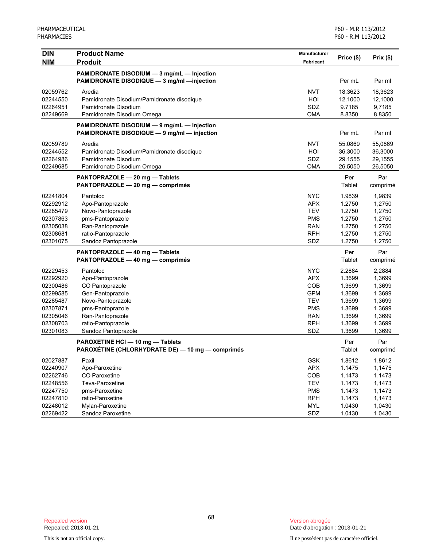| <b>DIN</b> | <b>Product Name</b>                                                                       | Manufacturer     |                    |           |
|------------|-------------------------------------------------------------------------------------------|------------------|--------------------|-----------|
| <b>NIM</b> | <b>Produit</b>                                                                            | <b>Fabricant</b> | Price (\$)         | Prix (\$) |
|            | PAMIDRONATE DISODIUM - 3 mg/mL - Injection                                                |                  |                    |           |
|            | PAMIDRONATE DISODIQUE - 3 mg/ml -injection                                                |                  | Per mL             | Par ml    |
| 02059762   | Aredia                                                                                    | <b>NVT</b>       |                    | 18,3623   |
| 02244550   | Pamidronate Disodium/Pamidronate disodique                                                | HOI              | 18.3623<br>12.1000 | 12,1000   |
| 02264951   | Pamidronate Disodium                                                                      | SDZ              | 9.7185             | 9,7185    |
| 02249669   | Pamidronate Disodium Omega                                                                | <b>OMA</b>       | 8.8350             | 8,8350    |
|            |                                                                                           |                  |                    |           |
|            | PAMIDRONATE DISODIUM - 9 mg/mL - Injection<br>PAMIDRONATE DISODIQUE - 9 mg/ml - injection |                  | Per mL             | Par ml    |
|            |                                                                                           |                  |                    |           |
| 02059789   | Aredia                                                                                    | <b>NVT</b>       | 55.0869            | 55,0869   |
| 02244552   | Pamidronate Disodium/Pamidronate disodique                                                | HOI              | 36.3000            | 36,3000   |
| 02264986   | Pamidronate Disodium                                                                      | SDZ              | 29.1555            | 29,1555   |
| 02249685   | Pamidronate Disodium Omega                                                                | <b>OMA</b>       | 26.5050            | 26,5050   |
|            | PANTOPRAZOLE - 20 mg - Tablets                                                            |                  | Per                | Par       |
|            | PANTOPRAZOLE - 20 mg - comprimés                                                          |                  | Tablet             | comprimé  |
| 02241804   | Pantoloc                                                                                  | <b>NYC</b>       | 1.9839             | 1,9839    |
| 02292912   | Apo-Pantoprazole                                                                          | <b>APX</b>       | 1.2750             | 1,2750    |
| 02285479   | Novo-Pantoprazole                                                                         | <b>TEV</b>       | 1.2750             | 1,2750    |
| 02307863   | pms-Pantoprazole                                                                          | <b>PMS</b>       | 1.2750             | 1,2750    |
| 02305038   | Ran-Pantoprazole                                                                          | <b>RAN</b>       | 1.2750             | 1,2750    |
| 02308681   | ratio-Pantoprazole                                                                        | <b>RPH</b>       | 1.2750             | 1,2750    |
| 02301075   | Sandoz Pantoprazole                                                                       | SDZ              | 1.2750             | 1,2750    |
|            | PANTOPRAZOLE - 40 mg - Tablets                                                            |                  | Per                | Par       |
|            | PANTOPRAZOLE - 40 mg - comprimés                                                          |                  | Tablet             | comprimé  |
| 02229453   | Pantoloc                                                                                  | <b>NYC</b>       | 2.2884             | 2,2884    |
| 02292920   | Apo-Pantoprazole                                                                          | <b>APX</b>       | 1.3699             | 1,3699    |
| 02300486   | CO Pantoprazole                                                                           | COB              | 1.3699             | 1,3699    |
| 02299585   | Gen-Pantoprazole                                                                          | <b>GPM</b>       | 1.3699             | 1,3699    |
| 02285487   | Novo-Pantoprazole                                                                         | <b>TEV</b>       | 1.3699             | 1,3699    |
| 02307871   | pms-Pantoprazole                                                                          | <b>PMS</b>       | 1.3699             | 1,3699    |
| 02305046   | Ran-Pantoprazole                                                                          | <b>RAN</b>       | 1.3699             | 1,3699    |
| 02308703   | ratio-Pantoprazole                                                                        | <b>RPH</b>       | 1.3699             | 1,3699    |
| 02301083   | Sandoz Pantoprazole                                                                       | SDZ              | 1.3699             | 1,3699    |
|            | PAROXETINE HCI - 10 mg - Tablets                                                          |                  | Per                | Par       |
|            | PAROXÉTINE (CHLORHYDRATE DE) — 10 mg — comprimés                                          |                  | Tablet             | comprimé  |
| 02027887   | Paxil                                                                                     | <b>GSK</b>       | 1.8612             | 1,8612    |
| 02240907   | Apo-Paroxetine                                                                            | <b>APX</b>       | 1.1475             | 1,1475    |
| 02262746   | CO Paroxetine                                                                             | COB              | 1.1473             | 1,1473    |
| 02248556   | Teva-Paroxetine                                                                           | <b>TEV</b>       | 1.1473             | 1,1473    |
| 02247750   | pms-Paroxetine                                                                            | <b>PMS</b>       | 1.1473             | 1,1473    |
| 02247810   | ratio-Paroxetine                                                                          | <b>RPH</b>       | 1.1473             | 1,1473    |
| 02248012   | Mylan-Paroxetine                                                                          | <b>MYL</b>       | 1.0430             | 1,0430    |
| 02269422   | Sandoz Paroxetine                                                                         | SDZ              | 1.0430             | 1,0430    |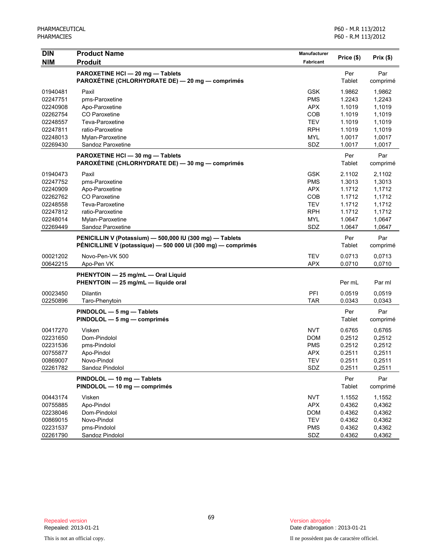| <b>DIN</b>                                                                                   | <b>Product Name</b>                                                                                                                        | <b>Manufacturer</b><br>Price (\$)                                                       | Prix(\$)                                                                     |                                                                              |
|----------------------------------------------------------------------------------------------|--------------------------------------------------------------------------------------------------------------------------------------------|-----------------------------------------------------------------------------------------|------------------------------------------------------------------------------|------------------------------------------------------------------------------|
| <b>NIM</b>                                                                                   | <b>Produit</b>                                                                                                                             | <b>Fabricant</b>                                                                        |                                                                              |                                                                              |
|                                                                                              | PAROXETINE HCI-20 mg-Tablets<br>PAROXÉTINE (CHLORHYDRATE DE) — 20 mg — comprimés                                                           |                                                                                         | Per<br>Tablet                                                                | Par<br>comprimé                                                              |
| 01940481<br>02247751<br>02240908<br>02262754                                                 | Paxil<br>pms-Paroxetine<br>Apo-Paroxetine<br>CO Paroxetine                                                                                 | <b>GSK</b><br><b>PMS</b><br><b>APX</b><br>COB                                           | 1.9862<br>1.2243<br>1.1019<br>1.1019                                         | 1,9862<br>1,2243<br>1,1019<br>1,1019                                         |
| 02248557<br>02247811<br>02248013<br>02269430                                                 | Teva-Paroxetine<br>ratio-Paroxetine<br>Mylan-Paroxetine<br>Sandoz Paroxetine                                                               | <b>TEV</b><br><b>RPH</b><br><b>MYL</b><br>SDZ                                           | 1.1019<br>1.1019<br>1.0017<br>1.0017                                         | 1,1019<br>1,1019<br>1,0017<br>1,0017                                         |
|                                                                                              | PAROXETINE HCI - 30 mg - Tablets<br>PAROXÉTINE (CHLORHYDRATE DE) - 30 mg - comprimés                                                       |                                                                                         | Per<br>Tablet                                                                | Par<br>comprimé                                                              |
| 01940473<br>02247752<br>02240909<br>02262762<br>02248558<br>02247812<br>02248014<br>02269449 | Paxil<br>pms-Paroxetine<br>Apo-Paroxetine<br>CO Paroxetine<br>Teva-Paroxetine<br>ratio-Paroxetine<br>Mylan-Paroxetine<br>Sandoz Paroxetine | <b>GSK</b><br><b>PMS</b><br><b>APX</b><br>COB<br><b>TEV</b><br><b>RPH</b><br>MYL<br>SDZ | 2.1102<br>1.3013<br>1.1712<br>1.1712<br>1.1712<br>1.1712<br>1.0647<br>1.0647 | 2,1102<br>1,3013<br>1,1712<br>1,1712<br>1,1712<br>1,1712<br>1,0647<br>1,0647 |
|                                                                                              | PENICILLIN V (Potassium) - 500,000 IU (300 mg) - Tablets<br>PÉNICILLINE V (potassique) — 500 000 UI (300 mg) — comprimés                   |                                                                                         | Per<br>Tablet                                                                | Par<br>comprimé                                                              |
| 00021202<br>00642215                                                                         | Novo-Pen-VK 500<br>Apo-Pen VK                                                                                                              | <b>TEV</b><br><b>APX</b>                                                                | 0.0713<br>0.0710                                                             | 0,0713<br>0,0710                                                             |
|                                                                                              | PHENYTOIN - 25 mg/mL - Oral Liquid<br>PHENYTOIN - 25 mg/mL - liquide oral                                                                  |                                                                                         | Per mL                                                                       | Par ml                                                                       |
| 00023450<br>02250896                                                                         | Dilantin<br>Taro-Phenytoin                                                                                                                 | PFI<br><b>TAR</b>                                                                       | 0.0519<br>0.0343                                                             | 0,0519<br>0,0343                                                             |
|                                                                                              | PINDOLOL - 5 mg - Tablets<br>PINDOLOL — 5 mg — comprimés                                                                                   |                                                                                         | Per<br>Tablet                                                                | Par<br>comprimé                                                              |
| 00417270<br>02231650<br>02231536<br>00755877<br>00869007<br>02261782                         | Visken<br>Dom-Pindolol<br>pms-Pindolol<br>Apo-Pindol<br>Novo-Pindol<br>Sandoz Pindolol                                                     | <b>NVT</b><br><b>DOM</b><br><b>PMS</b><br><b>APX</b><br>TEV<br>SDZ                      | 0.6765<br>0.2512<br>0.2512<br>0.2511<br>0.2511<br>0.2511                     | 0,6765<br>0,2512<br>0,2512<br>0,2511<br>0,2511<br>0,2511                     |
|                                                                                              | PINDOLOL - 10 mg - Tablets<br>PINDOLOL - 10 mg - comprimés                                                                                 |                                                                                         | Per<br>Tablet                                                                | Par<br>comprimé                                                              |
| 00443174<br>00755885<br>02238046<br>00869015<br>02231537<br>02261790                         | Visken<br>Apo-Pindol<br>Dom-Pindolol<br>Novo-Pindol<br>pms-Pindolol<br>Sandoz Pindolol                                                     | <b>NVT</b><br><b>APX</b><br><b>DOM</b><br><b>TEV</b><br><b>PMS</b><br>SDZ               | 1.1552<br>0.4362<br>0.4362<br>0.4362<br>0.4362<br>0.4362                     | 1,1552<br>0,4362<br>0,4362<br>0,4362<br>0,4362<br>0,4362                     |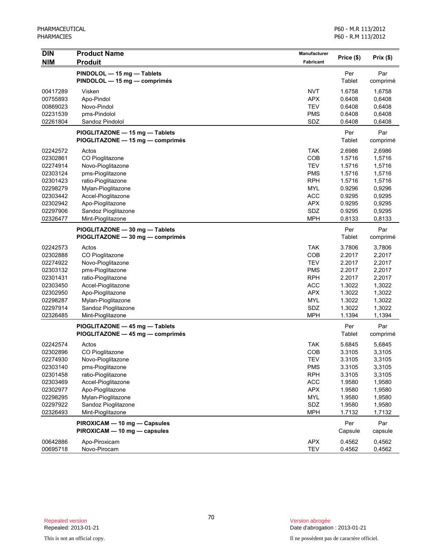| <b>DIN</b><br><b>NIM</b> | <b>Product Name</b><br><b>Produit</b> | Manufacturer<br>Fabricant | Price (\$)    | Prix (\$)       |
|--------------------------|---------------------------------------|---------------------------|---------------|-----------------|
|                          | PINDOLOL - 15 mg - Tablets            |                           |               |                 |
|                          | PINDOLOL - 15 mg - comprimés          |                           | Per<br>Tablet | Par<br>comprimé |
| 00417289                 | Visken                                | <b>NVT</b>                | 1.6758        | 1,6758          |
| 00755893                 | Apo-Pindol                            | <b>APX</b>                | 0.6408        | 0,6408          |
| 00869023                 | Novo-Pindol                           | <b>TEV</b>                | 0.6408        | 0,6408          |
| 02231539                 | pms-Pindolol                          | <b>PMS</b>                | 0.6408        | 0,6408          |
| 02261804                 | Sandoz Pindolol                       | SDZ                       | 0.6408        | 0,6408          |
|                          | PIOGLITAZONE - 15 mg - Tablets        |                           | Per           | Par             |
|                          | PIOGLITAZONE - 15 mg - comprimés      |                           | Tablet        | comprimé        |
| 02242572                 | Actos                                 | <b>TAK</b>                | 2.6986        | 2,6986          |
| 02302861                 | CO Pioglitazone                       | COB                       | 1.5716        | 1,5716          |
| 02274914                 | Novo-Pioglitazone                     | <b>TEV</b>                | 1.5716        | 1,5716          |
| 02303124                 | pms-Pioglitazone                      | <b>PMS</b>                | 1.5716        | 1,5716          |
| 02301423                 | ratio-Pioglitazone                    | <b>RPH</b>                | 1.5716        | 1,5716          |
| 02298279                 | Mylan-Pioglitazone                    | <b>MYL</b>                | 0.9296        | 0,9296          |
| 02303442                 | Accel-Pioglitazone                    | <b>ACC</b>                | 0.9295        | 0,9295          |
| 02302942                 | Apo-Pioglitazone                      | <b>APX</b>                | 0.9295        | 0,9295          |
| 02297906                 | Sandoz Pioglitazone                   | SDZ                       | 0.9295        | 0,9295          |
| 02326477                 | Mint-Pioglitazone                     | <b>MPH</b>                | 0.8133        | 0,8133          |
|                          | PIOGLITAZONE - 30 mg - Tablets        |                           | Per           | Par             |
|                          | PIOGLITAZONE - 30 mg - comprimés      |                           | Tablet        | comprimé        |
| 02242573                 | Actos                                 | <b>TAK</b>                | 3.7806        | 3,7806          |
| 02302888                 | CO Pioglitazone                       | COB                       | 2.2017        | 2,2017          |
| 02274922                 | Novo-Pioglitazone                     | <b>TEV</b>                | 2.2017        | 2,2017          |
| 02303132                 | pms-Pioglitazone                      | <b>PMS</b>                | 2.2017        | 2,2017          |
| 02301431                 | ratio-Pioglitazone                    | <b>RPH</b>                | 2.2017        | 2,2017          |
| 02303450                 | Accel-Pioglitazone                    | <b>ACC</b>                | 1.3022        | 1,3022          |
| 02302950                 | Apo-Pioglitazone                      | <b>APX</b>                | 1.3022        | 1,3022          |
| 02298287                 | Mylan-Pioglitazone                    | <b>MYL</b>                | 1.3022        | 1,3022          |
| 02297914                 | Sandoz Pioglitazone                   | SDZ                       | 1.3022        | 1,3022          |
| 02326485                 | Mint-Pioglitazone                     | <b>MPH</b>                | 1.1394        | 1,1394          |
|                          | PIOGLITAZONE - 45 mg - Tablets        |                           | Per           | Par             |
|                          | PIOGLITAZONE — 45 mg — comprimés      |                           | Tablet        | comprimé        |
| 02242574                 | Actos                                 | TAK                       | 5.6845        | 5,6845          |
| 02302896                 | CO Pioglitazone                       | COB                       | 3.3105        | 3,3105          |
| 02274930                 | Novo-Pioglitazone                     | IFA                       | 3.3105        | 3,3105          |
| 02303140                 | pms-Pioglitazone                      | <b>PMS</b>                | 3.3105        | 3,3105          |
| 02301458                 | ratio-Pioglitazone                    | <b>RPH</b>                | 3.3105        | 3,3105          |
| 02303469                 | Accel-Pioglitazone                    | <b>ACC</b>                | 1.9580        | 1,9580          |
| 02302977                 | Apo-Pioglitazone                      | <b>APX</b>                | 1.9580        | 1,9580          |
| 02298295                 | Mylan-Pioglitazone                    | <b>MYL</b>                | 1.9580        | 1,9580          |
| 02297922                 | Sandoz Pioglitazone                   | SDZ                       | 1.9580        | 1,9580          |
| 02326493                 | Mint-Pioglitazone                     | <b>MPH</b>                | 1.7132        | 1,7132          |
|                          | PIROXICAM - 10 mg - Capsules          |                           | Per           | Par             |
|                          | PIROXICAM - 10 mg - capsules          |                           | Capsule       | capsule         |
| 00642886                 | Apo-Piroxicam                         | <b>APX</b>                | 0.4562        | 0,4562          |
| 00695718                 | Novo-Pirocam                          | TEV                       | 0.4562        | 0,4562          |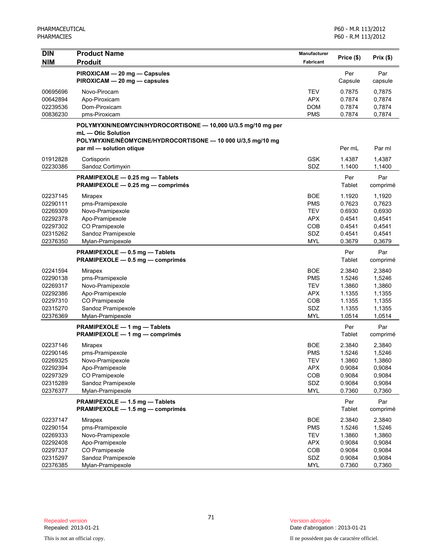| <b>DIN</b> | <b>Product Name</b>                                           | Manufacturer | Price (\$) | Prix(\$) |
|------------|---------------------------------------------------------------|--------------|------------|----------|
| <b>NIM</b> | <b>Produit</b>                                                | Fabricant    |            |          |
|            | PIROXICAM - 20 mg - Capsules                                  |              | Per        | Par      |
|            | PIROXICAM - 20 mg - capsules                                  |              | Capsule    | capsule  |
| 00695696   | Novo-Pirocam                                                  | <b>TEV</b>   | 0.7875     | 0,7875   |
| 00642894   | Apo-Piroxicam                                                 | <b>APX</b>   | 0.7874     | 0,7874   |
| 02239536   | Dom-Piroxicam                                                 | <b>DOM</b>   | 0.7874     | 0,7874   |
| 00836230   | pms-Piroxicam                                                 | <b>PMS</b>   | 0.7874     | 0,7874   |
|            | POLYMYXIN/NEOMYCIN/HYDROCORTISONE - 10,000 U/3.5 mg/10 mg per |              |            |          |
|            | mL - Otic Solution                                            |              |            |          |
|            | POLYMYXINE/NÉOMYCINE/HYDROCORTISONE - 10 000 U/3,5 mg/10 mg   |              |            |          |
|            | par ml - solution otique                                      |              | Per mL     | Par ml   |
| 01912828   | Cortisporin                                                   | <b>GSK</b>   | 1.4387     | 1,4387   |
| 02230386   | Sandoz Cortimyxin                                             | SDZ          | 1.1400     | 1,1400   |
|            | PRAMIPEXOLE - 0.25 mg - Tablets                               |              | Per        | Par      |
|            | PRAMIPEXOLE - 0.25 mg - comprimés                             |              | Tablet     | comprimé |
| 02237145   | Mirapex                                                       | <b>BOE</b>   | 1.1920     | 1,1920   |
| 02290111   | pms-Pramipexole                                               | <b>PMS</b>   | 0.7623     | 0,7623   |
| 02269309   | Novo-Pramipexole                                              | <b>TEV</b>   | 0.6930     | 0,6930   |
| 02292378   | Apo-Pramipexole                                               | <b>APX</b>   | 0.4541     | 0,4541   |
| 02297302   | CO Pramipexole                                                | COB          | 0.4541     | 0,4541   |
| 02315262   | Sandoz Pramipexole                                            | SDZ          | 0.4541     | 0,4541   |
| 02376350   | Mylan-Pramipexole                                             | <b>MYL</b>   | 0.3679     | 0,3679   |
|            | PRAMIPEXOLE - 0.5 mg - Tablets                                |              | Per        | Par      |
|            | PRAMIPEXOLE - 0.5 mg - comprimés                              |              | Tablet     | comprimé |
| 02241594   | Mirapex                                                       | <b>BOE</b>   | 2.3840     | 2,3840   |
| 02290138   | pms-Pramipexole                                               | <b>PMS</b>   | 1.5246     | 1,5246   |
| 02269317   | Novo-Pramipexole                                              | <b>TEV</b>   | 1.3860     | 1,3860   |
| 02292386   | Apo-Pramipexole                                               | <b>APX</b>   | 1.1355     | 1,1355   |
| 02297310   | CO Pramipexole                                                | COB          | 1.1355     | 1,1355   |
| 02315270   | Sandoz Pramipexole                                            | SDZ          | 1.1355     | 1,1355   |
| 02376369   | Mylan-Pramipexole                                             | <b>MYL</b>   | 1.0514     | 1,0514   |
|            | PRAMIPEXOLE - 1 mg - Tablets                                  |              | Per        | Par      |
|            | PRAMIPEXOLE - 1 mg - comprimés                                |              | Tablet     | comprimé |
| 02237146   | <b>Mirapex</b>                                                | <b>BOE</b>   | 2.3840     | 2,3840   |
| 02290146   | pms-Pramipexole                                               | <b>PMS</b>   | 1.5246     | 1,5246   |
| 02269325   | Novo-Pramipexole                                              | <b>TEV</b>   | 1.3860     | 1,3860   |
| 02292394   | Apo-Pramipexole                                               | <b>APX</b>   | 0.9084     | 0,9084   |
| 02297329   | CO Pramipexole                                                | COB          | 0.9084     | 0,9084   |
| 02315289   | Sandoz Pramipexole                                            | SDZ          | 0.9084     | 0,9084   |
| 02376377   | Mylan-Pramipexole                                             | <b>MYL</b>   | 0.7360     | 0,7360   |
|            | PRAMIPEXOLE - 1.5 mg - Tablets                                |              | Per        | Par      |
|            | PRAMIPEXOLE - 1.5 mg - comprimés                              |              | Tablet     | comprimé |
| 02237147   | Mirapex                                                       | <b>BOE</b>   | 2.3840     | 2,3840   |
| 02290154   | pms-Pramipexole                                               | <b>PMS</b>   | 1.5246     | 1,5246   |
| 02269333   | Novo-Pramipexole                                              | <b>TEV</b>   | 1.3860     | 1,3860   |
| 02292408   | Apo-Pramipexole                                               | <b>APX</b>   | 0.9084     | 0,9084   |
| 02297337   | CO Pramipexole                                                | COB          | 0.9084     | 0,9084   |
| 02315297   | Sandoz Pramipexole                                            | SDZ          | 0.9084     | 0,9084   |
| 02376385   | Mylan-Pramipexole                                             | <b>MYL</b>   | 0.7360     | 0,7360   |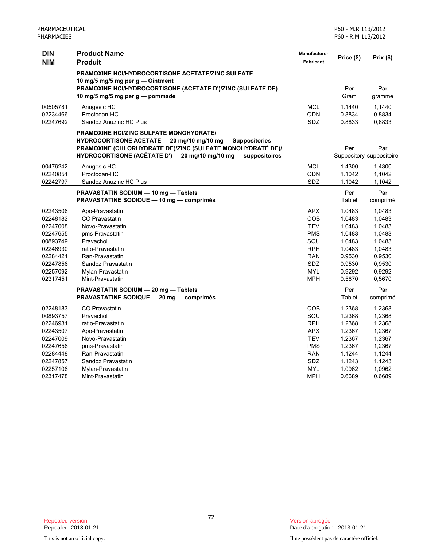| <b>DIN</b> | <b>Product Name</b>                                                                              | <b>Manufacturer</b> | Price (\$)  | Prix(\$)                 |
|------------|--------------------------------------------------------------------------------------------------|---------------------|-------------|--------------------------|
| <b>NIM</b> | <b>Produit</b>                                                                                   | <b>Fabricant</b>    |             |                          |
|            | PRAMOXINE HCI/HYDROCORTISONE ACETATE/ZINC SULFATE —                                              |                     |             |                          |
|            | 10 mg/5 mg/5 mg per g - Ointment                                                                 |                     |             |                          |
|            | PRAMOXINE HCI/HYDROCORTISONE (ACETATE D')/ZINC (SULFATE DE) -<br>10 mg/5 mg/5 mg per g - pommade |                     | Per<br>Gram | Par<br>gramme            |
|            |                                                                                                  |                     |             |                          |
| 00505781   | Anugesic HC                                                                                      | <b>MCL</b>          | 1.1440      | 1,1440                   |
| 02234466   | Proctodan-HC                                                                                     | <b>ODN</b>          | 0.8834      | 0,8834                   |
| 02247692   | Sandoz Anuzinc HC Plus                                                                           | SDZ                 | 0.8833      | 0,8833                   |
|            | <b>PRAMOXINE HCI/ZINC SULFATE MONOHYDRATE/</b>                                                   |                     |             |                          |
|            | HYDROCORTISONE ACETATE - 20 mg/10 mg/10 mg - Suppositories                                       |                     |             |                          |
|            | PRAMOXINE (CHLORHYDRATE DE)/ZINC (SULFATE MONOHYDRATÉ DE)/                                       |                     | Per         | Par                      |
|            | HYDROCORTISONE (ACÉTATE D') - 20 mg/10 mg/10 mg - suppositoires                                  |                     |             | Suppository suppositoire |
| 00476242   | Anugesic HC                                                                                      | <b>MCL</b>          | 1.4300      | 1,4300                   |
| 02240851   | Proctodan-HC                                                                                     | <b>ODN</b>          | 1.1042      | 1,1042                   |
| 02242797   | Sandoz Anuzinc HC Plus                                                                           | SDZ                 | 1.1042      | 1,1042                   |
|            | PRAVASTATIN SODIUM - 10 mg - Tablets                                                             |                     | Per         | Par                      |
|            | <b>PRAVASTATINE SODIQUE - 10 mg - comprimés</b>                                                  |                     | Tablet      | comprimé                 |
| 02243506   | Apo-Pravastatin                                                                                  | <b>APX</b>          | 1.0483      | 1,0483                   |
| 02248182   | <b>CO Pravastatin</b>                                                                            | <b>COB</b>          | 1.0483      | 1,0483                   |
| 02247008   | Novo-Pravastatin                                                                                 | <b>TEV</b>          | 1.0483      | 1,0483                   |
| 02247655   | pms-Pravastatin                                                                                  | <b>PMS</b>          | 1.0483      | 1,0483                   |
| 00893749   | Pravachol                                                                                        | SQU                 | 1.0483      | 1,0483                   |
| 02246930   | ratio-Pravastatin                                                                                | <b>RPH</b>          | 1.0483      | 1,0483                   |
| 02284421   | Ran-Pravastatin                                                                                  | <b>RAN</b>          | 0.9530      | 0,9530                   |
| 02247856   | Sandoz Pravastatin                                                                               | <b>SDZ</b>          | 0.9530      | 0,9530                   |
| 02257092   | Mylan-Pravastatin                                                                                | <b>MYL</b>          | 0.9292      | 0,9292                   |
| 02317451   | Mint-Pravastatin                                                                                 | <b>MPH</b>          | 0.5670      | 0,5670                   |
|            | PRAVASTATIN SODIUM - 20 mg - Tablets                                                             |                     | Per         | Par                      |
|            | <b>PRAVASTATINE SODIQUE - 20 mg - comprimés</b>                                                  |                     | Tablet      | comprimé                 |
| 02248183   | <b>CO Pravastatin</b>                                                                            | <b>COB</b>          | 1.2368      | 1,2368                   |
| 00893757   | Pravachol                                                                                        | SQU                 | 1.2368      | 1,2368                   |
| 02246931   | ratio-Pravastatin                                                                                | <b>RPH</b>          | 1.2368      | 1,2368                   |
| 02243507   | Apo-Pravastatin                                                                                  | <b>APX</b>          | 1.2367      | 1,2367                   |
| 02247009   | Novo-Pravastatin                                                                                 | <b>TEV</b>          | 1.2367      | 1,2367                   |
| 02247656   | pms-Pravastatin                                                                                  | <b>PMS</b>          | 1.2367      | 1,2367                   |
| 02284448   | Ran-Pravastatin                                                                                  | <b>RAN</b>          | 1.1244      | 1,1244                   |
| 02247857   | Sandoz Pravastatin                                                                               | SDZ.                | 1.1243      | 1,1243                   |
| 02257106   | Mylan-Pravastatin                                                                                | <b>MYL</b>          | 1.0962      | 1,0962                   |
| 02317478   | Mint-Pravastatin                                                                                 | <b>MPH</b>          | 0.6689      | 0,6689                   |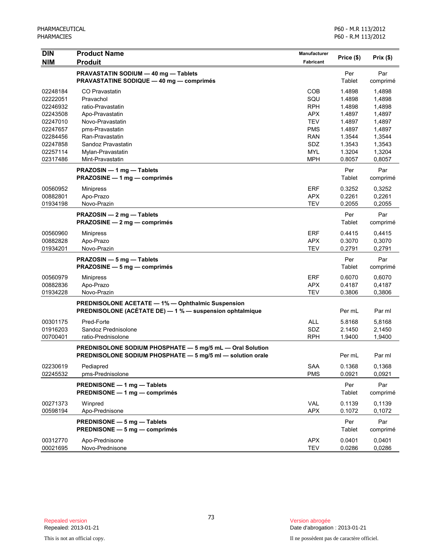| <b>DIN</b> | <b>Product Name</b><br><b>Produit</b>                      | Manufacturer | Price (\$) | Prix(\$) |
|------------|------------------------------------------------------------|--------------|------------|----------|
| <b>NIM</b> |                                                            | Fabricant    |            |          |
|            | PRAVASTATIN SODIUM - 40 mg - Tablets                       |              | Per        | Par      |
|            | <b>PRAVASTATINE SODIQUE - 40 mg - comprimés</b>            |              | Tablet     | comprimé |
| 02248184   | <b>CO Pravastatin</b>                                      | <b>COB</b>   | 1.4898     | 1,4898   |
| 02222051   | Pravachol                                                  | SQU          | 1.4898     | 1.4898   |
| 02246932   | ratio-Pravastatin                                          | <b>RPH</b>   | 1.4898     | 1,4898   |
| 02243508   | Apo-Pravastatin                                            | <b>APX</b>   | 1.4897     | 1,4897   |
| 02247010   | Novo-Pravastatin                                           | <b>TEV</b>   | 1.4897     | 1,4897   |
| 02247657   | pms-Pravastatin                                            | <b>PMS</b>   | 1.4897     | 1,4897   |
| 02284456   | Ran-Pravastatin                                            | <b>RAN</b>   | 1.3544     | 1,3544   |
| 02247858   | Sandoz Pravastatin                                         | SDZ          | 1.3543     | 1,3543   |
| 02257114   | Mylan-Pravastatin                                          | <b>MYL</b>   | 1.3204     | 1,3204   |
| 02317486   | Mint-Pravastatin                                           | <b>MPH</b>   | 0.8057     | 0,8057   |
|            | PRAZOSIN - 1 mg - Tablets                                  |              | Per        | Par      |
|            | PRAZOSINE - 1 mg - comprimés                               |              | Tablet     | comprimé |
| 00560952   | <b>Minipress</b>                                           | ERF          | 0.3252     | 0,3252   |
| 00882801   | Apo-Prazo                                                  | <b>APX</b>   | 0.2261     | 0,2261   |
| 01934198   | Novo-Prazin                                                | <b>TEV</b>   | 0.2055     | 0,2055   |
|            | PRAZOSIN - 2 mg - Tablets                                  |              | Per        | Par      |
|            | PRAZOSINE - 2 mg - comprimés                               |              | Tablet     | comprimé |
| 00560960   | <b>Minipress</b>                                           | <b>ERF</b>   | 0.4415     | 0,4415   |
| 00882828   | Apo-Prazo                                                  | <b>APX</b>   | 0.3070     | 0,3070   |
| 01934201   | Novo-Prazin                                                | <b>TEV</b>   | 0.2791     | 0,2791   |
|            | PRAZOSIN - 5 mg - Tablets                                  |              | Per        | Par      |
|            | PRAZOSINE - 5 mg - comprimés                               |              | Tablet     | comprimé |
| 00560979   | <b>Minipress</b>                                           | <b>ERF</b>   | 0.6070     | 0,6070   |
| 00882836   | Apo-Prazo                                                  | <b>APX</b>   | 0.4187     | 0,4187   |
| 01934228   | Novo-Prazin                                                | <b>TEV</b>   | 0.3806     | 0,3806   |
|            | <b>PREDNISOLONE ACETATE - 1% - Ophthalmic Suspension</b>   |              |            |          |
|            | PREDNISOLONE (ACÉTATE DE) - 1 % - suspension ophtalmique   |              | Per mL     | Par ml   |
| 00301175   | Pred-Forte                                                 | <b>ALL</b>   | 5.8168     | 5,8168   |
| 01916203   | Sandoz Prednisolone                                        | SDZ          | 2.1450     | 2,1450   |
| 00700401   | ratio-Prednisolone                                         | <b>RPH</b>   | 1.9400     | 1,9400   |
|            | PREDNISOLONE SODIUM PHOSPHATE - 5 mg/5 mL - Oral Solution  |              |            |          |
|            | PREDNISOLONE SODIUM PHOSPHATE - 5 mg/5 ml - solution orale |              | Per mL     | Par ml   |
| 02230619   | Pediapred                                                  | SAA          | 0.1368     | 0,1368   |
| 02245532   | pms-Prednisolone                                           | <b>PMS</b>   | 0.0921     | 0,0921   |
|            | PREDNISONE - 1 mg - Tablets                                |              | Per        | Par      |
|            | PREDNISONE - 1 mg - comprimés                              |              | Tablet     | comprimé |
|            |                                                            |              |            |          |
| 00271373   | Winpred                                                    | VAL          | 0.1139     | 0,1139   |
| 00598194   | Apo-Prednisone                                             | <b>APX</b>   | 0.1072     | 0,1072   |
|            | PREDNISONE - 5 mg - Tablets                                |              | Per        | Par      |
|            | PREDNISONE - 5 mg - comprimés                              |              | Tablet     | comprimé |
| 00312770   | Apo-Prednisone                                             | <b>APX</b>   | 0.0401     | 0,0401   |
| 00021695   | Novo-Prednisone                                            | <b>TEV</b>   | 0.0286     | 0,0286   |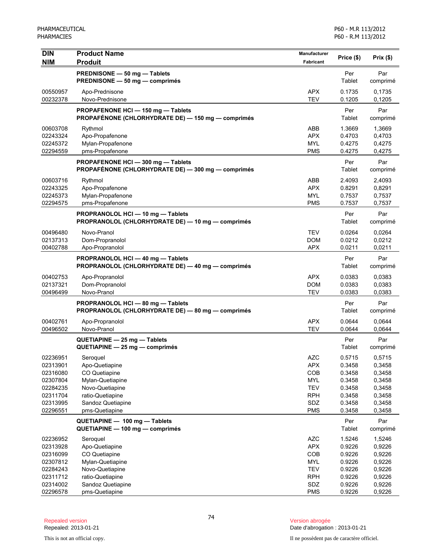| <b>DIN</b>           | <b>Product Name</b>                                | Manufacturer             | Price (\$)       | Prix(\$)         |
|----------------------|----------------------------------------------------|--------------------------|------------------|------------------|
| <b>NIM</b>           | <b>Produit</b>                                     | <b>Fabricant</b>         |                  |                  |
|                      | PREDNISONE - 50 mg - Tablets                       |                          | Per              | Par              |
|                      | PREDNISONE - 50 mg - comprimés                     |                          | Tablet           | comprimé         |
| 00550957             | Apo-Prednisone                                     | <b>APX</b>               | 0.1735           | 0,1735           |
| 00232378             | Novo-Prednisone                                    | <b>TEV</b>               | 0.1205           | 0,1205           |
|                      | PROPAFENONE HCI-150 mg-Tablets                     |                          | Per              | Par              |
|                      | PROPAFÉNONE (CHLORHYDRATE DE) - 150 mg - comprimés |                          | Tablet           | comprimé         |
| 00603708             | Rythmol                                            | ABB                      | 1.3669           | 1,3669           |
| 02243324             | Apo-Propafenone                                    | <b>APX</b>               | 0.4703           | 0,4703           |
| 02245372             | Mylan-Propafenone                                  | <b>MYL</b><br><b>PMS</b> | 0.4275           | 0,4275           |
| 02294559             | pms-Propafenone                                    |                          | 0.4275           | 0,4275           |
|                      | PROPAFENONE HCI-300 mg-Tablets                     |                          | Per              | Par              |
|                      | PROPAFÉNONE (CHLORHYDRATE DE) - 300 mg - comprimés |                          | <b>Tablet</b>    | comprimé         |
| 00603716             | Rythmol                                            | <b>ABB</b>               | 2.4093           | 2,4093           |
| 02243325             | Apo-Propafenone                                    | <b>APX</b>               | 0.8291           | 0,8291           |
| 02245373<br>02294575 | Mylan-Propafenone<br>pms-Propafenone               | <b>MYL</b><br><b>PMS</b> | 0.7537<br>0.7537 | 0,7537<br>0,7537 |
|                      |                                                    |                          |                  |                  |
|                      | PROPRANOLOL HCI-10 mg-Tablets                      |                          | Per              | Par              |
|                      | PROPRANOLOL (CHLORHYDRATE DE) - 10 mg - comprimés  |                          | Tablet           | comprimé         |
| 00496480             | Novo-Pranol                                        | <b>TEV</b>               | 0.0264           | 0,0264           |
| 02137313             | Dom-Propranolol                                    | <b>DOM</b>               | 0.0212           | 0,0212           |
| 00402788             | Apo-Propranolol                                    | <b>APX</b>               | 0.0211           | 0,0211           |
|                      | PROPRANOLOL HCI-40 mg-Tablets                      |                          | Per              | Par              |
|                      | PROPRANOLOL (CHLORHYDRATE DE) - 40 mg - comprimés  |                          | Tablet           | comprimé         |
| 00402753             | Apo-Propranolol                                    | <b>APX</b>               | 0.0383           | 0.0383           |
| 02137321             | Dom-Propranolol                                    | <b>DOM</b>               | 0.0383           | 0,0383           |
| 00496499             | Novo-Pranol                                        | <b>TEV</b>               | 0.0383           | 0,0383           |
|                      | PROPRANOLOL HCI-80 mg-Tablets                      |                          | Per              | Par              |
|                      | PROPRANOLOL (CHLORHYDRATE DE) - 80 mg - comprimés  |                          | <b>Tablet</b>    | comprimé         |
| 00402761             | Apo-Propranolol                                    | <b>APX</b>               | 0.0644           | 0,0644           |
| 00496502             | Novo-Pranol                                        | <b>TEV</b>               | 0.0644           | 0,0644           |
|                      | QUETIAPINE - 25 mg - Tablets                       |                          | Per              | Par              |
|                      | $QUETIAPINE - 25 mg - comprimés$                   |                          | Tablet           | comprimé         |
| 02236951             | Seroquel                                           | <b>AZC</b>               | 0.5715           | 0,5715           |
| 02313901             | Apo-Quetiapine                                     | <b>APX</b>               | 0.3458           | 0,3458           |
| 02316080             | CO Quetiapine                                      | COB                      | 0.3458           | 0,3458           |
| 02307804<br>02284235 | Mylan-Quetiapine<br>Novo-Quetiapine                | <b>MYL</b><br><b>TEV</b> | 0.3458<br>0.3458 | 0,3458<br>0,3458 |
| 02311704             | ratio-Quetiapine                                   | <b>RPH</b>               | 0.3458           | 0,3458           |
| 02313995             | Sandoz Quetiapine                                  | SDZ                      | 0.3458           | 0,3458           |
| 02296551             | pms-Quetiapine                                     | <b>PMS</b>               | 0.3458           | 0,3458           |
|                      | QUETIAPINE - 100 mg - Tablets                      |                          | Per              | Par              |
|                      | QUETIAPINE - 100 mg - comprimés                    |                          | <b>Tablet</b>    | comprimé         |
| 02236952             | Seroquel                                           | <b>AZC</b>               | 1.5246           | 1,5246           |
| 02313928             | Apo-Quetiapine                                     | <b>APX</b>               | 0.9226           | 0,9226           |
| 02316099             | CO Quetiapine                                      | COB                      | 0.9226           | 0,9226           |
| 02307812             | Mylan-Quetiapine                                   | <b>MYL</b>               | 0.9226           | 0,9226           |
| 02284243             | Novo-Quetiapine                                    | <b>TEV</b>               | 0.9226           | 0,9226           |
| 02311712             | ratio-Quetiapine                                   | <b>RPH</b>               | 0.9226           | 0,9226           |
| 02314002<br>02296578 | Sandoz Quetiapine<br>pms-Quetiapine                | SDZ<br><b>PMS</b>        | 0.9226<br>0.9226 | 0,9226<br>0,9226 |
|                      |                                                    |                          |                  |                  |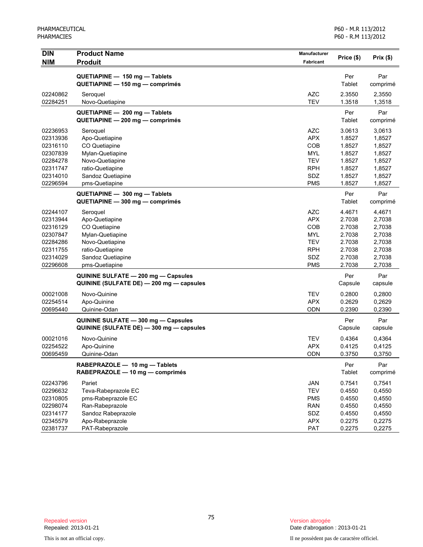| Per<br>Par<br>QUETIAPINE - 150 mg - Tablets<br>QUETIAPINE - 150 mg - comprimés<br><b>Tablet</b><br>comprimé<br><b>AZC</b><br>2.3550<br>02240862<br>Seroquel<br>2,3550<br><b>TEV</b><br>02284251<br>Novo-Quetiapine<br>1.3518<br>1,3518<br>Per<br>Par<br>QUETIAPINE - 200 mg - Tablets<br>QUETIAPINE - 200 mg - comprimés<br>Tablet<br>comprimé<br><b>AZC</b><br>3.0613<br>02236953<br>Seroquel<br>3,0613<br>02313936<br><b>APX</b><br>1.8527<br>1,8527<br>Apo-Quetiapine<br>COB<br>1.8527<br>1,8527<br>02316110<br>CO Quetiapine<br>02307839<br><b>MYL</b><br>1.8527<br>1,8527<br>Mylan-Quetiapine<br><b>TEV</b><br>1.8527<br>02284278<br>Novo-Quetiapine<br>1,8527<br>ratio-Quetiapine<br><b>RPH</b><br>1.8527<br>02311747<br>1,8527<br>SDZ<br>02314010<br>Sandoz Quetiapine<br>1.8527<br>1,8527<br><b>PMS</b><br>02296594<br>1.8527<br>pms-Quetiapine<br>1,8527<br>Par<br>QUETIAPINE - 300 mg - Tablets<br>Per<br>QUETIAPINE - 300 mg - comprimés<br><b>Tablet</b><br>comprimé<br>02244107<br><b>AZC</b><br>4.4671<br>Seroquel<br>4,4671<br>02313944<br><b>APX</b><br>2.7038<br>2,7038<br>Apo-Quetiapine<br>COB<br>2.7038<br>02316129<br>CO Quetiapine<br>2,7038<br>02307847<br><b>MYL</b><br>2.7038<br>2,7038<br>Mylan-Quetiapine<br>02284286<br>Novo-Quetiapine<br><b>TEV</b><br>2.7038<br>2,7038<br><b>RPH</b><br>2.7038<br>2,7038<br>02311755<br>ratio-Quetiapine<br>02314029<br>Sandoz Quetiapine<br>SDZ<br>2.7038<br>2,7038<br>02296608<br><b>PMS</b><br>2.7038<br>2,7038<br>pms-Quetiapine<br>Per<br>Par<br>QUININE SULFATE - 200 mg - Capsules<br>QUININE (SULFATE DE) - 200 mg - capsules<br>Capsule<br>capsule<br>Novo-Quinine<br><b>TEV</b><br>0.2800<br>00021008<br>0,2800<br>Apo-Quinine<br><b>APX</b><br>0.2629<br>02254514<br>0,2629<br>00695440<br><b>ODN</b><br>0.2390<br>0,2390<br>Quinine-Odan<br>Par<br>QUININE SULFATE - 300 mg - Capsules<br>Per<br>QUININE (SULFATE DE) - 300 mg - capsules<br>Capsule<br>capsule<br><b>TEV</b><br>00021016<br>Novo-Quinine<br>0.4364<br>0,4364<br><b>APX</b><br>0.4125<br>02254522<br>Apo-Quinine<br>0,4125<br>0.3750<br>0,3750<br>00695459<br>Quinine-Odan<br>ODN<br>Per<br>Par<br>RABEPRAZOLE - 10 mg - Tablets<br>RABEPRAZOLE - 10 mg - comprimés<br>Tablet<br>comprimé<br><b>JAN</b><br>02243796<br>Pariet<br>0.7541<br>0,7541<br><b>TEV</b><br>Teva-Rabeprazole EC<br>0.4550<br>0,4550<br>02296632<br>02310805<br>pms-Rabeprazole EC<br><b>PMS</b><br>0.4550<br>0,4550<br>02298074<br>Ran-Rabeprazole<br><b>RAN</b><br>0.4550<br>0,4550<br>SDZ<br>Sandoz Rabeprazole<br>02314177<br>0.4550<br>0,4550<br><b>APX</b><br>02345579<br>Apo-Rabeprazole<br>0.2275<br>0,2275 | <b>DIN</b> | <b>Product Name</b> | <b>Manufacturer</b> | Price (\$) | Prix(\$) |
|--------------------------------------------------------------------------------------------------------------------------------------------------------------------------------------------------------------------------------------------------------------------------------------------------------------------------------------------------------------------------------------------------------------------------------------------------------------------------------------------------------------------------------------------------------------------------------------------------------------------------------------------------------------------------------------------------------------------------------------------------------------------------------------------------------------------------------------------------------------------------------------------------------------------------------------------------------------------------------------------------------------------------------------------------------------------------------------------------------------------------------------------------------------------------------------------------------------------------------------------------------------------------------------------------------------------------------------------------------------------------------------------------------------------------------------------------------------------------------------------------------------------------------------------------------------------------------------------------------------------------------------------------------------------------------------------------------------------------------------------------------------------------------------------------------------------------------------------------------------------------------------------------------------------------------------------------------------------------------------------------------------------------------------------------------------------------------------------------------------------------------------------------------------------------------------------------------------------------------------------------------------------------------------------------------------------------------------------------------------------------------------------------------------------------------------------------------------------------------------------------------------------------------------------------------------------------------------------------------------------------------------|------------|---------------------|---------------------|------------|----------|
|                                                                                                                                                                                                                                                                                                                                                                                                                                                                                                                                                                                                                                                                                                                                                                                                                                                                                                                                                                                                                                                                                                                                                                                                                                                                                                                                                                                                                                                                                                                                                                                                                                                                                                                                                                                                                                                                                                                                                                                                                                                                                                                                                                                                                                                                                                                                                                                                                                                                                                                                                                                                                                      | <b>NIM</b> | <b>Produit</b>      | Fabricant           |            |          |
|                                                                                                                                                                                                                                                                                                                                                                                                                                                                                                                                                                                                                                                                                                                                                                                                                                                                                                                                                                                                                                                                                                                                                                                                                                                                                                                                                                                                                                                                                                                                                                                                                                                                                                                                                                                                                                                                                                                                                                                                                                                                                                                                                                                                                                                                                                                                                                                                                                                                                                                                                                                                                                      |            |                     |                     |            |          |
|                                                                                                                                                                                                                                                                                                                                                                                                                                                                                                                                                                                                                                                                                                                                                                                                                                                                                                                                                                                                                                                                                                                                                                                                                                                                                                                                                                                                                                                                                                                                                                                                                                                                                                                                                                                                                                                                                                                                                                                                                                                                                                                                                                                                                                                                                                                                                                                                                                                                                                                                                                                                                                      |            |                     |                     |            |          |
|                                                                                                                                                                                                                                                                                                                                                                                                                                                                                                                                                                                                                                                                                                                                                                                                                                                                                                                                                                                                                                                                                                                                                                                                                                                                                                                                                                                                                                                                                                                                                                                                                                                                                                                                                                                                                                                                                                                                                                                                                                                                                                                                                                                                                                                                                                                                                                                                                                                                                                                                                                                                                                      |            |                     |                     |            |          |
|                                                                                                                                                                                                                                                                                                                                                                                                                                                                                                                                                                                                                                                                                                                                                                                                                                                                                                                                                                                                                                                                                                                                                                                                                                                                                                                                                                                                                                                                                                                                                                                                                                                                                                                                                                                                                                                                                                                                                                                                                                                                                                                                                                                                                                                                                                                                                                                                                                                                                                                                                                                                                                      |            |                     |                     |            |          |
|                                                                                                                                                                                                                                                                                                                                                                                                                                                                                                                                                                                                                                                                                                                                                                                                                                                                                                                                                                                                                                                                                                                                                                                                                                                                                                                                                                                                                                                                                                                                                                                                                                                                                                                                                                                                                                                                                                                                                                                                                                                                                                                                                                                                                                                                                                                                                                                                                                                                                                                                                                                                                                      |            |                     |                     |            |          |
|                                                                                                                                                                                                                                                                                                                                                                                                                                                                                                                                                                                                                                                                                                                                                                                                                                                                                                                                                                                                                                                                                                                                                                                                                                                                                                                                                                                                                                                                                                                                                                                                                                                                                                                                                                                                                                                                                                                                                                                                                                                                                                                                                                                                                                                                                                                                                                                                                                                                                                                                                                                                                                      |            |                     |                     |            |          |
|                                                                                                                                                                                                                                                                                                                                                                                                                                                                                                                                                                                                                                                                                                                                                                                                                                                                                                                                                                                                                                                                                                                                                                                                                                                                                                                                                                                                                                                                                                                                                                                                                                                                                                                                                                                                                                                                                                                                                                                                                                                                                                                                                                                                                                                                                                                                                                                                                                                                                                                                                                                                                                      |            |                     |                     |            |          |
|                                                                                                                                                                                                                                                                                                                                                                                                                                                                                                                                                                                                                                                                                                                                                                                                                                                                                                                                                                                                                                                                                                                                                                                                                                                                                                                                                                                                                                                                                                                                                                                                                                                                                                                                                                                                                                                                                                                                                                                                                                                                                                                                                                                                                                                                                                                                                                                                                                                                                                                                                                                                                                      |            |                     |                     |            |          |
|                                                                                                                                                                                                                                                                                                                                                                                                                                                                                                                                                                                                                                                                                                                                                                                                                                                                                                                                                                                                                                                                                                                                                                                                                                                                                                                                                                                                                                                                                                                                                                                                                                                                                                                                                                                                                                                                                                                                                                                                                                                                                                                                                                                                                                                                                                                                                                                                                                                                                                                                                                                                                                      |            |                     |                     |            |          |
|                                                                                                                                                                                                                                                                                                                                                                                                                                                                                                                                                                                                                                                                                                                                                                                                                                                                                                                                                                                                                                                                                                                                                                                                                                                                                                                                                                                                                                                                                                                                                                                                                                                                                                                                                                                                                                                                                                                                                                                                                                                                                                                                                                                                                                                                                                                                                                                                                                                                                                                                                                                                                                      |            |                     |                     |            |          |
|                                                                                                                                                                                                                                                                                                                                                                                                                                                                                                                                                                                                                                                                                                                                                                                                                                                                                                                                                                                                                                                                                                                                                                                                                                                                                                                                                                                                                                                                                                                                                                                                                                                                                                                                                                                                                                                                                                                                                                                                                                                                                                                                                                                                                                                                                                                                                                                                                                                                                                                                                                                                                                      |            |                     |                     |            |          |
|                                                                                                                                                                                                                                                                                                                                                                                                                                                                                                                                                                                                                                                                                                                                                                                                                                                                                                                                                                                                                                                                                                                                                                                                                                                                                                                                                                                                                                                                                                                                                                                                                                                                                                                                                                                                                                                                                                                                                                                                                                                                                                                                                                                                                                                                                                                                                                                                                                                                                                                                                                                                                                      |            |                     |                     |            |          |
|                                                                                                                                                                                                                                                                                                                                                                                                                                                                                                                                                                                                                                                                                                                                                                                                                                                                                                                                                                                                                                                                                                                                                                                                                                                                                                                                                                                                                                                                                                                                                                                                                                                                                                                                                                                                                                                                                                                                                                                                                                                                                                                                                                                                                                                                                                                                                                                                                                                                                                                                                                                                                                      |            |                     |                     |            |          |
|                                                                                                                                                                                                                                                                                                                                                                                                                                                                                                                                                                                                                                                                                                                                                                                                                                                                                                                                                                                                                                                                                                                                                                                                                                                                                                                                                                                                                                                                                                                                                                                                                                                                                                                                                                                                                                                                                                                                                                                                                                                                                                                                                                                                                                                                                                                                                                                                                                                                                                                                                                                                                                      |            |                     |                     |            |          |
|                                                                                                                                                                                                                                                                                                                                                                                                                                                                                                                                                                                                                                                                                                                                                                                                                                                                                                                                                                                                                                                                                                                                                                                                                                                                                                                                                                                                                                                                                                                                                                                                                                                                                                                                                                                                                                                                                                                                                                                                                                                                                                                                                                                                                                                                                                                                                                                                                                                                                                                                                                                                                                      |            |                     |                     |            |          |
|                                                                                                                                                                                                                                                                                                                                                                                                                                                                                                                                                                                                                                                                                                                                                                                                                                                                                                                                                                                                                                                                                                                                                                                                                                                                                                                                                                                                                                                                                                                                                                                                                                                                                                                                                                                                                                                                                                                                                                                                                                                                                                                                                                                                                                                                                                                                                                                                                                                                                                                                                                                                                                      |            |                     |                     |            |          |
|                                                                                                                                                                                                                                                                                                                                                                                                                                                                                                                                                                                                                                                                                                                                                                                                                                                                                                                                                                                                                                                                                                                                                                                                                                                                                                                                                                                                                                                                                                                                                                                                                                                                                                                                                                                                                                                                                                                                                                                                                                                                                                                                                                                                                                                                                                                                                                                                                                                                                                                                                                                                                                      |            |                     |                     |            |          |
|                                                                                                                                                                                                                                                                                                                                                                                                                                                                                                                                                                                                                                                                                                                                                                                                                                                                                                                                                                                                                                                                                                                                                                                                                                                                                                                                                                                                                                                                                                                                                                                                                                                                                                                                                                                                                                                                                                                                                                                                                                                                                                                                                                                                                                                                                                                                                                                                                                                                                                                                                                                                                                      |            |                     |                     |            |          |
|                                                                                                                                                                                                                                                                                                                                                                                                                                                                                                                                                                                                                                                                                                                                                                                                                                                                                                                                                                                                                                                                                                                                                                                                                                                                                                                                                                                                                                                                                                                                                                                                                                                                                                                                                                                                                                                                                                                                                                                                                                                                                                                                                                                                                                                                                                                                                                                                                                                                                                                                                                                                                                      |            |                     |                     |            |          |
|                                                                                                                                                                                                                                                                                                                                                                                                                                                                                                                                                                                                                                                                                                                                                                                                                                                                                                                                                                                                                                                                                                                                                                                                                                                                                                                                                                                                                                                                                                                                                                                                                                                                                                                                                                                                                                                                                                                                                                                                                                                                                                                                                                                                                                                                                                                                                                                                                                                                                                                                                                                                                                      |            |                     |                     |            |          |
|                                                                                                                                                                                                                                                                                                                                                                                                                                                                                                                                                                                                                                                                                                                                                                                                                                                                                                                                                                                                                                                                                                                                                                                                                                                                                                                                                                                                                                                                                                                                                                                                                                                                                                                                                                                                                                                                                                                                                                                                                                                                                                                                                                                                                                                                                                                                                                                                                                                                                                                                                                                                                                      |            |                     |                     |            |          |
|                                                                                                                                                                                                                                                                                                                                                                                                                                                                                                                                                                                                                                                                                                                                                                                                                                                                                                                                                                                                                                                                                                                                                                                                                                                                                                                                                                                                                                                                                                                                                                                                                                                                                                                                                                                                                                                                                                                                                                                                                                                                                                                                                                                                                                                                                                                                                                                                                                                                                                                                                                                                                                      |            |                     |                     |            |          |
|                                                                                                                                                                                                                                                                                                                                                                                                                                                                                                                                                                                                                                                                                                                                                                                                                                                                                                                                                                                                                                                                                                                                                                                                                                                                                                                                                                                                                                                                                                                                                                                                                                                                                                                                                                                                                                                                                                                                                                                                                                                                                                                                                                                                                                                                                                                                                                                                                                                                                                                                                                                                                                      |            |                     |                     |            |          |
|                                                                                                                                                                                                                                                                                                                                                                                                                                                                                                                                                                                                                                                                                                                                                                                                                                                                                                                                                                                                                                                                                                                                                                                                                                                                                                                                                                                                                                                                                                                                                                                                                                                                                                                                                                                                                                                                                                                                                                                                                                                                                                                                                                                                                                                                                                                                                                                                                                                                                                                                                                                                                                      |            |                     |                     |            |          |
|                                                                                                                                                                                                                                                                                                                                                                                                                                                                                                                                                                                                                                                                                                                                                                                                                                                                                                                                                                                                                                                                                                                                                                                                                                                                                                                                                                                                                                                                                                                                                                                                                                                                                                                                                                                                                                                                                                                                                                                                                                                                                                                                                                                                                                                                                                                                                                                                                                                                                                                                                                                                                                      |            |                     |                     |            |          |
|                                                                                                                                                                                                                                                                                                                                                                                                                                                                                                                                                                                                                                                                                                                                                                                                                                                                                                                                                                                                                                                                                                                                                                                                                                                                                                                                                                                                                                                                                                                                                                                                                                                                                                                                                                                                                                                                                                                                                                                                                                                                                                                                                                                                                                                                                                                                                                                                                                                                                                                                                                                                                                      |            |                     |                     |            |          |
|                                                                                                                                                                                                                                                                                                                                                                                                                                                                                                                                                                                                                                                                                                                                                                                                                                                                                                                                                                                                                                                                                                                                                                                                                                                                                                                                                                                                                                                                                                                                                                                                                                                                                                                                                                                                                                                                                                                                                                                                                                                                                                                                                                                                                                                                                                                                                                                                                                                                                                                                                                                                                                      |            |                     |                     |            |          |
|                                                                                                                                                                                                                                                                                                                                                                                                                                                                                                                                                                                                                                                                                                                                                                                                                                                                                                                                                                                                                                                                                                                                                                                                                                                                                                                                                                                                                                                                                                                                                                                                                                                                                                                                                                                                                                                                                                                                                                                                                                                                                                                                                                                                                                                                                                                                                                                                                                                                                                                                                                                                                                      |            |                     |                     |            |          |
|                                                                                                                                                                                                                                                                                                                                                                                                                                                                                                                                                                                                                                                                                                                                                                                                                                                                                                                                                                                                                                                                                                                                                                                                                                                                                                                                                                                                                                                                                                                                                                                                                                                                                                                                                                                                                                                                                                                                                                                                                                                                                                                                                                                                                                                                                                                                                                                                                                                                                                                                                                                                                                      |            |                     |                     |            |          |
|                                                                                                                                                                                                                                                                                                                                                                                                                                                                                                                                                                                                                                                                                                                                                                                                                                                                                                                                                                                                                                                                                                                                                                                                                                                                                                                                                                                                                                                                                                                                                                                                                                                                                                                                                                                                                                                                                                                                                                                                                                                                                                                                                                                                                                                                                                                                                                                                                                                                                                                                                                                                                                      |            |                     |                     |            |          |
|                                                                                                                                                                                                                                                                                                                                                                                                                                                                                                                                                                                                                                                                                                                                                                                                                                                                                                                                                                                                                                                                                                                                                                                                                                                                                                                                                                                                                                                                                                                                                                                                                                                                                                                                                                                                                                                                                                                                                                                                                                                                                                                                                                                                                                                                                                                                                                                                                                                                                                                                                                                                                                      |            |                     |                     |            |          |
|                                                                                                                                                                                                                                                                                                                                                                                                                                                                                                                                                                                                                                                                                                                                                                                                                                                                                                                                                                                                                                                                                                                                                                                                                                                                                                                                                                                                                                                                                                                                                                                                                                                                                                                                                                                                                                                                                                                                                                                                                                                                                                                                                                                                                                                                                                                                                                                                                                                                                                                                                                                                                                      |            |                     |                     |            |          |
|                                                                                                                                                                                                                                                                                                                                                                                                                                                                                                                                                                                                                                                                                                                                                                                                                                                                                                                                                                                                                                                                                                                                                                                                                                                                                                                                                                                                                                                                                                                                                                                                                                                                                                                                                                                                                                                                                                                                                                                                                                                                                                                                                                                                                                                                                                                                                                                                                                                                                                                                                                                                                                      |            |                     |                     |            |          |
|                                                                                                                                                                                                                                                                                                                                                                                                                                                                                                                                                                                                                                                                                                                                                                                                                                                                                                                                                                                                                                                                                                                                                                                                                                                                                                                                                                                                                                                                                                                                                                                                                                                                                                                                                                                                                                                                                                                                                                                                                                                                                                                                                                                                                                                                                                                                                                                                                                                                                                                                                                                                                                      |            |                     |                     |            |          |
|                                                                                                                                                                                                                                                                                                                                                                                                                                                                                                                                                                                                                                                                                                                                                                                                                                                                                                                                                                                                                                                                                                                                                                                                                                                                                                                                                                                                                                                                                                                                                                                                                                                                                                                                                                                                                                                                                                                                                                                                                                                                                                                                                                                                                                                                                                                                                                                                                                                                                                                                                                                                                                      |            |                     |                     |            |          |
|                                                                                                                                                                                                                                                                                                                                                                                                                                                                                                                                                                                                                                                                                                                                                                                                                                                                                                                                                                                                                                                                                                                                                                                                                                                                                                                                                                                                                                                                                                                                                                                                                                                                                                                                                                                                                                                                                                                                                                                                                                                                                                                                                                                                                                                                                                                                                                                                                                                                                                                                                                                                                                      |            |                     |                     |            |          |
|                                                                                                                                                                                                                                                                                                                                                                                                                                                                                                                                                                                                                                                                                                                                                                                                                                                                                                                                                                                                                                                                                                                                                                                                                                                                                                                                                                                                                                                                                                                                                                                                                                                                                                                                                                                                                                                                                                                                                                                                                                                                                                                                                                                                                                                                                                                                                                                                                                                                                                                                                                                                                                      |            |                     |                     |            |          |
|                                                                                                                                                                                                                                                                                                                                                                                                                                                                                                                                                                                                                                                                                                                                                                                                                                                                                                                                                                                                                                                                                                                                                                                                                                                                                                                                                                                                                                                                                                                                                                                                                                                                                                                                                                                                                                                                                                                                                                                                                                                                                                                                                                                                                                                                                                                                                                                                                                                                                                                                                                                                                                      |            |                     |                     |            |          |
|                                                                                                                                                                                                                                                                                                                                                                                                                                                                                                                                                                                                                                                                                                                                                                                                                                                                                                                                                                                                                                                                                                                                                                                                                                                                                                                                                                                                                                                                                                                                                                                                                                                                                                                                                                                                                                                                                                                                                                                                                                                                                                                                                                                                                                                                                                                                                                                                                                                                                                                                                                                                                                      |            |                     |                     |            |          |
|                                                                                                                                                                                                                                                                                                                                                                                                                                                                                                                                                                                                                                                                                                                                                                                                                                                                                                                                                                                                                                                                                                                                                                                                                                                                                                                                                                                                                                                                                                                                                                                                                                                                                                                                                                                                                                                                                                                                                                                                                                                                                                                                                                                                                                                                                                                                                                                                                                                                                                                                                                                                                                      |            |                     |                     |            |          |
|                                                                                                                                                                                                                                                                                                                                                                                                                                                                                                                                                                                                                                                                                                                                                                                                                                                                                                                                                                                                                                                                                                                                                                                                                                                                                                                                                                                                                                                                                                                                                                                                                                                                                                                                                                                                                                                                                                                                                                                                                                                                                                                                                                                                                                                                                                                                                                                                                                                                                                                                                                                                                                      |            |                     |                     |            |          |
|                                                                                                                                                                                                                                                                                                                                                                                                                                                                                                                                                                                                                                                                                                                                                                                                                                                                                                                                                                                                                                                                                                                                                                                                                                                                                                                                                                                                                                                                                                                                                                                                                                                                                                                                                                                                                                                                                                                                                                                                                                                                                                                                                                                                                                                                                                                                                                                                                                                                                                                                                                                                                                      |            |                     |                     |            |          |
|                                                                                                                                                                                                                                                                                                                                                                                                                                                                                                                                                                                                                                                                                                                                                                                                                                                                                                                                                                                                                                                                                                                                                                                                                                                                                                                                                                                                                                                                                                                                                                                                                                                                                                                                                                                                                                                                                                                                                                                                                                                                                                                                                                                                                                                                                                                                                                                                                                                                                                                                                                                                                                      |            |                     |                     |            |          |
|                                                                                                                                                                                                                                                                                                                                                                                                                                                                                                                                                                                                                                                                                                                                                                                                                                                                                                                                                                                                                                                                                                                                                                                                                                                                                                                                                                                                                                                                                                                                                                                                                                                                                                                                                                                                                                                                                                                                                                                                                                                                                                                                                                                                                                                                                                                                                                                                                                                                                                                                                                                                                                      | 02381737   | PAT-Rabeprazole     | PAT                 | 0.2275     | 0,2275   |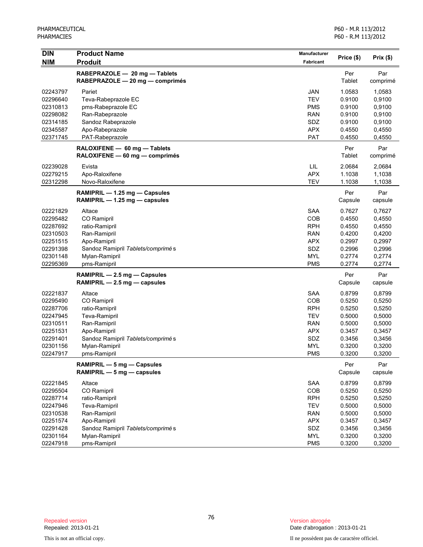| <b>DIN</b>           | <b>Product Name</b>                                              | Manufacturer             | Price (\$)       | Prix(\$)         |
|----------------------|------------------------------------------------------------------|--------------------------|------------------|------------------|
| <b>NIM</b>           | <b>Produit</b>                                                   | Fabricant                |                  |                  |
|                      | RABEPRAZOLE - 20 mg - Tablets<br>RABEPRAZOLE - 20 mg - comprimés |                          | Per<br>Tablet    | Par<br>comprimé  |
| 02243797             | Pariet                                                           | <b>JAN</b>               | 1.0583           | 1,0583           |
| 02296640             | Teva-Rabeprazole EC                                              | <b>TEV</b>               | 0.9100           | 0,9100           |
| 02310813             | pms-Rabeprazole EC                                               | <b>PMS</b>               | 0.9100           | 0,9100           |
| 02298082             | Ran-Rabeprazole                                                  | <b>RAN</b>               | 0.9100           | 0,9100           |
| 02314185             | Sandoz Rabeprazole                                               | SDZ                      | 0.9100           | 0,9100           |
| 02345587             | Apo-Rabeprazole                                                  | <b>APX</b>               | 0.4550           | 0,4550           |
| 02371745             | PAT-Rabeprazole                                                  | PAT                      | 0.4550           | 0,4550           |
|                      | RALOXIFENE - 60 mg - Tablets<br>RALOXIFENE - 60 mg - comprimés   |                          | Per<br>Tablet    | Par<br>comprimé  |
| 02239028             | Evista                                                           | LIL                      | 2.0684           | 2,0684           |
| 02279215             | Apo-Raloxifene                                                   | <b>APX</b>               | 1.1038           | 1,1038           |
| 02312298             | Novo-Raloxifene                                                  | <b>TEV</b>               | 1.1038           | 1,1038           |
|                      | $RAMIPRIL - 1.25 mg - Capsules$<br>RAMIPRIL - 1.25 mg - capsules |                          | Per<br>Capsule   | Par<br>capsule   |
|                      |                                                                  |                          |                  |                  |
| 02221829<br>02295482 | Altace                                                           | <b>SAA</b><br>COB        | 0.7627<br>0.4550 | 0,7627<br>0,4550 |
| 02287692             | CO Ramipril<br>ratio-Ramipril                                    | <b>RPH</b>               | 0.4550           | 0,4550           |
| 02310503             | Ran-Ramipril                                                     | <b>RAN</b>               | 0.4200           | 0,4200           |
| 02251515             | Apo-Ramipril                                                     | <b>APX</b>               | 0.2997           | 0,2997           |
| 02291398             | Sandoz Ramipril Tablets/comprimés                                | SDZ                      | 0.2996           | 0,2996           |
| 02301148             | Mylan-Ramipril                                                   | <b>MYL</b>               | 0.2774           | 0,2774           |
| 02295369             | pms-Ramipril                                                     | <b>PMS</b>               | 0.2774           | 0,2774           |
|                      | RAMIPRIL - 2.5 mg - Capsules                                     |                          | Per              | Par              |
|                      | RAMIPRIL - 2.5 mg - capsules                                     |                          | Capsule          | capsule          |
| 02221837             | Altace                                                           | <b>SAA</b>               | 0.8799           | 0,8799           |
| 02295490             | CO Ramipril                                                      | COB                      | 0.5250           | 0,5250           |
| 02287706             | ratio-Ramipril                                                   | <b>RPH</b>               | 0.5250           | 0,5250           |
| 02247945             | Teva-Ramipril                                                    | <b>TEV</b>               | 0.5000           | 0,5000           |
| 02310511             | Ran-Ramipril                                                     | <b>RAN</b>               | 0.5000           | 0,5000           |
| 02251531             | Apo-Ramipril                                                     | <b>APX</b>               | 0.3457           | 0,3457           |
| 02291401             | Sandoz Ramipril Tablets/comprimés                                | SDZ                      | 0.3456           | 0,3456           |
| 02301156<br>02247917 | Mylan-Ramipril<br>pms-Ramipril                                   | <b>MYL</b><br><b>PMS</b> | 0.3200           | 0,3200           |
|                      |                                                                  |                          | 0.3200           | 0,3200           |
|                      | RAMIPRIL - 5 mg - Capsules<br>RAMIPRIL - 5 mg - capsules         |                          | Per<br>Capsule   | Par<br>capsule   |
| 02221845             | Altace                                                           | <b>SAA</b>               | 0.8799           | 0,8799           |
| 02295504             | CO Ramipril                                                      | COB                      | 0.5250           | 0,5250           |
| 02287714             | ratio-Ramipril                                                   | <b>RPH</b>               | 0.5250           | 0,5250           |
| 02247946             | Teva-Ramipril                                                    | <b>TEV</b>               | 0.5000           | 0,5000           |
| 02310538             | Ran-Ramipril                                                     | <b>RAN</b>               | 0.5000           | 0,5000           |
| 02251574             | Apo-Ramipril                                                     | <b>APX</b>               | 0.3457           | 0,3457           |
| 02291428             | Sandoz Ramipril Tablets/comprimés                                | SDZ                      | 0.3456           | 0,3456           |
| 02301164             | Mylan-Ramipril                                                   | <b>MYL</b>               | 0.3200           | 0,3200           |
| 02247918             | pms-Ramipril                                                     | <b>PMS</b>               | 0.3200           | 0,3200           |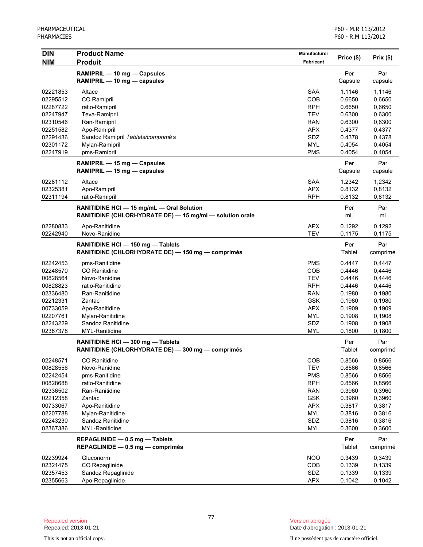| <b>DIN</b>           | <b>Product Name</b>                                      | Manufacturer     |                  |                  |
|----------------------|----------------------------------------------------------|------------------|------------------|------------------|
| <b>NIM</b>           | <b>Produit</b>                                           | <b>Fabricant</b> | Price (\$)       | Prix(\$)         |
|                      | RAMIPRIL - 10 mg - Capsules                              |                  | Per              | Par              |
|                      | RAMIPRIL - 10 mg - capsules                              |                  | Capsule          | capsule          |
|                      |                                                          |                  |                  |                  |
| 02221853<br>02295512 | Altace<br>CO Ramipril                                    | SAA<br>COB       | 1.1146<br>0.6650 | 1,1146<br>0,6650 |
| 02287722             | ratio-Ramipril                                           | <b>RPH</b>       | 0.6650           | 0,6650           |
| 02247947             | Teva-Ramipril                                            | <b>TEV</b>       | 0.6300           | 0,6300           |
| 02310546             | Ran-Ramipril                                             | <b>RAN</b>       | 0.6300           | 0,6300           |
| 02251582             | Apo-Ramipril                                             | <b>APX</b>       | 0.4377           | 0,4377           |
| 02291436             | Sandoz Ramipril Tablets/comprimés                        | SDZ              | 0.4378           | 0,4378           |
| 02301172             | Mylan-Ramipril                                           | <b>MYL</b>       | 0.4054           | 0,4054           |
| 02247919             | pms-Ramipril                                             | <b>PMS</b>       | 0.4054           | 0,4054           |
|                      | RAMIPRIL - 15 mg - Capsules                              |                  | Per              | Par              |
|                      | RAMIPRIL - 15 mg - capsules                              |                  | Capsule          | capsule          |
|                      |                                                          |                  |                  |                  |
| 02281112             | Altace                                                   | <b>SAA</b>       | 1.2342           | 1,2342           |
| 02325381             | Apo-Ramipril                                             | <b>APX</b>       | 0.8132           | 0,8132           |
| 02311194             | ratio-Ramipril                                           | <b>RPH</b>       | 0.8132           | 0,8132           |
|                      | RANITIDINE HCI - 15 mg/mL - Oral Solution                |                  | Per              | Par              |
|                      | RANITIDINE (CHLORHYDRATE DE) - 15 mg/ml - solution orale |                  | mL               | ml               |
| 02280833             | Apo-Ranitidine                                           | <b>APX</b>       | 0.1292           | 0,1292           |
| 02242940             | Novo-Ranidine                                            | <b>TEV</b>       | 0.1175           | 0,1175           |
|                      | RANITIDINE HCI-150 mg-Tablets                            |                  | Per              | Par              |
|                      | RANITIDINE (CHLORHYDRATE DE) - 150 mg - comprimés        |                  | Tablet           | comprimé         |
| 02242453             | pms-Ranitidine                                           | <b>PMS</b>       | 0.4447           | 0,4447           |
| 02248570             | <b>CO</b> Ranitidine                                     | COB              | 0.4446           | 0,4446           |
| 00828564             | Novo-Ranidine                                            | <b>TEV</b>       | 0.4446           | 0,4446           |
| 00828823             | ratio-Ranitidine                                         | <b>RPH</b>       | 0.4446           | 0,4446           |
| 02336480             | Ran-Ranitidine                                           | <b>RAN</b>       | 0.1980           | 0,1980           |
| 02212331             | Zantac                                                   | <b>GSK</b>       | 0.1980           | 0,1980           |
| 00733059             | Apo-Ranitidine                                           | <b>APX</b>       | 0.1909           | 0,1909           |
| 02207761             | Mylan-Ranitidine                                         | <b>MYL</b>       | 0.1908           | 0,1908           |
| 02243229             | Sandoz Ranitidine                                        | SDZ              | 0.1908           | 0,1908           |
| 02367378             | MYL-Ranitidine                                           | <b>MYL</b>       | 0.1800           | 0,1800           |
|                      |                                                          |                  |                  |                  |
|                      | RANITIDINE HCI-300 mg-Tablets                            |                  | Per              | Par              |
|                      | RANITIDINE (CHLORHYDRATE DE) - 300 mg - comprimés        |                  | Tablet           | comprimé         |
| 02248571             | CO Ranitidine                                            | COB              | 0.8566           | 0,8566           |
| 00828556             | Novo-Ranidine                                            | <b>TEV</b>       | 0.8566           | 0,8566           |
| 02242454             | pms-Ranitidine                                           | <b>PMS</b>       | 0.8566           | 0,8566           |
| 00828688             | ratio-Ranitidine                                         | <b>RPH</b>       | 0.8566           | 0,8566           |
| 02336502             | Ran-Ranitidine                                           | <b>RAN</b>       | 0.3960           | 0,3960           |
| 02212358             | Zantac                                                   | <b>GSK</b>       | 0.3960           | 0,3960           |
| 00733067             | Apo-Ranitidine                                           | <b>APX</b>       | 0.3817           | 0,3817           |
| 02207788             | Mylan-Ranitidine                                         | <b>MYL</b>       | 0.3816           | 0,3816           |
| 02243230             | Sandoz Ranitidine                                        | SDZ              | 0.3816           | 0,3816           |
| 02367386             | MYL-Ranitidine                                           | <b>MYL</b>       | 0.3600           | 0,3600           |
|                      | REPAGLINIDE - 0.5 mg - Tablets                           |                  | Per              | Par              |
|                      | REPAGLINIDE - 0.5 mg - comprimés                         |                  | <b>Tablet</b>    | comprimé         |
| 02239924             | Gluconorm                                                | <b>NOO</b>       | 0.3439           | 0,3439           |
| 02321475             | CO Repaglinide                                           | COB              | 0.1339           | 0,1339           |
| 02357453             | Sandoz Repaglinide                                       | SDZ              | 0.1339           | 0,1339           |
| 02355663             | Apo-Repaglinide                                          | <b>APX</b>       | 0.1042           | 0,1042           |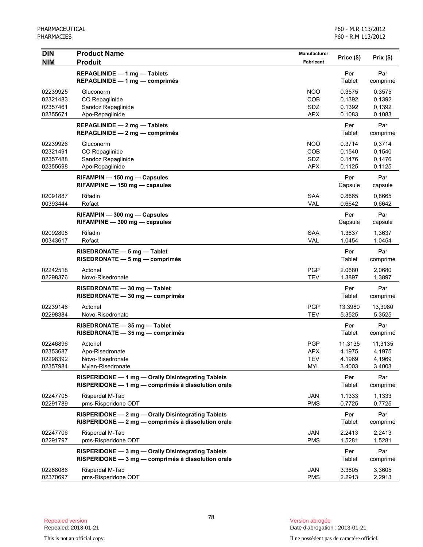| <b>DIN</b><br><b>NIM</b>                     | <b>Product Name</b><br><b>Produit</b>                                                                    | <b>Manufacturer</b><br>Fabricant                     | Price (\$)                            | $Prix($ \$)                           |
|----------------------------------------------|----------------------------------------------------------------------------------------------------------|------------------------------------------------------|---------------------------------------|---------------------------------------|
|                                              | REPAGLINIDE - 1 mg - Tablets<br>$REPAGLINIDE - 1 mg - comprimés$                                         |                                                      | Per<br>Tablet                         | Par<br>comprimé                       |
| 02239925<br>02321483<br>02357461<br>02355671 | Gluconorm<br>CO Repaglinide<br>Sandoz Repaglinide<br>Apo-Repaglinide                                     | <b>NOO</b><br>COB<br>SDZ<br><b>APX</b>               | 0.3575<br>0.1392<br>0.1392<br>0.1083  | 0.3575<br>0,1392<br>0,1392<br>0,1083  |
|                                              | REPAGLINIDE - 2 mg - Tablets<br>REPAGLINIDE - 2 mg - comprimés                                           |                                                      | Per<br>Tablet                         | Par<br>comprimé                       |
| 02239926<br>02321491<br>02357488<br>02355698 | Gluconorm<br>CO Repaglinide<br>Sandoz Repaglinide<br>Apo-Repaglinide                                     | <b>NOO</b><br><b>COB</b><br>SDZ<br><b>APX</b>        | 0.3714<br>0.1540<br>0.1476<br>0.1125  | 0,3714<br>0,1540<br>0,1476<br>0,1125  |
|                                              | RIFAMPIN - 150 mg - Capsules<br>RIFAMPINE - 150 mg - capsules                                            |                                                      | Per<br>Capsule                        | Par<br>capsule                        |
| 02091887<br>00393444                         | Rifadin<br>Rofact                                                                                        | <b>SAA</b><br>VAL                                    | 0.8665<br>0.6642                      | 0,8665<br>0,6642                      |
|                                              | RIFAMPIN - 300 mg - Capsules<br>$RIFAMPINE - 300 mg - capsules$                                          |                                                      | Per<br>Capsule                        | Par<br>capsule                        |
| 02092808<br>00343617                         | Rifadin<br>Rofact                                                                                        | <b>SAA</b><br>VAL                                    | 1.3637<br>1.0454                      | 1,3637<br>1,0454                      |
|                                              | RISEDRONATE - 5 mg - Tablet<br>RISEDRONATE - 5 mg - comprimés                                            |                                                      | Per<br>Tablet                         | Par<br>comprimé                       |
| 02242518<br>02298376                         | Actonel<br>Novo-Risedronate                                                                              | <b>PGP</b><br><b>TEV</b>                             | 2.0680<br>1.3897                      | 2,0680<br>1,3897                      |
|                                              | RISEDRONATE - 30 mg - Tablet<br>RISEDRONATE - 30 mg - comprimés                                          |                                                      | Per<br>Tablet                         | Par<br>comprimé                       |
| 02239146<br>02298384                         | Actonel<br>Novo-Risedronate                                                                              | <b>PGP</b><br><b>TEV</b>                             | 13.3980<br>5.3525                     | 13,3980<br>5,3525                     |
|                                              | RISEDRONATE - 35 mg - Tablet<br>RISEDRONATE - 35 mg - comprimés                                          |                                                      | Per<br>Tablet                         | Par<br>comprimé                       |
| 02246896<br>02353687<br>02298392<br>02357984 | Actonel<br>Apo-Risedronate<br>Novo-Risedronate<br>Mylan-Risedronate                                      | <b>PGP</b><br><b>APX</b><br><b>TEV</b><br><b>MYL</b> | 11.3135<br>4.1975<br>4.1969<br>3.4003 | 11,3135<br>4,1975<br>4,1969<br>3,4003 |
|                                              | RISPERIDONE - 1 mg - Orally Disintegrating Tablets<br>RISPERIDONE - 1 mg - comprimés à dissolution orale |                                                      | Per<br>Tablet                         | Par<br>comprimé                       |
| 02247705<br>02291789                         | Risperdal M-Tab<br>pms-Risperidone ODT                                                                   | JAN<br><b>PMS</b>                                    | 1.1333<br>0.7725                      | 1,1333<br>0,7725                      |
|                                              | RISPERIDONE - 2 mg - Orally Disintegrating Tablets<br>RISPERIDONE - 2 mg - comprimés à dissolution orale |                                                      | Per<br><b>Tablet</b>                  | Par<br>comprimé                       |
| 02247706<br>02291797                         | Risperdal M-Tab<br>pms-Risperidone ODT                                                                   | JAN<br><b>PMS</b>                                    | 2.2413<br>1.5281                      | 2,2413<br>1,5281                      |
|                                              | RISPERIDONE - 3 mg - Orally Disintegrating Tablets<br>RISPERIDONE - 3 mg - comprimés à dissolution orale |                                                      | Per<br>Tablet                         | Par<br>comprimé                       |
| 02268086<br>02370697                         | Risperdal M-Tab<br>pms-Risperidone ODT                                                                   | JAN<br><b>PMS</b>                                    | 3.3605<br>2.2913                      | 3,3605<br>2,2913                      |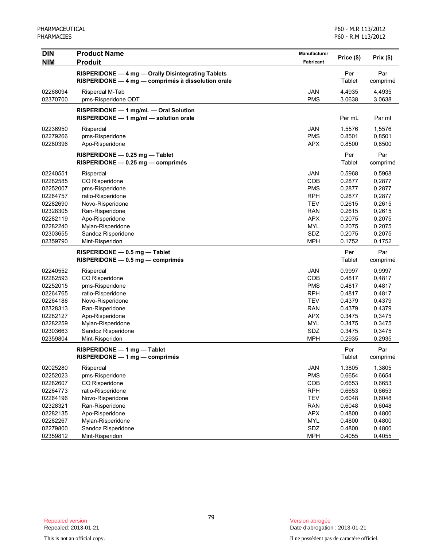| <b>DIN</b> | <b>Product Name</b>                                | Manufacturer |               |           |
|------------|----------------------------------------------------|--------------|---------------|-----------|
| <b>NIM</b> | <b>Produit</b>                                     | Fabricant    | Price (\$)    | Prix (\$) |
|            | RISPERIDONE - 4 mg - Orally Disintegrating Tablets |              | Per           | Par       |
|            | RISPERIDONE - 4 mg - comprimés à dissolution orale |              | <b>Tablet</b> | comprimé  |
| 02268094   | Risperdal M-Tab                                    | <b>JAN</b>   | 4.4935        | 4,4935    |
| 02370700   | pms-Risperidone ODT                                | <b>PMS</b>   | 3.0638        | 3,0638    |
|            | RISPERIDONE - 1 mg/mL - Oral Solution              |              |               |           |
|            | RISPERIDONE - 1 mg/ml - solution orale             |              | Per mL        | Par ml    |
| 02236950   | Risperdal                                          | <b>JAN</b>   | 1.5576        | 1,5576    |
| 02279266   | pms-Risperidone                                    | <b>PMS</b>   | 0.8501        | 0,8501    |
| 02280396   | Apo-Risperidone                                    | <b>APX</b>   | 0.8500        | 0,8500    |
|            | RISPERIDONE - 0.25 mg - Tablet                     |              | Per           | Par       |
|            | $RISPERIDONE - 0.25 mg - comprimés$                |              | Tablet        | comprimé  |
| 02240551   | Risperdal                                          | <b>JAN</b>   | 0.5968        | 0,5968    |
| 02282585   | CO Risperidone                                     | <b>COB</b>   | 0.2877        | 0,2877    |
| 02252007   | pms-Risperidone                                    | <b>PMS</b>   | 0.2877        | 0,2877    |
| 02264757   | ratio-Risperidone                                  | <b>RPH</b>   | 0.2877        | 0,2877    |
| 02282690   | Novo-Risperidone                                   | <b>TEV</b>   | 0.2615        | 0,2615    |
| 02328305   | Ran-Risperidone                                    | <b>RAN</b>   | 0.2615        | 0,2615    |
| 02282119   | Apo-Risperidone                                    | <b>APX</b>   | 0.2075        | 0,2075    |
| 02282240   | Mylan-Risperidone                                  | <b>MYL</b>   | 0.2075        | 0,2075    |
| 02303655   | Sandoz Risperidone                                 | SDZ          | 0.2075        | 0,2075    |
| 02359790   | Mint-Risperidon                                    | <b>MPH</b>   | 0.1752        | 0,1752    |
|            | RISPERIDONE - 0.5 mg - Tablet                      |              | Per           | Par       |
|            | RISPERIDONE - 0.5 mg - comprimés                   |              | Tablet        | comprimé  |
| 02240552   | Risperdal                                          | <b>JAN</b>   | 0.9997        | 0,9997    |
| 02282593   | CO Risperidone                                     | COB          | 0.4817        | 0,4817    |
| 02252015   | pms-Risperidone                                    | <b>PMS</b>   | 0.4817        | 0,4817    |
| 02264765   | ratio-Risperidone                                  | <b>RPH</b>   | 0.4817        | 0,4817    |
| 02264188   | Novo-Risperidone                                   | <b>TEV</b>   | 0.4379        | 0,4379    |
| 02328313   | Ran-Risperidone                                    | <b>RAN</b>   | 0.4379        | 0,4379    |
| 02282127   | Apo-Risperidone                                    | <b>APX</b>   | 0.3475        | 0,3475    |
| 02282259   | Mylan-Risperidone                                  | <b>MYL</b>   | 0.3475        | 0,3475    |
| 02303663   | Sandoz Risperidone                                 | SDZ          | 0.3475        | 0,3475    |
| 02359804   | Mint-Risperidon                                    | <b>MPH</b>   | 0.2935        | 0,2935    |
|            | RISPERIDONE - 1 mg - Tablet                        |              | Per           | Par       |
|            | RISPERIDONE - 1 mg - comprimés                     |              | <b>Tablet</b> | comprimé  |
| 02025280   | Risperdal                                          | JAN          | 1.3805        | 1,3805    |
| 02252023   | pms-Risperidone                                    | <b>PMS</b>   | 0.6654        | 0,6654    |
| 02282607   | CO Risperidone                                     | COB          | 0.6653        | 0,6653    |
| 02264773   | ratio-Risperidone                                  | <b>RPH</b>   | 0.6653        | 0,6653    |
| 02264196   | Novo-Risperidone                                   | <b>TEV</b>   | 0.6048        | 0,6048    |
| 02328321   | Ran-Risperidone                                    | <b>RAN</b>   | 0.6048        | 0,6048    |
| 02282135   | Apo-Risperidone                                    | <b>APX</b>   | 0.4800        | 0,4800    |
| 02282267   | Mylan-Risperidone                                  | <b>MYL</b>   | 0.4800        | 0,4800    |
| 02279800   | Sandoz Risperidone                                 | SDZ          | 0.4800        | 0,4800    |
| 02359812   | Mint-Risperidon                                    | <b>MPH</b>   | 0.4055        | 0,4055    |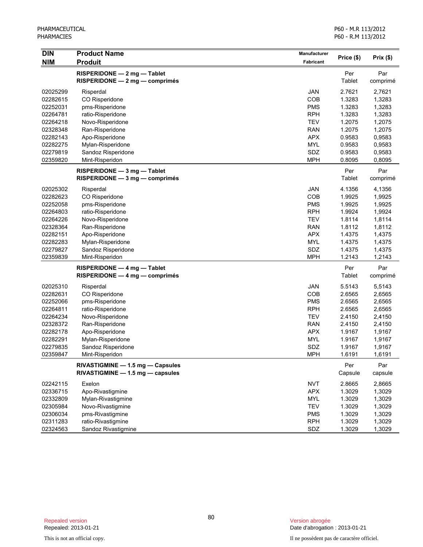| DIN        | <b>Product Name</b>              | Manufacturer | Price (\$) | Prix (\$) |
|------------|----------------------------------|--------------|------------|-----------|
| <b>NIM</b> | <b>Produit</b>                   | Fabricant    |            |           |
|            | RISPERIDONE - 2 mg - Tablet      |              | Per        | Par       |
|            | $RISPERIDONE - 2 mg - comprimés$ |              | Tablet     | comprimé  |
| 02025299   | Risperdal                        | <b>JAN</b>   | 2.7621     | 2,7621    |
| 02282615   | CO Risperidone                   | COB          | 1.3283     | 1,3283    |
| 02252031   | pms-Risperidone                  | <b>PMS</b>   | 1.3283     | 1,3283    |
| 02264781   | ratio-Risperidone                | <b>RPH</b>   | 1.3283     | 1,3283    |
| 02264218   | Novo-Risperidone                 | <b>TEV</b>   | 1.2075     | 1,2075    |
| 02328348   | Ran-Risperidone                  | <b>RAN</b>   | 1.2075     | 1,2075    |
| 02282143   | Apo-Risperidone                  | <b>APX</b>   | 0.9583     | 0,9583    |
| 02282275   | Mylan-Risperidone                | <b>MYL</b>   | 0.9583     | 0,9583    |
| 02279819   | Sandoz Risperidone               | SDZ          | 0.9583     | 0,9583    |
| 02359820   | Mint-Risperidon                  | <b>MPH</b>   | 0.8095     | 0,8095    |
|            | RISPERIDONE - 3 mg - Tablet      |              | Per        | Par       |
|            | $RISPERIDONE - 3 mg - comprimés$ |              | Tablet     | comprimé  |
| 02025302   | Risperdal                        | <b>JAN</b>   | 4.1356     | 4,1356    |
| 02282623   | CO Risperidone                   | COB          | 1.9925     | 1,9925    |
| 02252058   | pms-Risperidone                  | <b>PMS</b>   | 1.9925     | 1,9925    |
| 02264803   | ratio-Risperidone                | <b>RPH</b>   | 1.9924     | 1,9924    |
| 02264226   | Novo-Risperidone                 | <b>TEV</b>   | 1.8114     | 1,8114    |
| 02328364   | Ran-Risperidone                  | <b>RAN</b>   | 1.8112     | 1,8112    |
| 02282151   | Apo-Risperidone                  | <b>APX</b>   | 1.4375     | 1,4375    |
| 02282283   | Mylan-Risperidone                | <b>MYL</b>   | 1.4375     | 1,4375    |
| 02279827   | Sandoz Risperidone               | SDZ          | 1.4375     | 1,4375    |
| 02359839   | Mint-Risperidon                  | <b>MPH</b>   | 1.2143     | 1,2143    |
|            | RISPERIDONE - 4 mg - Tablet      |              | Per        | Par       |
|            | $RISPERIDONE - 4 mg - comprimés$ |              | Tablet     | comprimé  |
| 02025310   | Risperdal                        | <b>JAN</b>   | 5.5143     | 5,5143    |
| 02282631   | CO Risperidone                   | COB          | 2.6565     | 2,6565    |
| 02252066   | pms-Risperidone                  | <b>PMS</b>   | 2.6565     | 2,6565    |
| 02264811   | ratio-Risperidone                | <b>RPH</b>   | 2.6565     | 2,6565    |
| 02264234   | Novo-Risperidone                 | <b>TEV</b>   | 2.4150     | 2,4150    |
| 02328372   | Ran-Risperidone                  | <b>RAN</b>   | 2.4150     | 2,4150    |
| 02282178   | Apo-Risperidone                  | <b>APX</b>   | 1.9167     | 1,9167    |
| 02282291   | Mylan-Risperidone                | <b>MYL</b>   | 1.9167     | 1,9167    |
| 02279835   | Sandoz Risperidone               | SDZ          | 1.9167     | 1,9167    |
| 02359847   | Mint-Risperidon                  | <b>MPH</b>   | 1.6191     | 1,6191    |
|            | RIVASTIGMINE - 1.5 mg - Capsules |              | Per        | Par       |
|            | RIVASTIGMINE - 1.5 mg - capsules |              | Capsule    | capsule   |
| 02242115   | Exelon                           | <b>NVT</b>   | 2.8665     | 2,8665    |
| 02336715   | Apo-Rivastigmine                 | <b>APX</b>   | 1.3029     | 1,3029    |
| 02332809   | Mylan-Rivastigmine               | <b>MYL</b>   | 1.3029     | 1,3029    |
| 02305984   | Novo-Rivastigmine                | <b>TEV</b>   | 1.3029     | 1,3029    |
| 02306034   | pms-Rivastigmine                 | <b>PMS</b>   | 1.3029     | 1,3029    |
| 02311283   | ratio-Rivastigmine               | <b>RPH</b>   | 1.3029     | 1,3029    |
| 02324563   | Sandoz Rivastigmine              | SDZ          | 1.3029     | 1,3029    |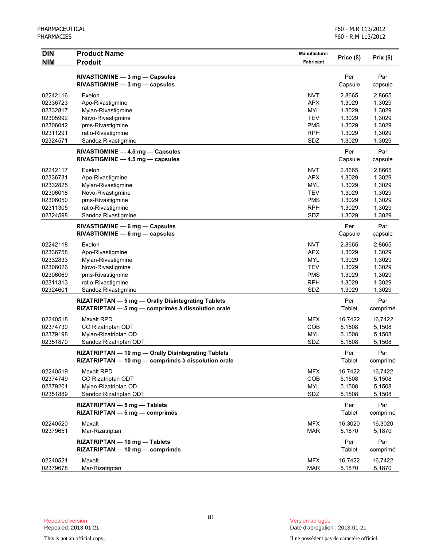| <b>DIN</b> | <b>Product Name</b>                                 | Manufacturer     | Price (\$) | Prix(\$) |
|------------|-----------------------------------------------------|------------------|------------|----------|
| <b>NIM</b> | <b>Produit</b>                                      | <b>Fabricant</b> |            |          |
|            | RIVASTIGMINE - 3 mg - Capsules                      |                  | Per        | Par      |
|            | $RIVASTIGMINE - 3 mg - capsules$                    |                  | Capsule    | capsule  |
| 02242116   | Exelon                                              | <b>NVT</b>       | 2.8665     | 2,8665   |
| 02336723   | Apo-Rivastigmine                                    | <b>APX</b>       | 1.3029     | 1,3029   |
| 02332817   | Mylan-Rivastigmine                                  | <b>MYL</b>       | 1.3029     | 1,3029   |
| 02305992   | Novo-Rivastigmine                                   | <b>TEV</b>       | 1.3029     | 1,3029   |
| 02306042   | pms-Rivastigmine                                    | <b>PMS</b>       | 1.3029     | 1,3029   |
| 02311291   | ratio-Rivastigmine                                  | <b>RPH</b>       | 1.3029     | 1,3029   |
| 02324571   | Sandoz Rivastigmine                                 | SDZ              | 1.3029     | 1,3029   |
|            | RIVASTIGMINE - 4.5 mg - Capsules                    |                  | Per        | Par      |
|            | $RIVASTIGMINE - 4.5 mg - capsules$                  |                  | Capsule    | capsule  |
| 02242117   | Exelon                                              | <b>NVT</b>       | 2.8665     | 2,8665   |
| 02336731   | Apo-Rivastigmine                                    | <b>APX</b>       | 1.3029     | 1,3029   |
| 02332825   | Mylan-Rivastigmine                                  | <b>MYL</b>       | 1.3029     | 1,3029   |
| 02306018   | Novo-Rivastigmine                                   | <b>TEV</b>       | 1.3029     | 1,3029   |
| 02306050   | pms-Rivastigmine                                    | <b>PMS</b>       | 1.3029     | 1,3029   |
| 02311305   | ratio-Rivastigmine                                  | <b>RPH</b>       | 1.3029     | 1,3029   |
| 02324598   | Sandoz Rivastigmine                                 | SDZ              | 1.3029     | 1,3029   |
|            | RIVASTIGMINE - 6 mg - Capsules                      |                  | Per        | Par      |
|            | $RIVASTIGMINE - 6 mg - capsules$                    |                  | Capsule    | capsule  |
| 02242118   | Exelon                                              | <b>NVT</b>       | 2.8665     | 2,8665   |
| 02336758   | Apo-Rivastigmine                                    | <b>APX</b>       | 1.3029     | 1,3029   |
| 02332833   | Mylan-Rivastigmine                                  | <b>MYL</b>       | 1.3029     | 1,3029   |
| 02306026   | Novo-Rivastigmine                                   | <b>TEV</b>       | 1.3029     | 1,3029   |
| 02306069   | pms-Rivastigmine                                    | <b>PMS</b>       | 1.3029     | 1,3029   |
| 02311313   | ratio-Rivastigmine                                  | <b>RPH</b>       | 1.3029     | 1,3029   |
| 02324601   | Sandoz Rivastigmine                                 | SDZ              | 1.3029     | 1,3029   |
|            | RIZATRIPTAN - 5 mg - Orally Disintegrating Tablets  |                  | Per        | Par      |
|            | RIZATRIPTAN - 5 mg - comprimés à dissolution orale  |                  | Tablet     | comprimé |
| 02240518   | <b>Maxalt RPD</b>                                   | <b>MFX</b>       | 16.7422    | 16,7422  |
| 02374730   | CO Rizatriptan ODT                                  | COB              | 5.1508     | 5,1508   |
| 02379198   | Mylan-Rizatriptan OD                                | <b>MYL</b>       | 5.1508     | 5,1508   |
| 02351870   | Sandoz Rizatriptan ODT                              | SDZ              | 5.1508     | 5,1508   |
|            | RIZATRIPTAN - 10 mg - Orally Disintegrating Tablets |                  | Per        | Par      |
|            | RIZATRIPTAN - 10 mg - comprimés à dissolution orale |                  | Tablet     | comprime |
| 02240519   | Maxalt RPD                                          | <b>MFX</b>       | 16.7422    | 16,7422  |
| 02374749   | CO Rizatriptan ODT                                  | COB              | 5.1508     | 5,1508   |
| 02379201   | Mylan-Rizatriptan OD                                | <b>MYL</b>       | 5.1508     | 5,1508   |
| 02351889   | Sandoz Rizatriptan ODT                              | SDZ              | 5.1508     | 5,1508   |
|            | RIZATRIPTAN - 5 mg - Tablets                        |                  | Per        | Par      |
|            | RIZATRIPTAN - 5 mg - comprimés                      |                  | Tablet     | comprimé |
| 02240520   | Maxalt                                              | <b>MFX</b>       | 16.3020    | 16,3020  |
| 02379651   | Mar-Rizatriptan                                     | <b>MAR</b>       | 5.1870     | 5,1870   |
|            | RIZATRIPTAN - 10 mg - Tablets                       |                  | Per        | Par      |
|            | RIZATRIPTAN - 10 mg - comprimés                     |                  | Tablet     | comprimé |
| 02240521   | Maxalt                                              | <b>MFX</b>       | 16.7422    | 16,7422  |
| 02379678   | Mar-Rizatriptan                                     | <b>MAR</b>       | 5.1870     | 5,1870   |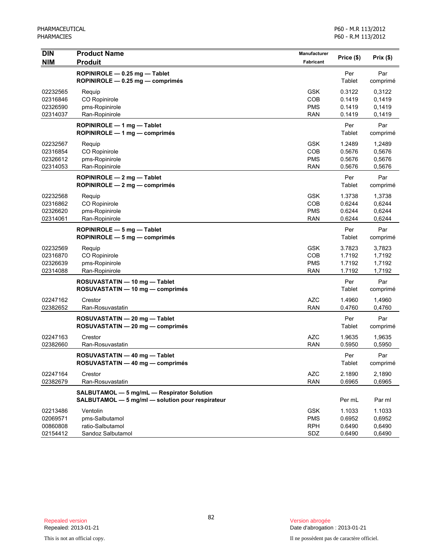| DIN                                          | <b>Product Name</b>                                                                            | Manufacturer                                  | Price (\$)                           | Prix(\$)                             |
|----------------------------------------------|------------------------------------------------------------------------------------------------|-----------------------------------------------|--------------------------------------|--------------------------------------|
| <b>NIM</b>                                   | <b>Produit</b>                                                                                 | <b>Fabricant</b>                              |                                      |                                      |
|                                              | ROPINIROLE - 0.25 mg - Tablet<br>ROPINIROLE - 0.25 mg - comprimés                              |                                               | Per<br><b>Tablet</b>                 | Par<br>comprimé                      |
| 02232565<br>02316846<br>02326590<br>02314037 | Requip<br>CO Ropinirole<br>pms-Ropinirole<br>Ran-Ropinirole                                    | <b>GSK</b><br>COB<br><b>PMS</b><br><b>RAN</b> | 0.3122<br>0.1419<br>0.1419<br>0.1419 | 0,3122<br>0,1419<br>0,1419<br>0,1419 |
|                                              | ROPINIROLE - 1 mg - Tablet<br>ROPINIROLE - 1 mg - comprimés                                    |                                               | Per<br>Tablet                        | Par<br>comprimé                      |
| 02232567<br>02316854<br>02326612<br>02314053 | Requip<br>CO Ropinirole<br>pms-Ropinirole<br>Ran-Ropinirole                                    | <b>GSK</b><br>COB<br><b>PMS</b><br><b>RAN</b> | 1.2489<br>0.5676<br>0.5676<br>0.5676 | 1,2489<br>0,5676<br>0,5676<br>0,5676 |
|                                              | ROPINIROLE $-2$ mg $-$ Tablet<br>ROPINIROLE $-2$ mg $-$ comprimes                              |                                               | Per<br>Tablet                        | Par<br>comprimé                      |
| 02232568<br>02316862<br>02326620<br>02314061 | Requip<br>CO Ropinirole<br>pms-Ropinirole<br>Ran-Ropinirole                                    | <b>GSK</b><br>COB<br><b>PMS</b><br><b>RAN</b> | 1.3738<br>0.6244<br>0.6244<br>0.6244 | 1,3738<br>0,6244<br>0,6244<br>0,6244 |
|                                              | ROPINIROLE - 5 mg - Tablet<br>ROPINIROLE $-5$ mg $-$ comprimes                                 |                                               | Per<br>Tablet                        | Par<br>comprimé                      |
| 02232569<br>02316870<br>02326639<br>02314088 | Requip<br>CO Ropinirole<br>pms-Ropinirole<br>Ran-Ropinirole                                    | <b>GSK</b><br>COB<br><b>PMS</b><br><b>RAN</b> | 3.7823<br>1.7192<br>1.7192<br>1.7192 | 3,7823<br>1,7192<br>1,7192<br>1,7192 |
|                                              | ROSUVASTATIN - 10 mg - Tablet<br>ROSUVASTATIN - 10 mg - comprimés                              |                                               | Per<br>Tablet                        | Par<br>comprimé                      |
| 02247162<br>02382652                         | Crestor<br>Ran-Rosuvastatin                                                                    | <b>AZC</b><br><b>RAN</b>                      | 1.4960<br>0.4760                     | 1,4960<br>0,4760                     |
|                                              | ROSUVASTATIN - 20 mg - Tablet<br>ROSUVASTATIN - 20 mg - comprimés                              |                                               | Per<br>Tablet                        | Par<br>comprimé                      |
| 02247163<br>02382660                         | Crestor<br>Ran-Rosuvastatin                                                                    | <b>AZC</b><br><b>RAN</b>                      | 1.9635<br>0.5950                     | 1,9635<br>0,5950                     |
|                                              | ROSUVASTATIN — 40 mg — Tablet<br>ROSUVASTATIN - 40 mg - comprimés                              |                                               | Per<br>Tablet                        | Par<br>comprimé                      |
| 02247164<br>02382679                         | Crestor<br>Ran-Rosuvastatin                                                                    | <b>AZC</b><br><b>RAN</b>                      | 2.1890<br>0.6965                     | 2,1890<br>0,6965                     |
|                                              | SALBUTAMOL - 5 mg/mL - Respirator Solution<br>SALBUTAMOL - 5 mg/ml - solution pour respirateur |                                               | Per mL                               | Par ml                               |
| 02213486<br>02069571<br>00860808<br>02154412 | Ventolin<br>pms-Salbutamol<br>ratio-Salbutamol<br>Sandoz Salbutamol                            | <b>GSK</b><br><b>PMS</b><br><b>RPH</b><br>SDZ | 1.1033<br>0.6952<br>0.6490<br>0.6490 | 1.1033<br>0,6952<br>0,6490<br>0,6490 |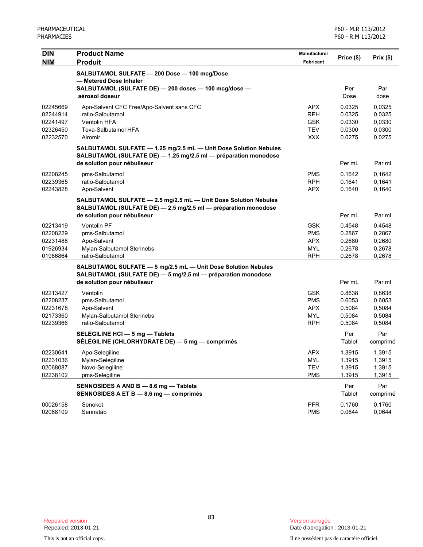| <b>DIN</b>           | <b>Product Name</b>                                                                                                           | <b>Manufacturer</b>      | Price (\$)       | Prix(\$)         |
|----------------------|-------------------------------------------------------------------------------------------------------------------------------|--------------------------|------------------|------------------|
| <b>NIM</b>           | <b>Produit</b>                                                                                                                | <b>Fabricant</b>         |                  |                  |
|                      | SALBUTAMOL SULFATE - 200 Dose - 100 mcg/Dose                                                                                  |                          |                  |                  |
|                      | - Metered Dose Inhaler                                                                                                        |                          |                  |                  |
|                      | SALBUTAMOL (SULFATE DE) - 200 doses - 100 mcg/dose -<br>aérosol doseur                                                        |                          | Per<br>Dose      | Par<br>dose      |
|                      |                                                                                                                               |                          |                  |                  |
| 02245669             | Apo-Salvent CFC Free/Apo-Salvent sans CFC                                                                                     | <b>APX</b>               | 0.0325           | 0,0325           |
| 02244914<br>02241497 | ratio-Salbutamol<br><b>Ventolin HFA</b>                                                                                       | <b>RPH</b><br><b>GSK</b> | 0.0325<br>0.0330 | 0,0325           |
| 02326450             | Teva-Salbutamol HFA                                                                                                           | <b>TEV</b>               | 0.0300           | 0,0330<br>0,0300 |
| 02232570             | Airomir                                                                                                                       | <b>XXX</b>               | 0.0275           | 0,0275           |
|                      | SALBUTAMOL SULFATE - 1.25 mg/2.5 mL - Unit Dose Solution Nebules                                                              |                          |                  |                  |
|                      | SALBUTAMOL (SULFATE DE) - 1,25 mg/2,5 ml - préparation monodose                                                               |                          |                  |                  |
|                      | de solution pour nébuliseur                                                                                                   |                          | Per mL           | Par ml           |
| 02208245             | pms-Salbutamol                                                                                                                | <b>PMS</b>               | 0.1642           | 0,1642           |
| 02239365             | ratio-Salbutamol                                                                                                              | <b>RPH</b>               | 0.1641           | 0,1641           |
| 02243828             | Apo-Salvent                                                                                                                   | <b>APX</b>               | 0.1640           | 0,1640           |
|                      | SALBUTAMOL SULFATE - 2.5 mg/2.5 mL - Unit Dose Solution Nebules                                                               |                          |                  |                  |
|                      | SALBUTAMOL (SULFATE DE) - 2,5 mg/2,5 ml - préparation monodose                                                                |                          |                  |                  |
|                      | de solution pour nébuliseur                                                                                                   |                          | Per mL           | Par ml           |
| 02213419             | <b>Ventolin PF</b>                                                                                                            | <b>GSK</b>               | 0.4548           | 0,4548           |
| 02208229             | pms-Salbutamol                                                                                                                | <b>PMS</b>               | 0.2867           | 0,2867           |
| 02231488             | Apo-Salvent                                                                                                                   | <b>APX</b>               | 0.2680           | 0,2680           |
| 01926934<br>01986864 | Mylan-Salbutamol Sterinebs<br>ratio-Salbutamol                                                                                | <b>MYL</b><br><b>RPH</b> | 0.2678<br>0.2678 | 0,2678<br>0,2678 |
|                      |                                                                                                                               |                          |                  |                  |
|                      | SALBUTAMOL SULFATE - 5 mg/2.5 mL - Unit Dose Solution Nebules<br>SALBUTAMOL (SULFATE DE) - 5 mg/2,5 ml - préparation monodose |                          |                  |                  |
|                      | de solution pour nébuliseur                                                                                                   |                          | Per mL           | Par ml           |
| 02213427             | Ventolin                                                                                                                      | <b>GSK</b>               | 0.8638           | 0,8638           |
| 02208237             | pms-Salbutamol                                                                                                                | <b>PMS</b>               | 0.6053           | 0,6053           |
| 02231678             | Apo-Salvent                                                                                                                   | <b>APX</b>               | 0.5084           | 0,5084           |
| 02173360             | Mylan-Salbutamol Sterinebs                                                                                                    | <b>MYL</b>               | 0.5084           | 0,5084           |
| 02239366             | ratio-Salbutamol                                                                                                              | <b>RPH</b>               | 0.5084           | 0,5084           |
|                      | SELEGILINE HCI - 5 mg - Tablets                                                                                               |                          | Per              | Par              |
|                      | SÉLÉGILINE (CHLORHYDRATE DE) - 5 mg - comprimés                                                                               |                          | Tablet           | comprimé         |
| 02230641             | Apo-Selegiline                                                                                                                | APX                      | 1.3915           | 1,3915           |
| 02231036             | Mylan-Selegiline                                                                                                              | <b>MYL</b>               | 1.3915           | 1,3915           |
| 02068087             | Novo-Selegiline                                                                                                               | <b>TEV</b>               | 1.3915           | 1,3915           |
| 02238102             | pms-Selegiline                                                                                                                | <b>PMS</b>               | 1.3915           | 1,3915           |
|                      | SENNOSIDES A AND B - 8.6 mg - Tablets                                                                                         |                          | Per              | Par              |
|                      | SENNOSIDES A ET B - 8,6 mg - comprimés                                                                                        |                          | Tablet           | comprimé         |
| 00026158             | Senokot                                                                                                                       | <b>PFR</b>               | 0.1760           | 0,1760           |
| 02068109             | Sennatab                                                                                                                      | <b>PMS</b>               | 0.0644           | 0,0644           |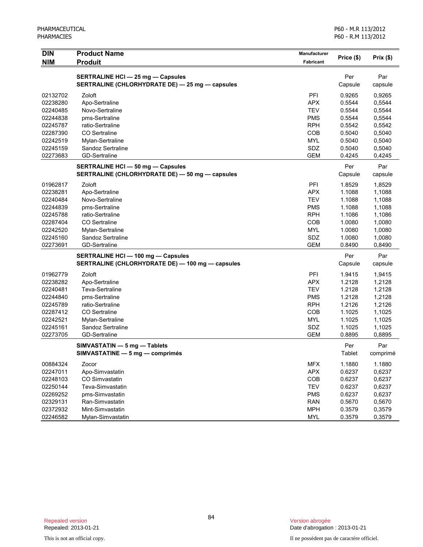| Par<br><b>SERTRALINE HCI - 25 mg - Capsules</b><br>Per<br>SERTRALINE (CHLORHYDRATE DE) - 25 mg - capsules<br>Capsule<br>capsule<br>02132702<br>PFI<br>0.9265<br>0,9265<br>Zoloft<br>Apo-Sertraline<br><b>APX</b><br>0.5544<br>0,5544<br>02238280<br>02240485<br><b>TEV</b><br>0.5544<br>0,5544<br>Novo-Sertraline<br>02244838<br>pms-Sertraline<br><b>PMS</b><br>0.5544<br>0,5544<br>02245787<br>ratio-Sertraline<br><b>RPH</b><br>0.5542<br>0,5542<br>02287390<br><b>CO</b> Sertraline<br><b>COB</b><br>0.5040<br>0,5040<br><b>MYL</b><br>0.5040<br>0,5040<br>02242519<br>Mylan-Sertraline<br>02245159<br>Sandoz Sertraline<br>SDZ<br>0.5040<br>0,5040<br><b>GEM</b><br>0,4245<br>02273683<br><b>GD-Sertraline</b><br>0.4245<br>Par<br><b>SERTRALINE HCI - 50 mg - Capsules</b><br>Per<br>SERTRALINE (CHLORHYDRATE DE) - 50 mg - capsules<br>Capsule<br>capsule<br>Zoloft<br>PFI<br>1.8529<br>1,8529<br>01962817<br>02238281<br><b>APX</b><br>1.1088<br>1,1088<br>Apo-Sertraline<br>02240484<br>Novo-Sertraline<br><b>TEV</b><br>1.1088<br>1,1088<br><b>PMS</b><br>1.1088<br>1,1088<br>02244839<br>pms-Sertraline<br>ratio-Sertraline<br><b>RPH</b><br>1.1086<br>02245788<br>1,1086<br><b>CO</b> Sertraline<br>COB<br>1.0080<br>1,0080<br>02287404<br><b>MYL</b><br>1.0080<br>1,0080<br>02242520<br>Mylan-Sertraline<br>SDZ<br>1.0080<br>1,0080<br>02245160<br>Sandoz Sertraline<br>GD-Sertraline<br><b>GEM</b><br>0.8490<br>0,8490<br>02273691<br>Par<br>SERTRALINE HCI - 100 mg - Capsules<br>Per<br>SERTRALINE (CHLORHYDRATE DE) - 100 mg - capsules<br>Capsule<br>capsule<br>PFI<br>01962779<br>Zoloft<br>1.9415<br>1,9415<br>02238282<br><b>APX</b><br>1.2128<br>1,2128<br>Apo-Sertraline<br>Teva-Sertraline<br><b>TEV</b><br>1.2128<br>02240481<br>1,2128<br><b>PMS</b><br>1.2128<br>1,2128<br>02244840<br>pms-Sertraline<br>02245789<br>ratio-Sertraline<br><b>RPH</b><br>1.2126<br>1,2126<br><b>CO</b> Sertraline<br>COB<br>1.1025<br>02287412<br>1,1025<br>02242521<br>Mylan-Sertraline<br><b>MYL</b><br>1.1025<br>1,1025<br>02245161<br>Sandoz Sertraline<br>SDZ<br>1.1025<br>1,1025<br>02273705<br><b>GEM</b><br>0,8895<br><b>GD-Sertraline</b><br>0.8895<br>Per<br>Par<br>SIMVASTATIN - 5 mg - Tablets<br>SIMVASTATINE - 5 mg - comprimés<br>Tablet<br>comprimé<br><b>MFX</b><br>1.1880<br>00884324<br>Zocor<br>1.1880<br>02247011<br>Apo-Simvastatin<br><b>APX</b><br>0.6237<br>0,6237<br>CO Simvastatin<br>COB<br>0.6237<br>0,6237<br>02248103<br><b>TEV</b><br>0.6237<br>0,6237<br>02250144<br>Teva-Simvastatin<br>0.6237<br>0,6237<br>02269252<br>pms-Simvastatin<br><b>PMS</b><br>0.5670<br>0,5670<br>02329131<br>Ran-Simvastatin<br><b>RAN</b><br>Mint-Simvastatin<br>02372932<br><b>MPH</b><br>0.3579<br>0,3579 | <b>DIN</b> | <b>Product Name</b> | <b>Manufacturer</b> | Price (\$) | Prix(\$) |
|-------------------------------------------------------------------------------------------------------------------------------------------------------------------------------------------------------------------------------------------------------------------------------------------------------------------------------------------------------------------------------------------------------------------------------------------------------------------------------------------------------------------------------------------------------------------------------------------------------------------------------------------------------------------------------------------------------------------------------------------------------------------------------------------------------------------------------------------------------------------------------------------------------------------------------------------------------------------------------------------------------------------------------------------------------------------------------------------------------------------------------------------------------------------------------------------------------------------------------------------------------------------------------------------------------------------------------------------------------------------------------------------------------------------------------------------------------------------------------------------------------------------------------------------------------------------------------------------------------------------------------------------------------------------------------------------------------------------------------------------------------------------------------------------------------------------------------------------------------------------------------------------------------------------------------------------------------------------------------------------------------------------------------------------------------------------------------------------------------------------------------------------------------------------------------------------------------------------------------------------------------------------------------------------------------------------------------------------------------------------------------------------------------------------------------------------------------------------------------------------------------------------------------------------------------------------------------------------------------------------------------------------------------------------------------------------------------------------------------------|------------|---------------------|---------------------|------------|----------|
|                                                                                                                                                                                                                                                                                                                                                                                                                                                                                                                                                                                                                                                                                                                                                                                                                                                                                                                                                                                                                                                                                                                                                                                                                                                                                                                                                                                                                                                                                                                                                                                                                                                                                                                                                                                                                                                                                                                                                                                                                                                                                                                                                                                                                                                                                                                                                                                                                                                                                                                                                                                                                                                                                                                                     | <b>NIM</b> | <b>Produit</b>      | Fabricant           |            |          |
|                                                                                                                                                                                                                                                                                                                                                                                                                                                                                                                                                                                                                                                                                                                                                                                                                                                                                                                                                                                                                                                                                                                                                                                                                                                                                                                                                                                                                                                                                                                                                                                                                                                                                                                                                                                                                                                                                                                                                                                                                                                                                                                                                                                                                                                                                                                                                                                                                                                                                                                                                                                                                                                                                                                                     |            |                     |                     |            |          |
|                                                                                                                                                                                                                                                                                                                                                                                                                                                                                                                                                                                                                                                                                                                                                                                                                                                                                                                                                                                                                                                                                                                                                                                                                                                                                                                                                                                                                                                                                                                                                                                                                                                                                                                                                                                                                                                                                                                                                                                                                                                                                                                                                                                                                                                                                                                                                                                                                                                                                                                                                                                                                                                                                                                                     |            |                     |                     |            |          |
|                                                                                                                                                                                                                                                                                                                                                                                                                                                                                                                                                                                                                                                                                                                                                                                                                                                                                                                                                                                                                                                                                                                                                                                                                                                                                                                                                                                                                                                                                                                                                                                                                                                                                                                                                                                                                                                                                                                                                                                                                                                                                                                                                                                                                                                                                                                                                                                                                                                                                                                                                                                                                                                                                                                                     |            |                     |                     |            |          |
|                                                                                                                                                                                                                                                                                                                                                                                                                                                                                                                                                                                                                                                                                                                                                                                                                                                                                                                                                                                                                                                                                                                                                                                                                                                                                                                                                                                                                                                                                                                                                                                                                                                                                                                                                                                                                                                                                                                                                                                                                                                                                                                                                                                                                                                                                                                                                                                                                                                                                                                                                                                                                                                                                                                                     |            |                     |                     |            |          |
|                                                                                                                                                                                                                                                                                                                                                                                                                                                                                                                                                                                                                                                                                                                                                                                                                                                                                                                                                                                                                                                                                                                                                                                                                                                                                                                                                                                                                                                                                                                                                                                                                                                                                                                                                                                                                                                                                                                                                                                                                                                                                                                                                                                                                                                                                                                                                                                                                                                                                                                                                                                                                                                                                                                                     |            |                     |                     |            |          |
|                                                                                                                                                                                                                                                                                                                                                                                                                                                                                                                                                                                                                                                                                                                                                                                                                                                                                                                                                                                                                                                                                                                                                                                                                                                                                                                                                                                                                                                                                                                                                                                                                                                                                                                                                                                                                                                                                                                                                                                                                                                                                                                                                                                                                                                                                                                                                                                                                                                                                                                                                                                                                                                                                                                                     |            |                     |                     |            |          |
|                                                                                                                                                                                                                                                                                                                                                                                                                                                                                                                                                                                                                                                                                                                                                                                                                                                                                                                                                                                                                                                                                                                                                                                                                                                                                                                                                                                                                                                                                                                                                                                                                                                                                                                                                                                                                                                                                                                                                                                                                                                                                                                                                                                                                                                                                                                                                                                                                                                                                                                                                                                                                                                                                                                                     |            |                     |                     |            |          |
|                                                                                                                                                                                                                                                                                                                                                                                                                                                                                                                                                                                                                                                                                                                                                                                                                                                                                                                                                                                                                                                                                                                                                                                                                                                                                                                                                                                                                                                                                                                                                                                                                                                                                                                                                                                                                                                                                                                                                                                                                                                                                                                                                                                                                                                                                                                                                                                                                                                                                                                                                                                                                                                                                                                                     |            |                     |                     |            |          |
|                                                                                                                                                                                                                                                                                                                                                                                                                                                                                                                                                                                                                                                                                                                                                                                                                                                                                                                                                                                                                                                                                                                                                                                                                                                                                                                                                                                                                                                                                                                                                                                                                                                                                                                                                                                                                                                                                                                                                                                                                                                                                                                                                                                                                                                                                                                                                                                                                                                                                                                                                                                                                                                                                                                                     |            |                     |                     |            |          |
|                                                                                                                                                                                                                                                                                                                                                                                                                                                                                                                                                                                                                                                                                                                                                                                                                                                                                                                                                                                                                                                                                                                                                                                                                                                                                                                                                                                                                                                                                                                                                                                                                                                                                                                                                                                                                                                                                                                                                                                                                                                                                                                                                                                                                                                                                                                                                                                                                                                                                                                                                                                                                                                                                                                                     |            |                     |                     |            |          |
|                                                                                                                                                                                                                                                                                                                                                                                                                                                                                                                                                                                                                                                                                                                                                                                                                                                                                                                                                                                                                                                                                                                                                                                                                                                                                                                                                                                                                                                                                                                                                                                                                                                                                                                                                                                                                                                                                                                                                                                                                                                                                                                                                                                                                                                                                                                                                                                                                                                                                                                                                                                                                                                                                                                                     |            |                     |                     |            |          |
|                                                                                                                                                                                                                                                                                                                                                                                                                                                                                                                                                                                                                                                                                                                                                                                                                                                                                                                                                                                                                                                                                                                                                                                                                                                                                                                                                                                                                                                                                                                                                                                                                                                                                                                                                                                                                                                                                                                                                                                                                                                                                                                                                                                                                                                                                                                                                                                                                                                                                                                                                                                                                                                                                                                                     |            |                     |                     |            |          |
|                                                                                                                                                                                                                                                                                                                                                                                                                                                                                                                                                                                                                                                                                                                                                                                                                                                                                                                                                                                                                                                                                                                                                                                                                                                                                                                                                                                                                                                                                                                                                                                                                                                                                                                                                                                                                                                                                                                                                                                                                                                                                                                                                                                                                                                                                                                                                                                                                                                                                                                                                                                                                                                                                                                                     |            |                     |                     |            |          |
|                                                                                                                                                                                                                                                                                                                                                                                                                                                                                                                                                                                                                                                                                                                                                                                                                                                                                                                                                                                                                                                                                                                                                                                                                                                                                                                                                                                                                                                                                                                                                                                                                                                                                                                                                                                                                                                                                                                                                                                                                                                                                                                                                                                                                                                                                                                                                                                                                                                                                                                                                                                                                                                                                                                                     |            |                     |                     |            |          |
|                                                                                                                                                                                                                                                                                                                                                                                                                                                                                                                                                                                                                                                                                                                                                                                                                                                                                                                                                                                                                                                                                                                                                                                                                                                                                                                                                                                                                                                                                                                                                                                                                                                                                                                                                                                                                                                                                                                                                                                                                                                                                                                                                                                                                                                                                                                                                                                                                                                                                                                                                                                                                                                                                                                                     |            |                     |                     |            |          |
|                                                                                                                                                                                                                                                                                                                                                                                                                                                                                                                                                                                                                                                                                                                                                                                                                                                                                                                                                                                                                                                                                                                                                                                                                                                                                                                                                                                                                                                                                                                                                                                                                                                                                                                                                                                                                                                                                                                                                                                                                                                                                                                                                                                                                                                                                                                                                                                                                                                                                                                                                                                                                                                                                                                                     |            |                     |                     |            |          |
|                                                                                                                                                                                                                                                                                                                                                                                                                                                                                                                                                                                                                                                                                                                                                                                                                                                                                                                                                                                                                                                                                                                                                                                                                                                                                                                                                                                                                                                                                                                                                                                                                                                                                                                                                                                                                                                                                                                                                                                                                                                                                                                                                                                                                                                                                                                                                                                                                                                                                                                                                                                                                                                                                                                                     |            |                     |                     |            |          |
|                                                                                                                                                                                                                                                                                                                                                                                                                                                                                                                                                                                                                                                                                                                                                                                                                                                                                                                                                                                                                                                                                                                                                                                                                                                                                                                                                                                                                                                                                                                                                                                                                                                                                                                                                                                                                                                                                                                                                                                                                                                                                                                                                                                                                                                                                                                                                                                                                                                                                                                                                                                                                                                                                                                                     |            |                     |                     |            |          |
|                                                                                                                                                                                                                                                                                                                                                                                                                                                                                                                                                                                                                                                                                                                                                                                                                                                                                                                                                                                                                                                                                                                                                                                                                                                                                                                                                                                                                                                                                                                                                                                                                                                                                                                                                                                                                                                                                                                                                                                                                                                                                                                                                                                                                                                                                                                                                                                                                                                                                                                                                                                                                                                                                                                                     |            |                     |                     |            |          |
|                                                                                                                                                                                                                                                                                                                                                                                                                                                                                                                                                                                                                                                                                                                                                                                                                                                                                                                                                                                                                                                                                                                                                                                                                                                                                                                                                                                                                                                                                                                                                                                                                                                                                                                                                                                                                                                                                                                                                                                                                                                                                                                                                                                                                                                                                                                                                                                                                                                                                                                                                                                                                                                                                                                                     |            |                     |                     |            |          |
|                                                                                                                                                                                                                                                                                                                                                                                                                                                                                                                                                                                                                                                                                                                                                                                                                                                                                                                                                                                                                                                                                                                                                                                                                                                                                                                                                                                                                                                                                                                                                                                                                                                                                                                                                                                                                                                                                                                                                                                                                                                                                                                                                                                                                                                                                                                                                                                                                                                                                                                                                                                                                                                                                                                                     |            |                     |                     |            |          |
|                                                                                                                                                                                                                                                                                                                                                                                                                                                                                                                                                                                                                                                                                                                                                                                                                                                                                                                                                                                                                                                                                                                                                                                                                                                                                                                                                                                                                                                                                                                                                                                                                                                                                                                                                                                                                                                                                                                                                                                                                                                                                                                                                                                                                                                                                                                                                                                                                                                                                                                                                                                                                                                                                                                                     |            |                     |                     |            |          |
|                                                                                                                                                                                                                                                                                                                                                                                                                                                                                                                                                                                                                                                                                                                                                                                                                                                                                                                                                                                                                                                                                                                                                                                                                                                                                                                                                                                                                                                                                                                                                                                                                                                                                                                                                                                                                                                                                                                                                                                                                                                                                                                                                                                                                                                                                                                                                                                                                                                                                                                                                                                                                                                                                                                                     |            |                     |                     |            |          |
|                                                                                                                                                                                                                                                                                                                                                                                                                                                                                                                                                                                                                                                                                                                                                                                                                                                                                                                                                                                                                                                                                                                                                                                                                                                                                                                                                                                                                                                                                                                                                                                                                                                                                                                                                                                                                                                                                                                                                                                                                                                                                                                                                                                                                                                                                                                                                                                                                                                                                                                                                                                                                                                                                                                                     |            |                     |                     |            |          |
|                                                                                                                                                                                                                                                                                                                                                                                                                                                                                                                                                                                                                                                                                                                                                                                                                                                                                                                                                                                                                                                                                                                                                                                                                                                                                                                                                                                                                                                                                                                                                                                                                                                                                                                                                                                                                                                                                                                                                                                                                                                                                                                                                                                                                                                                                                                                                                                                                                                                                                                                                                                                                                                                                                                                     |            |                     |                     |            |          |
|                                                                                                                                                                                                                                                                                                                                                                                                                                                                                                                                                                                                                                                                                                                                                                                                                                                                                                                                                                                                                                                                                                                                                                                                                                                                                                                                                                                                                                                                                                                                                                                                                                                                                                                                                                                                                                                                                                                                                                                                                                                                                                                                                                                                                                                                                                                                                                                                                                                                                                                                                                                                                                                                                                                                     |            |                     |                     |            |          |
|                                                                                                                                                                                                                                                                                                                                                                                                                                                                                                                                                                                                                                                                                                                                                                                                                                                                                                                                                                                                                                                                                                                                                                                                                                                                                                                                                                                                                                                                                                                                                                                                                                                                                                                                                                                                                                                                                                                                                                                                                                                                                                                                                                                                                                                                                                                                                                                                                                                                                                                                                                                                                                                                                                                                     |            |                     |                     |            |          |
|                                                                                                                                                                                                                                                                                                                                                                                                                                                                                                                                                                                                                                                                                                                                                                                                                                                                                                                                                                                                                                                                                                                                                                                                                                                                                                                                                                                                                                                                                                                                                                                                                                                                                                                                                                                                                                                                                                                                                                                                                                                                                                                                                                                                                                                                                                                                                                                                                                                                                                                                                                                                                                                                                                                                     |            |                     |                     |            |          |
|                                                                                                                                                                                                                                                                                                                                                                                                                                                                                                                                                                                                                                                                                                                                                                                                                                                                                                                                                                                                                                                                                                                                                                                                                                                                                                                                                                                                                                                                                                                                                                                                                                                                                                                                                                                                                                                                                                                                                                                                                                                                                                                                                                                                                                                                                                                                                                                                                                                                                                                                                                                                                                                                                                                                     |            |                     |                     |            |          |
|                                                                                                                                                                                                                                                                                                                                                                                                                                                                                                                                                                                                                                                                                                                                                                                                                                                                                                                                                                                                                                                                                                                                                                                                                                                                                                                                                                                                                                                                                                                                                                                                                                                                                                                                                                                                                                                                                                                                                                                                                                                                                                                                                                                                                                                                                                                                                                                                                                                                                                                                                                                                                                                                                                                                     |            |                     |                     |            |          |
|                                                                                                                                                                                                                                                                                                                                                                                                                                                                                                                                                                                                                                                                                                                                                                                                                                                                                                                                                                                                                                                                                                                                                                                                                                                                                                                                                                                                                                                                                                                                                                                                                                                                                                                                                                                                                                                                                                                                                                                                                                                                                                                                                                                                                                                                                                                                                                                                                                                                                                                                                                                                                                                                                                                                     |            |                     |                     |            |          |
|                                                                                                                                                                                                                                                                                                                                                                                                                                                                                                                                                                                                                                                                                                                                                                                                                                                                                                                                                                                                                                                                                                                                                                                                                                                                                                                                                                                                                                                                                                                                                                                                                                                                                                                                                                                                                                                                                                                                                                                                                                                                                                                                                                                                                                                                                                                                                                                                                                                                                                                                                                                                                                                                                                                                     |            |                     |                     |            |          |
|                                                                                                                                                                                                                                                                                                                                                                                                                                                                                                                                                                                                                                                                                                                                                                                                                                                                                                                                                                                                                                                                                                                                                                                                                                                                                                                                                                                                                                                                                                                                                                                                                                                                                                                                                                                                                                                                                                                                                                                                                                                                                                                                                                                                                                                                                                                                                                                                                                                                                                                                                                                                                                                                                                                                     |            |                     |                     |            |          |
|                                                                                                                                                                                                                                                                                                                                                                                                                                                                                                                                                                                                                                                                                                                                                                                                                                                                                                                                                                                                                                                                                                                                                                                                                                                                                                                                                                                                                                                                                                                                                                                                                                                                                                                                                                                                                                                                                                                                                                                                                                                                                                                                                                                                                                                                                                                                                                                                                                                                                                                                                                                                                                                                                                                                     |            |                     |                     |            |          |
|                                                                                                                                                                                                                                                                                                                                                                                                                                                                                                                                                                                                                                                                                                                                                                                                                                                                                                                                                                                                                                                                                                                                                                                                                                                                                                                                                                                                                                                                                                                                                                                                                                                                                                                                                                                                                                                                                                                                                                                                                                                                                                                                                                                                                                                                                                                                                                                                                                                                                                                                                                                                                                                                                                                                     |            |                     |                     |            |          |
|                                                                                                                                                                                                                                                                                                                                                                                                                                                                                                                                                                                                                                                                                                                                                                                                                                                                                                                                                                                                                                                                                                                                                                                                                                                                                                                                                                                                                                                                                                                                                                                                                                                                                                                                                                                                                                                                                                                                                                                                                                                                                                                                                                                                                                                                                                                                                                                                                                                                                                                                                                                                                                                                                                                                     |            |                     |                     |            |          |
|                                                                                                                                                                                                                                                                                                                                                                                                                                                                                                                                                                                                                                                                                                                                                                                                                                                                                                                                                                                                                                                                                                                                                                                                                                                                                                                                                                                                                                                                                                                                                                                                                                                                                                                                                                                                                                                                                                                                                                                                                                                                                                                                                                                                                                                                                                                                                                                                                                                                                                                                                                                                                                                                                                                                     |            |                     |                     |            |          |
|                                                                                                                                                                                                                                                                                                                                                                                                                                                                                                                                                                                                                                                                                                                                                                                                                                                                                                                                                                                                                                                                                                                                                                                                                                                                                                                                                                                                                                                                                                                                                                                                                                                                                                                                                                                                                                                                                                                                                                                                                                                                                                                                                                                                                                                                                                                                                                                                                                                                                                                                                                                                                                                                                                                                     |            |                     |                     |            |          |
|                                                                                                                                                                                                                                                                                                                                                                                                                                                                                                                                                                                                                                                                                                                                                                                                                                                                                                                                                                                                                                                                                                                                                                                                                                                                                                                                                                                                                                                                                                                                                                                                                                                                                                                                                                                                                                                                                                                                                                                                                                                                                                                                                                                                                                                                                                                                                                                                                                                                                                                                                                                                                                                                                                                                     |            |                     |                     |            |          |
|                                                                                                                                                                                                                                                                                                                                                                                                                                                                                                                                                                                                                                                                                                                                                                                                                                                                                                                                                                                                                                                                                                                                                                                                                                                                                                                                                                                                                                                                                                                                                                                                                                                                                                                                                                                                                                                                                                                                                                                                                                                                                                                                                                                                                                                                                                                                                                                                                                                                                                                                                                                                                                                                                                                                     |            |                     |                     |            |          |
|                                                                                                                                                                                                                                                                                                                                                                                                                                                                                                                                                                                                                                                                                                                                                                                                                                                                                                                                                                                                                                                                                                                                                                                                                                                                                                                                                                                                                                                                                                                                                                                                                                                                                                                                                                                                                                                                                                                                                                                                                                                                                                                                                                                                                                                                                                                                                                                                                                                                                                                                                                                                                                                                                                                                     |            |                     |                     |            |          |
|                                                                                                                                                                                                                                                                                                                                                                                                                                                                                                                                                                                                                                                                                                                                                                                                                                                                                                                                                                                                                                                                                                                                                                                                                                                                                                                                                                                                                                                                                                                                                                                                                                                                                                                                                                                                                                                                                                                                                                                                                                                                                                                                                                                                                                                                                                                                                                                                                                                                                                                                                                                                                                                                                                                                     |            |                     |                     |            |          |
|                                                                                                                                                                                                                                                                                                                                                                                                                                                                                                                                                                                                                                                                                                                                                                                                                                                                                                                                                                                                                                                                                                                                                                                                                                                                                                                                                                                                                                                                                                                                                                                                                                                                                                                                                                                                                                                                                                                                                                                                                                                                                                                                                                                                                                                                                                                                                                                                                                                                                                                                                                                                                                                                                                                                     |            |                     |                     |            |          |
|                                                                                                                                                                                                                                                                                                                                                                                                                                                                                                                                                                                                                                                                                                                                                                                                                                                                                                                                                                                                                                                                                                                                                                                                                                                                                                                                                                                                                                                                                                                                                                                                                                                                                                                                                                                                                                                                                                                                                                                                                                                                                                                                                                                                                                                                                                                                                                                                                                                                                                                                                                                                                                                                                                                                     | 02246582   | Mylan-Simvastatin   | <b>MYL</b>          | 0.3579     | 0,3579   |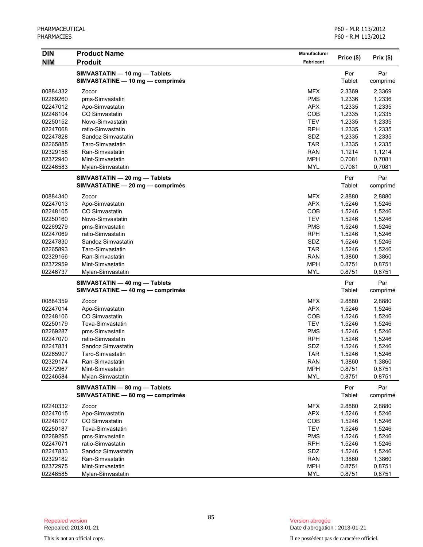| <b>DIN</b> | <b>Product Name</b>              | <b>Manufacturer</b> |            |          |
|------------|----------------------------------|---------------------|------------|----------|
| <b>NIM</b> | <b>Produit</b>                   | <b>Fabricant</b>    | Price (\$) | Prix(\$) |
|            | SIMVASTATIN - 10 mg - Tablets    |                     | Per        | Par      |
|            | SIMVASTATINE - 10 mg - comprimés |                     | Tablet     | comprimé |
| 00884332   | Zocor                            | <b>MFX</b>          | 2.3369     | 2,3369   |
| 02269260   | pms-Simvastatin                  | <b>PMS</b>          | 1.2336     | 1,2336   |
| 02247012   | Apo-Simvastatin                  | <b>APX</b>          | 1.2335     | 1,2335   |
| 02248104   | CO Simvastatin                   | COB                 | 1.2335     | 1,2335   |
| 02250152   | Novo-Simvastatin                 | <b>TEV</b>          | 1.2335     | 1,2335   |
| 02247068   | ratio-Simvastatin                | <b>RPH</b>          | 1.2335     | 1,2335   |
| 02247828   | Sandoz Simvastatin               | SDZ                 | 1.2335     | 1,2335   |
| 02265885   | Taro-Simvastatin                 | <b>TAR</b>          | 1.2335     | 1,2335   |
| 02329158   | Ran-Simvastatin                  | <b>RAN</b>          | 1.1214     | 1,1214   |
| 02372940   | Mint-Simvastatin                 | <b>MPH</b>          | 0.7081     | 0,7081   |
| 02246583   | Mylan-Simvastatin                | <b>MYL</b>          | 0.7081     | 0,7081   |
|            | SIMVASTATIN - 20 mg - Tablets    |                     | Per        | Par      |
|            | SIMVASTATINE - 20 mg - comprimés |                     | Tablet     | comprimé |
| 00884340   | Zocor                            | <b>MFX</b>          | 2.8880     | 2,8880   |
| 02247013   | Apo-Simvastatin                  | <b>APX</b>          | 1.5246     | 1,5246   |
| 02248105   | CO Simvastatin                   | COB                 | 1.5246     | 1,5246   |
| 02250160   | Novo-Simvastatin                 | <b>TEV</b>          | 1.5246     | 1,5246   |
| 02269279   | pms-Simvastatin                  | <b>PMS</b>          | 1.5246     | 1,5246   |
| 02247069   | ratio-Simvastatin                | <b>RPH</b>          | 1.5246     | 1,5246   |
| 02247830   | Sandoz Simvastatin               | SDZ                 | 1.5246     | 1,5246   |
| 02265893   | Taro-Simvastatin                 | <b>TAR</b>          | 1.5246     | 1,5246   |
| 02329166   | Ran-Simvastatin                  | <b>RAN</b>          | 1.3860     | 1,3860   |
| 02372959   | Mint-Simvastatin                 | <b>MPH</b>          | 0.8751     | 0,8751   |
| 02246737   | Mylan-Simvastatin                | <b>MYL</b>          | 0.8751     | 0,8751   |
|            | SIMVASTATIN - 40 mg - Tablets    |                     | Per        | Par      |
|            | SIMVASTATINE - 40 mg - comprimés |                     | Tablet     | comprimé |
| 00884359   | Zocor                            | MFX                 | 2.8880     | 2,8880   |
| 02247014   | Apo-Simvastatin                  | <b>APX</b>          | 1.5246     | 1,5246   |
| 02248106   | CO Simvastatin                   | COB                 | 1.5246     | 1,5246   |
| 02250179   | Teva-Simvastatin                 | <b>TEV</b>          | 1.5246     | 1,5246   |
| 02269287   | pms-Simvastatin                  | <b>PMS</b>          | 1.5246     | 1,5246   |
| 02247070   | ratio-Simvastatin                | <b>RPH</b>          | 1.5246     | 1,5246   |
| 02247831   | Sandoz Simvastatin               | SDZ                 | 1.5246     | 1,5246   |
| 02265907   | Taro-Simvastatin                 | <b>TAR</b>          | 1.5246     | 1,5246   |
| 02329174   | Ran-Simvastatin                  | <b>RAN</b>          | 1.3860     | 1,3860   |
| 02372967   | Mint-Simvastatin                 | <b>MPH</b>          | 0.8751     | 0,8751   |
| 02246584   | Mylan-Simvastatin                | <b>MYL</b>          | 0.8751     | 0,8751   |
|            | SIMVASTATIN - 80 mg - Tablets    |                     | Per        | Par      |
|            | SIMVASTATINE - 80 mg - comprimés |                     | Tablet     | comprimé |
| 02240332   | Zocor                            | <b>MFX</b>          | 2.8880     | 2,8880   |
| 02247015   | Apo-Simvastatin                  | <b>APX</b>          | 1.5246     | 1,5246   |
| 02248107   | CO Simvastatin                   | COB                 | 1.5246     | 1,5246   |
| 02250187   | Teva-Simvastatin                 | <b>TEV</b>          | 1.5246     | 1,5246   |
| 02269295   | pms-Simvastatin                  | <b>PMS</b>          | 1.5246     | 1,5246   |
| 02247071   | ratio-Simvastatin                | <b>RPH</b>          | 1.5246     | 1,5246   |
| 02247833   | Sandoz Simvastatin               | SDZ                 | 1.5246     | 1,5246   |
| 02329182   | Ran-Simvastatin                  | <b>RAN</b>          | 1.3860     | 1,3860   |
| 02372975   | Mint-Simvastatin                 | <b>MPH</b>          | 0.8751     | 0,8751   |
| 02246585   | Mylan-Simvastatin                | <b>MYL</b>          | 0.8751     | 0,8751   |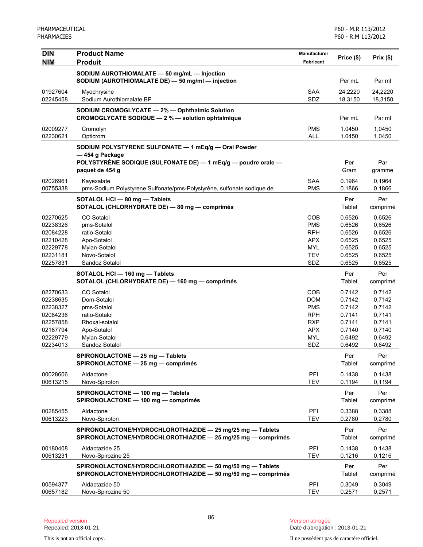| <b>DIN</b>           | <b>Product Name</b>                                                                                                        | <b>Manufacturer</b>      | Price (\$)       | Prix(\$)         |
|----------------------|----------------------------------------------------------------------------------------------------------------------------|--------------------------|------------------|------------------|
| NIM                  | <b>Produit</b>                                                                                                             | Fabricant                |                  |                  |
|                      | SODIUM AUROTHIOMALATE - 50 mg/mL - Injection<br>SODIUM (AUROTHIOMALATE DE) - 50 mg/ml - injection                          |                          | Per mL           | Par ml           |
| 01927604             | Myochrysine                                                                                                                | <b>SAA</b>               | 24.2220          | 24,2220          |
| 02245458             | Sodium Aurothiomalate BP                                                                                                   | SDZ                      | 18.3150          | 18,3150          |
|                      | SODIUM CROMOGLYCATE - 2% - Ophthalmic Solution                                                                             |                          |                  |                  |
|                      | CROMOGLYCATE SODIQUE - 2 % - solution ophtalmique                                                                          |                          | Per mL           | Par ml           |
| 02009277<br>02230621 | Cromolyn<br>Opticrom                                                                                                       | <b>PMS</b><br><b>ALL</b> | 1.0450<br>1.0450 | 1,0450<br>1,0450 |
|                      | SODIUM POLYSTYRENE SULFONATE - 1 mEq/g - Oral Powder                                                                       |                          |                  |                  |
|                      | -454 g Package                                                                                                             |                          |                  |                  |
|                      | POLYSTYRÈNE SODIQUE (SULFONATE DE) — 1 mEq/g — poudre orale —                                                              |                          | Per              | Par              |
|                      | paquet de 454 g                                                                                                            |                          | Gram             | gramme           |
| 02026961             | Kayexalate                                                                                                                 | SAA                      | 0.1964           | 0,1964           |
| 00755338             | pms-Sodium Polystyrene Sulfonate/pms-Polystyrène, sulfonate sodique de                                                     | <b>PMS</b>               | 0.1866           | 0,1866           |
|                      | SOTALOL HCI - 80 mg - Tablets                                                                                              |                          | Per              | Per              |
|                      | SOTALOL (CHLORHYDRATE DE) - 80 mg - comprimés                                                                              |                          | Tablet           | comprimé         |
| 02270625             | CO Sotalol                                                                                                                 | <b>COB</b>               | 0.6526           | 0,6526           |
| 02238326             | pms-Sotalol                                                                                                                | <b>PMS</b>               | 0.6526           | 0,6526           |
| 02084228             | ratio-Sotalol                                                                                                              | <b>RPH</b>               | 0.6526           | 0,6526           |
| 02210428             | Apo-Sotalol                                                                                                                | <b>APX</b>               | 0.6525           | 0,6525           |
| 02229778             | Mylan-Sotalol                                                                                                              | <b>MYL</b>               | 0.6525           | 0,6525           |
| 02231181             | Novo-Sotalol                                                                                                               | <b>TEV</b>               | 0.6525           | 0,6525           |
| 02257831             | Sandoz Sotalol                                                                                                             | SDZ                      | 0.6525           | 0,6525           |
|                      | SOTALOL HCI - 160 mg - Tablets<br>SOTALOL (CHLORHYDRATE DE) - 160 mg - comprimés                                           |                          | Per<br>Tablet    | Per<br>comprimé  |
|                      |                                                                                                                            |                          |                  |                  |
| 02270633             | CO Sotalol                                                                                                                 | COB                      | 0.7142           | 0,7142           |
| 02238635<br>02238327 | Dom-Sotalol                                                                                                                | <b>DOM</b><br><b>PMS</b> | 0.7142<br>0.7142 | 0,7142           |
| 02084236             | pms-Sotalol<br>ratio-Sotalol                                                                                               | <b>RPH</b>               | 0.7141           | 0,7142<br>0,7141 |
| 02257858             | Rhoxal-sotalol                                                                                                             | <b>RXP</b>               | 0.7141           | 0,7141           |
| 02167794             | Apo-Sotalol                                                                                                                | <b>APX</b>               | 0.7140           | 0,7140           |
| 02229779             | Mylan-Sotalol                                                                                                              | <b>MYL</b>               | 0.6492           | 0,6492           |
| 02234013             | Sandoz Sotalol                                                                                                             | SDZ                      | 0.6492           | 0,6492           |
|                      | SPIRONOLACTONE - 25 mg - Tablets                                                                                           |                          | Per              | Per              |
|                      | SPIRONOLACTONE - 25 mg - comprimés                                                                                         |                          | Tablet           | comprimé         |
| 00028606             | Aldactone                                                                                                                  | PFI                      | 0.1438           | 0,1438           |
| 00613215             | Novo-Spiroton                                                                                                              | <b>TEV</b>               | 0.1194           | 0,1194           |
|                      | SPIRONOLACTONE - 100 mg - Tablets                                                                                          |                          | Per              | Per              |
|                      | SPIRONOLACTONE - 100 mg - comprimés                                                                                        |                          | Tablet           | comprimé         |
| 00285455             | Aldactone                                                                                                                  | PFI                      | 0.3388           | 0,3388           |
| 00613223             | Novo-Spiroton                                                                                                              | <b>TEV</b>               | 0.2780           | 0,2780           |
|                      | SPIRONOLACTONE/HYDROCHLOROTHIAZIDE - 25 mg/25 mg - Tablets<br>SPIRONOLACTONE/HYDROCHLOROTHIAZIDE - 25 mg/25 mg - comprimés |                          | Per<br>Tablet    | Per<br>comprimé  |
| 00180408<br>00613231 | Aldactazide 25<br>Novo-Spirozine 25                                                                                        | PFI<br><b>TEV</b>        | 0.1438<br>0.1216 | 0,1438<br>0,1216 |
|                      | SPIRONOLACTONE/HYDROCHLOROTHIAZIDE - 50 mg/50 mg - Tablets<br>SPIRONOLACTONE/HYDROCHLOROTHIAZIDE - 50 mg/50 mg - comprimés |                          | Per<br>Tablet    | Per<br>comprimé  |
| 00594377<br>00657182 | Aldactazide 50<br>Novo-Spirozine 50                                                                                        | PFI<br><b>TEV</b>        | 0.3049<br>0.2571 | 0,3049<br>0,2571 |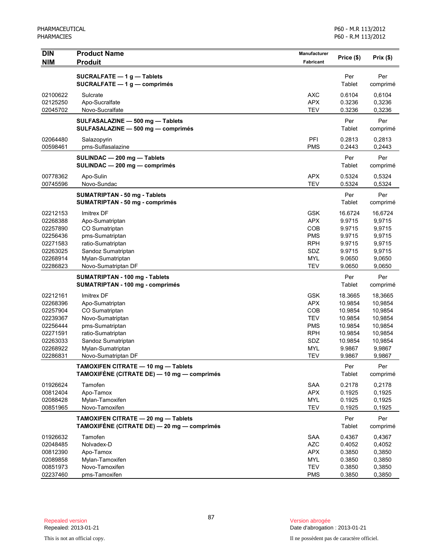| <b>DIN</b>           | <b>Product Name</b>                                                                | Manufacturer             | Price (\$)        | Prix (\$)         |
|----------------------|------------------------------------------------------------------------------------|--------------------------|-------------------|-------------------|
| <b>NIM</b>           | <b>Produit</b>                                                                     | Fabricant                |                   |                   |
|                      | SUCRALFATE $-1$ g $-$ Tablets                                                      |                          | Per               | Per               |
|                      | SUCRALFATE $-1$ g $-$ comprimés                                                    |                          | Tablet            | comprimé          |
| 02100622             | Sulcrate                                                                           | <b>AXC</b>               | 0.6104            | 0,6104            |
| 02125250             | Apo-Sucralfate                                                                     | <b>APX</b>               | 0.3236            | 0,3236            |
| 02045702             | Novo-Sucralfate                                                                    | <b>TEV</b>               | 0.3236            | 0,3236            |
|                      | SULFASALAZINE - 500 mg - Tablets                                                   |                          | Per               | Per               |
|                      | SULFASALAZINE - 500 mg - comprimés                                                 |                          | Tablet            | comprimé          |
| 02064480             | Salazopyrin                                                                        | PFI                      | 0.2813            | 0,2813            |
| 00598461             | pms-Sulfasalazine                                                                  | <b>PMS</b>               | 0.2443            | 0,2443            |
|                      | SULINDAC - 200 mg - Tablets                                                        |                          | Per               | Per               |
|                      | SULINDAC - 200 mg - comprimés                                                      |                          | Tablet            | comprimé          |
|                      |                                                                                    |                          |                   |                   |
| 00778362<br>00745596 | Apo-Sulin<br>Novo-Sundac                                                           | <b>APX</b><br><b>TEV</b> | 0.5324<br>0.5324  | 0,5324<br>0,5324  |
|                      |                                                                                    |                          |                   |                   |
|                      | <b>SUMATRIPTAN - 50 mg - Tablets</b>                                               |                          | Per<br>Tablet     | Per               |
|                      | <b>SUMATRIPTAN - 50 mg - comprimés</b>                                             |                          |                   | comprimé          |
| 02212153             | Imitrex DF                                                                         | <b>GSK</b>               | 16.6724           | 16,6724           |
| 02268388             | Apo-Sumatriptan                                                                    | <b>APX</b>               | 9.9715            | 9,9715            |
| 02257890             | CO Sumatriptan                                                                     | <b>COB</b>               | 9.9715            | 9,9715            |
| 02256436             | pms-Sumatriptan                                                                    | <b>PMS</b>               | 9.9715            | 9,9715            |
| 02271583             | ratio-Sumatriptan                                                                  | <b>RPH</b>               | 9.9715            | 9,9715            |
| 02263025             | Sandoz Sumatriptan                                                                 | SDZ                      | 9.9715            | 9,9715            |
| 02268914             | Mylan-Sumatriptan                                                                  | <b>MYL</b>               | 9.0650            | 9,0650            |
| 02286823             | Novo-Sumatriptan DF                                                                | <b>TEV</b>               | 9.0650            | 9,0650            |
|                      | SUMATRIPTAN - 100 mg - Tablets                                                     |                          | Per               | Per               |
|                      | SUMATRIPTAN - 100 mg - comprimés                                                   |                          | Tablet            | comprimé          |
| 02212161             | Imitrex DF                                                                         | <b>GSK</b>               | 18.3665           | 18,3665           |
| 02268396             | Apo-Sumatriptan                                                                    | <b>APX</b>               | 10.9854           | 10,9854           |
| 02257904             | CO Sumatriptan                                                                     | <b>COB</b>               | 10.9854           | 10,9854           |
| 02239367             | Novo-Sumatriptan                                                                   | <b>TEV</b>               | 10.9854           | 10,9854           |
| 02256444             | pms-Sumatriptan                                                                    | <b>PMS</b>               | 10.9854           | 10,9854           |
| 02271591             | ratio-Sumatriptan                                                                  | <b>RPH</b>               | 10.9854           | 10,9854           |
| 02263033<br>02268922 | Sandoz Sumatriptan                                                                 | SDZ<br><b>MYL</b>        | 10.9854<br>9.9867 | 10,9854<br>9,9867 |
| 02286831             | Mylan-Sumatriptan<br>Novo-Sumatriptan DF                                           | <b>TEV</b>               | 9.9867            | 9,9867            |
|                      |                                                                                    |                          |                   |                   |
|                      | TAMOXIFEN CITRATE - 10 mg - Tablets<br>TAMOXIFÈNE (CITRATE DE) — 10 mg — comprimés |                          | Per<br>Tablet     | Per<br>comprimé   |
|                      |                                                                                    |                          |                   |                   |
| 01926624             | Tamofen                                                                            | SAA                      | 0.2178            | 0,2178            |
| 00812404             | Apo-Tamox                                                                          | <b>APX</b>               | 0.1925            | 0,1925            |
| 02088428             | Mylan-Tamoxifen                                                                    | <b>MYL</b>               | 0.1925            | 0,1925            |
| 00851965             | Novo-Tamoxifen                                                                     | <b>TEV</b>               | 0.1925            | 0,1925            |
|                      | TAMOXIFEN CITRATE - 20 mg - Tablets                                                |                          | Per               | Per               |
|                      | TAMOXIFÈNE (CITRATE DE) — 20 mg — comprimés                                        |                          | Tablet            | comprimé          |
| 01926632             | Tamofen                                                                            | <b>SAA</b>               | 0.4367            | 0,4367            |
| 02048485             | Nolvadex-D                                                                         | <b>AZC</b>               | 0.4052            | 0,4052            |
| 00812390             | Apo-Tamox                                                                          | <b>APX</b>               | 0.3850            | 0,3850            |
| 02089858             | Mylan-Tamoxifen                                                                    | <b>MYL</b>               | 0.3850            | 0,3850            |
| 00851973             | Novo-Tamoxifen                                                                     | <b>TEV</b>               | 0.3850            | 0,3850            |
| 02237460             | pms-Tamoxifen                                                                      | <b>PMS</b>               | 0.3850            | 0,3850            |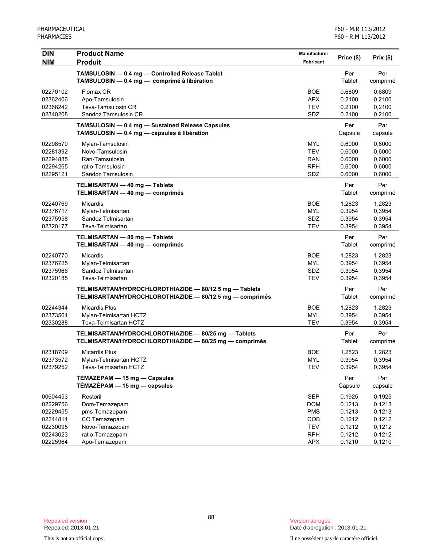| <b>DIN</b>           | <b>Product Name</b>                                                                                                | <b>Manufacturer</b>      | Price (\$)       | Prix(\$)         |
|----------------------|--------------------------------------------------------------------------------------------------------------------|--------------------------|------------------|------------------|
| <b>NIM</b>           | <b>Produit</b>                                                                                                     | <b>Fabricant</b>         |                  |                  |
|                      | TAMSULOSIN - 0.4 mg - Controlled Release Tablet<br>TAMSULOSIN - 0.4 mg - comprimé à libération                     |                          | Per<br>Tablet    | Per<br>comprimé  |
| 02270102<br>02362406 | Flomax CR<br>Apo-Tamsulosin                                                                                        | <b>BOE</b><br><b>APX</b> | 0.6809<br>0.2100 | 0,6809<br>0,2100 |
| 02368242<br>02340208 | Teva-Tamsulosin CR<br>Sandoz Tamsulosin CR                                                                         | <b>TEV</b><br>SDZ        | 0.2100<br>0.2100 | 0,2100<br>0,2100 |
|                      | TAMSULOSIN - 0.4 mg - Sustained Release Capsules<br>TAMSULOSIN - 0.4 mg - capsules à libération                    |                          | Per<br>Capsule   | Par<br>capsule   |
| 02298570             | Mylan-Tamsulosin                                                                                                   | <b>MYL</b>               | 0.6000           | 0,6000           |
| 02281392             | Novo-Tamsulosin                                                                                                    | <b>TEV</b>               | 0.6000           | 0,6000           |
| 02294885             | Ran-Tamsulosin                                                                                                     | <b>RAN</b>               | 0.6000           | 0,6000           |
| 02294265<br>02295121 | ratio-Tamsulosin<br>Sandoz Tamsulosin                                                                              | <b>RPH</b><br>SDZ        | 0.6000<br>0.6000 | 0,6000<br>0,6000 |
|                      |                                                                                                                    |                          |                  |                  |
|                      | TELMISARTAN - 40 mg - Tablets<br>TELMISARTAN - 40 mg - comprimés                                                   |                          | Per<br>Tablet    | Per<br>comprimé  |
| 02240769             | Micardis                                                                                                           | <b>BOE</b>               | 1.2823           | 1,2823           |
| 02376717             | Mylan-Telmisartan                                                                                                  | <b>MYL</b>               | 0.3954           | 0,3954           |
| 02375958             | Sandoz Telmisartan                                                                                                 | SDZ                      | 0.3954           | 0,3954           |
| 02320177             | Teva-Telmisartan                                                                                                   | <b>TEV</b>               | 0.3954           | 0,3954           |
|                      | TELMISARTAN - 80 mg - Tablets<br>TELMISARTAN - 40 mg - comprimés                                                   |                          | Per<br>Tablet    | Per<br>comprimé  |
| 02240770             | Micardis                                                                                                           | <b>BOE</b>               | 1.2823           | 1,2823           |
| 02376725             | Mylan-Telmisartan                                                                                                  | <b>MYL</b>               | 0.3954           | 0,3954           |
| 02375966             | Sandoz Telmisartan                                                                                                 | SDZ                      | 0.3954           | 0,3954           |
| 02320185             | Teva-Telmisartan                                                                                                   | <b>TEV</b>               | 0.3954           | 0,3954           |
|                      | TELMISARTAN/HYDROCHLOROTHIAZIDE - 80/12.5 mg - Tablets<br>TELMISARTAN/HYDROCHLOROTHIAZIDE - 80/12.5 mg - comprimés |                          | Per<br>Tablet    | Per<br>comprimé  |
| 02244344             | <b>Micardis Plus</b>                                                                                               | <b>BOE</b>               | 1.2823           | 1,2823           |
| 02373564             | Mylan-Telmisartan HCTZ                                                                                             | <b>MYL</b>               | 0.3954           | 0,3954           |
| 02330288             | Teva-Telmisartan HCTZ                                                                                              | <b>TEV</b>               | 0.3954           | 0,3954           |
|                      | TELMISARTAN/HYDROCHLOROTHIAZIDE - 80/25 mg - Tablets<br>TELMISARTAN/HYDROCHLOROTHIAZIDE - 80/25 mg - comprimés     |                          | Per<br>Tablet    | Per<br>comprimé  |
| 02318709             | <b>Micardis Plus</b>                                                                                               | <b>BOE</b>               | 1.2823           | 1,2823           |
| 02373572             | Mylan-Telmisartan HCTZ                                                                                             | <b>MYL</b>               | 0.3954           | 0,3954           |
| 02379252             | Teva-Telmisartan HCTZ                                                                                              | <b>TEV</b>               | 0.3954           | 0,3954           |
|                      | TEMAZEPAM - 15 mg - Capsules<br>TÉMAZÉPAM - 15 mg - capsules                                                       |                          | Per<br>Capsule   | Par<br>capsule   |
| 00604453             | Restoril                                                                                                           | <b>SEP</b>               | 0.1925           | 0,1925           |
| 02229756             | Dom-Temazepam                                                                                                      | <b>DOM</b>               | 0.1213           | 0,1213           |
| 02229455             | pms-Temazepam                                                                                                      | <b>PMS</b>               | 0.1213           | 0,1213           |
| 02244814             | CO Temazepam                                                                                                       | COB                      | 0.1212           | 0,1212           |
| 02230095             | Novo-Temazepam                                                                                                     | <b>TEV</b>               | 0.1212           | 0,1212           |
| 02243023             | ratio-Temazepam                                                                                                    | <b>RPH</b>               | 0.1212           | 0,1212           |
| 02225964             | Apo-Temazepam                                                                                                      | APX                      | 0.1210           | 0,1210           |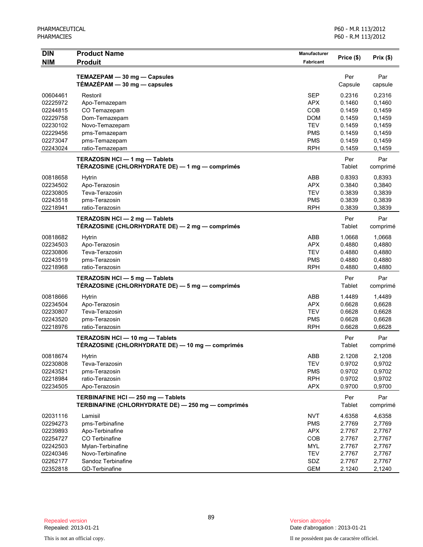| <b>DIN</b> | <b>Product Name</b>                                | Manufacturer | Price (\$) | Prix(\$) |
|------------|----------------------------------------------------|--------------|------------|----------|
| <b>NIM</b> | <b>Produit</b>                                     | Fabricant    |            |          |
|            |                                                    |              |            |          |
|            | TEMAZEPAM - 30 mg - Capsules                       |              | Per        | Par      |
|            | $TÉMAZÉPAM - 30 mg - capsules$                     |              | Capsule    | capsule  |
| 00604461   | Restoril                                           | <b>SEP</b>   | 0.2316     | 0,2316   |
| 02225972   | Apo-Temazepam                                      | <b>APX</b>   | 0.1460     | 0,1460   |
| 02244815   | CO Temazepam                                       | COB          | 0.1459     | 0,1459   |
| 02229758   | Dom-Temazepam                                      | <b>DOM</b>   | 0.1459     | 0,1459   |
| 02230102   | Novo-Temazepam                                     | <b>TEV</b>   | 0.1459     | 0,1459   |
| 02229456   | pms-Temazepam                                      | <b>PMS</b>   | 0.1459     | 0,1459   |
| 02273047   | pms-Temazepam                                      | <b>PMS</b>   | 0.1459     | 0,1459   |
| 02243024   | ratio-Temazepam                                    | <b>RPH</b>   | 0.1459     | 0,1459   |
|            | TERAZOSIN HCI - 1 mg - Tablets                     |              | Per        | Par      |
|            | TÉRAZOSINE (CHLORHYDRATE DE) — 1 mg — comprimés    |              | Tablet     | comprimé |
| 00818658   | Hytrin                                             | ABB          | 0.8393     | 0,8393   |
| 02234502   | Apo-Terazosin                                      | <b>APX</b>   | 0.3840     | 0,3840   |
| 02230805   | Teva-Terazosin                                     | TEV          | 0.3839     | 0,3839   |
| 02243518   | pms-Terazosin                                      | <b>PMS</b>   | 0.3839     | 0,3839   |
| 02218941   | ratio-Terazosin                                    | <b>RPH</b>   | 0.3839     | 0,3839   |
|            | TERAZOSIN HCl - 2 mg - Tablets                     |              | Per        | Par      |
|            | TÉRAZOSINE (CHLORHYDRATE DE) - 2 mg - comprimés    |              | Tablet     | comprimé |
|            |                                                    |              |            |          |
| 00818682   | <b>Hytrin</b>                                      | ABB          | 1.0668     | 1,0668   |
| 02234503   | Apo-Terazosin                                      | <b>APX</b>   | 0.4880     | 0,4880   |
| 02230806   | Teva-Terazosin                                     | <b>TEV</b>   | 0.4880     | 0,4880   |
| 02243519   | pms-Terazosin                                      | <b>PMS</b>   | 0.4880     | 0,4880   |
| 02218968   | ratio-Terazosin                                    | <b>RPH</b>   | 0.4880     | 0,4880   |
|            | TERAZOSIN HCI - 5 mg - Tablets                     |              | Per        | Par      |
|            | TÉRAZOSINE (CHLORHYDRATE DE) — 5 mg — comprimés    |              | Tablet     | comprimé |
| 00818666   | <b>Hytrin</b>                                      | ABB          | 1.4489     | 1,4489   |
| 02234504   | Apo-Terazosin                                      | <b>APX</b>   | 0.6628     | 0,6628   |
| 02230807   | Teva-Terazosin                                     | <b>TEV</b>   | 0.6628     | 0,6628   |
| 02243520   | pms-Terazosin                                      | <b>PMS</b>   | 0.6628     | 0,6628   |
| 02218976   | ratio-Terazosin                                    | <b>RPH</b>   | 0.6628     | 0,6628   |
|            | TERAZOSIN HCI - 10 mg - Tablets                    |              | Per        | Par      |
|            | TÉRAZOSINE (CHLORHYDRATE DE) — 10 mg — comprimés   |              | Tablet     | comprimé |
|            |                                                    |              |            |          |
| 00818674   | Hytrin                                             | <b>ABB</b>   | 2.1208     | 2,1208   |
| 02230808   | Teva-Terazosin                                     | <b>TEV</b>   | 0.9702     | 0,9702   |
| 02243521   | pms-Terazosin                                      | <b>PMS</b>   | 0.9702     | 0,9702   |
| 02218984   | ratio-Terazosin                                    | <b>RPH</b>   | 0.9702     | 0,9702   |
| 02234505   | Apo-Terazosin                                      | <b>APX</b>   | 0.9700     | 0,9700   |
|            | TERBINAFINE HCI-250 mg-Tablets                     |              | Per        | Par      |
|            | TERBINAFINE (CHLORHYDRATE DE) - 250 mg - comprimés |              | Tablet     | comprimé |
| 02031116   | Lamisil                                            | <b>NVT</b>   | 4.6358     | 4,6358   |
| 02294273   | pms-Terbinafine                                    | <b>PMS</b>   | 2.7769     | 2,7769   |
| 02239893   | Apo-Terbinafine                                    | <b>APX</b>   | 2.7767     | 2,7767   |
| 02254727   | CO Terbinafine                                     | COB          | 2.7767     | 2,7767   |
| 02242503   | Mylan-Terbinafine                                  | <b>MYL</b>   | 2.7767     | 2,7767   |
| 02240346   | Novo-Terbinafine                                   | <b>TEV</b>   | 2.7767     | 2,7767   |
| 02262177   | Sandoz Terbinafine                                 | SDZ          | 2.7767     | 2,7767   |
| 02352818   | GD-Terbinafine                                     | <b>GEM</b>   | 2.1240     | 2,1240   |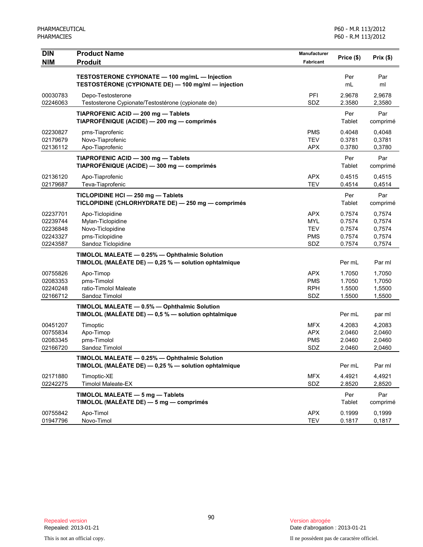| <b>DIN</b><br><b>NIM</b>                                 | <b>Product Name</b><br><b>Produit</b>                                                                 | Manufacturer<br>Fabricant                                   | Price (\$)                                     | Prix(\$)                                       |
|----------------------------------------------------------|-------------------------------------------------------------------------------------------------------|-------------------------------------------------------------|------------------------------------------------|------------------------------------------------|
|                                                          | TESTOSTERONE CYPIONATE - 100 mg/mL - Injection<br>TESTOSTÉRONE (CYPIONATE DE) - 100 mg/ml - injection |                                                             | Per<br>mL                                      | Par<br>ml                                      |
| 00030783<br>02246063                                     | Depo-Testosterone<br>Testosterone Cypionate/Testostérone (cypionate de)                               | <b>PFI</b><br>SDZ                                           | 2.9678<br>2.3580                               | 2.9678<br>2,3580                               |
|                                                          | TIAPROFENIC ACID - 200 mg - Tablets<br>TIAPROFÉNIQUE (ACIDE) — 200 mg — comprimés                     |                                                             | Per<br>Tablet                                  | Par<br>comprimé                                |
| 02230827<br>02179679<br>02136112                         | pms-Tiaprofenic<br>Novo-Tiaprofenic<br>Apo-Tiaprofenic                                                | <b>PMS</b><br><b>TEV</b><br><b>APX</b>                      | 0.4048<br>0.3781<br>0.3780                     | 0,4048<br>0,3781<br>0,3780                     |
|                                                          | TIAPROFENIC ACID - 300 mg - Tablets<br>TIAPROFÉNIQUE (ACIDE) - 300 mg - comprimés                     |                                                             | Per<br>Tablet                                  | Par<br>comprimé                                |
| 02136120<br>02179687                                     | Apo-Tiaprofenic<br>Teva-Tiaprofenic                                                                   | <b>APX</b><br><b>TEV</b>                                    | 0.4515<br>0.4514                               | 0,4515<br>0,4514                               |
|                                                          | TICLOPIDINE HCI - 250 mg - Tablets<br>TICLOPIDINE (CHLORHYDRATE DE) - 250 mg - comprimés              |                                                             | Per<br>Tablet                                  | Par<br>comprimé                                |
| 02237701<br>02239744<br>02236848<br>02243327<br>02243587 | Apo-Ticlopidine<br>Mylan-Ticlopidine<br>Novo-Ticlopidine<br>pms-Ticlopidine<br>Sandoz Ticlopidine     | <b>APX</b><br><b>MYL</b><br><b>TEV</b><br><b>PMS</b><br>SDZ | 0.7574<br>0.7574<br>0.7574<br>0.7574<br>0.7574 | 0,7574<br>0,7574<br>0,7574<br>0,7574<br>0,7574 |
|                                                          | TIMOLOL MALEATE - 0.25% - Ophthalmic Solution<br>TIMOLOL (MALÉATE DE) - 0,25 % - solution ophtalmique |                                                             | Per mL                                         | Par ml                                         |
| 00755826<br>02083353<br>02240248<br>02166712             | Apo-Timop<br>pms-Timolol<br>ratio-Timolol Maleate<br>Sandoz Timolol                                   | <b>APX</b><br><b>PMS</b><br><b>RPH</b><br>SDZ               | 1.7050<br>1.7050<br>1.5500<br>1.5500           | 1,7050<br>1,7050<br>1,5500<br>1,5500           |
|                                                          | TIMOLOL MALEATE - 0.5% - Ophthalmic Solution<br>TIMOLOL (MALÉATE DE) - 0,5 % - solution ophtalmique   |                                                             | Per mL                                         | par ml                                         |
| 00451207<br>00755834<br>02083345<br>02166720             | Timoptic<br>Apo-Timop<br>pms-Timolol<br>Sandoz Timolol                                                | <b>MFX</b><br><b>APX</b><br><b>PMS</b><br>SDZ               | 4.2083<br>2.0460<br>2.0460<br>2.0460           | 4,2083<br>2,0460<br>2,0460<br>2,0460           |
|                                                          | TIMOLOL MALEATE - 0.25% - Ophthalmic Solution<br>TIMOLOL (MALÉATE DE) - 0,25 % - solution ophtalmique |                                                             | Per mL                                         | Par ml                                         |
| 02171880<br>02242275                                     | Timoptic-XE<br><b>Timolol Maleate-EX</b>                                                              | <b>MFX</b><br>SDZ                                           | 4.4921<br>2.8520                               | 4,4921<br>2,8520                               |
|                                                          | TIMOLOL MALEATE - 5 mg - Tablets<br>TIMOLOL (MALÉATE DE) - 5 mg - comprimés                           |                                                             | Per<br>Tablet                                  | Par<br>comprimé                                |
| 00755842<br>01947796                                     | Apo-Timol<br>Novo-Timol                                                                               | <b>APX</b><br><b>TEV</b>                                    | 0.1999<br>0.1817                               | 0,1999<br>0,1817                               |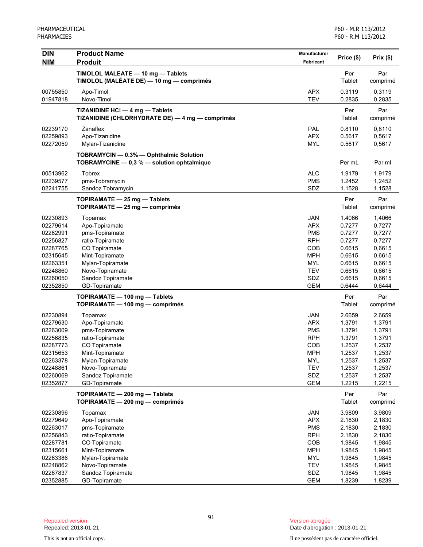| <b>DIN</b>           | <b>Product Name</b>                                              | <b>Manufacturer</b> | Price (\$)       | Prix(\$)         |
|----------------------|------------------------------------------------------------------|---------------------|------------------|------------------|
| <b>NIM</b>           | <b>Produit</b>                                                   | Fabricant           |                  |                  |
|                      | TIMOLOL MALEATE - 10 mg - Tablets                                |                     | Per              | Par              |
|                      | TIMOLOL (MALÉATE DE) — 10 mg — comprimés                         |                     | Tablet           | comprimé         |
| 00755850             | Apo-Timol                                                        | <b>APX</b>          | 0.3119           | 0,3119           |
| 01947818             | Novo-Timol                                                       | <b>TEV</b>          | 0.2835           | 0,2835           |
|                      | TIZANIDINE HCI - 4 mg - Tablets                                  |                     | Per              | Par              |
|                      | TIZANIDINE (CHLORHYDRATE DE) - 4 mg - comprimés                  |                     | Tablet           | comprimé         |
| 02239170             | Zanaflex                                                         | PAL                 | 0.8110           | 0,8110           |
| 02259893             | Apo-Tizanidine                                                   | <b>APX</b>          | 0.5617           | 0,5617           |
| 02272059             | Mylan-Tizanidine                                                 | <b>MYL</b>          | 0.5617           | 0,5617           |
|                      | TOBRAMYCIN - 0.3% - Ophthalmic Solution                          |                     |                  |                  |
|                      | TOBRAMYCINE - 0,3 % - solution ophtalmique                       |                     | Per mL           | Par ml           |
| 00513962             | <b>Tobrex</b>                                                    | <b>ALC</b>          | 1.9179           | 1,9179           |
| 02239577             | pms-Tobramycin                                                   | <b>PMS</b>          | 1.2452           | 1,2452           |
| 02241755             | Sandoz Tobramycin                                                | SDZ                 | 1.1528           | 1,1528           |
|                      | TOPIRAMATE - 25 mg - Tablets                                     |                     | Per              | Par              |
|                      | TOPIRAMATE - 25 mg - comprimés                                   |                     | Tablet           | comprimé         |
| 02230893             | Topamax                                                          | JAN                 | 1.4066           | 1,4066           |
| 02279614             | Apo-Topiramate                                                   | <b>APX</b>          | 0.7277           | 0,7277           |
| 02262991             | pms-Topiramate                                                   | <b>PMS</b>          | 0.7277           | 0,7277           |
| 02256827             | ratio-Topiramate                                                 | <b>RPH</b>          | 0.7277           | 0,7277           |
| 02287765             | CO Topiramate                                                    | <b>COB</b>          | 0.6615           | 0,6615           |
| 02315645             | Mint-Topiramate                                                  | <b>MPH</b>          | 0.6615           | 0,6615           |
| 02263351             | Mylan-Topiramate                                                 | <b>MYL</b>          | 0.6615           | 0,6615           |
| 02248860             | Novo-Topiramate                                                  | <b>TEV</b>          | 0.6615           | 0,6615           |
| 02260050             | Sandoz Topiramate                                                | SDZ                 | 0.6615           | 0,6615           |
| 02352850             | GD-Topiramate                                                    | <b>GEM</b>          | 0.6444           | 0,6444           |
|                      | TOPIRAMATE - 100 mg - Tablets<br>TOPIRAMATE - 100 mg - comprimés |                     | Per<br>Tablet    | Par<br>comprimé  |
|                      |                                                                  |                     |                  |                  |
| 02230894             | Topamax                                                          | <b>JAN</b>          | 2.6659           | 2,6659           |
| 02279630             | Apo-Topiramate                                                   | <b>APX</b>          | 1.3791           | 1,3791           |
| 02263009             | pms-Topiramate                                                   | <b>PMS</b>          | 1.3791           | 1,3791           |
| 02256835             | ratio-Topiramate                                                 | <b>RPH</b>          | 1.3791           | 1.3791           |
| 02287773<br>02315653 | CO Topiramate<br>Mint-Topiramate                                 | COB<br><b>MPH</b>   | 1.2537<br>1.2537 | 1,2537<br>1,2537 |
| 02263378             | Mylan-Topiramate                                                 | MYL                 | 1.2537           | 1,2537           |
| 02248861             | Novo-Topiramate                                                  | <b>TEV</b>          | 1.2537           | 1,2537           |
| 02260069             | Sandoz Topiramate                                                | SDZ                 | 1.2537           | 1,2537           |
| 02352877             | GD-Topiramate                                                    | <b>GEM</b>          | 1.2215           | 1,2215           |
|                      | TOPIRAMATE - 200 mg - Tablets                                    |                     | Per              | Par              |
|                      | TOPIRAMATE - 200 mg - comprimés                                  |                     | Tablet           | comprimé         |
| 02230896             | Topamax                                                          | JAN                 | 3.9809           | 3,9809           |
| 02279649             | Apo-Topiramate                                                   | <b>APX</b>          | 2.1830           | 2,1830           |
| 02263017             | pms-Topiramate                                                   | <b>PMS</b>          | 2.1830           | 2,1830           |
| 02256843             | ratio-Topiramate                                                 | <b>RPH</b>          | 2.1830           | 2,1830           |
| 02287781             | CO Topiramate                                                    | COB                 | 1.9845           | 1,9845           |
| 02315661             | Mint-Topiramate                                                  | <b>MPH</b>          | 1.9845           | 1,9845           |
| 02263386             | Mylan-Topiramate                                                 | MYL                 | 1.9845           | 1,9845           |
| 02248862             | Novo-Topiramate                                                  | <b>TEV</b>          | 1.9845           | 1,9845           |
| 02267837             | Sandoz Topiramate                                                | SDZ                 | 1.9845           | 1,9845           |
| 02352885             | GD-Topiramate                                                    | <b>GEM</b>          | 1.8239           | 1,8239           |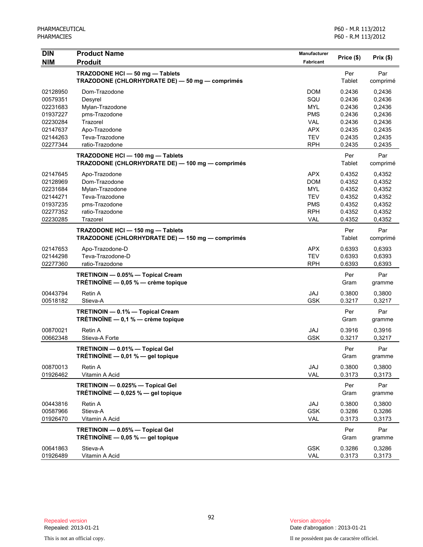| <b>DIN</b>           | <b>Product Name</b>                                                                  | <b>Manufacturer</b> |                  | Prix(\$)         |
|----------------------|--------------------------------------------------------------------------------------|---------------------|------------------|------------------|
| <b>NIM</b>           | <b>Produit</b>                                                                       | <b>Fabricant</b>    | Price (\$)       |                  |
|                      | TRAZODONE HCI-50 mg-Tablets<br>TRAZODONE (CHLORHYDRATE DE) - 50 mg - comprimés       |                     | Per<br>Tablet    | Par<br>comprimé  |
| 02128950             | Dom-Trazodone                                                                        | <b>DOM</b>          | 0.2436           | 0,2436           |
| 00579351             | Desyrel                                                                              | SQU                 | 0.2436           | 0,2436           |
| 02231683             | Mylan-Trazodone                                                                      | <b>MYL</b>          | 0.2436           | 0,2436           |
| 01937227             | pms-Trazodone                                                                        | <b>PMS</b>          | 0.2436           | 0,2436           |
| 02230284             | Trazorel                                                                             | <b>VAL</b>          | 0.2436           | 0,2436           |
| 02147637             | Apo-Trazodone                                                                        | <b>APX</b>          | 0.2435           | 0,2435           |
| 02144263             | Teva-Trazodone                                                                       | <b>TEV</b>          | 0.2435           | 0,2435           |
| 02277344             | ratio-Trazodone                                                                      | <b>RPH</b>          | 0.2435           | 0.2435           |
|                      | TRAZODONE HCI-100 mg-Tablets<br>TRAZODONE (CHLORHYDRATE DE) — 100 mg — comprimés     |                     | Per<br>Tablet    | Par<br>comprimé  |
| 02147645             | Apo-Trazodone                                                                        | <b>APX</b>          | 0.4352           | 0,4352           |
| 02128969             | Dom-Trazodone                                                                        | <b>DOM</b>          | 0.4352           | 0,4352           |
| 02231684             | Mylan-Trazodone                                                                      | <b>MYL</b>          | 0.4352           | 0,4352           |
| 02144271             | Teva-Trazodone                                                                       | <b>TEV</b>          | 0.4352           | 0,4352           |
| 01937235             | pms-Trazodone                                                                        | <b>PMS</b>          | 0.4352           | 0,4352           |
| 02277352             | ratio-Trazodone                                                                      | <b>RPH</b>          | 0.4352           | 0,4352           |
| 02230285             | Trazorel                                                                             | VAL                 | 0.4352           | 0,4352           |
|                      | TRAZODONE HCI - 150 mg - Tablets<br>TRAZODONE (CHLORHYDRATE DE) - 150 mg - comprimés |                     | Per<br>Tablet    | Par<br>comprimé  |
| 02147653             | Apo-Trazodone-D                                                                      | <b>APX</b>          | 0.6393           | 0,6393           |
| 02144298             | Teva-Trazodone-D                                                                     | <b>TEV</b>          | 0.6393           | 0,6393           |
| 02277360             | ratio-Trazodone                                                                      | <b>RPH</b>          | 0.6393           | 0,6393           |
|                      | TRETINOIN - 0.05% - Topical Cream<br>TRÉTINOÏNE $-$ 0,05 % $-$ crème topique         |                     | Per<br>Gram      | Par<br>gramme    |
| 00443794             | Retin A                                                                              |                     |                  |                  |
| 00518182             | Stieva-A                                                                             | JAJ<br><b>GSK</b>   | 0.3800<br>0.3217 | 0,3800<br>0,3217 |
|                      | TRETINOIN - 0.1% - Topical Cream                                                     |                     | Per              | Par              |
|                      | TRÉTINOÏNE $-$ 0,1 % $-$ crème topique                                               |                     | Gram             | gramme           |
| 00870021             | Retin A                                                                              | JAJ                 | 0.3916           | 0,3916           |
| 00662348             | Stieva-A Forte                                                                       | <b>GSK</b>          | 0.3217           | 0,3217           |
|                      | TRETINOIN - 0.01% - Topical Gel<br>TRÉTINOÏNE — 0,01 % — gel topique                 |                     | Per<br>Gram      | Par<br>gramme    |
| 00870013<br>01926462 | Retin A<br>Vitamin A Acid                                                            | JAJ<br>VAL          | 0.3800<br>0.3173 | 0,3800<br>0,3173 |
|                      | TRETINOIN - 0.025% - Topical Gel<br>TRÉTINOÏNE $-$ 0,025 % $-$ gel topique           |                     | Per<br>Gram      | Par<br>gramme    |
| 00443816             | Retin A                                                                              | JAJ                 | 0.3800           | 0,3800           |
| 00587966             | Stieva-A                                                                             | <b>GSK</b>          | 0.3286           | 0,3286           |
| 01926470             | Vitamin A Acid                                                                       | VAL                 | 0.3173           | 0,3173           |
|                      |                                                                                      |                     |                  |                  |
|                      | TRETINOIN - 0.05% - Topical Gel<br>TRÉTINOÏNE $-$ 0,05 % $-$ gel topique             |                     | Per<br>Gram      | Par<br>gramme    |
| 00641863<br>01926489 | Stieva-A<br>Vitamin A Acid                                                           | <b>GSK</b><br>VAL   | 0.3286<br>0.3173 | 0,3286<br>0,3173 |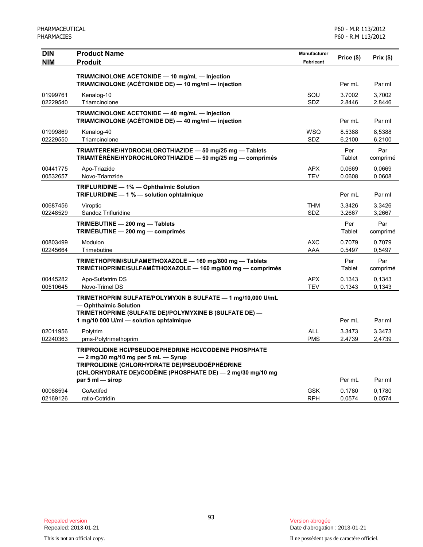| <b>DIN</b>           | <b>Product Name</b>                                                                                                                                                                                                                | Manufacturer             | Price (\$)       | Prix(\$)         |
|----------------------|------------------------------------------------------------------------------------------------------------------------------------------------------------------------------------------------------------------------------------|--------------------------|------------------|------------------|
| <b>NIM</b>           | <b>Produit</b>                                                                                                                                                                                                                     | Fabricant                |                  |                  |
|                      | TRIAMCINOLONE ACETONIDE - 10 mg/mL - Injection                                                                                                                                                                                     |                          |                  |                  |
|                      | TRIAMCINOLONE (ACÉTONIDE DE) - 10 mg/ml - injection                                                                                                                                                                                |                          | Per mL           | Par ml           |
| 01999761             | Kenalog-10                                                                                                                                                                                                                         | SQU                      | 3.7002           | 3,7002           |
| 02229540             | Triamcinolone                                                                                                                                                                                                                      | SDZ                      | 2.8446           | 2,8446           |
|                      | TRIAMCINOLONE ACETONIDE - 40 mg/mL - Injection<br>TRIAMCINOLONE (ACÉTONIDE DE) — 40 mg/ml — injection                                                                                                                              |                          | Per mL           | Par ml           |
| 01999869             | Kenalog-40                                                                                                                                                                                                                         | <b>WSQ</b>               | 8.5388           | 8,5388           |
| 02229550             | Triamcinolone                                                                                                                                                                                                                      | SDZ                      | 6.2100           | 6,2100           |
|                      | TRIAMTERENE/HYDROCHLOROTHIAZIDE - 50 mg/25 mg - Tablets                                                                                                                                                                            |                          | Per              | Par              |
|                      | TRIAMTÉRÈNE/HYDROCHLOROTHIAZIDE - 50 mg/25 mg - comprimés                                                                                                                                                                          |                          | Tablet           | comprimé         |
| 00441775             | Apo-Triazide                                                                                                                                                                                                                       | <b>APX</b>               | 0.0669           | 0.0669           |
| 00532657             | Novo-Triamzide                                                                                                                                                                                                                     | <b>TEV</b>               | 0.0608           | 0,0608           |
|                      | TRIFLURIDINE - 1% - Ophthalmic Solution<br>TRIFLURIDINE - 1 % - solution ophtalmique                                                                                                                                               |                          | Per mL           | Par ml           |
| 00687456             | Viroptic                                                                                                                                                                                                                           | <b>THM</b>               | 3.3426           | 3,3426           |
| 02248529             | Sandoz Trifluridine                                                                                                                                                                                                                | SDZ                      | 3.2667           | 3,2667           |
|                      | TRIMEBUTINE - 200 mg - Tablets<br>TRIMÉBUTINE - 200 mg - comprimés                                                                                                                                                                 |                          | Per<br>Tablet    | Par<br>comprimé  |
| 00803499             | Modulon                                                                                                                                                                                                                            | <b>AXC</b>               | 0.7079           | 0,7079           |
| 02245664             | Trimebutine                                                                                                                                                                                                                        | AAA                      | 0.5497           | 0,5497           |
|                      | TRIMETHOPRIM/SULFAMETHOXAZOLE - 160 mg/800 mg - Tablets<br>TRIMÉTHOPRIME/SULFAMÉTHOXAZOLE - 160 mg/800 mg - comprimés                                                                                                              |                          | Per<br>Tablet    | Par<br>comprimé  |
| 00445282             | Apo-Sulfatrim DS                                                                                                                                                                                                                   | <b>APX</b>               | 0.1343           | 0.1343           |
| 00510645             | Novo-Trimel DS                                                                                                                                                                                                                     | <b>TEV</b>               | 0.1343           | 0,1343           |
|                      | TRIMETHOPRIM SULFATE/POLYMYXIN B SULFATE - 1 mg/10,000 U/mL<br>- Ophthalmic Solution<br>TRIMÉTHOPRIME (SULFATE DE)/POLYMYXINE B (SULFATE DE) —                                                                                     |                          |                  |                  |
|                      | 1 mg/10 000 U/ml - solution ophtalmique                                                                                                                                                                                            |                          | Per mL           | Par ml           |
| 02011956<br>02240363 | Polytrim<br>pms-Polytrimethoprim                                                                                                                                                                                                   | <b>ALL</b><br><b>PMS</b> | 3.3473<br>2.4739 | 3.3473<br>2,4739 |
|                      | TRIPROLIDINE HCI/PSEUDOEPHEDRINE HCI/CODEINE PHOSPHATE<br>- 2 mg/30 mg/10 mg per 5 mL - Syrup<br>TRIPROLIDINE (CHLORHYDRATE DE)/PSEUDOÉPHÉDRINE<br>(CHLORHYDRATE DE)/CODÉINE (PHOSPHATE DE) — 2 mg/30 mg/10 mg<br>par 5 ml - sirop |                          | Per mL           | Par ml           |
| 00068594             | CoActifed                                                                                                                                                                                                                          | <b>GSK</b>               | 0.1780           | 0,1780           |
| 02169126             | ratio-Cotridin                                                                                                                                                                                                                     | <b>RPH</b>               | 0.0574           | 0,0574           |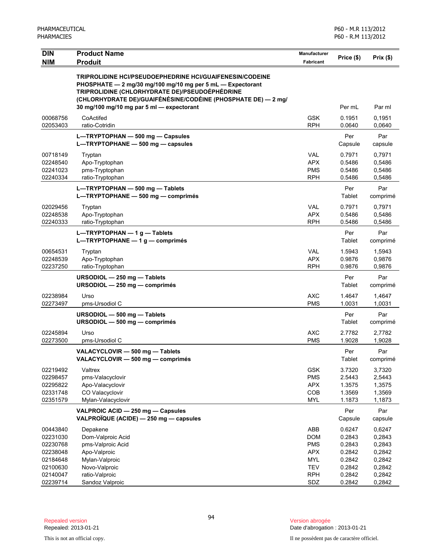| <b>NIM</b><br><b>Produit</b><br><b>Fabricant</b><br><b>TRIPROLIDINE HCI/PSEUDOEPHEDRINE HCI/GUAIFENESIN/CODEINE</b><br>PHOSPHATE - 2 mg/30 mg/100 mg/10 mg per 5 mL - Expectorant<br>TRIPROLIDINE (CHLORHYDRATE DE)/PSEUDOÉPHÉDRINE<br>(CHLORHYDRATE DE)/GUAIFÉNÉSINE/CODÉINE (PHOSPHATE DE) — 2 mg/<br>30 mg/100 mg/10 mg par 5 ml - expectorant<br>Per mL<br>Par ml<br>00068756<br>CoActifed<br><b>GSK</b><br>0.1951<br>0,1951<br><b>RPH</b><br>0,0640<br>02053403<br>ratio-Cotridin<br>0.0640<br>Par<br>Per<br>L-TRYPTOPHAN - 500 mg - Capsules<br>$L = TRYPTOPHANE - 500 mg - capsules$<br>Capsule<br>capsule<br>00718149<br><b>VAL</b><br>0,7971<br>0.7971<br>Tryptan<br>Apo-Tryptophan<br><b>APX</b><br>0.5486<br>0,5486<br>02248540<br>02241023<br>pms-Tryptophan<br><b>PMS</b><br>0.5486<br>0,5486<br>02240334<br><b>RPH</b><br>ratio-Tryptophan<br>0.5486<br>0,5486<br>L-TRYPTOPHAN - 500 mg - Tablets<br>Per<br>Par<br>L-TRYPTOPHANE - 500 mg - comprimés<br>Tablet<br>comprimé<br><b>VAL</b><br>02029456<br>0.7971<br>0.7971<br>Tryptan<br><b>APX</b><br>02248538<br>Apo-Tryptophan<br>0.5486<br>0,5486<br><b>RPH</b><br>0.5486<br>0,5486<br>02240333<br>ratio-Tryptophan<br>Par<br>L-TRYPTOPHAN $-1$ g - Tablets<br>Per<br>L-TRYPTOPHANE $-1$ q $-$ comprimés<br>Tablet<br>comprimé<br>00654531<br><b>VAL</b><br>1.5943<br>Tryptan<br>1,5943<br><b>APX</b><br>02248539<br>Apo-Tryptophan<br>0.9876<br>0,9876<br>02237250<br><b>RPH</b><br>ratio-Tryptophan<br>0.9876<br>0,9876<br>Par<br>URSODIOL - 250 mg - Tablets<br>Per<br>URSODIOL $-$ 250 mg $-$ comprimés<br>Tablet<br>comprimé<br>02238984<br><b>AXC</b><br>1.4647<br>Urso<br>1,4647<br>02273497<br><b>PMS</b><br>1.0031<br>1,0031<br>pms-Ursodiol C<br>Per<br>Par<br>URSODIOL - 500 mg - Tablets<br>URSODIOL - 500 mg - comprimés<br>Tablet<br>comprimé<br>02245894<br><b>AXC</b><br>Urso<br>2.7782<br>2,7782<br>02273500<br><b>PMS</b><br>1.9028<br>pms-Ursodiol C<br>1,9028<br>VALACYCLOVIR - 500 mg - Tablets<br>Per<br>Par<br>VALACYCLOVIR - 500 mg - comprimés<br>Tablet<br>comprimé<br><b>GSK</b><br>02219492<br>Valtrex<br>3.7320<br>3,7320<br>02298457<br>pms-Valacyclovir<br><b>PMS</b><br>2.5443<br>2,5443<br><b>APX</b><br>02295822<br>Apo-Valacyclovir<br>1.3575<br>1,3575<br>COB<br>02331748<br>CO Valacyclovir<br>1.3569<br>1,3569<br>02351579<br>Mylan-Valacyclovir<br><b>MYL</b><br>1.1873<br>1,1873<br>VALPROIC ACID - 250 mg - Capsules<br>Par<br>Per<br>VALPROÏQUE (ACIDE) - 250 mg - capsules<br>Capsule<br>capsule<br>00443840<br>Depakene<br>ABB<br>0.6247<br>0,6247<br>02231030<br>Dom-Valproic Acid<br><b>DOM</b><br>0.2843<br>0,2843<br>02230768<br>pms-Valproic Acid<br><b>PMS</b><br>0.2843<br>0,2843<br>02238048<br>Apo-Valproic<br><b>APX</b><br>0.2842<br>0,2842<br>02184648<br>Mylan-Valproic<br><b>MYL</b><br>0.2842<br>0,2842<br><b>TEV</b><br>02100630<br>Novo-Valproic<br>0.2842<br>0,2842<br>02140047<br>ratio-Valproic<br><b>RPH</b><br>0.2842<br>0,2842<br>02239714<br>Sandoz Valproic<br>SDZ<br>0.2842<br>0,2842 | <b>DIN</b> | <b>Product Name</b> | <b>Manufacturer</b> | Price (\$) |          |
|------------------------------------------------------------------------------------------------------------------------------------------------------------------------------------------------------------------------------------------------------------------------------------------------------------------------------------------------------------------------------------------------------------------------------------------------------------------------------------------------------------------------------------------------------------------------------------------------------------------------------------------------------------------------------------------------------------------------------------------------------------------------------------------------------------------------------------------------------------------------------------------------------------------------------------------------------------------------------------------------------------------------------------------------------------------------------------------------------------------------------------------------------------------------------------------------------------------------------------------------------------------------------------------------------------------------------------------------------------------------------------------------------------------------------------------------------------------------------------------------------------------------------------------------------------------------------------------------------------------------------------------------------------------------------------------------------------------------------------------------------------------------------------------------------------------------------------------------------------------------------------------------------------------------------------------------------------------------------------------------------------------------------------------------------------------------------------------------------------------------------------------------------------------------------------------------------------------------------------------------------------------------------------------------------------------------------------------------------------------------------------------------------------------------------------------------------------------------------------------------------------------------------------------------------------------------------------------------------------------------------------------------------------------------------------------------------------------------------------------------------------------------------------------------------------------------------------------------------------------------------------------------------------------------------------------------------------------------------------------------------------------------------|------------|---------------------|---------------------|------------|----------|
|                                                                                                                                                                                                                                                                                                                                                                                                                                                                                                                                                                                                                                                                                                                                                                                                                                                                                                                                                                                                                                                                                                                                                                                                                                                                                                                                                                                                                                                                                                                                                                                                                                                                                                                                                                                                                                                                                                                                                                                                                                                                                                                                                                                                                                                                                                                                                                                                                                                                                                                                                                                                                                                                                                                                                                                                                                                                                                                                                                                                                              |            |                     |                     |            | Prix(\$) |
|                                                                                                                                                                                                                                                                                                                                                                                                                                                                                                                                                                                                                                                                                                                                                                                                                                                                                                                                                                                                                                                                                                                                                                                                                                                                                                                                                                                                                                                                                                                                                                                                                                                                                                                                                                                                                                                                                                                                                                                                                                                                                                                                                                                                                                                                                                                                                                                                                                                                                                                                                                                                                                                                                                                                                                                                                                                                                                                                                                                                                              |            |                     |                     |            |          |
|                                                                                                                                                                                                                                                                                                                                                                                                                                                                                                                                                                                                                                                                                                                                                                                                                                                                                                                                                                                                                                                                                                                                                                                                                                                                                                                                                                                                                                                                                                                                                                                                                                                                                                                                                                                                                                                                                                                                                                                                                                                                                                                                                                                                                                                                                                                                                                                                                                                                                                                                                                                                                                                                                                                                                                                                                                                                                                                                                                                                                              |            |                     |                     |            |          |
|                                                                                                                                                                                                                                                                                                                                                                                                                                                                                                                                                                                                                                                                                                                                                                                                                                                                                                                                                                                                                                                                                                                                                                                                                                                                                                                                                                                                                                                                                                                                                                                                                                                                                                                                                                                                                                                                                                                                                                                                                                                                                                                                                                                                                                                                                                                                                                                                                                                                                                                                                                                                                                                                                                                                                                                                                                                                                                                                                                                                                              |            |                     |                     |            |          |
|                                                                                                                                                                                                                                                                                                                                                                                                                                                                                                                                                                                                                                                                                                                                                                                                                                                                                                                                                                                                                                                                                                                                                                                                                                                                                                                                                                                                                                                                                                                                                                                                                                                                                                                                                                                                                                                                                                                                                                                                                                                                                                                                                                                                                                                                                                                                                                                                                                                                                                                                                                                                                                                                                                                                                                                                                                                                                                                                                                                                                              |            |                     |                     |            |          |
|                                                                                                                                                                                                                                                                                                                                                                                                                                                                                                                                                                                                                                                                                                                                                                                                                                                                                                                                                                                                                                                                                                                                                                                                                                                                                                                                                                                                                                                                                                                                                                                                                                                                                                                                                                                                                                                                                                                                                                                                                                                                                                                                                                                                                                                                                                                                                                                                                                                                                                                                                                                                                                                                                                                                                                                                                                                                                                                                                                                                                              |            |                     |                     |            |          |
|                                                                                                                                                                                                                                                                                                                                                                                                                                                                                                                                                                                                                                                                                                                                                                                                                                                                                                                                                                                                                                                                                                                                                                                                                                                                                                                                                                                                                                                                                                                                                                                                                                                                                                                                                                                                                                                                                                                                                                                                                                                                                                                                                                                                                                                                                                                                                                                                                                                                                                                                                                                                                                                                                                                                                                                                                                                                                                                                                                                                                              |            |                     |                     |            |          |
|                                                                                                                                                                                                                                                                                                                                                                                                                                                                                                                                                                                                                                                                                                                                                                                                                                                                                                                                                                                                                                                                                                                                                                                                                                                                                                                                                                                                                                                                                                                                                                                                                                                                                                                                                                                                                                                                                                                                                                                                                                                                                                                                                                                                                                                                                                                                                                                                                                                                                                                                                                                                                                                                                                                                                                                                                                                                                                                                                                                                                              |            |                     |                     |            |          |
|                                                                                                                                                                                                                                                                                                                                                                                                                                                                                                                                                                                                                                                                                                                                                                                                                                                                                                                                                                                                                                                                                                                                                                                                                                                                                                                                                                                                                                                                                                                                                                                                                                                                                                                                                                                                                                                                                                                                                                                                                                                                                                                                                                                                                                                                                                                                                                                                                                                                                                                                                                                                                                                                                                                                                                                                                                                                                                                                                                                                                              |            |                     |                     |            |          |
|                                                                                                                                                                                                                                                                                                                                                                                                                                                                                                                                                                                                                                                                                                                                                                                                                                                                                                                                                                                                                                                                                                                                                                                                                                                                                                                                                                                                                                                                                                                                                                                                                                                                                                                                                                                                                                                                                                                                                                                                                                                                                                                                                                                                                                                                                                                                                                                                                                                                                                                                                                                                                                                                                                                                                                                                                                                                                                                                                                                                                              |            |                     |                     |            |          |
|                                                                                                                                                                                                                                                                                                                                                                                                                                                                                                                                                                                                                                                                                                                                                                                                                                                                                                                                                                                                                                                                                                                                                                                                                                                                                                                                                                                                                                                                                                                                                                                                                                                                                                                                                                                                                                                                                                                                                                                                                                                                                                                                                                                                                                                                                                                                                                                                                                                                                                                                                                                                                                                                                                                                                                                                                                                                                                                                                                                                                              |            |                     |                     |            |          |
|                                                                                                                                                                                                                                                                                                                                                                                                                                                                                                                                                                                                                                                                                                                                                                                                                                                                                                                                                                                                                                                                                                                                                                                                                                                                                                                                                                                                                                                                                                                                                                                                                                                                                                                                                                                                                                                                                                                                                                                                                                                                                                                                                                                                                                                                                                                                                                                                                                                                                                                                                                                                                                                                                                                                                                                                                                                                                                                                                                                                                              |            |                     |                     |            |          |
|                                                                                                                                                                                                                                                                                                                                                                                                                                                                                                                                                                                                                                                                                                                                                                                                                                                                                                                                                                                                                                                                                                                                                                                                                                                                                                                                                                                                                                                                                                                                                                                                                                                                                                                                                                                                                                                                                                                                                                                                                                                                                                                                                                                                                                                                                                                                                                                                                                                                                                                                                                                                                                                                                                                                                                                                                                                                                                                                                                                                                              |            |                     |                     |            |          |
|                                                                                                                                                                                                                                                                                                                                                                                                                                                                                                                                                                                                                                                                                                                                                                                                                                                                                                                                                                                                                                                                                                                                                                                                                                                                                                                                                                                                                                                                                                                                                                                                                                                                                                                                                                                                                                                                                                                                                                                                                                                                                                                                                                                                                                                                                                                                                                                                                                                                                                                                                                                                                                                                                                                                                                                                                                                                                                                                                                                                                              |            |                     |                     |            |          |
|                                                                                                                                                                                                                                                                                                                                                                                                                                                                                                                                                                                                                                                                                                                                                                                                                                                                                                                                                                                                                                                                                                                                                                                                                                                                                                                                                                                                                                                                                                                                                                                                                                                                                                                                                                                                                                                                                                                                                                                                                                                                                                                                                                                                                                                                                                                                                                                                                                                                                                                                                                                                                                                                                                                                                                                                                                                                                                                                                                                                                              |            |                     |                     |            |          |
|                                                                                                                                                                                                                                                                                                                                                                                                                                                                                                                                                                                                                                                                                                                                                                                                                                                                                                                                                                                                                                                                                                                                                                                                                                                                                                                                                                                                                                                                                                                                                                                                                                                                                                                                                                                                                                                                                                                                                                                                                                                                                                                                                                                                                                                                                                                                                                                                                                                                                                                                                                                                                                                                                                                                                                                                                                                                                                                                                                                                                              |            |                     |                     |            |          |
|                                                                                                                                                                                                                                                                                                                                                                                                                                                                                                                                                                                                                                                                                                                                                                                                                                                                                                                                                                                                                                                                                                                                                                                                                                                                                                                                                                                                                                                                                                                                                                                                                                                                                                                                                                                                                                                                                                                                                                                                                                                                                                                                                                                                                                                                                                                                                                                                                                                                                                                                                                                                                                                                                                                                                                                                                                                                                                                                                                                                                              |            |                     |                     |            |          |
|                                                                                                                                                                                                                                                                                                                                                                                                                                                                                                                                                                                                                                                                                                                                                                                                                                                                                                                                                                                                                                                                                                                                                                                                                                                                                                                                                                                                                                                                                                                                                                                                                                                                                                                                                                                                                                                                                                                                                                                                                                                                                                                                                                                                                                                                                                                                                                                                                                                                                                                                                                                                                                                                                                                                                                                                                                                                                                                                                                                                                              |            |                     |                     |            |          |
|                                                                                                                                                                                                                                                                                                                                                                                                                                                                                                                                                                                                                                                                                                                                                                                                                                                                                                                                                                                                                                                                                                                                                                                                                                                                                                                                                                                                                                                                                                                                                                                                                                                                                                                                                                                                                                                                                                                                                                                                                                                                                                                                                                                                                                                                                                                                                                                                                                                                                                                                                                                                                                                                                                                                                                                                                                                                                                                                                                                                                              |            |                     |                     |            |          |
|                                                                                                                                                                                                                                                                                                                                                                                                                                                                                                                                                                                                                                                                                                                                                                                                                                                                                                                                                                                                                                                                                                                                                                                                                                                                                                                                                                                                                                                                                                                                                                                                                                                                                                                                                                                                                                                                                                                                                                                                                                                                                                                                                                                                                                                                                                                                                                                                                                                                                                                                                                                                                                                                                                                                                                                                                                                                                                                                                                                                                              |            |                     |                     |            |          |
|                                                                                                                                                                                                                                                                                                                                                                                                                                                                                                                                                                                                                                                                                                                                                                                                                                                                                                                                                                                                                                                                                                                                                                                                                                                                                                                                                                                                                                                                                                                                                                                                                                                                                                                                                                                                                                                                                                                                                                                                                                                                                                                                                                                                                                                                                                                                                                                                                                                                                                                                                                                                                                                                                                                                                                                                                                                                                                                                                                                                                              |            |                     |                     |            |          |
|                                                                                                                                                                                                                                                                                                                                                                                                                                                                                                                                                                                                                                                                                                                                                                                                                                                                                                                                                                                                                                                                                                                                                                                                                                                                                                                                                                                                                                                                                                                                                                                                                                                                                                                                                                                                                                                                                                                                                                                                                                                                                                                                                                                                                                                                                                                                                                                                                                                                                                                                                                                                                                                                                                                                                                                                                                                                                                                                                                                                                              |            |                     |                     |            |          |
|                                                                                                                                                                                                                                                                                                                                                                                                                                                                                                                                                                                                                                                                                                                                                                                                                                                                                                                                                                                                                                                                                                                                                                                                                                                                                                                                                                                                                                                                                                                                                                                                                                                                                                                                                                                                                                                                                                                                                                                                                                                                                                                                                                                                                                                                                                                                                                                                                                                                                                                                                                                                                                                                                                                                                                                                                                                                                                                                                                                                                              |            |                     |                     |            |          |
|                                                                                                                                                                                                                                                                                                                                                                                                                                                                                                                                                                                                                                                                                                                                                                                                                                                                                                                                                                                                                                                                                                                                                                                                                                                                                                                                                                                                                                                                                                                                                                                                                                                                                                                                                                                                                                                                                                                                                                                                                                                                                                                                                                                                                                                                                                                                                                                                                                                                                                                                                                                                                                                                                                                                                                                                                                                                                                                                                                                                                              |            |                     |                     |            |          |
|                                                                                                                                                                                                                                                                                                                                                                                                                                                                                                                                                                                                                                                                                                                                                                                                                                                                                                                                                                                                                                                                                                                                                                                                                                                                                                                                                                                                                                                                                                                                                                                                                                                                                                                                                                                                                                                                                                                                                                                                                                                                                                                                                                                                                                                                                                                                                                                                                                                                                                                                                                                                                                                                                                                                                                                                                                                                                                                                                                                                                              |            |                     |                     |            |          |
|                                                                                                                                                                                                                                                                                                                                                                                                                                                                                                                                                                                                                                                                                                                                                                                                                                                                                                                                                                                                                                                                                                                                                                                                                                                                                                                                                                                                                                                                                                                                                                                                                                                                                                                                                                                                                                                                                                                                                                                                                                                                                                                                                                                                                                                                                                                                                                                                                                                                                                                                                                                                                                                                                                                                                                                                                                                                                                                                                                                                                              |            |                     |                     |            |          |
|                                                                                                                                                                                                                                                                                                                                                                                                                                                                                                                                                                                                                                                                                                                                                                                                                                                                                                                                                                                                                                                                                                                                                                                                                                                                                                                                                                                                                                                                                                                                                                                                                                                                                                                                                                                                                                                                                                                                                                                                                                                                                                                                                                                                                                                                                                                                                                                                                                                                                                                                                                                                                                                                                                                                                                                                                                                                                                                                                                                                                              |            |                     |                     |            |          |
|                                                                                                                                                                                                                                                                                                                                                                                                                                                                                                                                                                                                                                                                                                                                                                                                                                                                                                                                                                                                                                                                                                                                                                                                                                                                                                                                                                                                                                                                                                                                                                                                                                                                                                                                                                                                                                                                                                                                                                                                                                                                                                                                                                                                                                                                                                                                                                                                                                                                                                                                                                                                                                                                                                                                                                                                                                                                                                                                                                                                                              |            |                     |                     |            |          |
|                                                                                                                                                                                                                                                                                                                                                                                                                                                                                                                                                                                                                                                                                                                                                                                                                                                                                                                                                                                                                                                                                                                                                                                                                                                                                                                                                                                                                                                                                                                                                                                                                                                                                                                                                                                                                                                                                                                                                                                                                                                                                                                                                                                                                                                                                                                                                                                                                                                                                                                                                                                                                                                                                                                                                                                                                                                                                                                                                                                                                              |            |                     |                     |            |          |
|                                                                                                                                                                                                                                                                                                                                                                                                                                                                                                                                                                                                                                                                                                                                                                                                                                                                                                                                                                                                                                                                                                                                                                                                                                                                                                                                                                                                                                                                                                                                                                                                                                                                                                                                                                                                                                                                                                                                                                                                                                                                                                                                                                                                                                                                                                                                                                                                                                                                                                                                                                                                                                                                                                                                                                                                                                                                                                                                                                                                                              |            |                     |                     |            |          |
|                                                                                                                                                                                                                                                                                                                                                                                                                                                                                                                                                                                                                                                                                                                                                                                                                                                                                                                                                                                                                                                                                                                                                                                                                                                                                                                                                                                                                                                                                                                                                                                                                                                                                                                                                                                                                                                                                                                                                                                                                                                                                                                                                                                                                                                                                                                                                                                                                                                                                                                                                                                                                                                                                                                                                                                                                                                                                                                                                                                                                              |            |                     |                     |            |          |
|                                                                                                                                                                                                                                                                                                                                                                                                                                                                                                                                                                                                                                                                                                                                                                                                                                                                                                                                                                                                                                                                                                                                                                                                                                                                                                                                                                                                                                                                                                                                                                                                                                                                                                                                                                                                                                                                                                                                                                                                                                                                                                                                                                                                                                                                                                                                                                                                                                                                                                                                                                                                                                                                                                                                                                                                                                                                                                                                                                                                                              |            |                     |                     |            |          |
|                                                                                                                                                                                                                                                                                                                                                                                                                                                                                                                                                                                                                                                                                                                                                                                                                                                                                                                                                                                                                                                                                                                                                                                                                                                                                                                                                                                                                                                                                                                                                                                                                                                                                                                                                                                                                                                                                                                                                                                                                                                                                                                                                                                                                                                                                                                                                                                                                                                                                                                                                                                                                                                                                                                                                                                                                                                                                                                                                                                                                              |            |                     |                     |            |          |
|                                                                                                                                                                                                                                                                                                                                                                                                                                                                                                                                                                                                                                                                                                                                                                                                                                                                                                                                                                                                                                                                                                                                                                                                                                                                                                                                                                                                                                                                                                                                                                                                                                                                                                                                                                                                                                                                                                                                                                                                                                                                                                                                                                                                                                                                                                                                                                                                                                                                                                                                                                                                                                                                                                                                                                                                                                                                                                                                                                                                                              |            |                     |                     |            |          |
|                                                                                                                                                                                                                                                                                                                                                                                                                                                                                                                                                                                                                                                                                                                                                                                                                                                                                                                                                                                                                                                                                                                                                                                                                                                                                                                                                                                                                                                                                                                                                                                                                                                                                                                                                                                                                                                                                                                                                                                                                                                                                                                                                                                                                                                                                                                                                                                                                                                                                                                                                                                                                                                                                                                                                                                                                                                                                                                                                                                                                              |            |                     |                     |            |          |
|                                                                                                                                                                                                                                                                                                                                                                                                                                                                                                                                                                                                                                                                                                                                                                                                                                                                                                                                                                                                                                                                                                                                                                                                                                                                                                                                                                                                                                                                                                                                                                                                                                                                                                                                                                                                                                                                                                                                                                                                                                                                                                                                                                                                                                                                                                                                                                                                                                                                                                                                                                                                                                                                                                                                                                                                                                                                                                                                                                                                                              |            |                     |                     |            |          |
|                                                                                                                                                                                                                                                                                                                                                                                                                                                                                                                                                                                                                                                                                                                                                                                                                                                                                                                                                                                                                                                                                                                                                                                                                                                                                                                                                                                                                                                                                                                                                                                                                                                                                                                                                                                                                                                                                                                                                                                                                                                                                                                                                                                                                                                                                                                                                                                                                                                                                                                                                                                                                                                                                                                                                                                                                                                                                                                                                                                                                              |            |                     |                     |            |          |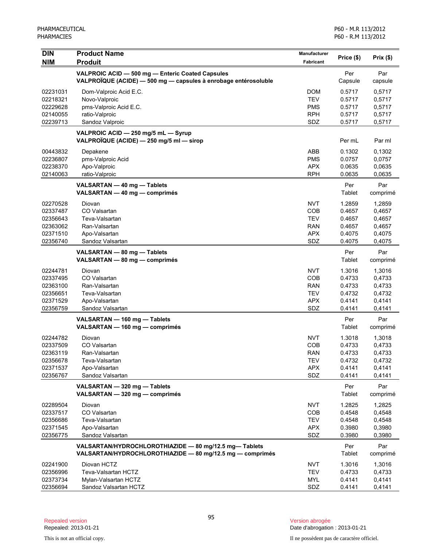| <b>DIN</b><br><b>NIM</b>                     | <b>Product Name</b><br><b>Produit</b>                                                                               | Manufacturer<br><b>Fabricant</b>                     | Price (\$)                           | Prix(\$)                             |
|----------------------------------------------|---------------------------------------------------------------------------------------------------------------------|------------------------------------------------------|--------------------------------------|--------------------------------------|
|                                              | VALPROIC ACID - 500 mg - Enteric Coated Capsules<br>VALPROÏQUE (ACIDE) - 500 mg - capsules à enrobage entérosoluble |                                                      | Per<br>Capsule                       | Par<br>capsule                       |
| 02231031<br>02218321<br>02229628<br>02140055 | Dom-Valproic Acid E.C.<br>Novo-Valproic<br>pms-Valproic Acid E.C.<br>ratio-Valproic                                 | <b>DOM</b><br><b>TEV</b><br><b>PMS</b><br><b>RPH</b> | 0.5717<br>0.5717<br>0.5717<br>0.5717 | 0,5717<br>0,5717<br>0,5717<br>0,5717 |
| 02239713                                     | Sandoz Valproic                                                                                                     | SDZ                                                  | 0.5717                               | 0,5717                               |
|                                              | VALPROIC ACID - 250 mg/5 mL - Syrup<br>VALPROÏQUE (ACIDE) - 250 mg/5 ml - sirop                                     |                                                      | Per mL                               | Par ml                               |
| 00443832                                     | Depakene                                                                                                            | ABB                                                  | 0.1302                               | 0,1302                               |
| 02236807<br>02238370                         | pms-Valproic Acid<br>Apo-Valproic                                                                                   | <b>PMS</b><br><b>APX</b>                             | 0.0757<br>0.0635                     | 0,0757<br>0,0635                     |
| 02140063                                     | ratio-Valproic                                                                                                      | <b>RPH</b>                                           | 0.0635                               | 0,0635                               |
|                                              | VALSARTAN - 40 mg - Tablets<br>VALSARTAN - 40 mg - comprimés                                                        |                                                      | Per<br>Tablet                        | Par<br>comprimé                      |
| 02270528                                     | Diovan                                                                                                              | <b>NVT</b>                                           | 1.2859                               | 1,2859                               |
| 02337487                                     | CO Valsartan                                                                                                        | COB                                                  | 0.4657                               | 0,4657                               |
| 02356643<br>02363062                         | Teva-Valsartan<br>Ran-Valsartan                                                                                     | <b>TEV</b><br><b>RAN</b>                             | 0.4657<br>0.4657                     | 0,4657<br>0,4657                     |
| 02371510                                     | Apo-Valsartan                                                                                                       | <b>APX</b>                                           | 0.4075                               | 0,4075                               |
| 02356740                                     | Sandoz Valsartan                                                                                                    | SDZ                                                  | 0.4075                               | 0,4075                               |
|                                              | VALSARTAN - 80 mg - Tablets<br>VALSARTAN - 80 mg - comprimés                                                        |                                                      | Per<br>Tablet                        | Par<br>comprimé                      |
| 02244781                                     | Diovan                                                                                                              | <b>NVT</b>                                           | 1.3016                               | 1,3016                               |
| 02337495                                     | CO Valsartan                                                                                                        | COB                                                  | 0.4733                               | 0,4733                               |
| 02363100                                     | Ran-Valsartan                                                                                                       | <b>RAN</b>                                           | 0.4733                               | 0,4733                               |
| 02356651                                     | Teva-Valsartan                                                                                                      | <b>TEV</b>                                           | 0.4732                               | 0,4732                               |
| 02371529<br>02356759                         | Apo-Valsartan<br>Sandoz Valsartan                                                                                   | <b>APX</b><br>SDZ                                    | 0.4141<br>0.4141                     | 0,4141<br>0,4141                     |
|                                              | VALSARTAN - 160 mg - Tablets                                                                                        |                                                      | Per                                  | Par                                  |
|                                              | VALSARTAN - 160 mg - comprimés                                                                                      |                                                      | Tablet                               | comprimé                             |
| 02244782                                     | Diovan                                                                                                              | <b>NVT</b>                                           | 1.3018                               | 1,3018                               |
| 02337509                                     | CO Valsartan                                                                                                        | COB                                                  | 0.4733                               | 0,4733                               |
| 02363119                                     | Ran-Valsartan                                                                                                       | <b>RAN</b>                                           | 0.4733                               | 0,4733                               |
| 02356678                                     | Teva-Valsartan                                                                                                      | <b>TEV</b>                                           | 0.4732<br>0.4141                     | 0,4732                               |
| 02371537<br>02356767                         | Apo-Valsartan<br>Sandoz Valsartan                                                                                   | <b>APX</b><br>SDZ                                    | 0.4141                               | 0,4141<br>0,4141                     |
|                                              | VALSARTAN - 320 mg - Tablets<br>VALSARTAN - 320 mg - comprimés                                                      |                                                      | Per<br>Tablet                        | Par<br>comprimé                      |
| 02289504                                     | Diovan                                                                                                              | <b>NVT</b>                                           | 1.2825                               | 1,2825                               |
| 02337517                                     | CO Valsartan                                                                                                        | COB                                                  | 0.4548                               | 0,4548                               |
| 02356686                                     | Teva-Valsartan                                                                                                      | TEV                                                  | 0.4548                               | 0,4548                               |
| 02371545                                     | Apo-Valsartan                                                                                                       | <b>APX</b>                                           | 0.3980                               | 0,3980                               |
| 02356775                                     | Sandoz Valsartan                                                                                                    | SDZ                                                  | 0.3980                               | 0,3980                               |
|                                              | VALSARTAN/HYDROCHLOROTHIAZIDE - 80 mg/12.5 mg-Tablets<br>VALSARTAN/HYDROCHLOROTHIAZIDE - 80 mg/12.5 mg - comprimés  |                                                      | Per<br>Tablet                        | Par<br>comprimé                      |
| 02241900                                     | Diovan HCTZ                                                                                                         | <b>NVT</b>                                           | 1.3016                               | 1,3016                               |
| 02356996                                     | Teva-Valsartan HCTZ                                                                                                 | <b>TEV</b>                                           | 0.4733                               | 0,4733                               |
| 02373734<br>02356694                         | Mylan-Valsartan HCTZ<br>Sandoz Valsartan HCTZ                                                                       | <b>MYL</b><br>SDZ                                    | 0.4141<br>0.4141                     | 0,4141<br>0,4141                     |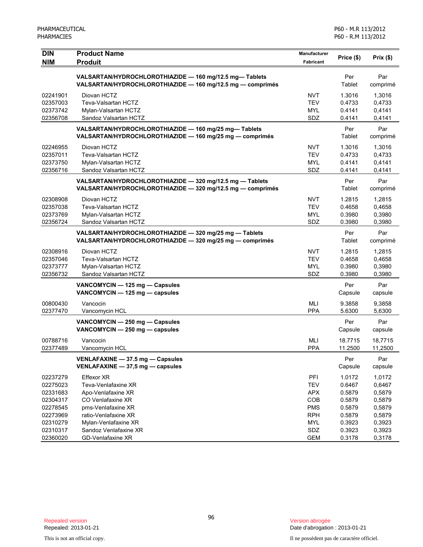| <b>DIN</b>           | <b>Product Name</b>                                                                                              | Manufacturer      | Price (\$)       | Prix(\$)         |
|----------------------|------------------------------------------------------------------------------------------------------------------|-------------------|------------------|------------------|
| <b>NIM</b>           | <b>Produit</b>                                                                                                   | <b>Fabricant</b>  |                  |                  |
|                      | VALSARTAN/HYDROCHLOROTHIAZIDE - 160 mg/12.5 mg-Tablets                                                           |                   | Per              | Par              |
|                      | VALSARTAN/HYDROCHLOROTHIAZIDE - 160 mg/12.5 mg - comprimés                                                       |                   | Tablet           | comprimé         |
| 02241901             | Diovan HCTZ                                                                                                      | <b>NVT</b>        | 1.3016           | 1,3016           |
| 02357003             | Teva-Valsartan HCTZ                                                                                              | <b>TEV</b>        | 0.4733           | 0,4733           |
| 02373742             | Mylan-Valsartan HCTZ                                                                                             | <b>MYL</b>        | 0.4141           | 0,4141           |
| 02356708             | Sandoz Valsartan HCTZ                                                                                            | SDZ               | 0.4141           | 0,4141           |
|                      |                                                                                                                  |                   | Per              | Par              |
|                      | VALSARTAN/HYDROCHLOROTHIAZIDE - 160 mg/25 mg-Tablets<br>VALSARTAN/HYDROCHLOROTHIAZIDE - 160 mg/25 mg - comprimés |                   | Tablet           | comprimé         |
|                      |                                                                                                                  |                   |                  |                  |
| 02246955             | Diovan HCTZ                                                                                                      | <b>NVT</b>        | 1.3016           | 1,3016           |
| 02357011             | Teva-Valsartan HCTZ                                                                                              | <b>TEV</b>        | 0.4733           | 0,4733           |
| 02373750             | Mylan-Valsartan HCTZ                                                                                             | <b>MYL</b>        | 0.4141           | 0,4141           |
| 02356716             | Sandoz Valsartan HCTZ                                                                                            | SDZ               | 0.4141           | 0,4141           |
|                      | VALSARTAN/HYDROCHLOROTHIAZIDE - 320 mg/12.5 mg - Tablets                                                         |                   | Per              | Par              |
|                      | VALSARTAN/HYDROCHLOROTHIAZIDE - 320 mg/12.5 mg - comprimés                                                       |                   | Tablet           | comprimé         |
| 02308908             | Diovan HCTZ                                                                                                      | <b>NVT</b>        | 1.2815           | 1.2815           |
| 02357038             | Teva-Valsartan HCTZ                                                                                              | <b>TEV</b>        | 0.4658           | 0,4658           |
| 02373769             | Mylan-Valsartan HCTZ                                                                                             | <b>MYL</b>        | 0.3980           | 0,3980           |
| 02356724             | Sandoz Valsartan HCTZ                                                                                            | SDZ               | 0.3980           | 0,3980           |
|                      | VALSARTAN/HYDROCHLOROTHIAZIDE - 320 mg/25 mg - Tablets                                                           |                   | Per              | Par              |
|                      | VALSARTAN/HYDROCHLOROTHIAZIDE - 320 mg/25 mg - comprimés                                                         |                   | Tablet           | comprimé         |
| 02308916             | Diovan HCTZ                                                                                                      | <b>NVT</b>        | 1.2815           | 1,2815           |
| 02357046             | Teva-Valsartan HCTZ                                                                                              | <b>TEV</b>        | 0.4658           | 0,4658           |
| 02373777             | Mylan-Valsartan HCTZ                                                                                             | <b>MYL</b>        | 0.3980           | 0,3980           |
| 02356732             | Sandoz Valsartan HCTZ                                                                                            | SDZ               | 0.3980           | 0,3980           |
|                      | VANCOMYCIN - 125 mg - Capsules                                                                                   |                   | Per              | Par              |
|                      | VANCOMYCIN - 125 mg - capsules                                                                                   |                   | Capsule          | capsule          |
|                      |                                                                                                                  |                   |                  |                  |
| 00800430<br>02377470 | Vancocin<br>Vancomycin HCL                                                                                       | MLI<br><b>PPA</b> | 9.3858<br>5.6300 | 9,3858<br>5,6300 |
|                      |                                                                                                                  |                   |                  |                  |
|                      | VANCOMYCIN - 250 mg - Capsules                                                                                   |                   | Per              | Par              |
|                      | VANCOMYCIN - 250 mg - capsules                                                                                   |                   | Capsule          | capsule          |
| 00788716             | Vancocin                                                                                                         | <b>MLI</b>        | 18.7715          | 18,7715          |
| 02377489             | Vancomycin HCL                                                                                                   | <b>PPA</b>        | 11.2500          | 11,2500          |
|                      | VENLAFAXINE - 37.5 mg - Capsules                                                                                 |                   | Per              | Par              |
|                      | VENLAFAXINE - 37,5 mg - capsules                                                                                 |                   | Capsule          | capsule          |
| 02237279             | Effexor XR                                                                                                       | PFI               | 1.0172           | 1,0172           |
| 02275023             | Teva-Venlafaxine XR                                                                                              | <b>TEV</b>        | 0.6467           | 0,6467           |
| 02331683             | Apo-Venlafaxine XR                                                                                               | <b>APX</b>        | 0.5879           | 0,5879           |
| 02304317             | CO Venlafaxine XR                                                                                                | COB               | 0.5879           | 0,5879           |
| 02278545             | pms-Venlafaxine XR                                                                                               | <b>PMS</b>        | 0.5879           | 0,5879           |
| 02273969             | ratio-Venlafaxine XR                                                                                             | <b>RPH</b>        | 0.5879           | 0,5879           |
| 02310279             | Mylan-Venlafaxine XR                                                                                             | <b>MYL</b>        | 0.3923           | 0,3923           |
| 02310317             | Sandoz Venlafaxine XR                                                                                            | SDZ               | 0.3923           | 0,3923           |
| 02360020             | GD-Venlafaxine XR                                                                                                | <b>GEM</b>        | 0.3178           | 0,3178           |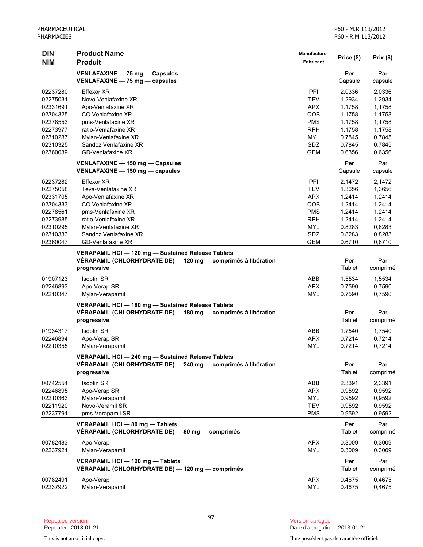| <b>DIN</b>           | <b>Product Name</b>                                                                  | Manufacturer             | Price (\$)       | Prix(\$)         |
|----------------------|--------------------------------------------------------------------------------------|--------------------------|------------------|------------------|
| <b>NIM</b>           | <b>Produit</b>                                                                       | <b>Fabricant</b>         |                  |                  |
|                      | VENLAFAXINE - 75 mg - Capsules                                                       |                          | Per              | Par              |
|                      | VENLAFAXINE - 75 mg - capsules                                                       |                          | Capsule          | capsule          |
| 02237280             | Effexor XR                                                                           | <b>PFI</b>               | 2.0336           | 2,0336           |
| 02275031             | Novo-Venlafaxine XR                                                                  | <b>TEV</b>               | 1.2934           | 1,2934           |
| 02331691             | Apo-Venlafaxine XR                                                                   | <b>APX</b>               | 1.1758           | 1,1758           |
| 02304325             | CO Venlafaxine XR                                                                    | <b>COB</b>               | 1.1758           | 1,1758           |
| 02278553             | pms-Venlafaxine XR                                                                   | <b>PMS</b>               | 1.1758           | 1,1758           |
| 02273977             | ratio-Venlafaxine XR                                                                 | <b>RPH</b>               | 1.1758           | 1,1758           |
| 02310287             | Mylan-Venlafaxine XR                                                                 | <b>MYL</b>               | 0.7845           | 0,7845           |
| 02310325             | Sandoz Venlafaxine XR                                                                | SDZ                      | 0.7845           | 0,7845           |
| 02360039             | GD-Venlafaxine XR                                                                    | <b>GEM</b>               | 0.6356           | 0,6356           |
|                      | VENLAFAXINE - 150 mg - Capsules                                                      |                          | Per              | Par              |
|                      | VENLAFAXINE - 150 mg - capsules                                                      |                          | Capsule          | capsule          |
| 02237282             | Effexor XR                                                                           | PFI                      | 2.1472           | 2,1472           |
| 02275058             | Teva-Venlafaxine XR                                                                  | <b>TEV</b>               | 1.3656           | 1,3656           |
| 02331705             | Apo-Venlafaxine XR                                                                   | APX.                     | 1.2414           | 1,2414           |
| 02304333             | CO Venlafaxine XR                                                                    | <b>COB</b>               | 1.2414           | 1,2414           |
| 02278561             | pms-Venlafaxine XR                                                                   | <b>PMS</b>               | 1.2414           | 1,2414           |
| 02273985             | ratio-Venlafaxine XR                                                                 | <b>RPH</b>               | 1.2414           | 1,2414           |
| 02310295             | Mylan-Venlafaxine XR                                                                 | <b>MYL</b>               | 0.8283           | 0,8283           |
| 02310333             | Sandoz Venlafaxine XR                                                                | SDZ                      | 0.8283           | 0,8283           |
| 02360047             | <b>GD-Venlafaxine XR</b>                                                             | <b>GEM</b>               | 0.6710           | 0,6710           |
|                      | VERAPAMIL HCI - 120 mg - Sustained Release Tablets                                   |                          |                  |                  |
|                      | VÉRAPAMIL (CHLORHYDRATE DE) — 120 mg — comprimés à libération                        |                          | Per              | Par              |
|                      | progressive                                                                          |                          | Tablet           | comprimé         |
| 01907123             | <b>Isoptin SR</b>                                                                    | ABB                      | 1.5534           | 1,5534           |
| 02246893             | Apo-Verap SR                                                                         | <b>APX</b>               | 0.7590           | 0,7590           |
| 02210347             | Mylan-Verapamil                                                                      | MYL                      | 0.7590           | 0,7590           |
|                      |                                                                                      |                          |                  |                  |
|                      | VERAPAMIL HCI-180 mg-Sustained Release Tablets                                       |                          |                  |                  |
|                      | VERAPAMIL (CHLORHYDRATE DE) - 180 mg - comprimés à libération                        |                          | Per<br>Tablet    | Par              |
|                      | progressive                                                                          |                          |                  | comprimé         |
| 01934317             | <b>Isoptin SR</b>                                                                    | ABB                      | 1.7540           | 1,7540           |
| 02246894             | Apo-Verap SR                                                                         | <b>APX</b>               | 0.7214           | 0,7214           |
| 02210355             | Mylan-Verapamil                                                                      | <b>MYL</b>               | 0.7214           | 0,7214           |
|                      | VERAPAMIL HCI-240 mg-Sustained Release Tablets                                       |                          |                  |                  |
|                      | VÉRAPAMIL (CHLORHYDRATE DE) — 240 mg — comprimés à libération                        |                          | Per              | Par              |
|                      | progressive                                                                          |                          | Tablet           | comprimé         |
| 00742554             | <b>Isoptin SR</b>                                                                    | ABB                      | 2.3391           | 2,3391           |
| 02246895             | Apo-Verap SR                                                                         | <b>APX</b>               | 0.9592           | 0,9592           |
| 02210363             | Mylan-Verapamil                                                                      | <b>MYL</b>               | 0.9592           | 0,9592           |
| 02211920             | Novo-Veramil SR                                                                      | <b>TEV</b>               | 0.9592           | 0,9592           |
| 02237791             | pms-Verapamil SR                                                                     | <b>PMS</b>               | 0.9592           | 0,9592           |
|                      | VERAPAMIL HCI - 80 mg - Tablets                                                      |                          | Per              | Par              |
|                      | VÉRAPAMIL (CHLORHYDRATE DE) — 80 mg — comprimés                                      |                          | Tablet           | comprimé         |
| 00782483             | Apo-Verap                                                                            | <b>APX</b>               | 0.3009           | 0,3009           |
| 02237921             | Mylan-Verapamil                                                                      | <b>MYL</b>               | 0.3009           | 0,3009           |
|                      | VERAPAMIL HCI - 120 mg - Tablets<br>VÉRAPAMIL (CHLORHYDRATE DE) — 120 mg — comprimés |                          | Per<br>Tablet    | Par<br>comprimé  |
|                      |                                                                                      |                          |                  |                  |
| 00782491<br>02237922 | Apo-Verap<br>Mylan-Verapamil                                                         | <b>APX</b><br><b>MYL</b> | 0.4675<br>0.4675 | 0,4675<br>0,4675 |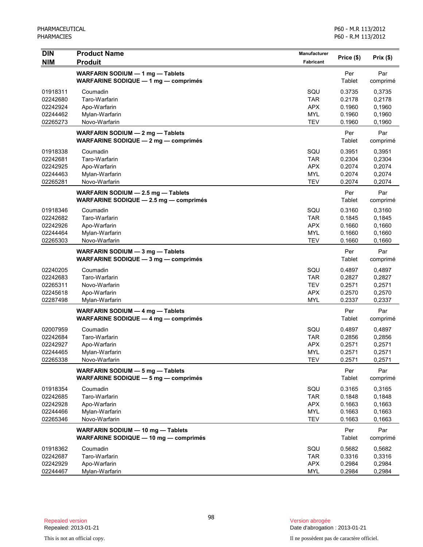| <b>DIN</b> | <b>Product Name</b>                                                          | Manufacturer     |               |                 |
|------------|------------------------------------------------------------------------------|------------------|---------------|-----------------|
| <b>NIM</b> | <b>Produit</b>                                                               | <b>Fabricant</b> | Price (\$)    | Prix(\$)        |
|            | WARFARIN SODIUM - 1 mg - Tablets<br>WARFARINE SODIQUE - 1 mg - comprimés     |                  | Per<br>Tablet | Par<br>comprimé |
| 01918311   | Coumadin                                                                     | SQU              | 0.3735        | 0,3735          |
| 02242680   | Taro-Warfarin                                                                | <b>TAR</b>       | 0.2178        | 0,2178          |
| 02242924   | Apo-Warfarin                                                                 | <b>APX</b>       | 0.1960        | 0,1960          |
| 02244462   | Mylan-Warfarin                                                               | <b>MYL</b>       | 0.1960        | 0,1960          |
| 02265273   | Novo-Warfarin                                                                | <b>TEV</b>       | 0.1960        | 0,1960          |
|            | WARFARIN SODIUM - 2 mg - Tablets<br>WARFARINE SODIQUE - 2 mg - comprimés     |                  | Per<br>Tablet | Par<br>comprimé |
| 01918338   | Coumadin                                                                     | SQU              | 0.3951        | 0,3951          |
| 02242681   | Taro-Warfarin                                                                | <b>TAR</b>       | 0.2304        | 0,2304          |
| 02242925   | Apo-Warfarin                                                                 | <b>APX</b>       | 0.2074        | 0,2074          |
| 02244463   | Mylan-Warfarin                                                               | <b>MYL</b>       | 0.2074        | 0,2074          |
| 02265281   | Novo-Warfarin                                                                | <b>TEV</b>       | 0.2074        | 0,2074          |
|            | WARFARIN SODIUM - 2.5 mg - Tablets<br>WARFARINE SODIQUE - 2.5 mg - comprimés |                  | Per<br>Tablet | Par<br>comprimé |
| 01918346   | Coumadin                                                                     | SQU              | 0.3160        | 0,3160          |
| 02242682   | Taro-Warfarin                                                                | <b>TAR</b>       | 0.1845        | 0,1845          |
| 02242926   | Apo-Warfarin                                                                 | <b>APX</b>       | 0.1660        | 0,1660          |
| 02244464   | Mylan-Warfarin                                                               | <b>MYL</b>       | 0.1660        | 0,1660          |
| 02265303   | Novo-Warfarin                                                                | <b>TEV</b>       | 0.1660        | 0,1660          |
|            | WARFARIN SODIUM - 3 mg - Tablets<br>WARFARINE SODIQUE - 3 mg - comprimés     |                  | Per<br>Tablet | Par<br>comprimé |
| 02240205   | Coumadin                                                                     | SQU              | 0.4897        | 0,4897          |
| 02242683   | Taro-Warfarin                                                                | <b>TAR</b>       | 0.2827        | 0,2827          |
| 02265311   | Novo-Warfarin                                                                | <b>TEV</b>       | 0.2571        | 0,2571          |
| 02245618   | Apo-Warfarin                                                                 | <b>APX</b>       | 0.2570        | 0,2570          |
| 02287498   | Mylan-Warfarin                                                               | <b>MYL</b>       | 0.2337        | 0,2337          |
|            | WARFARIN SODIUM - 4 mg - Tablets<br>WARFARINE SODIQUE - 4 mg - comprimés     |                  | Per<br>Tablet | Par<br>comprimé |
| 02007959   | Coumadin                                                                     | SQU              | 0.4897        | 0,4897          |
| 02242684   | Taro-Warfarin                                                                | <b>TAR</b>       | 0.2856        | 0,2856          |
| 02242927   | Apo-Warfarin                                                                 | <b>APX</b>       | 0.2571        | 0,2571          |
| 02244465   | Mylan-Warfarin                                                               | MYL              | 0.2571        | 0,2571          |
| 02265338   | Novo-Warfarin                                                                | <b>TEV</b>       | 0.2571        | 0,2571          |
|            | WARFARIN SODIUM - 5 mg - Tablets<br>WARFARINE SODIQUE - 5 mg - comprimés     |                  | Per<br>Tablet | Par<br>comprimé |
| 01918354   | Coumadin                                                                     | SQU              | 0.3165        | 0,3165          |
| 02242685   | Taro-Warfarin                                                                | <b>TAR</b>       | 0.1848        | 0,1848          |
| 02242928   | Apo-Warfarin                                                                 | <b>APX</b>       | 0.1663        | 0,1663          |
| 02244466   | Mylan-Warfarin                                                               | <b>MYL</b>       | 0.1663        | 0,1663          |
| 02265346   | Novo-Warfarin                                                                | <b>TEV</b>       | 0.1663        | 0,1663          |
|            | WARFARIN SODIUM - 10 mg - Tablets<br>WARFARINE SODIQUE - 10 mg - comprimés   |                  | Per<br>Tablet | Par<br>comprimé |
| 01918362   | Coumadin                                                                     | SQU              | 0.5682        | 0,5682          |
| 02242687   | Taro-Warfarin                                                                | <b>TAR</b>       | 0.3316        | 0,3316          |
| 02242929   | Apo-Warfarin                                                                 | <b>APX</b>       | 0.2984        | 0,2984          |
| 02244467   | Mylan-Warfarin                                                               | <b>MYL</b>       | 0.2984        | 0,2984          |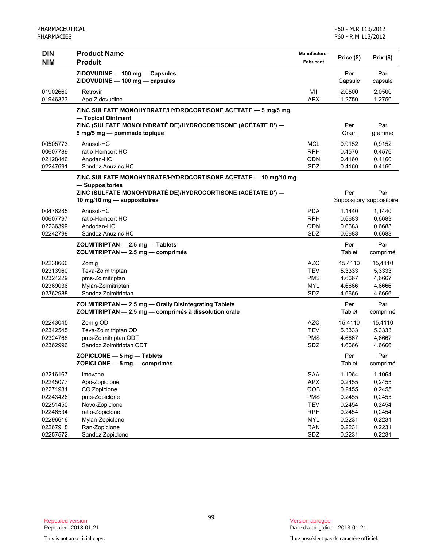| <b>DIN</b> | <b>Product Name</b>                                           | Manufacturer | Price (\$) | Prix(\$)                 |
|------------|---------------------------------------------------------------|--------------|------------|--------------------------|
| <b>NIM</b> | <b>Produit</b>                                                | Fabricant    |            |                          |
|            | ZIDOVUDINE - 100 mg - Capsules                                |              | Per        | Par                      |
|            | ZIDOVUDINE - 100 mg - capsules                                |              | Capsule    | capsule                  |
| 01902660   | Retrovir                                                      | VII          | 2.0500     | 2,0500                   |
| 01946323   | Apo-Zidovudine                                                | <b>APX</b>   | 1.2750     | 1,2750                   |
|            | ZINC SULFATE MONOHYDRATE/HYDROCORTISONE ACETATE - 5 mg/5 mg   |              |            |                          |
|            | - Topical Ointment                                            |              |            |                          |
|            | ZINC (SULFATE MONOHYDRATÉ DE)/HYDROCORTISONE (ACÉTATE D') —   |              | Per        | Par                      |
|            | 5 mg/5 mg - pommade topique                                   |              | Gram       | gramme                   |
| 00505773   | Anusol-HC                                                     | <b>MCL</b>   | 0.9152     | 0,9152                   |
| 00607789   | ratio-Hemcort HC                                              | <b>RPH</b>   | 0.4576     | 0,4576                   |
| 02128446   | Anodan-HC                                                     | <b>ODN</b>   | 0.4160     | 0,4160                   |
| 02247691   | Sandoz Anuzinc HC                                             | SDZ          | 0.4160     | 0,4160                   |
|            | ZINC SULFATE MONOHYDRATE/HYDROCORTISONE ACETATE - 10 mg/10 mg |              |            |                          |
|            | - Suppositories                                               |              |            |                          |
|            | ZINC (SULFATE MONOHYDRATÉ DE)/HYDROCORTISONE (ACÉTATE D') —   |              | Per        | Par                      |
|            | 10 mg/10 mg - suppositoires                                   |              |            | Suppository suppositoire |
| 00476285   | Anusol-HC                                                     | <b>PDA</b>   | 1.1440     | 1,1440                   |
| 00607797   | ratio-Hemcort HC                                              | <b>RPH</b>   | 0.6683     | 0,6683                   |
| 02236399   | Andodan-HC                                                    | <b>ODN</b>   | 0.6683     | 0,6683                   |
| 02242798   | Sandoz Anuzinc HC                                             | SDZ          | 0.6683     | 0,6683                   |
|            | ZOLMITRIPTAN - 2.5 mg - Tablets                               |              | Per        | Par                      |
|            | ZOLMITRIPTAN - 2.5 mg - comprimés                             |              | Tablet     | comprimé                 |
| 02238660   | Zomig                                                         | <b>AZC</b>   | 15.4110    | 15,4110                  |
| 02313960   | Teva-Zolmitriptan                                             | <b>TEV</b>   | 5.3333     | 5,3333                   |
| 02324229   | pms-Zolmitriptan                                              | <b>PMS</b>   | 4.6667     | 4,6667                   |
| 02369036   | Mylan-Zolmitriptan                                            | <b>MYL</b>   | 4.6666     | 4,6666                   |
| 02362988   | Sandoz Zolmitriptan                                           | SDZ          | 4.6666     | 4,6666                   |
|            | ZOLMITRIPTAN - 2.5 mg - Orally Disintegrating Tablets         |              | Per        | Par                      |
|            | ZOLMITRIPTAN - 2.5 mg - comprimés à dissolution orale         |              | Tablet     | comprimé                 |
| 02243045   | Zomig OD                                                      | <b>AZC</b>   | 15.4110    | 15,4110                  |
| 02342545   | Teva-Zolmitriptan OD                                          | <b>TEV</b>   | 5.3333     | 5,3333                   |
| 02324768   | pms-Zolmitriptan ODT                                          | <b>PMS</b>   | 4.6667     | 4,6667                   |
| 02362996   | Sandoz Zolmitriptan ODT                                       | SDZ          | 4.6666     | 4,6666                   |
|            | $ZOPICLONE - 5 mg - Tables$                                   |              | Per        | Par                      |
|            | ZOPICLONE - 5 mg - comprimés                                  |              | Tablet     | comprimé                 |
| 02216167   | Imovane                                                       | SAA          | 1.1064     | 1,1064                   |
| 02245077   | Apo-Zopiclone                                                 | <b>APX</b>   | 0.2455     | 0,2455                   |
| 02271931   | CO Zopiclone                                                  | COB          | 0.2455     | 0,2455                   |
| 02243426   | pms-Zopiclone                                                 | <b>PMS</b>   | 0.2455     | 0,2455                   |
| 02251450   | Novo-Zopiclone                                                | <b>TEV</b>   | 0.2454     | 0,2454                   |
| 02246534   | ratio-Zopiclone                                               | <b>RPH</b>   | 0.2454     | 0,2454                   |
| 02296616   | Mylan-Zopiclone                                               | <b>MYL</b>   | 0.2231     | 0,2231                   |
| 02267918   | Ran-Zopiclone                                                 | <b>RAN</b>   | 0.2231     | 0,2231                   |
| 02257572   | Sandoz Zopiclone                                              | SDZ          | 0.2231     | 0,2231                   |